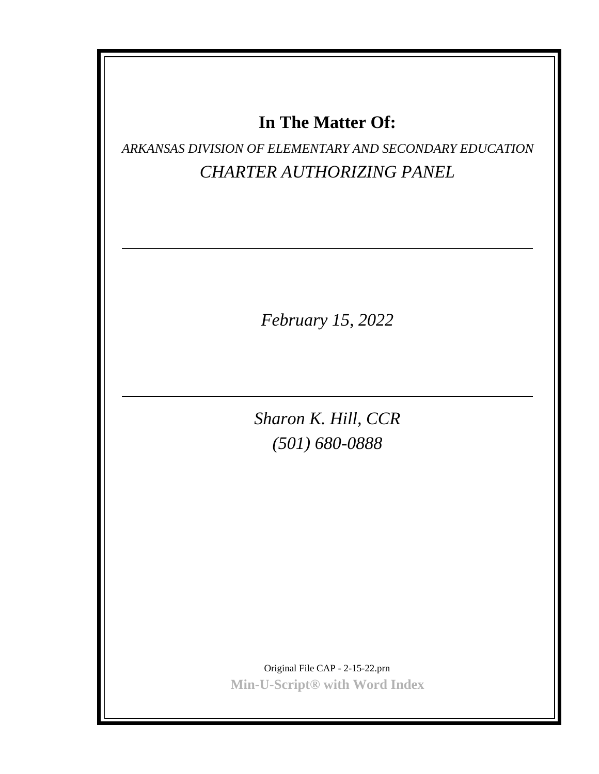## **In The Matter Of:**

*ARKANSAS DIVISION OF ELEMENTARY AND SECONDARY EDUCATION CHARTER AUTHORIZING PANEL*

*February 15, 2022*

*Sharon K. Hill, CCR (501) 680-0888*

Original File CAP - 2-15-22.prn **Min-U-Script® with Word Index**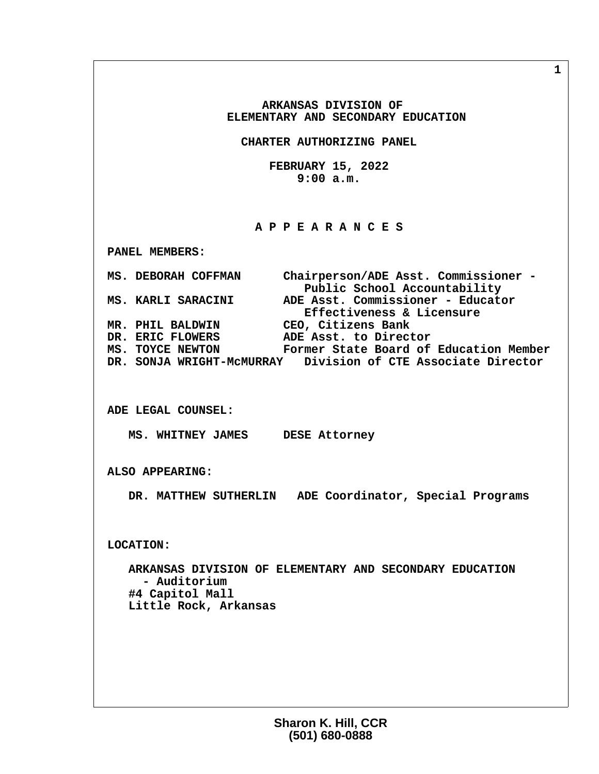**ARKANSAS DIVISION OF ELEMENTARY AND SECONDARY EDUCATION**

 **CHARTER AUTHORIZING PANEL**

 **FEBRUARY 15, 2022 9:00 a.m.**

## **A P P E A R A N C E S**

 **PANEL MEMBERS:**

 **MS. DEBORAH COFFMAN Chairperson/ADE Asst. Commissioner -** Public School Accountability<br>MS. KARLI SARACINI ADE Asst. Commissioner - Educato  **MS. KARLI SARACINI ADE Asst. Commissioner - Educator Effectiveness & Licensure MR. PHIL BALDWIN CEO, Citizens Bank** DR. ERIC FLOWERS ADE Asst. to Director<br>MS. TOYCE NEWTON Former State Board of Former State Board of Education Member  **DR. SONJA WRIGHT-McMURRAY Division of CTE Associate Director**

 **ADE LEGAL COUNSEL:**

 **MS. WHITNEY JAMES DESE Attorney**

 **ALSO APPEARING:**

 **DR. MATTHEW SUTHERLIN ADE Coordinator, Special Programs**

 **LOCATION:**

 **ARKANSAS DIVISION OF ELEMENTARY AND SECONDARY EDUCATION - Auditorium #4 Capitol Mall Little Rock, Arkansas**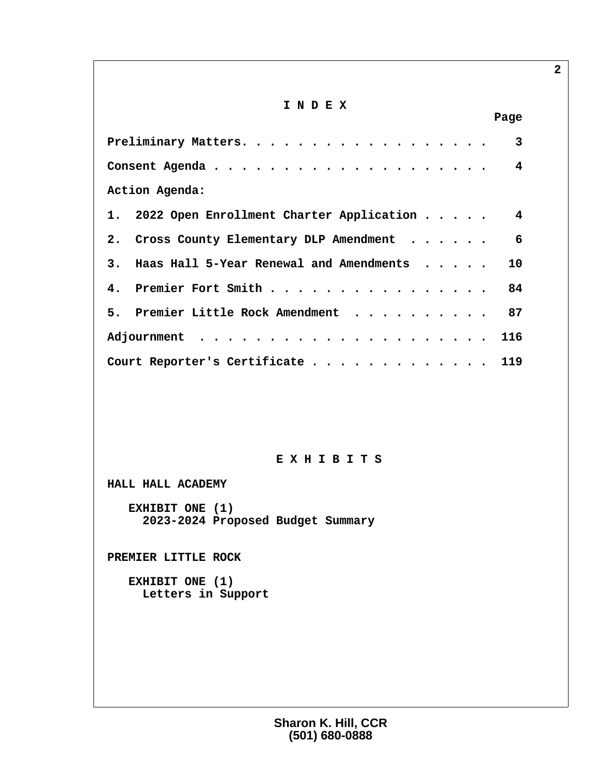## **I N D E X**

| Page                                             |
|--------------------------------------------------|
| 3                                                |
|                                                  |
| Action Agenda:                                   |
| 1. 2022 Open Enrollment Charter Application      |
| 2. Cross County Elementary DLP Amendment<br>6    |
| 3. Haas Hall 5-Year Renewal and Amendments<br>10 |
| 4. Premier Fort Smith 84                         |
| 5. Premier Little Rock Amendment 87              |
|                                                  |
| Court Reporter's Certificate 119                 |

## **E X H I B I T S**

 **HALL HALL ACADEMY**

 **EXHIBIT ONE (1) 2023-2024 Proposed Budget Summary**

 **PREMIER LITTLE ROCK**

 **EXHIBIT ONE (1) Letters in Support**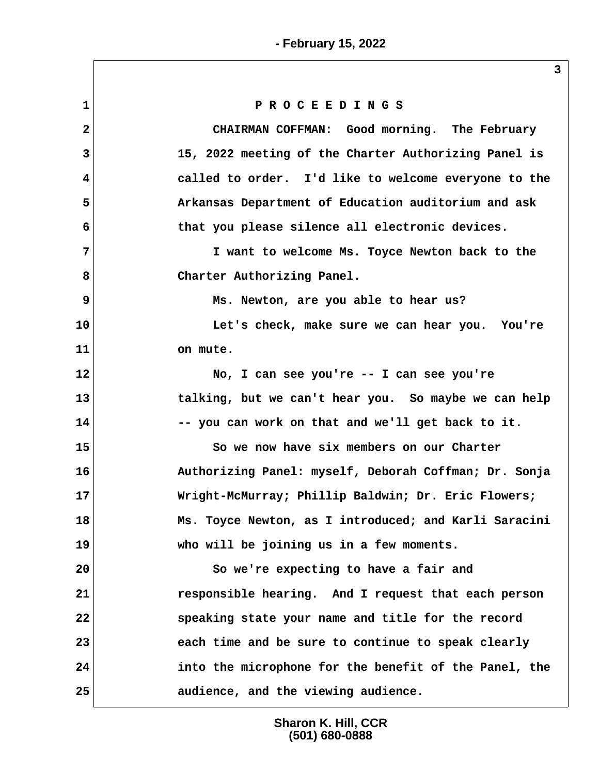|                         | 3                                                     |
|-------------------------|-------------------------------------------------------|
| $\mathbf 1$             | PROCEEDINGS                                           |
| $\mathbf{2}$            | CHAIRMAN COFFMAN: Good morning. The February          |
| 3                       | 15, 2022 meeting of the Charter Authorizing Panel is  |
| $\overline{\mathbf{4}}$ | called to order. I'd like to welcome everyone to the  |
| 5                       | Arkansas Department of Education auditorium and ask   |
| 6                       | that you please silence all electronic devices.       |
| 7                       | I want to welcome Ms. Toyce Newton back to the        |
| 8                       | Charter Authorizing Panel.                            |
| 9                       | Ms. Newton, are you able to hear us?                  |
| 10                      | Let's check, make sure we can hear you. You're        |
| 11                      | on mute.                                              |
| 12                      | No, I can see you're -- I can see you're              |
| 13                      | talking, but we can't hear you. So maybe we can help  |
| 14                      | -- you can work on that and we'll get back to it.     |
| 15                      | So we now have six members on our Charter             |
| 16                      | Authorizing Panel: myself, Deborah Coffman; Dr. Sonja |
| 17                      | Wright-McMurray; Phillip Baldwin; Dr. Eric Flowers;   |
| 18                      | Ms. Toyce Newton, as I introduced; and Karli Saracini |
| 19                      | who will be joining us in a few moments.              |
| 20                      | So we're expecting to have a fair and                 |
| 21                      | responsible hearing. And I request that each person   |
| 22                      | speaking state your name and title for the record     |
| 23                      | each time and be sure to continue to speak clearly    |
| 24                      | into the microphone for the benefit of the Panel, the |
| 25                      | audience, and the viewing audience.                   |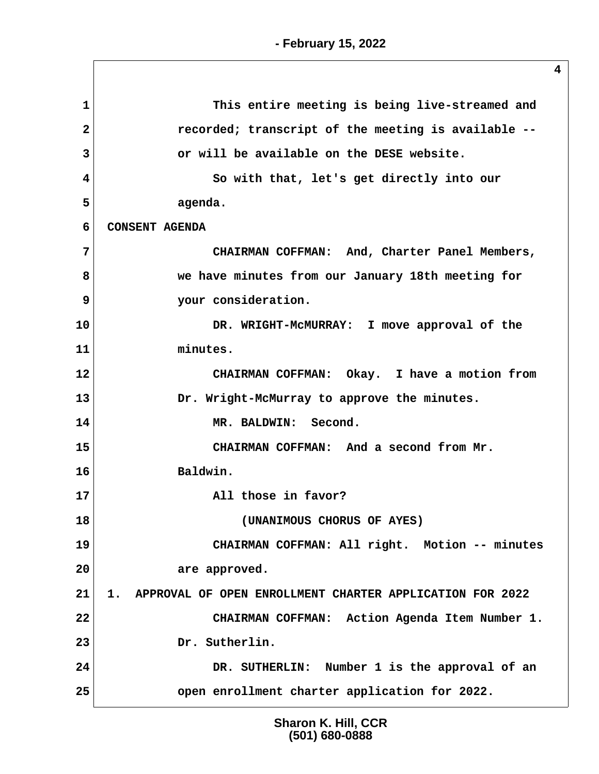**1 This entire meeting is being live-streamed and 2 recorded; transcript of the meeting is available -- 3 or will be available on the DESE website. 4 So with that, let's get directly into our 5 agenda. 6 CONSENT AGENDA 7 CHAIRMAN COFFMAN: And, Charter Panel Members, 8 we have minutes from our January 18th meeting for 9 your consideration. 10 DR. WRIGHT-McMURRAY: I move approval of the 11 minutes. 12 CHAIRMAN COFFMAN: Okay. I have a motion from 13 Dr. Wright-McMurray to approve the minutes. 14 MR. BALDWIN: Second. 15 CHAIRMAN COFFMAN: And a second from Mr. 16 Baldwin. 17 All those in favor? 18 (UNANIMOUS CHORUS OF AYES) 19 CHAIRMAN COFFMAN: All right. Motion -- minutes 20 are approved. 21 1. APPROVAL OF OPEN ENROLLMENT CHARTER APPLICATION FOR 2022 22 CHAIRMAN COFFMAN: Action Agenda Item Number 1. 23 Dr. Sutherlin. 24 DR. SUTHERLIN: Number 1 is the approval of an 25 open enrollment charter application for 2022.**

> **Sharon K. Hill, CCR (501) 680-0888**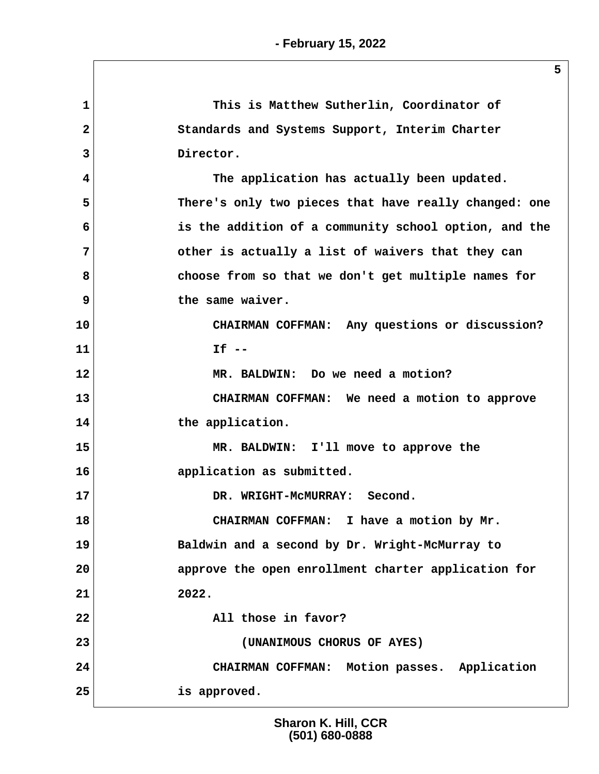| 1            | This is Matthew Sutherlin, Coordinator of             |
|--------------|-------------------------------------------------------|
| $\mathbf{2}$ | Standards and Systems Support, Interim Charter        |
| 3            | Director.                                             |
| 4            | The application has actually been updated.            |
| 5            | There's only two pieces that have really changed: one |
| 6            | is the addition of a community school option, and the |
| 7            | other is actually a list of waivers that they can     |
| 8            | choose from so that we don't get multiple names for   |
| 9            | the same waiver.                                      |
| 10           | CHAIRMAN COFFMAN: Any questions or discussion?        |
| 11           | $If --$                                               |
| 12           | MR. BALDWIN: Do we need a motion?                     |
| 13           | CHAIRMAN COFFMAN: We need a motion to approve         |
| 14           | the application.                                      |
| 15           | MR. BALDWIN: I'll move to approve the                 |
| 16           | application as submitted.                             |
| 17           | DR. WRIGHT-MCMURRAY: Second.                          |
| 18           | CHAIRMAN COFFMAN: I have a motion by Mr.              |
| 19           | Baldwin and a second by Dr. Wright-McMurray to        |
| 20           | approve the open enrollment charter application for   |
| 21           | 2022.                                                 |
| 22           | All those in favor?                                   |
| 23           | (UNANIMOUS CHORUS OF AYES)                            |
| 24           | CHAIRMAN COFFMAN: Motion passes. Application          |
| 25           | is approved.                                          |
|              |                                                       |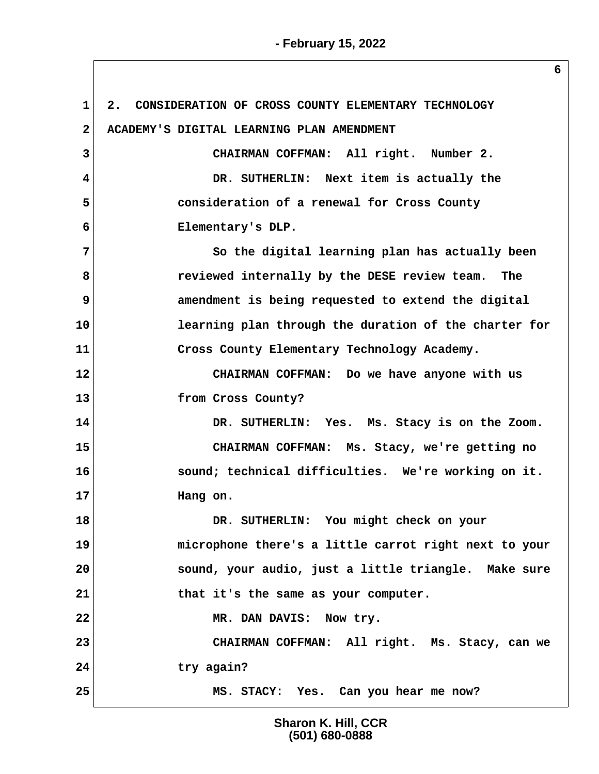**1 2. CONSIDERATION OF CROSS COUNTY ELEMENTARY TECHNOLOGY 2 ACADEMY'S DIGITAL LEARNING PLAN AMENDMENT 3 CHAIRMAN COFFMAN: All right. Number 2. 4 DR. SUTHERLIN: Next item is actually the 5 consideration of a renewal for Cross County 6 Elementary's DLP. 7 So the digital learning plan has actually been 8 reviewed internally by the DESE review team. The 9** amendment is being requested to extend the digital **10 learning plan through the duration of the charter for 11 Cross County Elementary Technology Academy. 12 CHAIRMAN COFFMAN: Do we have anyone with us 13 from Cross County? 14 DR. SUTHERLIN: Yes. Ms. Stacy is on the Zoom. 15 CHAIRMAN COFFMAN: Ms. Stacy, we're getting no 16 sound; technical difficulties. We're working on it. 17 Hang on. 18 DR. SUTHERLIN: You might check on your 19 microphone there's a little carrot right next to your 20 sound, your audio, just a little triangle. Make sure 21 that it's the same as your computer. 22 MR. DAN DAVIS: Now try. 23 CHAIRMAN COFFMAN: All right. Ms. Stacy, can we 24 try again? 25 MS. STACY: Yes. Can you hear me now?**

> **Sharon K. Hill, CCR (501) 680-0888**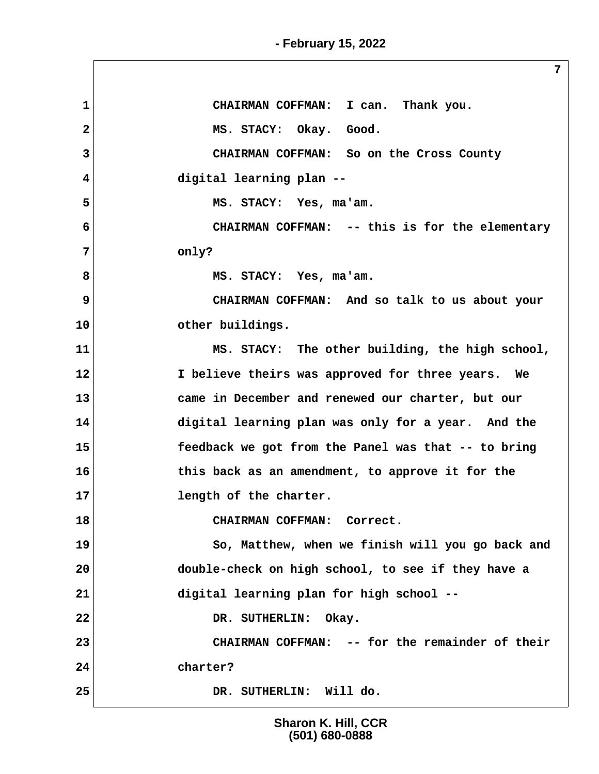**- February 15, 2022**

**7 1 CHAIRMAN COFFMAN: I can. Thank you.** 2 MS. STACY: Okay. Good.  **3 CHAIRMAN COFFMAN: So on the Cross County 4 digital learning plan -- 5 MS. STACY: Yes, ma'am. 6 CHAIRMAN COFFMAN: -- this is for the elementary 7 only? 8 MS. STACY: Yes, ma'am. 9 CHAIRMAN COFFMAN: And so talk to us about your 10 other buildings. 11 MS. STACY: The other building, the high school, 12 I believe theirs was approved for three years. We 13 came in December and renewed our charter, but our 14 digital learning plan was only for a year. And the 15 feedback we got from the Panel was that -- to bring 16 this back as an amendment, to approve it for the 17 length of the charter. 18 CHAIRMAN COFFMAN: Correct. 19 So, Matthew, when we finish will you go back and 20 double-check on high school, to see if they have a 21 digital learning plan for high school -- 22 DR. SUTHERLIN: Okay. 23 CHAIRMAN COFFMAN: -- for the remainder of their 24 charter? 25 DR. SUTHERLIN: Will do.**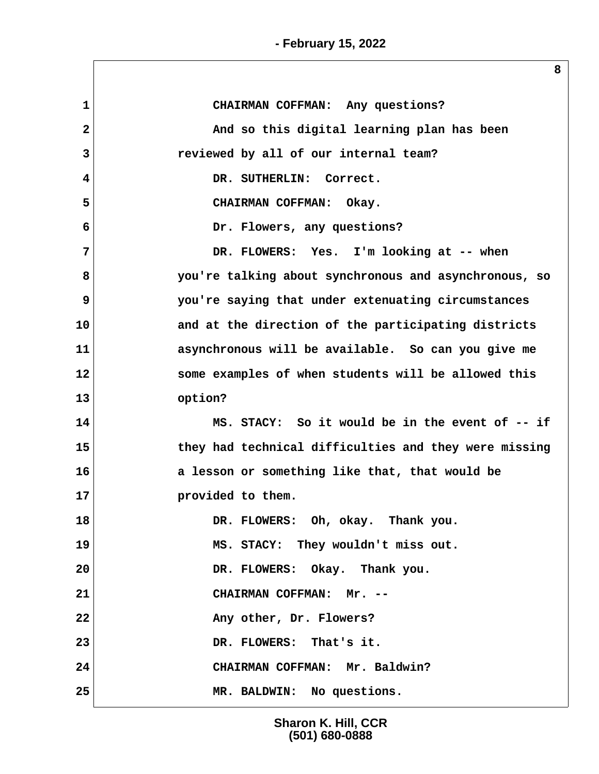| $\mathbf{1}$   | CHAIRMAN COFFMAN: Any questions?                      |
|----------------|-------------------------------------------------------|
| $\overline{a}$ | And so this digital learning plan has been            |
| 3              | reviewed by all of our internal team?                 |
| 4              | DR. SUTHERLIN: Correct.                               |
| 5              | CHAIRMAN COFFMAN: Okay.                               |
| 6              | Dr. Flowers, any questions?                           |
| 7              | DR. FLOWERS: Yes. I'm looking at -- when              |
| 8              | you're talking about synchronous and asynchronous, so |
| 9              | you're saying that under extenuating circumstances    |
| 10             | and at the direction of the participating districts   |
| 11             | asynchronous will be available. So can you give me    |
| 12             | some examples of when students will be allowed this   |
| 13             | option?                                               |
| 14             | MS. STACY: So it would be in the event of -- if       |
| 15             | they had technical difficulties and they were missing |
| 16             | a lesson or something like that, that would be        |
| 17             | provided to them.                                     |
| 18             | DR. FLOWERS: Oh, okay. Thank you.                     |
| 19             | MS. STACY: They wouldn't miss out.                    |
| 20             | DR. FLOWERS: Okay. Thank you.                         |
| 21             | CHAIRMAN COFFMAN: Mr. --                              |
| 22             | Any other, Dr. Flowers?                               |
| 23             | DR. FLOWERS: That's it.                               |
| 24             | CHAIRMAN COFFMAN: Mr. Baldwin?                        |
| 25             | MR. BALDWIN: No questions.                            |
|                |                                                       |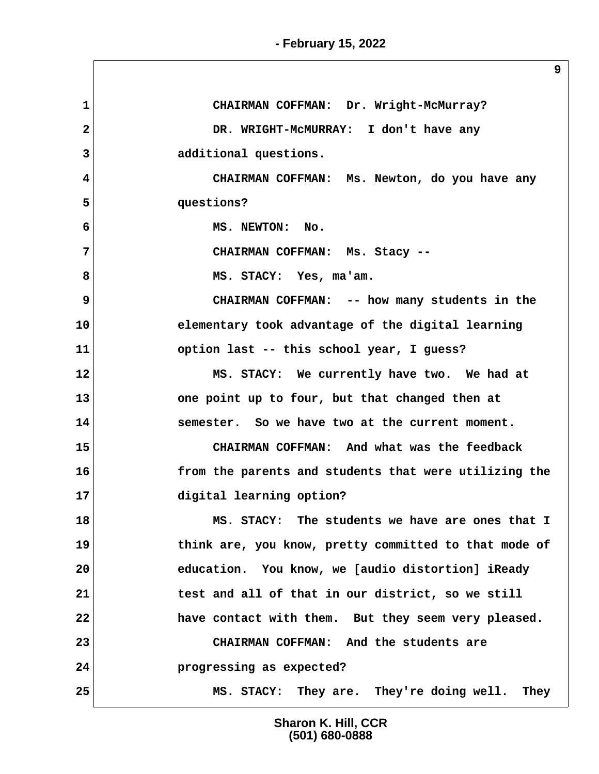**- February 15, 2022**

| $\mathbf{1}$   | CHAIRMAN COFFMAN: Dr. Wright-McMurray?                |
|----------------|-------------------------------------------------------|
| $\overline{2}$ | DR. WRIGHT-MCMURRAY: I don't have any                 |
| 3              | additional questions.                                 |
| 4              | CHAIRMAN COFFMAN: Ms. Newton, do you have any         |
| 5              | questions?                                            |
| 6              | MS. NEWTON: No.                                       |
| 7              | CHAIRMAN COFFMAN: Ms. Stacy --                        |
| 8              | MS. STACY: Yes, ma'am.                                |
| 9              | CHAIRMAN COFFMAN: -- how many students in the         |
| 10             | elementary took advantage of the digital learning     |
| 11             | option last -- this school year, I guess?             |
| 12             | MS. STACY: We currently have two. We had at           |
| 13             | one point up to four, but that changed then at        |
| 14             | semester. So we have two at the current moment.       |
| 15             | CHAIRMAN COFFMAN: And what was the feedback           |
| 16             | from the parents and students that were utilizing the |
| 17             | digital learning option?                              |
| 18             | MS. STACY: The students we have are ones that I       |
| 19             | think are, you know, pretty committed to that mode of |
| 20             | education. You know, we [audio distortion] iReady     |
| 21             | test and all of that in our district, so we still     |
| 22             | have contact with them. But they seem very pleased.   |
| 23             | CHAIRMAN COFFMAN: And the students are                |
| 24             | progressing as expected?                              |
| 25             | MS. STACY: They are. They're doing well. They         |

**Sharon K. Hill, CCR (501) 680-0888**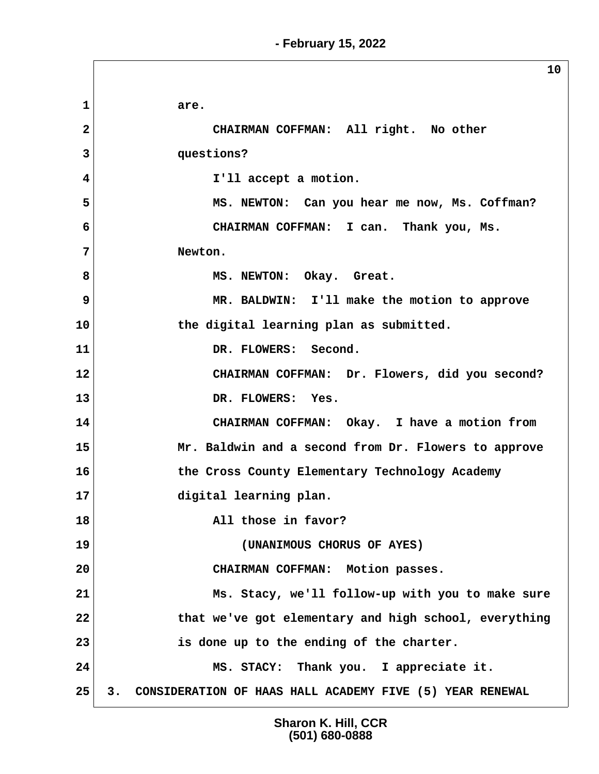|                | 10                                                             |
|----------------|----------------------------------------------------------------|
| $\mathbf 1$    | are.                                                           |
| $\overline{2}$ | CHAIRMAN COFFMAN: All right. No other                          |
| 3              | questions?                                                     |
| 4              | I'll accept a motion.                                          |
| 5              | MS. NEWTON: Can you hear me now, Ms. Coffman?                  |
| 6              | CHAIRMAN COFFMAN: I can. Thank you, Ms.                        |
| 7              | Newton.                                                        |
| 8              | MS. NEWTON: Okay. Great.                                       |
| 9              | MR. BALDWIN: I'll make the motion to approve                   |
| 10             | the digital learning plan as submitted.                        |
| 11             | DR. FLOWERS: Second.                                           |
| 12             | CHAIRMAN COFFMAN: Dr. Flowers, did you second?                 |
| 13             | DR. FLOWERS: Yes.                                              |
| 14             | CHAIRMAN COFFMAN: Okay. I have a motion from                   |
| 15             | Mr. Baldwin and a second from Dr. Flowers to approve           |
| 16             | the Cross County Elementary Technology Academy                 |
| 17             | digital learning plan.                                         |
| 18             | All those in favor?                                            |
| 19             | (UNANIMOUS CHORUS OF AYES)                                     |
| 20             | CHAIRMAN COFFMAN: Motion passes.                               |
| 21             | Ms. Stacy, we'll follow-up with you to make sure               |
| 22             | that we've got elementary and high school, everything          |
| 23             | is done up to the ending of the charter.                       |
| 24             | MS. STACY: Thank you. I appreciate it.                         |
| 25             | 3.<br>CONSIDERATION OF HAAS HALL ACADEMY FIVE (5) YEAR RENEWAL |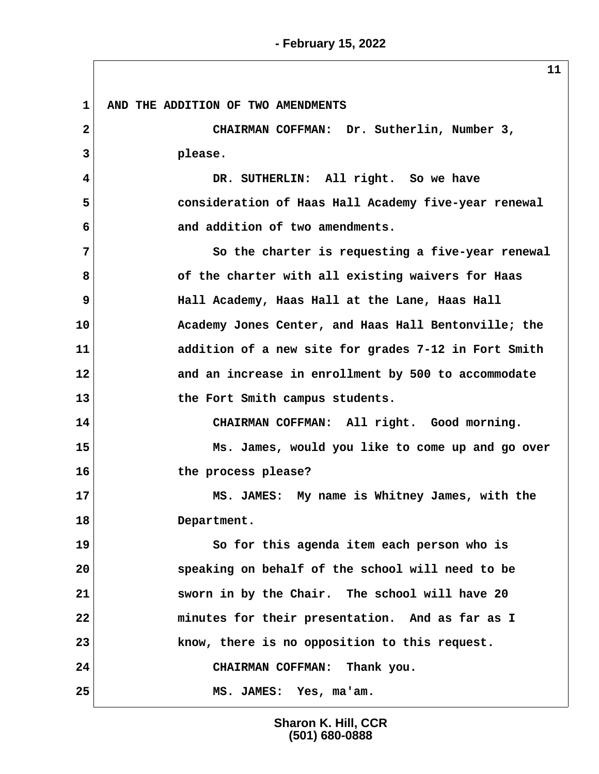**1 AND THE ADDITION OF TWO AMENDMENTS 2 CHAIRMAN COFFMAN: Dr. Sutherlin, Number 3, 3 please. 4 DR. SUTHERLIN: All right. So we have 5 consideration of Haas Hall Academy five-year renewal 6 and addition of two amendments. 7 So the charter is requesting a five-year renewal 8 of the charter with all existing waivers for Haas 9 Hall Academy, Haas Hall at the Lane, Haas Hall 10 Academy Jones Center, and Haas Hall Bentonville; the 11 addition of a new site for grades 7-12 in Fort Smith 12 and an increase in enrollment by 500 to accommodate 13 the Fort Smith campus students. 14 CHAIRMAN COFFMAN: All right. Good morning. 15 Ms. James, would you like to come up and go over 16 the process please? 17 MS. JAMES: My name is Whitney James, with the 18 Department. 19 So for this agenda item each person who is 20 speaking on behalf of the school will need to be 21 sworn in by the Chair. The school will have 20 22 minutes for their presentation. And as far as I 23 know, there is no opposition to this request. 24 CHAIRMAN COFFMAN: Thank you. 25 MS. JAMES: Yes, ma'am.**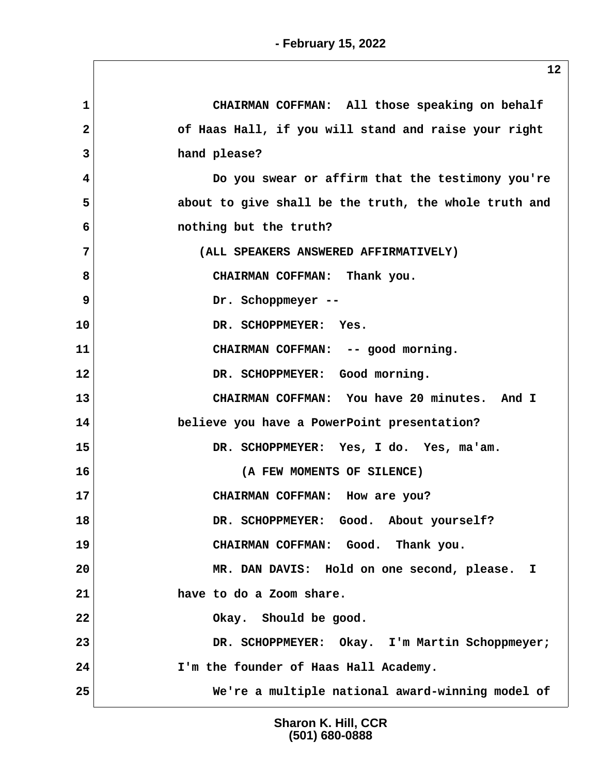| 1  | CHAIRMAN COFFMAN: All those speaking on behalf        |
|----|-------------------------------------------------------|
| 2  | of Haas Hall, if you will stand and raise your right  |
| 3  | hand please?                                          |
| 4  | Do you swear or affirm that the testimony you're      |
| 5  | about to give shall be the truth, the whole truth and |
| 6  | nothing but the truth?                                |
| 7  | (ALL SPEAKERS ANSWERED AFFIRMATIVELY)                 |
| 8  | CHAIRMAN COFFMAN: Thank you.                          |
| 9  | Dr. Schoppmeyer --                                    |
| 10 | DR. SCHOPPMEYER: Yes.                                 |
| 11 | CHAIRMAN COFFMAN: -- good morning.                    |
| 12 | DR. SCHOPPMEYER: Good morning.                        |
| 13 | CHAIRMAN COFFMAN: You have 20 minutes. And I          |
| 14 | believe you have a PowerPoint presentation?           |
| 15 | DR. SCHOPPMEYER: Yes, I do. Yes, ma'am.               |
| 16 | (A FEW MOMENTS OF SILENCE)                            |
| 17 | CHAIRMAN COFFMAN: How are you?                        |
| 18 | DR. SCHOPPMEYER: Good. About yourself?                |
| 19 | CHAIRMAN COFFMAN: Good. Thank you.                    |
| 20 | MR. DAN DAVIS: Hold on one second, please. I          |
| 21 | have to do a Zoom share.                              |
| 22 | Okay. Should be good.                                 |
| 23 | DR. SCHOPPMEYER: Okay. I'm Martin Schoppmeyer;        |
| 24 | I'm the founder of Haas Hall Academy.                 |
| 25 | We're a multiple national award-winning model of      |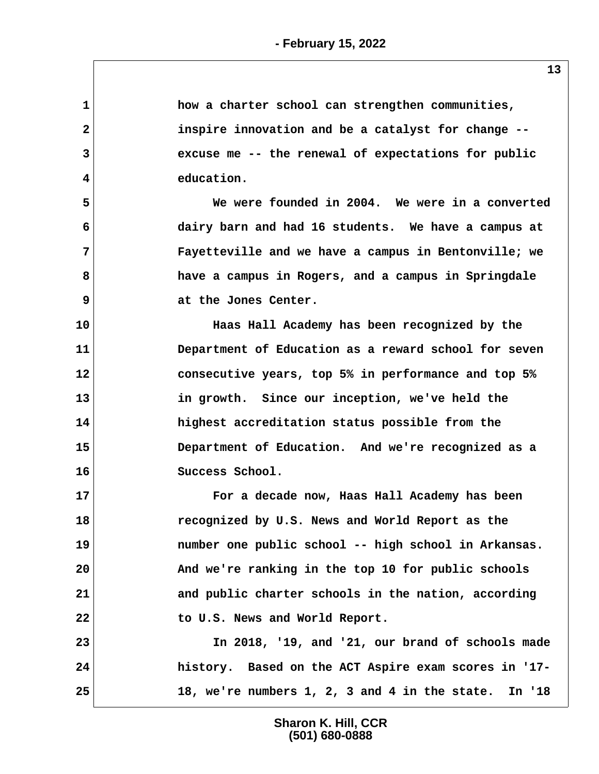| $\mathbf{1}$ | how a charter school can strengthen communities,        |
|--------------|---------------------------------------------------------|
| $\mathbf{2}$ | inspire innovation and be a catalyst for change --      |
| 3            | excuse me -- the renewal of expectations for public     |
| 4            | education.                                              |
| 5            | We were founded in 2004. We were in a converted         |
| 6            | dairy barn and had 16 students. We have a campus at     |
| 7            | Fayetteville and we have a campus in Bentonville; we    |
| 8            | have a campus in Rogers, and a campus in Springdale     |
| 9            | at the Jones Center.                                    |
| 10           | Haas Hall Academy has been recognized by the            |
| 11           | Department of Education as a reward school for seven    |
| 12           | consecutive years, top 5% in performance and top 5%     |
| 13           | in growth. Since our inception, we've held the          |
| 14           | highest accreditation status possible from the          |
| 15           | Department of Education. And we're recognized as a      |
| 16           | Success School.                                         |
| 17           | For a decade now, Haas Hall Academy has been            |
| 18           | recognized by U.S. News and World Report as the         |
| 19           | number one public school -- high school in Arkansas.    |
| 20           | And we're ranking in the top 10 for public schools      |
| 21           | and public charter schools in the nation, according     |
| 22           | to U.S. News and World Report.                          |
| 23           | In 2018, '19, and '21, our brand of schools made        |
| 24           | history. Based on the ACT Aspire exam scores in '17-    |
| 25           | 18, we're numbers 1, 2, 3 and 4 in the state.<br>In '18 |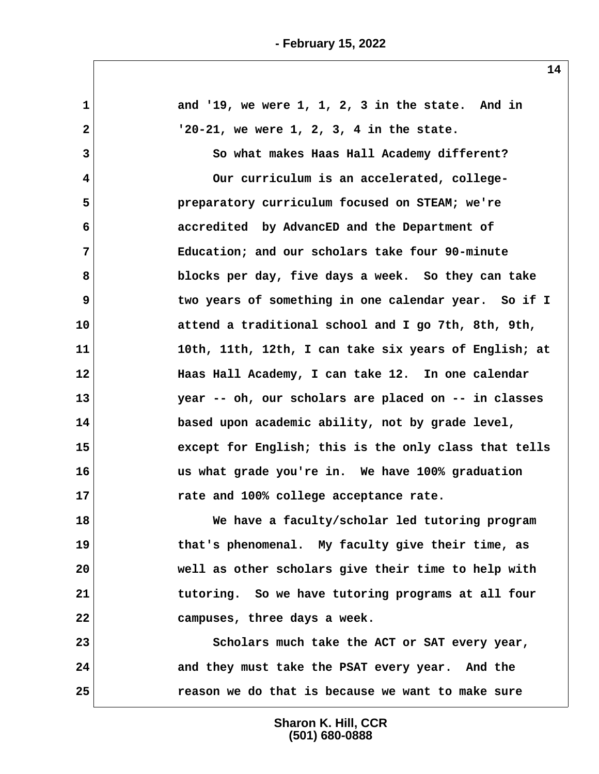| $\mathbf 1$    | and '19, we were $1, 1, 2, 3$ in the state. And in    |
|----------------|-------------------------------------------------------|
| 2              | $'20-21$ , we were 1, 2, 3, 4 in the state.           |
| 3              | So what makes Haas Hall Academy different?            |
| 4              | Our curriculum is an accelerated, college-            |
| 5              | preparatory curriculum focused on STEAM; we're        |
| 6              | accredited by AdvancED and the Department of          |
| $\overline{7}$ | Education; and our scholars take four 90-minute       |
| 8              | blocks per day, five days a week. So they can take    |
| 9              | two years of something in one calendar year. So if I  |
| 10             | attend a traditional school and I go 7th, 8th, 9th,   |
| 11             | 10th, 11th, 12th, I can take six years of English; at |
| 12             | Haas Hall Academy, I can take 12. In one calendar     |
| 13             | year -- oh, our scholars are placed on -- in classes  |
| 14             | based upon academic ability, not by grade level,      |
| 15             | except for English; this is the only class that tells |
| 16             | us what grade you're in. We have 100% graduation      |
| 17             | rate and 100% college acceptance rate.                |
| 18             | We have a faculty/scholar led tutoring program        |
| 19             | that's phenomenal. My faculty give their time, as     |
| 20             | well as other scholars give their time to help with   |
| 21             | tutoring. So we have tutoring programs at all four    |
| 22             | campuses, three days a week.                          |
| 23             | Scholars much take the ACT or SAT every year,         |
| 24             | and they must take the PSAT every year. And the       |
| 25             | reason we do that is because we want to make sure     |
|                |                                                       |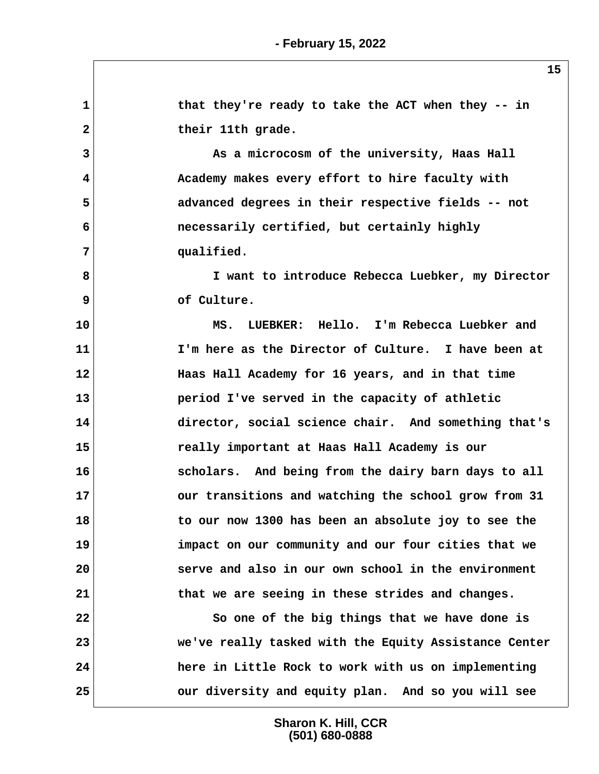**1 1** that they're ready to take the ACT when they -- in 2 their 11th grade.  **3 As a microcosm of the university, Haas Hall 4 Academy makes every effort to hire faculty with 5 advanced degrees in their respective fields -- not 6 necessarily certified, but certainly highly 7 qualified. 8 I want to introduce Rebecca Luebker, my Director 9 of Culture. 10 MS. LUEBKER: Hello. I'm Rebecca Luebker and 11 I'm here as the Director of Culture. I have been at 12 Haas Hall Academy for 16 years, and in that time 13 period I've served in the capacity of athletic 14 director, social science chair. And something that's 15 really important at Haas Hall Academy is our 16 scholars. And being from the dairy barn days to all 17 our transitions and watching the school grow from 31 18 to our now 1300 has been an absolute joy to see the 19 impact on our community and our four cities that we 20 serve and also in our own school in the environment 21 that we are seeing in these strides and changes. 22** So one of the big things that we have done is **23 we've really tasked with the Equity Assistance Center 24 here in Little Rock to work with us on implementing 25 our diversity and equity plan. And so you will see**

> **Sharon K. Hill, CCR (501) 680-0888**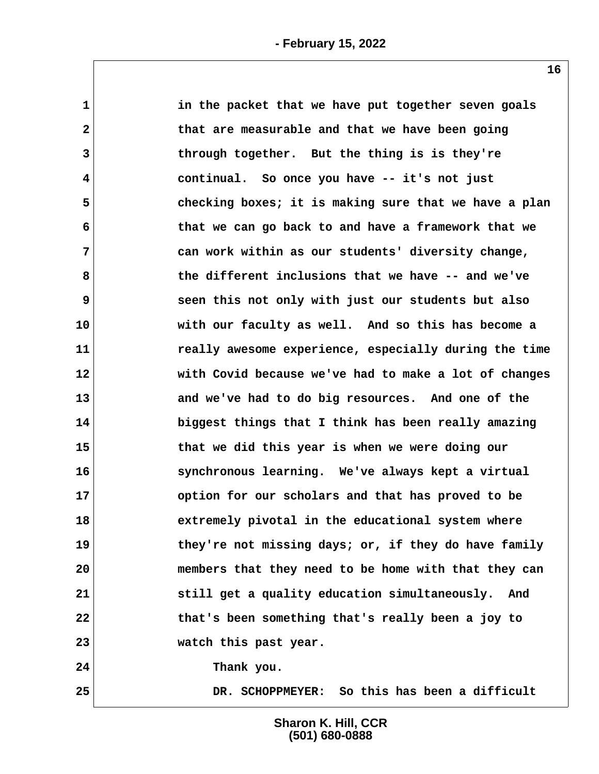| 1            | in the packet that we have put together seven goals   |
|--------------|-------------------------------------------------------|
| $\mathbf{2}$ | that are measurable and that we have been going       |
| 3            | through together. But the thing is is they're         |
| 4            | continual. So once you have -- it's not just          |
| 5            | checking boxes; it is making sure that we have a plan |
| 6            | that we can go back to and have a framework that we   |
| 7            | can work within as our students' diversity change,    |
| 8            | the different inclusions that we have -- and we've    |
| 9            | seen this not only with just our students but also    |
| 10           | with our faculty as well. And so this has become a    |
| 11           | really awesome experience, especially during the time |
| 12           | with Covid because we've had to make a lot of changes |
| 13           | and we've had to do big resources. And one of the     |
| 14           | biggest things that I think has been really amazing   |
| 15           | that we did this year is when we were doing our       |
| 16           | synchronous learning. We've always kept a virtual     |
| 17           | option for our scholars and that has proved to be     |
| 18           | extremely pivotal in the educational system where     |
| 19           | they're not missing days; or, if they do have family  |
| 20           | members that they need to be home with that they can  |
| 21           | still get a quality education simultaneously. And     |
| 22           | that's been something that's really been a joy to     |
| 23           | watch this past year.                                 |
| 24           | Thank you.                                            |
| 25           | DR. SCHOPPMEYER: So this has been a difficult         |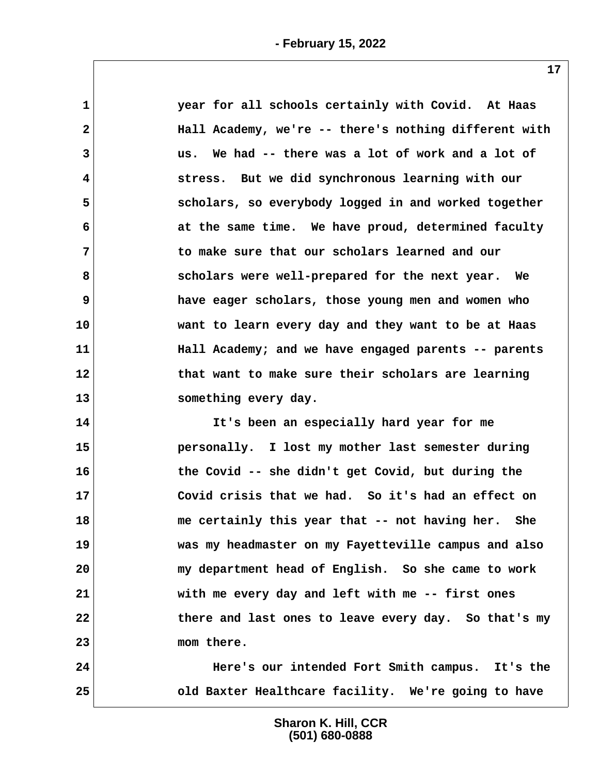| $\mathbf 1$             | year for all schools certainly with Covid. At Haas    |  |
|-------------------------|-------------------------------------------------------|--|
| $\mathbf{2}$            | Hall Academy, we're -- there's nothing different with |  |
| 3                       | us. We had -- there was a lot of work and a lot of    |  |
|                         |                                                       |  |
| $\overline{\mathbf{4}}$ | stress. But we did synchronous learning with our      |  |
| 5                       | scholars, so everybody logged in and worked together  |  |
| 6                       | at the same time. We have proud, determined faculty   |  |
| 7                       | to make sure that our scholars learned and our        |  |
| 8                       | scholars were well-prepared for the next year. We     |  |
| 9                       | have eager scholars, those young men and women who    |  |
| 10                      | want to learn every day and they want to be at Haas   |  |
| 11                      | Hall Academy; and we have engaged parents -- parents  |  |
| 12                      | that want to make sure their scholars are learning    |  |
| 13                      | something every day.                                  |  |
| 14                      | It's been an especially hard year for me              |  |
| 15                      | personally. I lost my mother last semester during     |  |
| 16                      | the Covid -- she didn't get Covid, but during the     |  |
| 17                      | Covid crisis that we had. So it's had an effect on    |  |
| 18                      | me certainly this year that -- not having her. She    |  |
| 19                      | was my headmaster on my Fayetteville campus and also  |  |
| 20                      | my department head of English. So she came to work    |  |
| 21                      | with me every day and left with me -- first ones      |  |
| 22                      | there and last ones to leave every day. So that's my  |  |
| 23                      | mom there.                                            |  |
| 24                      | Here's our intended Fort Smith campus. It's the       |  |

**25 old Baxter Healthcare facility. We're going to have**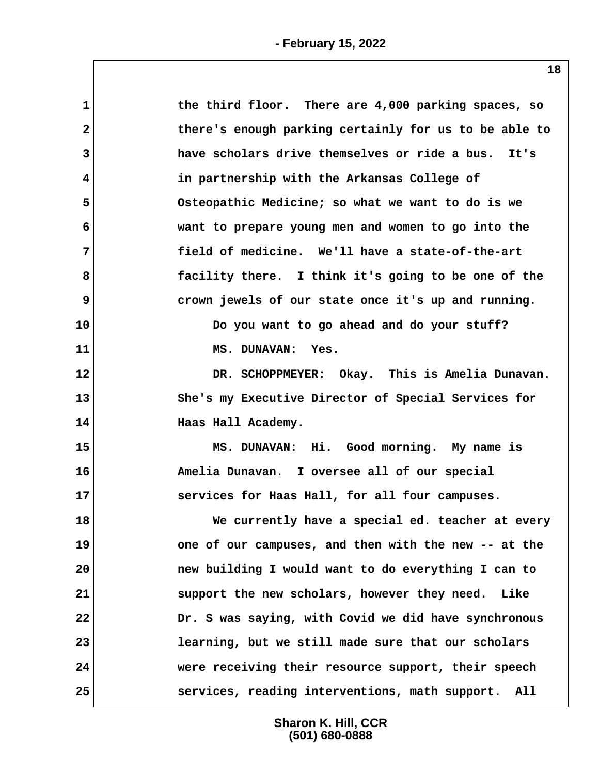| the third floor. There are 4,000 parking spaces, so       |
|-----------------------------------------------------------|
| there's enough parking certainly for us to be able to     |
| have scholars drive themselves or ride a bus. It's<br>3   |
| in partnership with the Arkansas College of               |
| Osteopathic Medicine; so what we want to do is we         |
| want to prepare young men and women to go into the        |
| field of medicine. We'll have a state-of-the-art          |
| facility there. I think it's going to be one of the       |
| crown jewels of our state once it's up and running.       |
| 10<br>Do you want to go ahead and do your stuff?          |
| MS. DUNAVAN: Yes.                                         |
| $12 \,$<br>DR. SCHOPPMEYER: Okay. This is Amelia Dunavan. |
| 13<br>She's my Executive Director of Special Services for |
| 14<br>Haas Hall Academy.                                  |
| 15<br>MS. DUNAVAN: Hi. Good morning. My name is           |
| 16<br>Amelia Dunavan. I oversee all of our special        |
| 17<br>services for Haas Hall, for all four campuses.      |
| 18<br>We currently have a special ed. teacher at every    |
| one of our campuses, and then with the new -- at the      |
| new building I would want to do everything I can to       |
| support the new scholars, however they need. Like         |
| Dr. S was saying, with Covid we did have synchronous      |
| learning, but we still made sure that our scholars        |
| were receiving their resource support, their speech       |
| services, reading interventions, math support. All        |
|                                                           |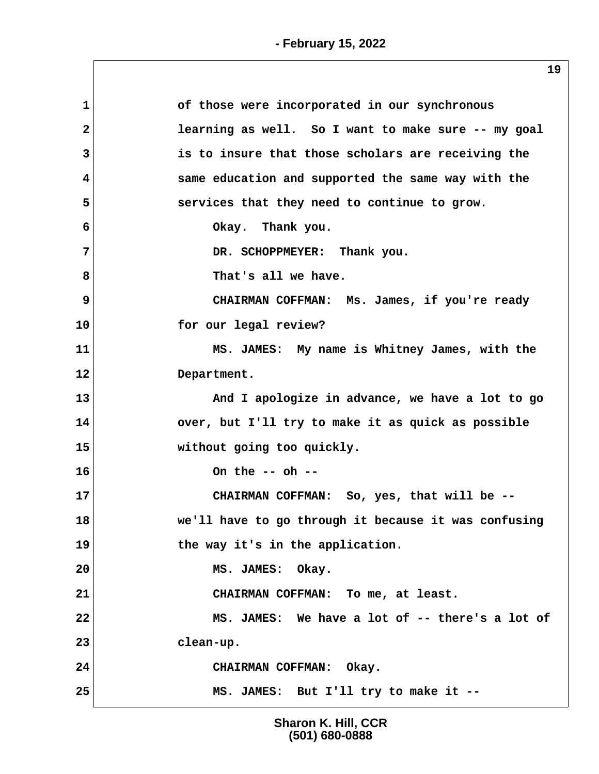| $\mathbf{1}$ | of those were incorporated in our synchronous        |
|--------------|------------------------------------------------------|
| $\mathbf{2}$ | learning as well. So I want to make sure -- my goal  |
| 3            | is to insure that those scholars are receiving the   |
| 4            | same education and supported the same way with the   |
| 5            | services that they need to continue to grow.         |
| 6            | Okay. Thank you.                                     |
| 7            | DR. SCHOPPMEYER: Thank you.                          |
| 8            | That's all we have.                                  |
| 9            | CHAIRMAN COFFMAN: Ms. James, if you're ready         |
| 10           | for our legal review?                                |
| 11           | MS. JAMES: My name is Whitney James, with the        |
| 12           | Department.                                          |
| 13           | And I apologize in advance, we have a lot to go      |
| 14           | over, but I'll try to make it as quick as possible   |
| 15           | without going too quickly.                           |
| 16           | On the $--$ oh $--$                                  |
| 17           | CHAIRMAN COFFMAN: So, yes, that will be --           |
| 18           | we'll have to go through it because it was confusing |
| 19           | the way it's in the application.                     |
| 20           | MS. JAMES: Okay.                                     |
| 21           | CHAIRMAN COFFMAN: To me, at least.                   |
| 22           | MS. JAMES: We have a lot of -- there's a lot of      |
| 23           | clean-up.                                            |
| 24           | CHAIRMAN COFFMAN: Okay.                              |
| 25           | MS. JAMES: But I'll try to make it --                |
|              |                                                      |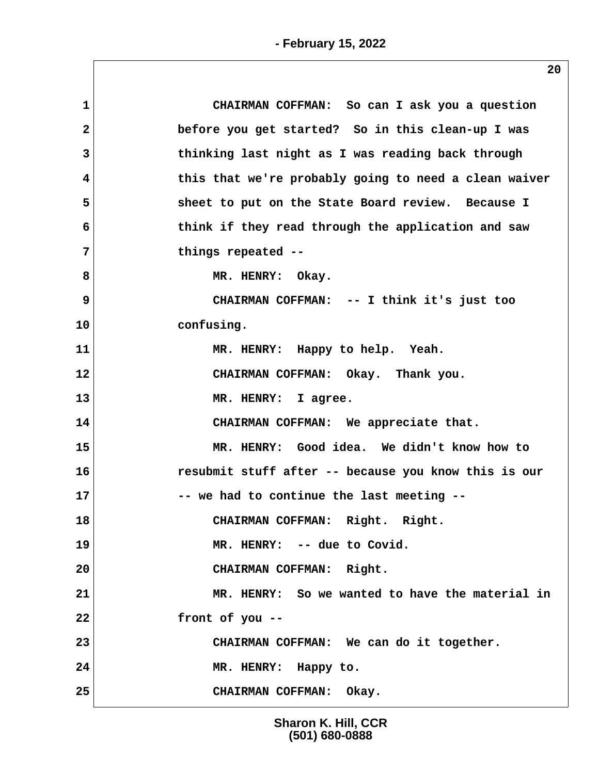| 1                       | CHAIRMAN COFFMAN: So can I ask you a question         |
|-------------------------|-------------------------------------------------------|
| $\overline{\mathbf{2}}$ | before you get started? So in this clean-up I was     |
| 3                       | thinking last night as I was reading back through     |
| 4                       | this that we're probably going to need a clean waiver |
| 5                       | sheet to put on the State Board review. Because I     |
| 6                       | think if they read through the application and saw    |
| 7                       | things repeated --                                    |
| 8                       | MR. HENRY: Okay.                                      |
| 9                       | CHAIRMAN COFFMAN: -- I think it's just too            |
| 10                      | confusing.                                            |
| 11                      | MR. HENRY: Happy to help. Yeah.                       |
| 12                      | CHAIRMAN COFFMAN: Okay. Thank you.                    |
| 13                      | MR. HENRY: I agree.                                   |
| 14                      | CHAIRMAN COFFMAN: We appreciate that.                 |
| 15                      | MR. HENRY: Good idea. We didn't know how to           |
| 16                      | resubmit stuff after -- because you know this is our  |
| 17                      | -- we had to continue the last meeting --             |
| 18                      | CHAIRMAN COFFMAN: Right. Right.                       |
| 19                      | MR. HENRY: -- due to Covid.                           |
| 20                      | CHAIRMAN COFFMAN: Right.                              |
| 21                      | MR. HENRY: So we wanted to have the material in       |
| 22                      | front of you --                                       |
| 23                      | CHAIRMAN COFFMAN: We can do it together.              |
| 24                      | MR. HENRY: Happy to.                                  |
| 25                      | CHAIRMAN COFFMAN: Okay.                               |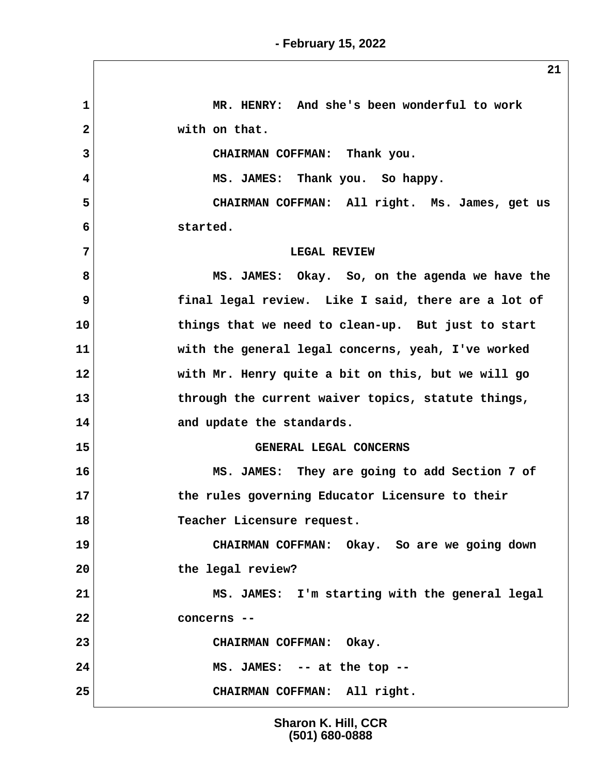**1 MR. HENRY: And she's been wonderful to work** 2 with on that.  **3 CHAIRMAN COFFMAN: Thank you. 4 MS. JAMES: Thank you. So happy. 5 CHAIRMAN COFFMAN: All right. Ms. James, get us 6 started. 7 LEGAL REVIEW 8 MS. JAMES: Okay. So, on the agenda we have the 9 final legal review. Like I said, there are a lot of 10 things that we need to clean-up. But just to start 11 with the general legal concerns, yeah, I've worked 12 with Mr. Henry quite a bit on this, but we will go 13 through the current waiver topics, statute things, 14 and update the standards. 15 GENERAL LEGAL CONCERNS 16 MS. JAMES: They are going to add Section 7 of 17 the rules governing Educator Licensure to their 18 Teacher Licensure request. 19 CHAIRMAN COFFMAN: Okay. So are we going down 20 the legal review? 21 MS. JAMES: I'm starting with the general legal 22 concerns -- 23 CHAIRMAN COFFMAN: Okay. 24 MS. JAMES: -- at the top -- 25 CHAIRMAN COFFMAN: All right.**

> **Sharon K. Hill, CCR (501) 680-0888**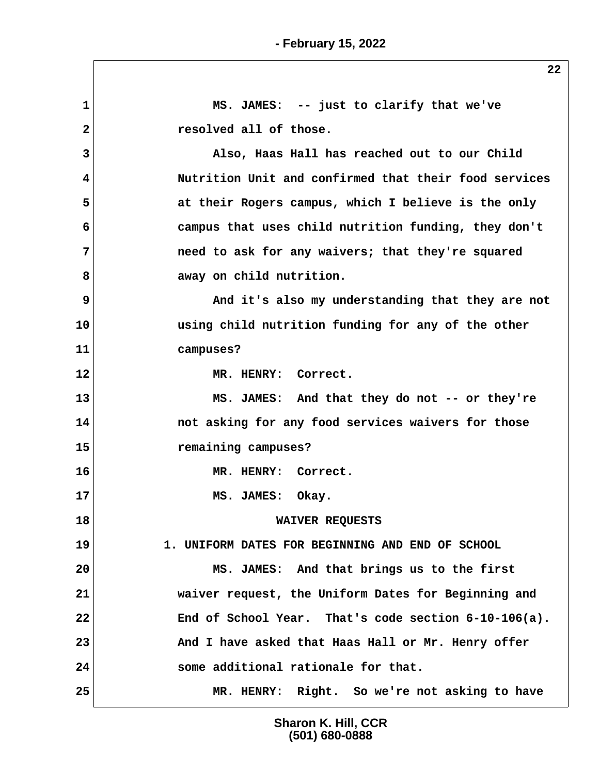**22**

 **1 MS. JAMES: -- just to clarify that we've 2 resolved all of those. 3 Also, Haas Hall has reached out to our Child 4 Nutrition Unit and confirmed that their food services 5 at their Rogers campus, which I believe is the only 6 campus that uses child nutrition funding, they don't 7 need to ask for any waivers; that they're squared** 8 away on child nutrition.  **9 And it's also my understanding that they are not 10 using child nutrition funding for any of the other 11 campuses? 12 MR. HENRY: Correct. 13 MS. JAMES: And that they do not -- or they're 14 not asking for any food services waivers for those 15 remaining campuses? 16 MR. HENRY: Correct.** 17 MS. JAMES: Okay. **18 WAIVER REQUESTS 19 1. UNIFORM DATES FOR BEGINNING AND END OF SCHOOL 20 MS. JAMES: And that brings us to the first 21 waiver request, the Uniform Dates for Beginning and 22 End of School Year. That's code section 6-10-106(a). 23 And I have asked that Haas Hall or Mr. Henry offer 24 some additional rationale for that. 25 MR. HENRY: Right. So we're not asking to have**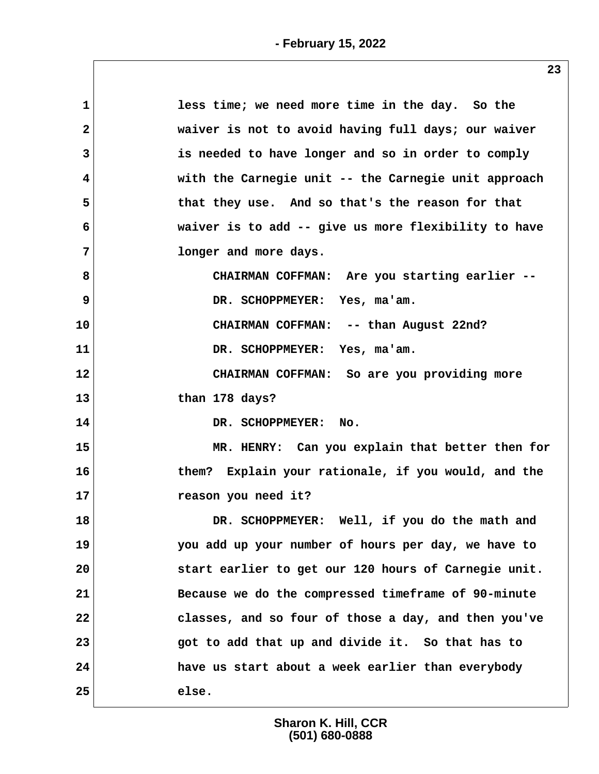| $\mathbf 1$  | less time; we need more time in the day. So the      |
|--------------|------------------------------------------------------|
| $\mathbf{2}$ | waiver is not to avoid having full days; our waiver  |
| 3            | is needed to have longer and so in order to comply   |
| 4            | with the Carnegie unit -- the Carnegie unit approach |
| 5            | that they use. And so that's the reason for that     |
| 6            | waiver is to add -- give us more flexibility to have |
| 7            | longer and more days.                                |
| 8            | CHAIRMAN COFFMAN: Are you starting earlier --        |
| 9            | DR. SCHOPPMEYER: Yes, ma'am.                         |
| 10           | CHAIRMAN COFFMAN: -- than August 22nd?               |
| 11           | DR. SCHOPPMEYER: Yes, ma'am.                         |
| 12           | CHAIRMAN COFFMAN: So are you providing more          |
| 13           | than 178 days?                                       |
| 14           | DR. SCHOPPMEYER: No.                                 |
| 15           | MR. HENRY: Can you explain that better then for      |
| 16           | them? Explain your rationale, if you would, and the  |
| 17           | reason you need it?                                  |
| 18           | DR. SCHOPPMEYER: Well, if you do the math and        |
| 19           | you add up your number of hours per day, we have to  |
| 20           | start earlier to get our 120 hours of Carnegie unit. |
| 21           | Because we do the compressed timeframe of 90-minute  |
| 22           | classes, and so four of those a day, and then you've |
| 23           | got to add that up and divide it. So that has to     |
| 24           | have us start about a week earlier than everybody    |
| 25           | else.                                                |
|              |                                                      |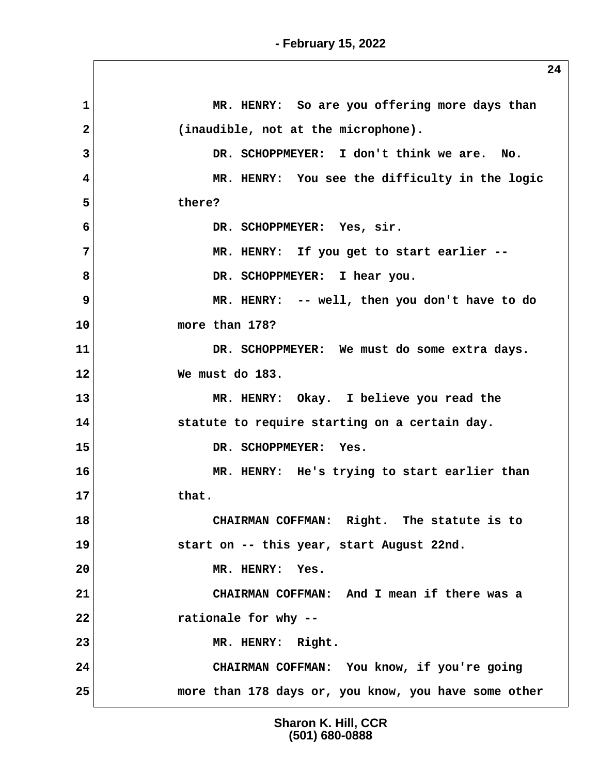**1** MR. HENRY: So are you offering more days than  **2 (inaudible, not at the microphone). 3 DR. SCHOPPMEYER: I don't think we are. No. 4 MR. HENRY: You see the difficulty in the logic 5 there? 6 DR. SCHOPPMEYER: Yes, sir. 7 MR. HENRY: If you get to start earlier --** 8 DR. SCHOPPMEYER: I hear you. **9** MR. HENRY: -- well, then you don't have to do **10 more than 178? 11 DR. SCHOPPMEYER: We must do some extra days. 12 We must do 183. 13 MR. HENRY: Okay. I believe you read the 14 statute to require starting on a certain day. 15 DR. SCHOPPMEYER: Yes. 16 MR. HENRY: He's trying to start earlier than 17 that. 18 CHAIRMAN COFFMAN: Right. The statute is to 19 start on -- this year, start August 22nd. 20 MR. HENRY: Yes. 21 CHAIRMAN COFFMAN: And I mean if there was a 22 rationale for why -- 23 MR. HENRY: Right. 24 CHAIRMAN COFFMAN: You know, if you're going 25 more than 178 days or, you know, you have some other**

> **Sharon K. Hill, CCR (501) 680-0888**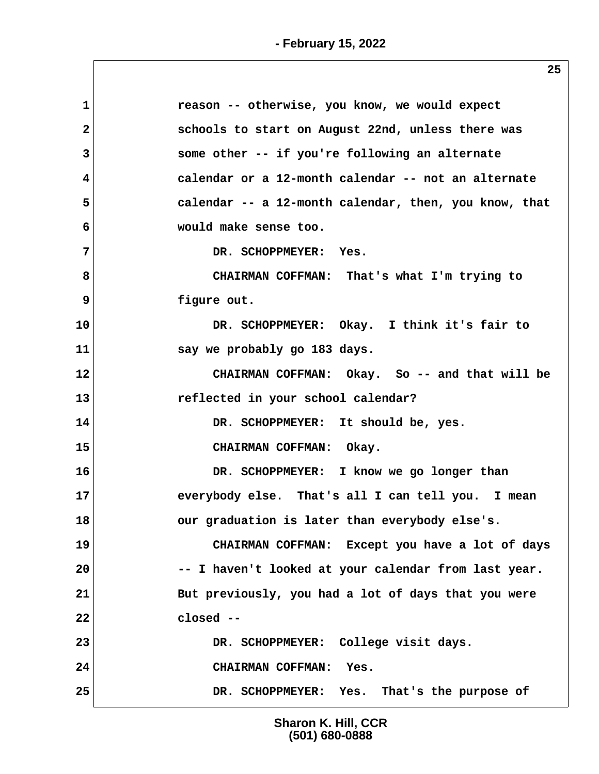| 1            | reason -- otherwise, you know, we would expect        |
|--------------|-------------------------------------------------------|
| $\mathbf{2}$ | schools to start on August 22nd, unless there was     |
| 3            | some other -- if you're following an alternate        |
| 4            | calendar or a 12-month calendar -- not an alternate   |
| 5            | calendar -- a 12-month calendar, then, you know, that |
| 6            | would make sense too.                                 |
| 7            | DR. SCHOPPMEYER: Yes.                                 |
| 8            | CHAIRMAN COFFMAN: That's what I'm trying to           |
| 9            | figure out.                                           |
| 10           | DR. SCHOPPMEYER: Okay. I think it's fair to           |
| 11           | say we probably go 183 days.                          |
| 12           | CHAIRMAN COFFMAN: Okay. So -- and that will be        |
| 13           | reflected in your school calendar?                    |
| 14           | DR. SCHOPPMEYER: It should be, yes.                   |
| 15           | CHAIRMAN COFFMAN: Okay.                               |
| 16           | DR. SCHOPPMEYER: I know we go longer than             |
| 17           | everybody else. That's all I can tell you. I mean     |
| 18           | our graduation is later than everybody else's.        |
| 19           | CHAIRMAN COFFMAN: Except you have a lot of days       |
| 20           | -- I haven't looked at your calendar from last year.  |
| 21           | But previously, you had a lot of days that you were   |
| 22           | closed --                                             |
| 23           | DR. SCHOPPMEYER: College visit days.                  |
| 24           | CHAIRMAN COFFMAN: Yes.                                |
| 25           | DR. SCHOPPMEYER: Yes. That's the purpose of           |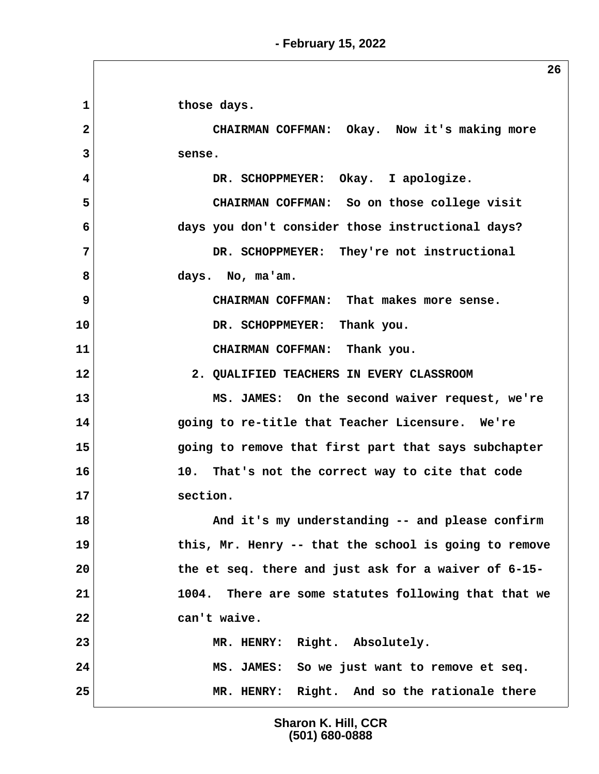1 those days.  **2 CHAIRMAN COFFMAN: Okay. Now it's making more 3 sense. 4 DR. SCHOPPMEYER: Okay. I apologize. 5 CHAIRMAN COFFMAN: So on those college visit 6 days you don't consider those instructional days? 7 DR. SCHOPPMEYER: They're not instructional 8 days. No, ma'am. 9 CHAIRMAN COFFMAN: That makes more sense. 10 DR. SCHOPPMEYER: Thank you. 11 CHAIRMAN COFFMAN: Thank you. 12 2. QUALIFIED TEACHERS IN EVERY CLASSROOM 13 MS. JAMES: On the second waiver request, we're 14 going to re-title that Teacher Licensure. We're 15 going to remove that first part that says subchapter 16 10. That's not the correct way to cite that code 17 section.** 18 And it's my understanding -- and please confirm **19 this, Mr. Henry -- that the school is going to remove 20 the et seq. there and just ask for a waiver of 6-15- 21 1004. There are some statutes following that that we 22 can't waive. 23 MR. HENRY: Right. Absolutely. 24 MS. JAMES: So we just want to remove et seq. 25 MR. HENRY: Right. And so the rationale there**

> **Sharon K. Hill, CCR (501) 680-0888**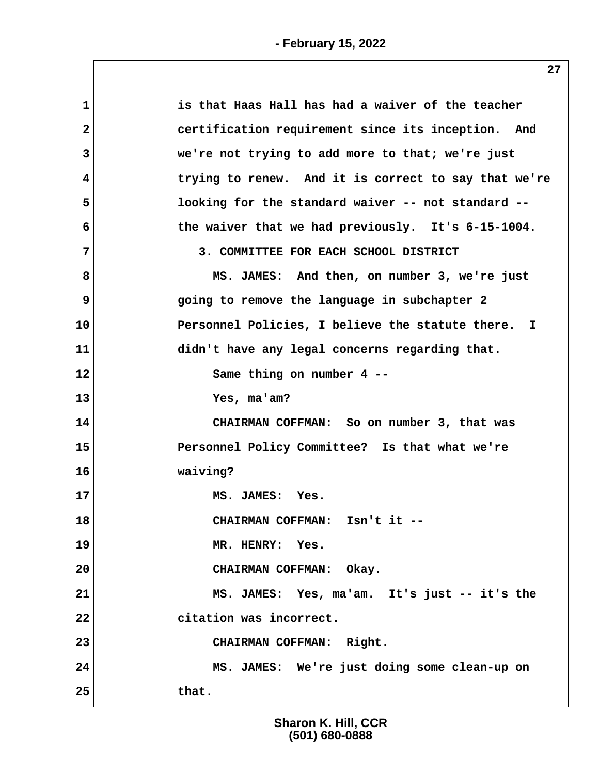| $\mathbf{1}$ | is that Haas Hall has had a waiver of the teacher    |
|--------------|------------------------------------------------------|
| $\mathbf{2}$ | certification requirement since its inception. And   |
| 3            | we're not trying to add more to that; we're just     |
| 4            | trying to renew. And it is correct to say that we're |
| 5            | looking for the standard waiver -- not standard --   |
| 6            | the waiver that we had previously. It's 6-15-1004.   |
| 7            | 3. COMMITTEE FOR EACH SCHOOL DISTRICT                |
| 8            | MS. JAMES: And then, on number 3, we're just         |
| 9            | going to remove the language in subchapter 2         |
| 10           | Personnel Policies, I believe the statute there. I   |
| 11           | didn't have any legal concerns regarding that.       |
| 12           | Same thing on number 4 --                            |
| 13           | Yes, ma'am?                                          |
| 14           | CHAIRMAN COFFMAN: So on number 3, that was           |
| 15           | Personnel Policy Committee? Is that what we're       |
| 16           | waiving?                                             |
| 17           | MS. JAMES: Yes.                                      |
| 18           | CHAIRMAN COFFMAN: Isn't it --                        |
| 19           | MR. HENRY: Yes.                                      |
| 20           | CHAIRMAN COFFMAN: Okay.                              |
| 21           | MS. JAMES: Yes, ma'am. It's just -- it's the         |
| 22           | citation was incorrect.                              |
| 23           | CHAIRMAN COFFMAN: Right.                             |
| 24           | MS. JAMES: We're just doing some clean-up on         |
| 25           | that.                                                |
|              |                                                      |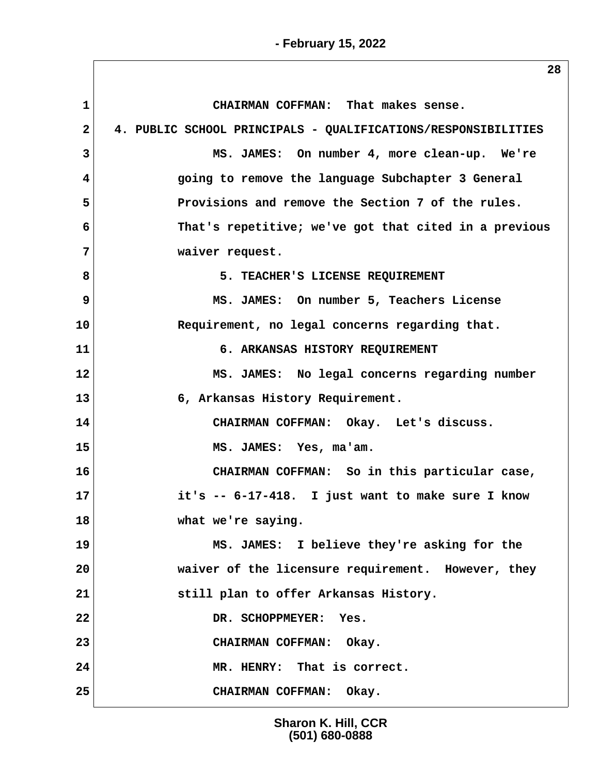**1 CHAIRMAN COFFMAN: That makes sense. 2 4. PUBLIC SCHOOL PRINCIPALS - QUALIFICATIONS/RESPONSIBILITIES 3 MS. JAMES: On number 4, more clean-up. We're 4 going to remove the language Subchapter 3 General 5 Provisions and remove the Section 7 of the rules. 6 That's repetitive; we've got that cited in a previous 7 waiver request. 8** 5. TEACHER'S LICENSE REQUIREMENT  **9 MS. JAMES: On number 5, Teachers License 10 Requirement, no legal concerns regarding that. 11 6. ARKANSAS HISTORY REQUIREMENT 12 MS. JAMES: No legal concerns regarding number 13 6, Arkansas History Requirement. 14 CHAIRMAN COFFMAN: Okay. Let's discuss. 15 MS. JAMES: Yes, ma'am. 16 CHAIRMAN COFFMAN: So in this particular case, 17 it's -- 6-17-418. I just want to make sure I know 18 what we're saying. 19 MS. JAMES: I believe they're asking for the 20 waiver of the licensure requirement. However, they 21 still plan to offer Arkansas History.** 22 DR. SCHOPPMEYER: Yes. **23 CHAIRMAN COFFMAN: Okay. 24 MR. HENRY: That is correct. 25 CHAIRMAN COFFMAN: Okay.**

> **Sharon K. Hill, CCR (501) 680-0888**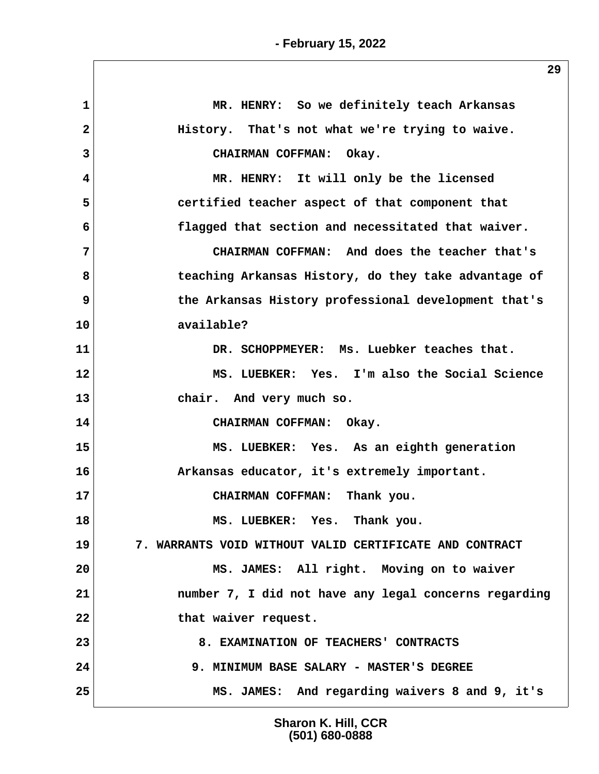| $\mathbf{1}$            | MR. HENRY: So we definitely teach Arkansas              |
|-------------------------|---------------------------------------------------------|
| $\overline{\mathbf{2}}$ | History. That's not what we're trying to waive.         |
| 3                       | CHAIRMAN COFFMAN: Okay.                                 |
| 4                       | MR. HENRY: It will only be the licensed                 |
| 5                       | certified teacher aspect of that component that         |
| 6                       | flagged that section and necessitated that waiver.      |
| 7                       | CHAIRMAN COFFMAN: And does the teacher that's           |
| 8                       | teaching Arkansas History, do they take advantage of    |
| 9                       | the Arkansas History professional development that's    |
| 10                      | available?                                              |
| 11                      | DR. SCHOPPMEYER: Ms. Luebker teaches that.              |
| 12                      | MS. LUEBKER: Yes. I'm also the Social Science           |
| 13                      | chair. And very much so.                                |
| 14                      | CHAIRMAN COFFMAN: Okay.                                 |
| 15                      | MS. LUEBKER: Yes. As an eighth generation               |
| 16                      | Arkansas educator, it's extremely important.            |
| 17                      | CHAIRMAN COFFMAN: Thank you.                            |
| 18                      | MS. LUEBKER: Yes. Thank you.                            |
| 19                      | 7. WARRANTS VOID WITHOUT VALID CERTIFICATE AND CONTRACT |
| 20                      | MS. JAMES: All right. Moving on to waiver               |
| 21                      | number 7, I did not have any legal concerns regarding   |
| 22                      | that waiver request.                                    |
| 23                      | 8. EXAMINATION OF TEACHERS' CONTRACTS                   |
| 24                      | 9. MINIMUM BASE SALARY - MASTER'S DEGREE                |
| 25                      | MS. JAMES: And regarding waivers 8 and 9, it's          |
|                         |                                                         |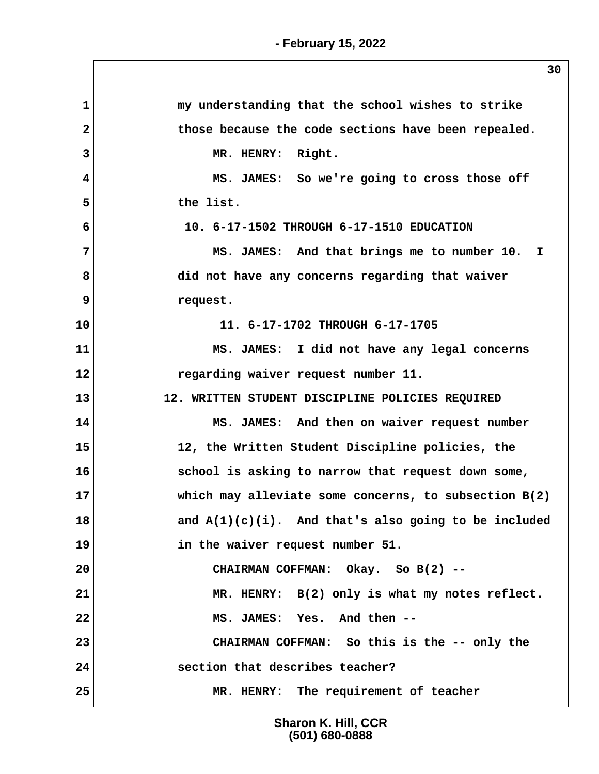| $\mathbf{1}$   | my understanding that the school wishes to strike       |
|----------------|---------------------------------------------------------|
| $\overline{2}$ | those because the code sections have been repealed.     |
| 3              | MR. HENRY: Right.                                       |
| 4              | MS. JAMES: So we're going to cross those off            |
| 5              | the list.                                               |
| 6              | 10. 6-17-1502 THROUGH 6-17-1510 EDUCATION               |
| 7              | MS. JAMES: And that brings me to number 10. I           |
| 8              | did not have any concerns regarding that waiver         |
| 9              | request.                                                |
| 10             | 11. 6-17-1702 THROUGH 6-17-1705                         |
| 11             | MS. JAMES: I did not have any legal concerns            |
| 12             | regarding waiver request number 11.                     |
| 13             | 12. WRITTEN STUDENT DISCIPLINE POLICIES REQUIRED        |
| 14             | MS. JAMES: And then on waiver request number            |
| 15             | 12, the Written Student Discipline policies, the        |
| 16             | school is asking to narrow that request down some,      |
| 17             | which may alleviate some concerns, to subsection B(2)   |
| 18             | and $A(1)(c)(i)$ . And that's also going to be included |
| 19             | in the waiver request number 51.                        |
| 20             | CHAIRMAN COFFMAN: Okay. So B(2) --                      |
| 21             | MR. HENRY: B(2) only is what my notes reflect.          |
| 22             | MS. JAMES: Yes. And then --                             |
| 23             | CHAIRMAN COFFMAN: So this is the -- only the            |
|                | section that describes teacher?                         |
| 24             |                                                         |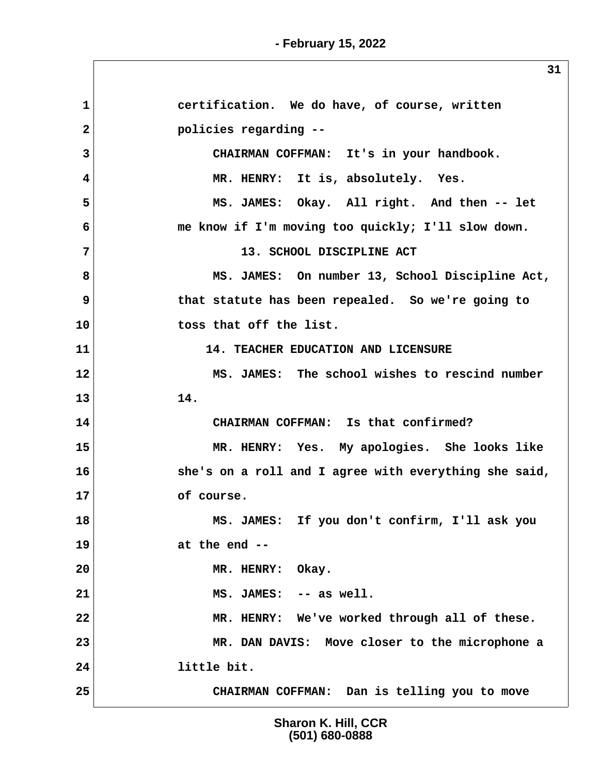**1 certification. We do have, of course, written 2 policies regarding -- 3 CHAIRMAN COFFMAN: It's in your handbook. 4 MR. HENRY: It is, absolutely. Yes. 5 MS. JAMES: Okay. All right. And then -- let 6 me know if I'm moving too quickly; I'll slow down. 7 13. SCHOOL DISCIPLINE ACT 8 MS. JAMES: On number 13, School Discipline Act, 9 that statute has been repealed. So we're going to 10 toss that off the list. 11 14. TEACHER EDUCATION AND LICENSURE 12 MS. JAMES: The school wishes to rescind number 13 14. 14 CHAIRMAN COFFMAN: Is that confirmed? 15 MR. HENRY: Yes. My apologies. She looks like 16 she's on a roll and I agree with everything she said, 17 of course. 18 MS. JAMES: If you don't confirm, I'll ask you 19 at the end -- 20 MR. HENRY: Okay. 21 MS. JAMES: -- as well. 22 MR. HENRY: We've worked through all of these. 23 MR. DAN DAVIS: Move closer to the microphone a 24 little bit. 25 CHAIRMAN COFFMAN: Dan is telling you to move**

> **Sharon K. Hill, CCR (501) 680-0888**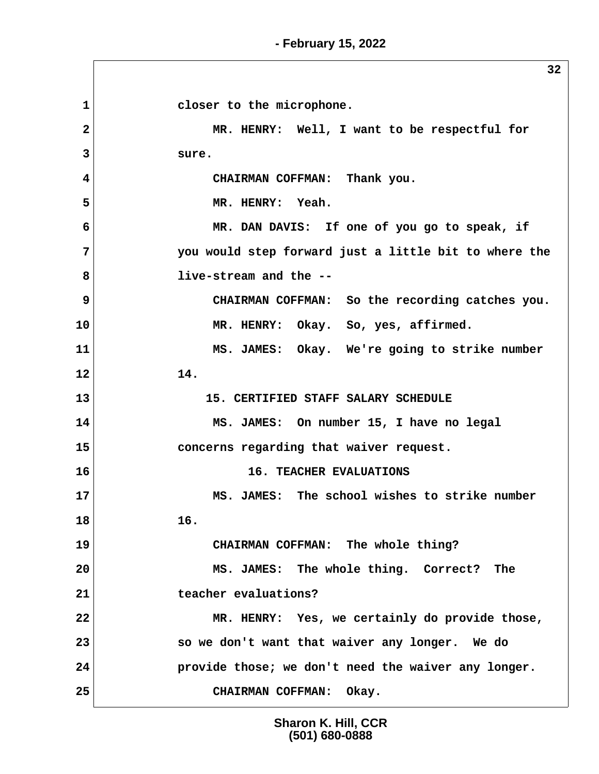**- February 15, 2022**

**1 1 closer** to the microphone.  **2 MR. HENRY: Well, I want to be respectful for 3 sure. 4 CHAIRMAN COFFMAN: Thank you. 5 MR. HENRY: Yeah. 6 MR. DAN DAVIS: If one of you go to speak, if 7 you would step forward just a little bit to where the 8 live-stream and the -- 9** CHAIRMAN COFFMAN: So the recording catches you. **10 MR. HENRY: Okay. So, yes, affirmed. 11 MS. JAMES: Okay. We're going to strike number 12 14. 13 15. CERTIFIED STAFF SALARY SCHEDULE 14 MS. JAMES: On number 15, I have no legal 15 concerns regarding that waiver request. 16 16. TEACHER EVALUATIONS 17 MS. JAMES: The school wishes to strike number 18 16. 19 CHAIRMAN COFFMAN: The whole thing? 20 MS. JAMES: The whole thing. Correct? The 21 teacher evaluations? 22 MR. HENRY: Yes, we certainly do provide those, 23 so we don't want that waiver any longer. We do 24 provide those; we don't need the waiver any longer. 25 CHAIRMAN COFFMAN: Okay.**

> **Sharon K. Hill, CCR (501) 680-0888**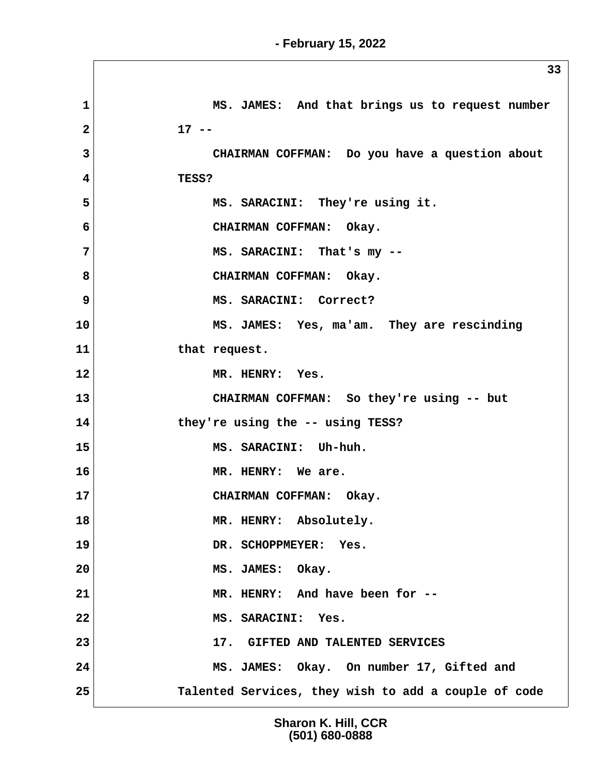|                | 33                                                   |
|----------------|------------------------------------------------------|
| $\mathbf{1}$   | MS. JAMES: And that brings us to request number      |
| $\overline{2}$ | $17 - -$                                             |
| 3              | CHAIRMAN COFFMAN: Do you have a question about       |
| 4              | TESS?                                                |
| 5              | MS. SARACINI: They're using it.                      |
| 6              | CHAIRMAN COFFMAN: Okay.                              |
| $\overline{7}$ | MS. SARACINI: That's my --                           |
| 8              | CHAIRMAN COFFMAN: Okay.                              |
| 9              | MS. SARACINI: Correct?                               |
| 10             | MS. JAMES: Yes, ma'am. They are rescinding           |
| 11             | that request.                                        |
| 12             | MR. HENRY: Yes.                                      |
| 13             | CHAIRMAN COFFMAN: So they're using -- but            |
| 14             | they're using the -- using TESS?                     |
| 15             | MS. SARACINI: Uh-huh.                                |
| 16             | MR. HENRY: We are.                                   |
| 17             | CHAIRMAN COFFMAN: Okay.                              |
| 18             | MR. HENRY: Absolutely.                               |
| 19             | DR. SCHOPPMEYER: Yes.                                |
| 20             | MS. JAMES: Okay.                                     |
| 21             | MR. HENRY: And have been for --                      |
| 22             | MS. SARACINI: Yes.                                   |
| 23             | 17. GIFTED AND TALENTED SERVICES                     |
| 24             | MS. JAMES: Okay. On number 17, Gifted and            |
| 25             | Talented Services, they wish to add a couple of code |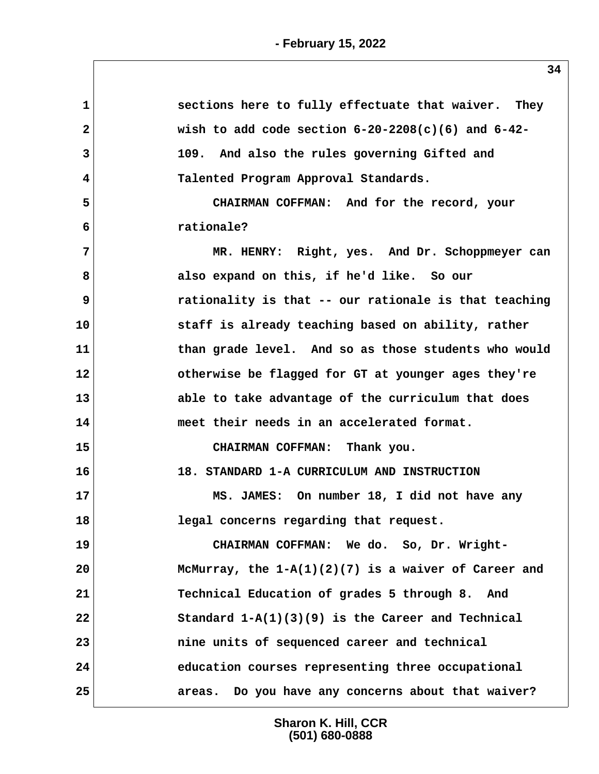| sections here to fully effectuate that waiver. They    |
|--------------------------------------------------------|
| wish to add code section $6-20-2208(c)(6)$ and $6-42-$ |
| 109. And also the rules governing Gifted and           |
| Talented Program Approval Standards.                   |
| CHAIRMAN COFFMAN: And for the record, your             |
| rationale?                                             |
| MR. HENRY: Right, yes. And Dr. Schoppmeyer can         |
| also expand on this, if he'd like. So our              |
| rationality is that -- our rationale is that teaching  |
| staff is already teaching based on ability, rather     |
| than grade level. And so as those students who would   |
| otherwise be flagged for GT at younger ages they're    |
| able to take advantage of the curriculum that does     |
| meet their needs in an accelerated format.             |
| CHAIRMAN COFFMAN: Thank you.                           |
| 18. STANDARD 1-A CURRICULUM AND INSTRUCTION            |
| MS. JAMES: On number 18, I did not have any            |
| legal concerns regarding that request.                 |
| CHAIRMAN COFFMAN: We do. So, Dr. Wright-               |
| McMurray, the $1-A(1)(2)(7)$ is a waiver of Career and |
| Technical Education of grades 5 through 8. And         |
| Standard $1-A(1)(3)(9)$ is the Career and Technical    |
| nine units of sequenced career and technical           |
| education courses representing three occupational      |
| areas. Do you have any concerns about that waiver?     |
|                                                        |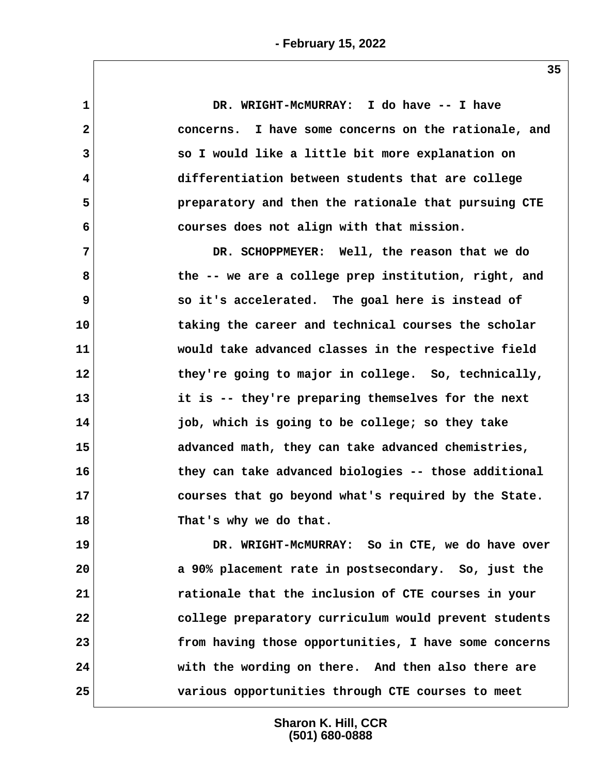**1 DR. WRIGHT-McMURRAY: I do have -- I have 2 concerns. I have some concerns on the rationale, and 3 so I would like a little bit more explanation on 4 differentiation between students that are college 5 preparatory and then the rationale that pursuing CTE 6 courses does not align with that mission. 7 DR. SCHOPPMEYER: Well, the reason that we do 8 the -- we are a college prep institution, right, and 9 so it's accelerated. The goal here is instead of 10 taking the career and technical courses the scholar 11 would take advanced classes in the respective field** 12 they're going to major in college. So, technically, **13 it is -- they're preparing themselves for the next 14 job, which is going to be college; so they take 15 advanced math, they can take advanced chemistries, 16 they can take advanced biologies -- those additional 17 courses that go beyond what's required by the State. 18 That's why we do that. 19 DR. WRIGHT-McMURRAY: So in CTE, we do have over 20 a 90% placement rate in postsecondary. So, just the 21 rationale that the inclusion of CTE courses in your 22 college preparatory curriculum would prevent students 23 from having those opportunities, I have some concerns 24 with the wording on there. And then also there are**

> **Sharon K. Hill, CCR (501) 680-0888**

**25 various opportunities through CTE courses to meet**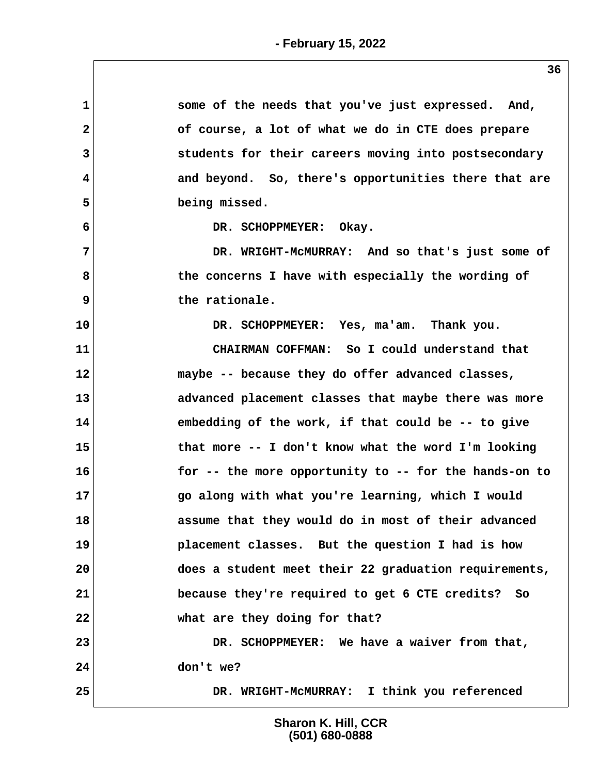| $\mathbf 1$  | some of the needs that you've just expressed. And,    |
|--------------|-------------------------------------------------------|
| $\mathbf{2}$ | of course, a lot of what we do in CTE does prepare    |
| 3            | students for their careers moving into postsecondary  |
| 4            | and beyond. So, there's opportunities there that are  |
| 5            | being missed.                                         |
| 6            | DR. SCHOPPMEYER: Okay.                                |
| 7            | DR. WRIGHT-MCMURRAY: And so that's just some of       |
| 8            | the concerns I have with especially the wording of    |
| 9            | the rationale.                                        |
| 10           | DR. SCHOPPMEYER: Yes, ma'am. Thank you.               |
| 11           | CHAIRMAN COFFMAN: So I could understand that          |
| 12           | maybe -- because they do offer advanced classes,      |
| 13           | advanced placement classes that maybe there was more  |
| 14           | embedding of the work, if that could be -- to give    |
| 15           | that more -- I don't know what the word I'm looking   |
| 16           | for -- the more opportunity to -- for the hands-on to |
| 17           | go along with what you're learning, which I would     |
| 18           | assume that they would do in most of their advanced   |
| 19           | placement classes. But the question I had is how      |
| 20           | does a student meet their 22 graduation requirements, |
| 21           | because they're required to get 6 CTE credits? So     |
| 22           | what are they doing for that?                         |
| 23           | DR. SCHOPPMEYER: We have a waiver from that,          |
| 24           | don't we?                                             |
| 25           | DR. WRIGHT-MCMURRAY: I think you referenced           |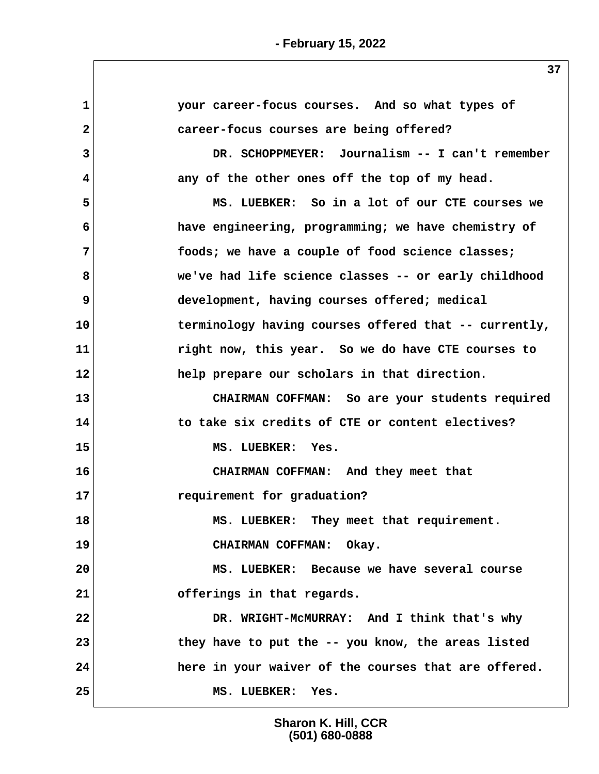**1 your career-focus courses. And so what types of 2 career-focus courses are being offered? 3 DR. SCHOPPMEYER: Journalism -- I can't remember 4 any of the other ones off the top of my head. 5 MS. LUEBKER: So in a lot of our CTE courses we 6 have engineering, programming; we have chemistry of 7 foods; we have a couple of food science classes; 8 we've had life science classes -- or early childhood 9** development, having courses offered; medical **10 terminology having courses offered that -- currently, 11 right now, this year. So we do have CTE courses to 12 help prepare our scholars in that direction. 13 CHAIRMAN COFFMAN: So are your students required 14 to take six credits of CTE or content electives? 15 MS. LUEBKER: Yes. 16 CHAIRMAN COFFMAN: And they meet that 17 requirement for graduation?** 18 MS. LUEBKER: They meet that requirement. **19 CHAIRMAN COFFMAN: Okay. 20 MS. LUEBKER: Because we have several course 21 offerings in that regards. 22 DR. WRIGHT-McMURRAY: And I think that's why 23 they have to put the -- you know, the areas listed 24 here in your waiver of the courses that are offered. 25 MS. LUEBKER: Yes.**

> **Sharon K. Hill, CCR (501) 680-0888**

**- February 15, 2022**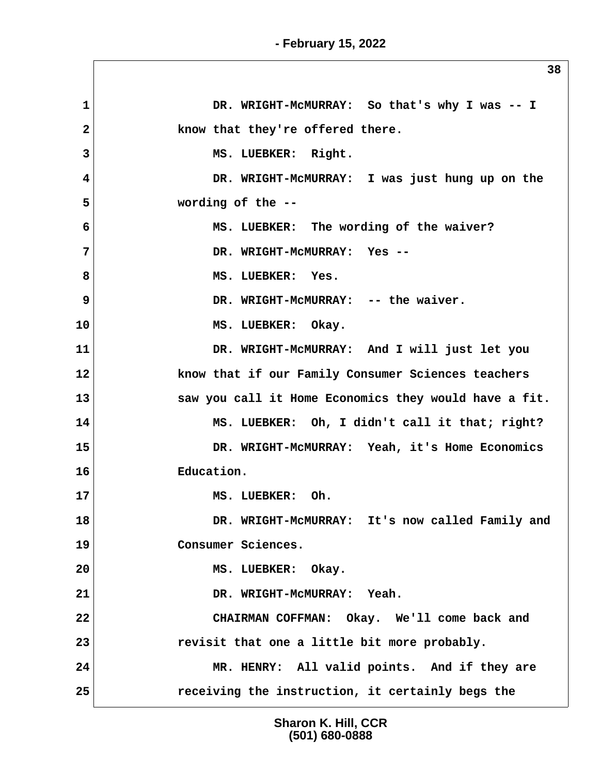**1 DR. WRIGHT-McMURRAY: So that's why I was -- I** 2 **know that they're offered there.** 3 MS. LUEBKER: Right.  **4 DR. WRIGHT-McMURRAY: I was just hung up on the 5 wording of the -- 6 MS. LUEBKER: The wording of the waiver? 7 DR. WRIGHT-McMURRAY: Yes --** 8 MS. LUEBKER: Yes.  **9 DR. WRIGHT-McMURRAY: -- the waiver. 10 MS. LUEBKER: Okay. 11 DR. WRIGHT-McMURRAY: And I will just let you 12 know that if our Family Consumer Sciences teachers 13 saw you call it Home Economics they would have a fit. 14 MS. LUEBKER: Oh, I didn't call it that; right? 15 DR. WRIGHT-McMURRAY: Yeah, it's Home Economics 16 Education. 17 MS. LUEBKER: Oh. 18 DR. WRIGHT-McMURRAY: It's now called Family and 19 Consumer Sciences. 20 MS. LUEBKER: Okay. 21 DR. WRIGHT-McMURRAY: Yeah. 22 CHAIRMAN COFFMAN: Okay. We'll come back and 23 revisit that one a little bit more probably. 24 MR. HENRY: All valid points. And if they are 25 receiving the instruction, it certainly begs the**

> **Sharon K. Hill, CCR (501) 680-0888**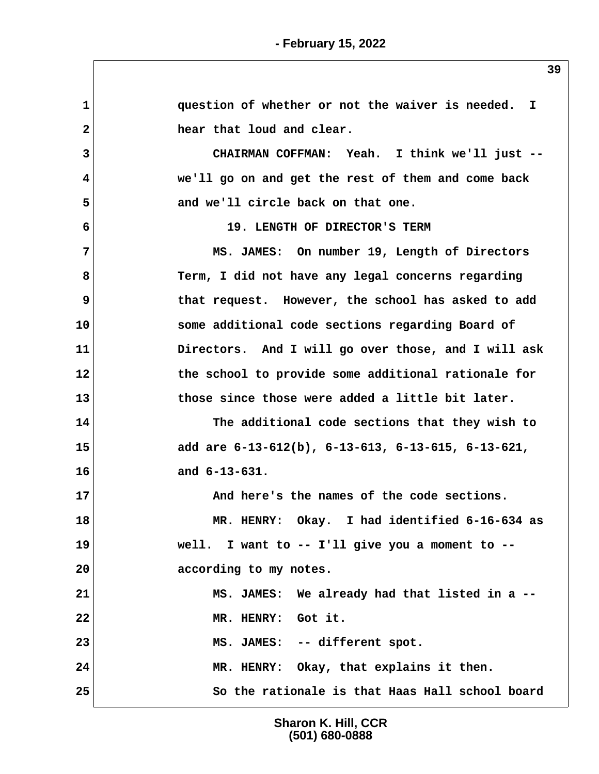**1 question of whether or not the waiver is needed. I 2 hear that loud and clear. 3 CHAIRMAN COFFMAN: Yeah. I think we'll just -- 4 we'll go on and get the rest of them and come back 5 and we'll circle back on that one. 6 19. LENGTH OF DIRECTOR'S TERM 7 MS. JAMES: On number 19, Length of Directors** 8 Term, I did not have any legal concerns regarding **9** that request. However, the school has asked to add **10 some additional code sections regarding Board of 11 Directors. And I will go over those, and I will ask 12 the school to provide some additional rationale for 13 those since those were added a little bit later. 14 The additional code sections that they wish to 15 add are 6-13-612(b), 6-13-613, 6-13-615, 6-13-621, 16 and 6-13-631.** 17 And here's the names of the code sections. **18 MR. HENRY: Okay. I had identified 6-16-634 as 19 well. I want to -- I'll give you a moment to -- 20 according to my notes. 21 MS. JAMES: We already had that listed in a -- 22 MR. HENRY: Got it. 23 MS. JAMES: -- different spot. 24 MR. HENRY: Okay, that explains it then. 25 So the rationale is that Haas Hall school board**

> **Sharon K. Hill, CCR (501) 680-0888**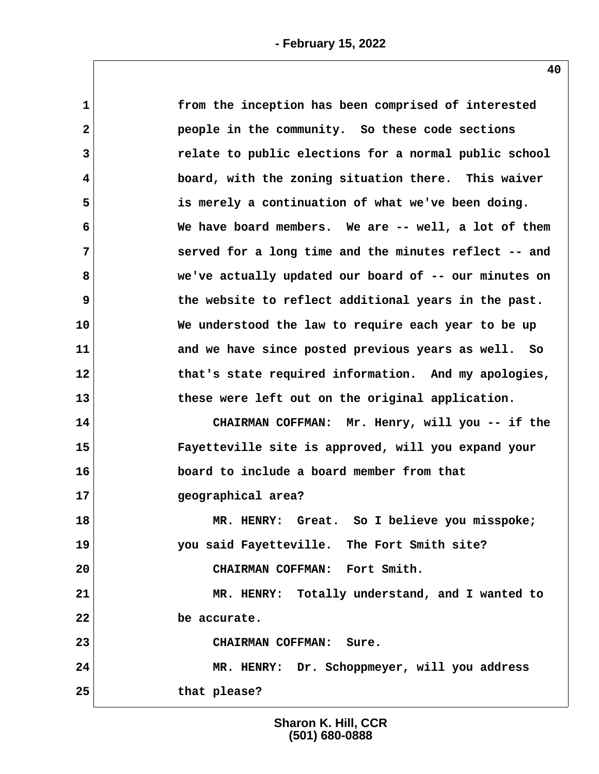| $\mathbf{1}$ | from the inception has been comprised of interested   |
|--------------|-------------------------------------------------------|
| $\mathbf{2}$ | people in the community. So these code sections       |
| 3            | relate to public elections for a normal public school |
| 4            | board, with the zoning situation there. This waiver   |
| 5            | is merely a continuation of what we've been doing.    |
| 6            | We have board members. We are -- well, a lot of them  |
| 7            | served for a long time and the minutes reflect -- and |
| 8            | we've actually updated our board of -- our minutes on |
| 9            | the website to reflect additional years in the past.  |
| 10           | We understood the law to require each year to be up   |
| 11           | and we have since posted previous years as well. So   |
| 12           | that's state required information. And my apologies,  |
| 13           | these were left out on the original application.      |
| 14           | CHAIRMAN COFFMAN: Mr. Henry, will you -- if the       |
| 15           | Fayetteville site is approved, will you expand your   |
| 16           | board to include a board member from that             |
| 17           | geographical area?                                    |
| 18           | MR. HENRY: Great. So I believe you misspoke;          |
| 19           | you said Fayetteville. The Fort Smith site?           |
| 20           | CHAIRMAN COFFMAN: Fort Smith.                         |
| 21           | MR. HENRY: Totally understand, and I wanted to        |
| 22           | be accurate.                                          |
| 23           | <b>CHAIRMAN COFFMAN:</b><br>Sure.                     |
| 24           | MR. HENRY: Dr. Schoppmeyer, will you address          |
| 25           | that please?                                          |
|              |                                                       |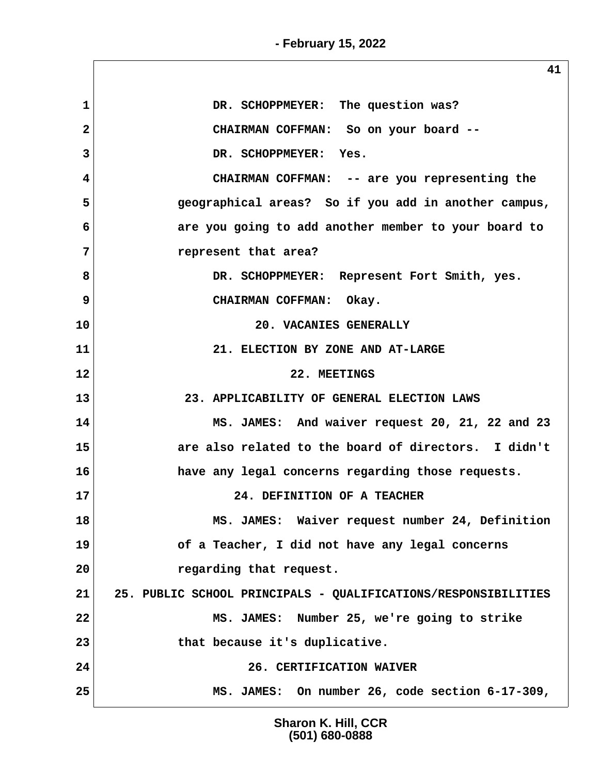$\sqrt{2}$ 

|                | ᆂᆂ                                                             |
|----------------|----------------------------------------------------------------|
| $\mathbf{1}$   | DR. SCHOPPMEYER: The question was?                             |
| $\overline{2}$ | CHAIRMAN COFFMAN: So on your board --                          |
| 3              | DR. SCHOPPMEYER: Yes.                                          |
| 4              | CHAIRMAN COFFMAN: -- are you representing the                  |
| 5              | geographical areas? So if you add in another campus,           |
| 6              | are you going to add another member to your board to           |
| 7              | represent that area?                                           |
| 8              | DR. SCHOPPMEYER: Represent Fort Smith, yes.                    |
| 9              | CHAIRMAN COFFMAN: Okay.                                        |
| 10             | 20. VACANIES GENERALLY                                         |
| 11             | 21. ELECTION BY ZONE AND AT-LARGE                              |
| 12             | 22. MEETINGS                                                   |
| 13             | 23. APPLICABILITY OF GENERAL ELECTION LAWS                     |
| 14             | MS. JAMES: And waiver request 20, 21, 22 and 23                |
| 15             | are also related to the board of directors. I didn't           |
| 16             | have any legal concerns regarding those requests.              |
| 17             | 24. DEFINITION OF A TEACHER                                    |
| 18             | MS. JAMES: Waiver request number 24, Definition                |
| 19             | of a Teacher, I did not have any legal concerns                |
| 20             | regarding that request.                                        |
| 21             | 25. PUBLIC SCHOOL PRINCIPALS - QUALIFICATIONS/RESPONSIBILITIES |
| 22             | MS. JAMES: Number 25, we're going to strike                    |
| 23             | that because it's duplicative.                                 |
| 24             | 26. CERTIFICATION WAIVER                                       |
| 25             | MS. JAMES: On number 26, code section 6-17-309,                |

**Sharon K. Hill, CCR (501) 680-0888**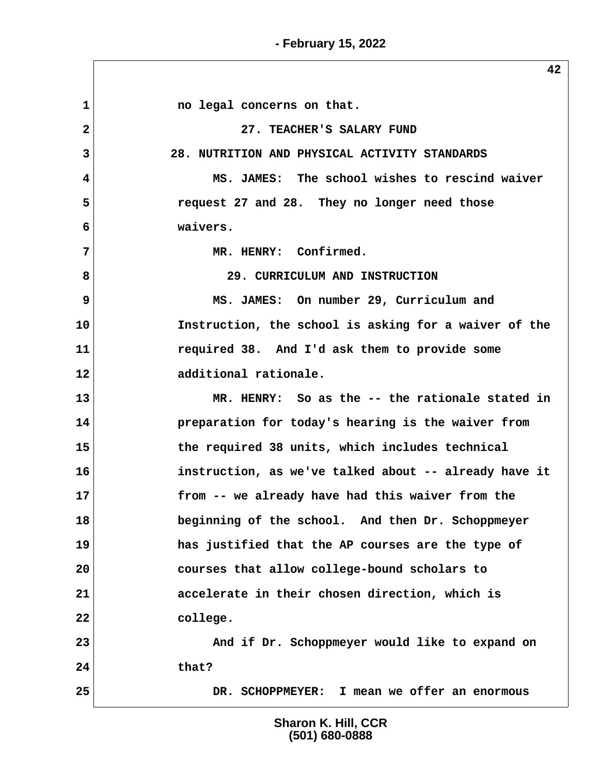1 1 **no legal concerns on that. 2 27. TEACHER'S SALARY FUND 3 28. NUTRITION AND PHYSICAL ACTIVITY STANDARDS 4 MS. JAMES: The school wishes to rescind waiver 5 request 27 and 28. They no longer need those 6 waivers. 7 MR. HENRY: Confirmed. 8 29. CURRICULUM AND INSTRUCTION 9 MS. JAMES: On number 29, Curriculum and 10 Instruction, the school is asking for a waiver of the 11 required 38. And I'd ask them to provide some 12 additional rationale. 13 MR. HENRY: So as the -- the rationale stated in 14 preparation for today's hearing is the waiver from 15 the required 38 units, which includes technical 16 instruction, as we've talked about -- already have it 17 from -- we already have had this waiver from the 18 beginning of the school. And then Dr. Schoppmeyer 19 has justified that the AP courses are the type of 20 courses that allow college-bound scholars to 21 accelerate in their chosen direction, which is 22 college. 23 And if Dr. Schoppmeyer would like to expand on 24 that? 25 DR. SCHOPPMEYER: I mean we offer an enormous**

> **Sharon K. Hill, CCR (501) 680-0888**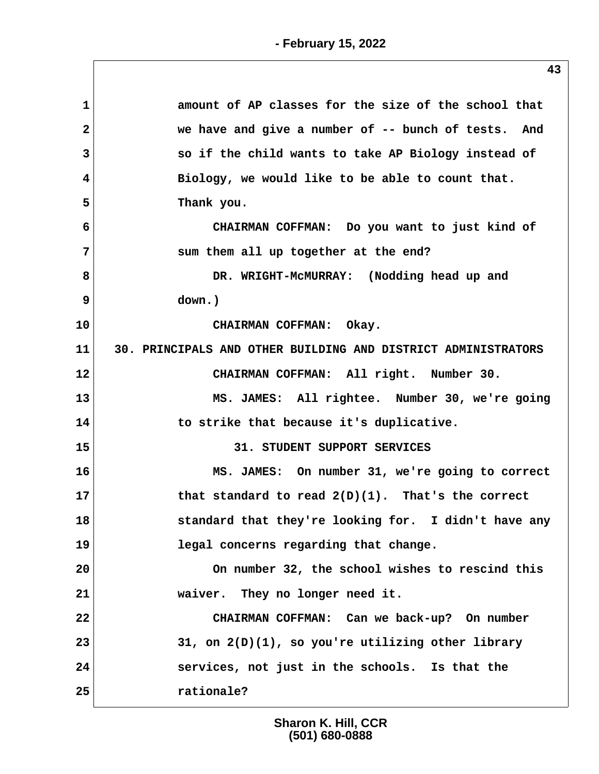| 1              | amount of AP classes for the size of the school that          |
|----------------|---------------------------------------------------------------|
| $\overline{2}$ | we have and give a number of -- bunch of tests. And           |
| 3              | so if the child wants to take AP Biology instead of           |
| 4              | Biology, we would like to be able to count that.              |
| 5              | Thank you.                                                    |
| 6              | CHAIRMAN COFFMAN: Do you want to just kind of                 |
| 7              | sum them all up together at the end?                          |
| 8              | DR. WRIGHT-MCMURRAY: (Nodding head up and                     |
| 9              | down.)                                                        |
| 10             | CHAIRMAN COFFMAN: Okay.                                       |
| 11             | 30. PRINCIPALS AND OTHER BUILDING AND DISTRICT ADMINISTRATORS |
| 12             | CHAIRMAN COFFMAN: All right. Number 30.                       |
| 13             | MS. JAMES: All rightee. Number 30, we're going                |
| 14             | to strike that because it's duplicative.                      |
| 15             | 31. STUDENT SUPPORT SERVICES                                  |
| 16             | MS. JAMES: On number 31, we're going to correct               |
| 17             | that standard to read $2(D)(1)$ . That's the correct          |
| 18             | standard that they're looking for. I didn't have any          |
| 19             | legal concerns regarding that change.                         |
| 20             | On number 32, the school wishes to rescind this               |
| 21             | waiver. They no longer need it.                               |
| 22             | CHAIRMAN COFFMAN: Can we back-up? On number                   |
| 23             | 31, on $2(D)(1)$ , so you're utilizing other library          |
| 24             | services, not just in the schools. Is that the                |
| 25             | rationale?                                                    |
|                |                                                               |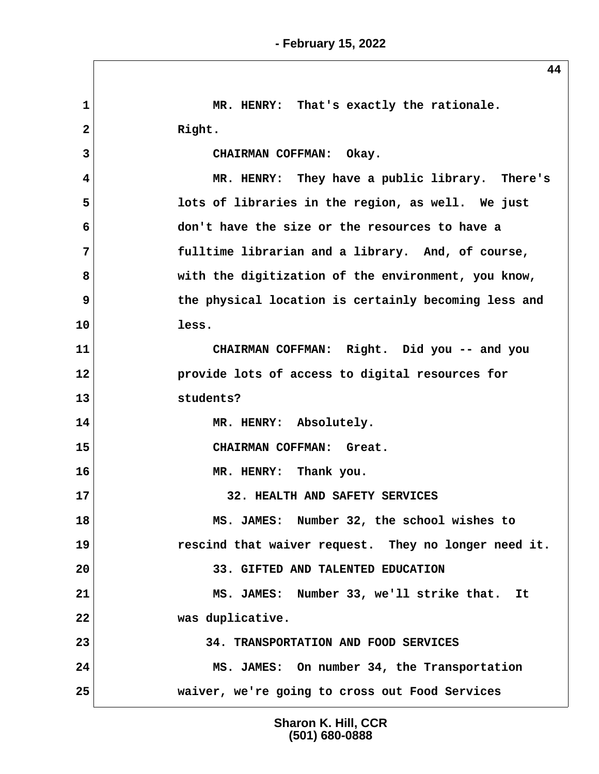1 MR. HENRY: That's exactly the rationale. 2 Right.  **3 CHAIRMAN COFFMAN: Okay. 4 MR. HENRY: They have a public library. There's 5 lots of libraries in the region, as well. We just 6 don't have the size or the resources to have a 7 fulltime librarian and a library. And, of course, 8 with the digitization of the environment, you know, 9** the physical location is certainly becoming less and **10 less. 11 CHAIRMAN COFFMAN: Right. Did you -- and you 12 provide lots of access to digital resources for 13 students? 14 MR. HENRY: Absolutely. 15 CHAIRMAN COFFMAN: Great. 16 MR. HENRY: Thank you. 17 32. HEALTH AND SAFETY SERVICES 18 MS. JAMES: Number 32, the school wishes to 19 rescind that waiver request. They no longer need it. 20 33. GIFTED AND TALENTED EDUCATION 21 MS. JAMES: Number 33, we'll strike that. It 22 was duplicative. 23 34. TRANSPORTATION AND FOOD SERVICES 24 MS. JAMES: On number 34, the Transportation 25 waiver, we're going to cross out Food Services**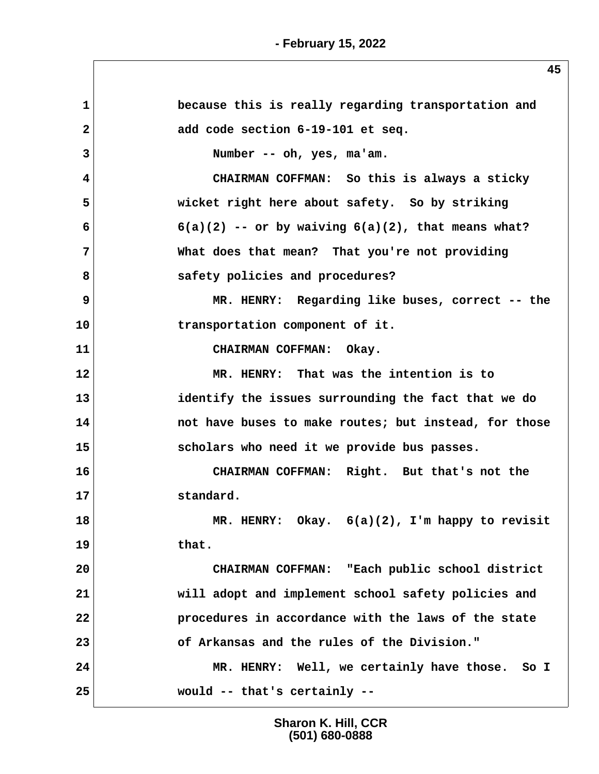| $\mathbf 1$    | because this is really regarding transportation and     |
|----------------|---------------------------------------------------------|
| $\mathbf{2}$   | add code section 6-19-101 et seq.                       |
| 3              | Number -- oh, yes, ma'am.                               |
| 4              | CHAIRMAN COFFMAN: So this is always a sticky            |
| 5              | wicket right here about safety. So by striking          |
| 6              | $6(a)(2)$ -- or by waiving $6(a)(2)$ , that means what? |
| $\overline{7}$ | What does that mean? That you're not providing          |
| 8              | safety policies and procedures?                         |
| 9              | MR. HENRY: Regarding like buses, correct -- the         |
| 10             | transportation component of it.                         |
| 11             | CHAIRMAN COFFMAN: Okay.                                 |
| 12             | MR. HENRY: That was the intention is to                 |
| 13             | identify the issues surrounding the fact that we do     |
| 14             | not have buses to make routes; but instead, for those   |
| 15             | scholars who need it we provide bus passes.             |
| 16             | CHAIRMAN COFFMAN: Right. But that's not the             |
| 17             | standard.                                               |
| 18             | MR. HENRY: Okay. 6(a)(2), I'm happy to revisit          |
| 19             | that.                                                   |
| 20             | CHAIRMAN COFFMAN: "Each public school district          |
| 21             | will adopt and implement school safety policies and     |
| 22             | procedures in accordance with the laws of the state     |
| 23             | of Arkansas and the rules of the Division."             |
| 24             | MR. HENRY: Well, we certainly have those. So I          |
| 25             | would -- that's certainly --                            |
|                |                                                         |

**Sharon K. Hill, CCR (501) 680-0888**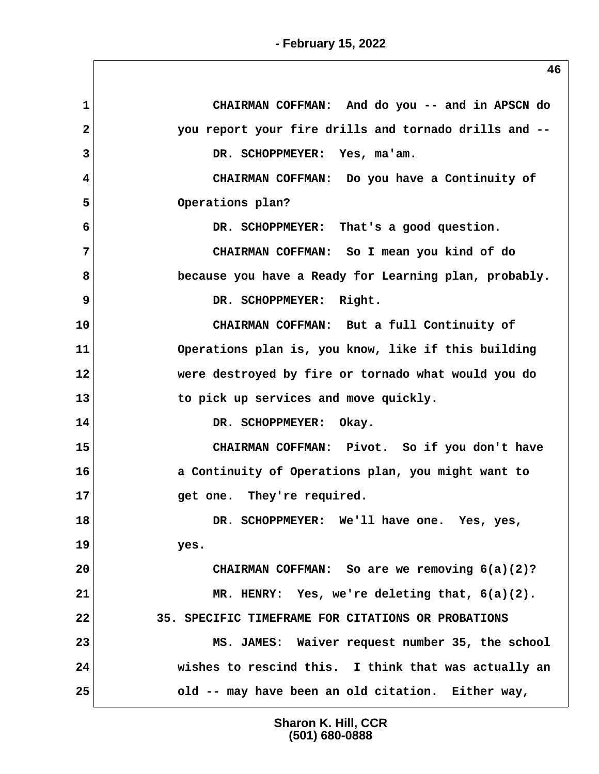**1 CHAIRMAN COFFMAN: And do you -- and in APSCN do 2 you report your fire drills and tornado drills and -- 3 DR. SCHOPPMEYER: Yes, ma'am. 4 CHAIRMAN COFFMAN: Do you have a Continuity of 5 Operations plan? 6 DR. SCHOPPMEYER: That's a good question. 7 CHAIRMAN COFFMAN: So I mean you kind of do 8 because you have a Ready for Learning plan, probably. 9** DR. SCHOPPMEYER: Right. **10 CHAIRMAN COFFMAN: But a full Continuity of 11 Operations plan is, you know, like if this building 12 were destroyed by fire or tornado what would you do 13 to pick up services and move quickly. 14 DR. SCHOPPMEYER: Okay. 15 CHAIRMAN COFFMAN: Pivot. So if you don't have 16 a Continuity of Operations plan, you might want to 17 get one. They're required. 18 DR. SCHOPPMEYER: We'll have one. Yes, yes, 19 yes. 20 CHAIRMAN COFFMAN: So are we removing 6(a)(2)? 21 MR. HENRY: Yes, we're deleting that, 6(a)(2). 22 35. SPECIFIC TIMEFRAME FOR CITATIONS OR PROBATIONS 23 MS. JAMES: Waiver request number 35, the school 24 wishes to rescind this. I think that was actually an 25 old -- may have been an old citation. Either way,**

> **Sharon K. Hill, CCR (501) 680-0888**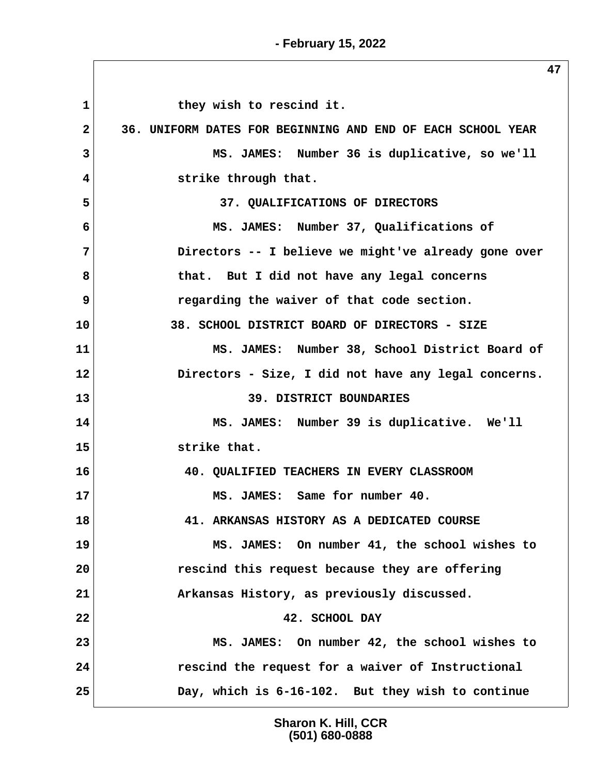1 they wish to rescind it.  **2 36. UNIFORM DATES FOR BEGINNING AND END OF EACH SCHOOL YEAR 3 MS. JAMES: Number 36 is duplicative, so we'll 4** strike through that.  **5 37. QUALIFICATIONS OF DIRECTORS 6 MS. JAMES: Number 37, Qualifications of 7 Directors -- I believe we might've already gone over 8 that. But I did not have any legal concerns 9 regarding the waiver of that code section. 10 38. SCHOOL DISTRICT BOARD OF DIRECTORS - SIZE 11 MS. JAMES: Number 38, School District Board of 12 Directors - Size, I did not have any legal concerns. 13** 39. DISTRICT BOUNDARIES **14 MS. JAMES: Number 39 is duplicative. We'll 15 strike that. 16 40. QUALIFIED TEACHERS IN EVERY CLASSROOM 17 MS. JAMES: Same for number 40. 18 41. ARKANSAS HISTORY AS A DEDICATED COURSE 19 MS. JAMES: On number 41, the school wishes to 20 rescind this request because they are offering 21 Arkansas History, as previously discussed. 22 42. SCHOOL DAY 23 MS. JAMES: On number 42, the school wishes to 24 rescind the request for a waiver of Instructional 25 Day, which is 6-16-102. But they wish to continue**

> **Sharon K. Hill, CCR (501) 680-0888**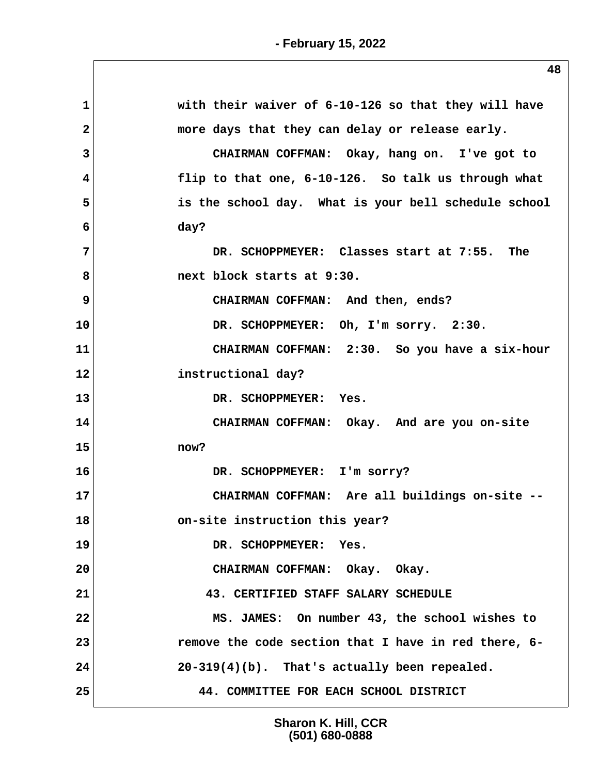| with their waiver of 6-10-126 so that they will have |
|------------------------------------------------------|
| more days that they can delay or release early.      |
| CHAIRMAN COFFMAN: Okay, hang on. I've got to         |
| flip to that one, 6-10-126. So talk us through what  |
| is the school day. What is your bell schedule school |
|                                                      |
| DR. SCHOPPMEYER: Classes start at 7:55. The          |
|                                                      |
| CHAIRMAN COFFMAN: And then, ends?                    |
| DR. SCHOPPMEYER: Oh, I'm sorry. 2:30.                |
| CHAIRMAN COFFMAN: 2:30. So you have a six-hour       |
|                                                      |
|                                                      |
| CHAIRMAN COFFMAN: Okay. And are you on-site          |
|                                                      |
|                                                      |
| CHAIRMAN COFFMAN: Are all buildings on-site --       |
|                                                      |
|                                                      |
| CHAIRMAN COFFMAN: Okay. Okay.                        |
| 43. CERTIFIED STAFF SALARY SCHEDULE                  |
| MS. JAMES: On number 43, the school wishes to        |
|                                                      |
| remove the code section that I have in red there, 6- |
| 20-319(4)(b). That's actually been repealed.         |
|                                                      |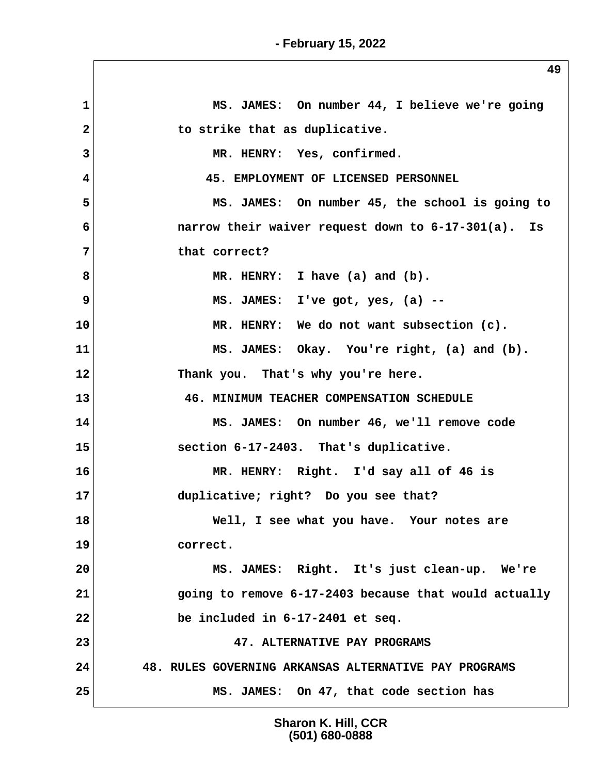**1 MS. JAMES: On number 44, I believe we're going** 2 to strike that as duplicative.  **3 MR. HENRY: Yes, confirmed. 4 45. EMPLOYMENT OF LICENSED PERSONNEL 5 MS. JAMES: On number 45, the school is going to 6 narrow their waiver request down to 6-17-301(a). Is 7 that correct? 8 MR. HENRY: I have (a) and (b). 9 MS. JAMES: I've got, yes, (a) -- 10 MR. HENRY: We do not want subsection (c). 11 MS. JAMES: Okay. You're right, (a) and (b). 12 Thank you. That's why you're here. 13 46. MINIMUM TEACHER COMPENSATION SCHEDULE 14 MS. JAMES: On number 46, we'll remove code 15 section 6-17-2403. That's duplicative. 16 MR. HENRY: Right. I'd say all of 46 is 17 duplicative; right? Do you see that? 18 Well, I see what you have. Your notes are 19 correct. 20 MS. JAMES: Right. It's just clean-up. We're 21 going to remove 6-17-2403 because that would actually 22 be included in 6-17-2401 et seq. 23 47. ALTERNATIVE PAY PROGRAMS 24 48. RULES GOVERNING ARKANSAS ALTERNATIVE PAY PROGRAMS 25 MS. JAMES: On 47, that code section has**

> **Sharon K. Hill, CCR (501) 680-0888**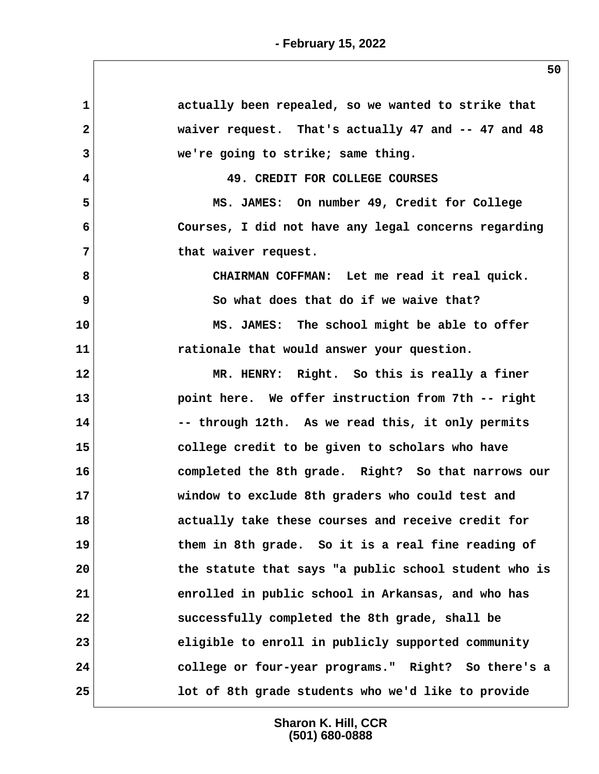| $\mathbf{1}$ | actually been repealed, so we wanted to strike that   |
|--------------|-------------------------------------------------------|
| $\mathbf{2}$ | waiver request. That's actually 47 and -- 47 and 48   |
| 3            | we're going to strike; same thing.                    |
| 4            | 49. CREDIT FOR COLLEGE COURSES                        |
| 5            | MS. JAMES: On number 49, Credit for College           |
| 6            | Courses, I did not have any legal concerns regarding  |
| 7            | that waiver request.                                  |
| 8            | CHAIRMAN COFFMAN: Let me read it real quick.          |
| 9            | So what does that do if we waive that?                |
| 10           | MS. JAMES: The school might be able to offer          |
| 11           | rationale that would answer your question.            |
| 12           | MR. HENRY: Right. So this is really a finer           |
| 13           | point here. We offer instruction from 7th -- right    |
| 14           | -- through 12th. As we read this, it only permits     |
| 15           | college credit to be given to scholars who have       |
| 16           | completed the 8th grade. Right? So that narrows our   |
| 17           | window to exclude 8th graders who could test and      |
| 18           | actually take these courses and receive credit for    |
| 19           | them in 8th grade. So it is a real fine reading of    |
| 20           | the statute that says "a public school student who is |
| 21           | enrolled in public school in Arkansas, and who has    |
| 22           | successfully completed the 8th grade, shall be        |
| 23           | eligible to enroll in publicly supported community    |
| 24           | college or four-year programs." Right? So there's a   |
| 25           | lot of 8th grade students who we'd like to provide    |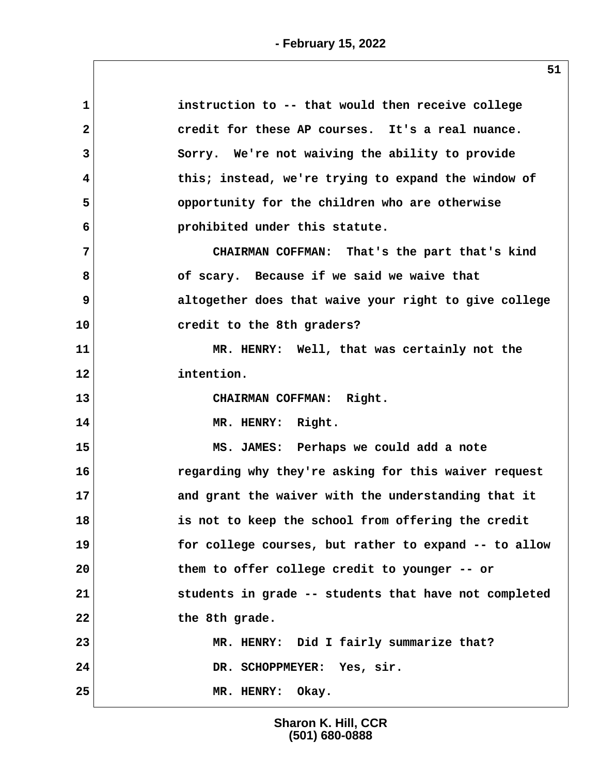| instruction to -- that would then receive college     |
|-------------------------------------------------------|
| credit for these AP courses. It's a real nuance.      |
| Sorry. We're not waiving the ability to provide       |
| this; instead, we're trying to expand the window of   |
| opportunity for the children who are otherwise        |
| prohibited under this statute.                        |
| CHAIRMAN COFFMAN: That's the part that's kind         |
| of scary. Because if we said we waive that            |
| altogether does that waive your right to give college |
| credit to the 8th graders?                            |
| MR. HENRY: Well, that was certainly not the           |
| intention.                                            |
| CHAIRMAN COFFMAN: Right.                              |
| MR. HENRY: Right.                                     |
| MS. JAMES: Perhaps we could add a note                |
| regarding why they're asking for this waiver request  |
| and grant the waiver with the understanding that it   |
| is not to keep the school from offering the credit    |
| for college courses, but rather to expand -- to allow |
| them to offer college credit to younger -- or         |
|                                                       |
| students in grade -- students that have not completed |
| the 8th grade.                                        |
| MR. HENRY: Did I fairly summarize that?               |
| DR. SCHOPPMEYER: Yes, sir.                            |
|                                                       |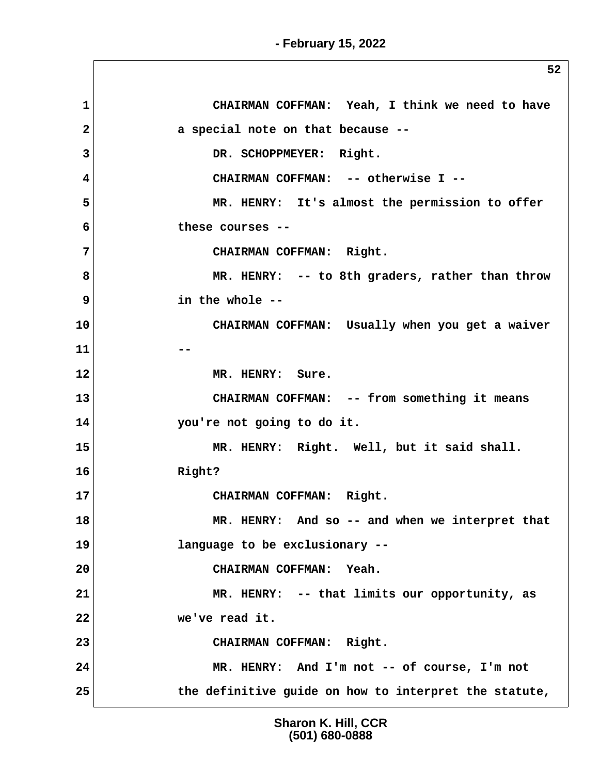**1 CHAIRMAN COFFMAN: Yeah, I think we need to have 2 a special note on that because -- 3 DR. SCHOPPMEYER: Right. 4 CHAIRMAN COFFMAN: -- otherwise I -- 5 MR. HENRY: It's almost the permission to offer 6 these courses -- 7 CHAIRMAN COFFMAN: Right. 8 MR. HENRY: -- to 8th graders, rather than throw 9 in the whole -- 10 CHAIRMAN COFFMAN: Usually when you get a waiver 11**  $\left| \begin{array}{ccc} 1 & -1 \\ -1 & 1 \end{array} \right|$ **12 MR. HENRY: Sure. 13 CHAIRMAN COFFMAN: -- from something it means 14 you're not going to do it. 15 MR. HENRY: Right. Well, but it said shall. 16 Right? 17 CHAIRMAN COFFMAN: Right. 18 MR. HENRY: And so -- and when we interpret that 19 language to be exclusionary -- 20 CHAIRMAN COFFMAN: Yeah. 21 MR. HENRY: -- that limits our opportunity, as 22 we've read it. 23 CHAIRMAN COFFMAN: Right. 24 MR. HENRY: And I'm not -- of course, I'm not 25 the definitive guide on how to interpret the statute,**

> **Sharon K. Hill, CCR (501) 680-0888**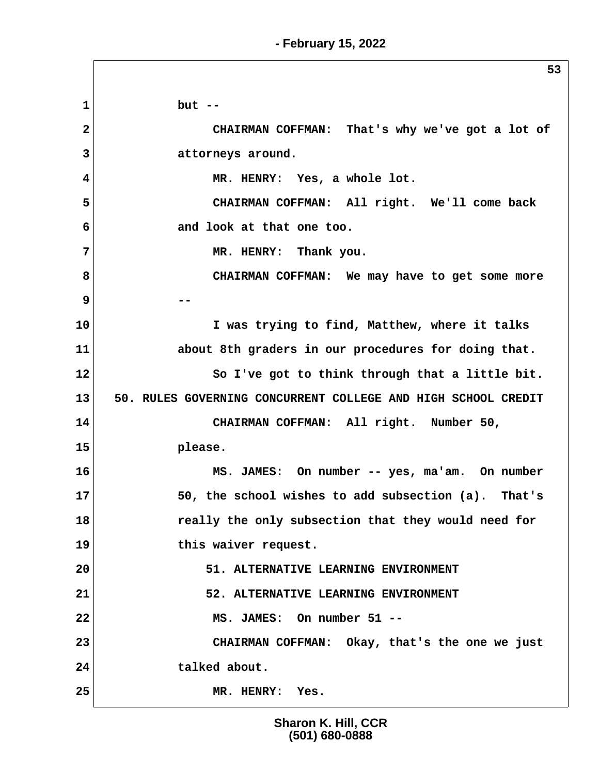**1 but -- 2 CHAIRMAN COFFMAN: That's why we've got a lot of 3 attorneys around. 4 MR. HENRY: Yes, a whole lot. 5 CHAIRMAN COFFMAN: All right. We'll come back 6 and look at that one too. 7 MR. HENRY: Thank you. 8 CHAIRMAN COFFMAN: We may have to get some more 9 -- 10 I was trying to find, Matthew, where it talks 11 about 8th graders in our procedures for doing that. 12 So I've got to think through that a little bit. 13 50. RULES GOVERNING CONCURRENT COLLEGE AND HIGH SCHOOL CREDIT 14 CHAIRMAN COFFMAN: All right. Number 50, 15 please. 16 MS. JAMES: On number -- yes, ma'am. On number 17 50, the school wishes to add subsection (a). That's 18 really the only subsection that they would need for 19 this waiver request. 20 51. ALTERNATIVE LEARNING ENVIRONMENT 21 52. ALTERNATIVE LEARNING ENVIRONMENT 22 MS. JAMES: On number 51 -- 23 CHAIRMAN COFFMAN: Okay, that's the one we just 24 talked about. 25 MR. HENRY: Yes.**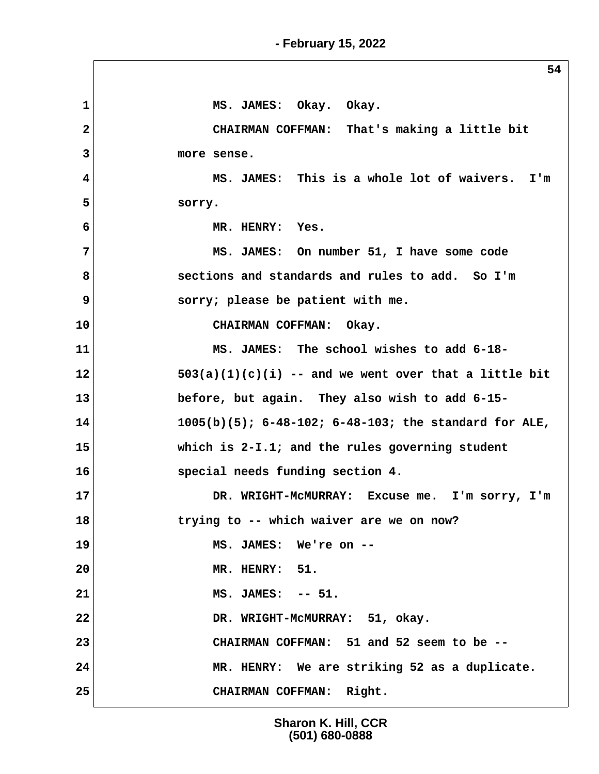1 MS. JAMES: Okay. Okay.  **2 CHAIRMAN COFFMAN: That's making a little bit 3 more sense. 4 MS. JAMES: This is a whole lot of waivers. I'm 5 sorry. 6 MR. HENRY: Yes. 7 MS. JAMES: On number 51, I have some code 8 sections and standards and rules to add. So I'm 9 sorry; please be patient with me. 10 CHAIRMAN COFFMAN: Okay. 11 MS. JAMES: The school wishes to add 6-18- 12 503(a)(1)(c)(i) -- and we went over that a little bit 13 before, but again. They also wish to add 6-15- 14 1005(b)(5); 6-48-102; 6-48-103; the standard for ALE, 15 which is 2-I.1; and the rules governing student 16 special needs funding section 4. 17 DR. WRIGHT-McMURRAY: Excuse me. I'm sorry, I'm 18 trying to -- which waiver are we on now? 19 MS. JAMES: We're on -- 20 MR. HENRY: 51. 21 MS. JAMES: -- 51. 22 DR. WRIGHT-McMURRAY: 51, okay. 23 CHAIRMAN COFFMAN: 51 and 52 seem to be -- 24 MR. HENRY: We are striking 52 as a duplicate. 25 CHAIRMAN COFFMAN: Right.**

> **Sharon K. Hill, CCR (501) 680-0888**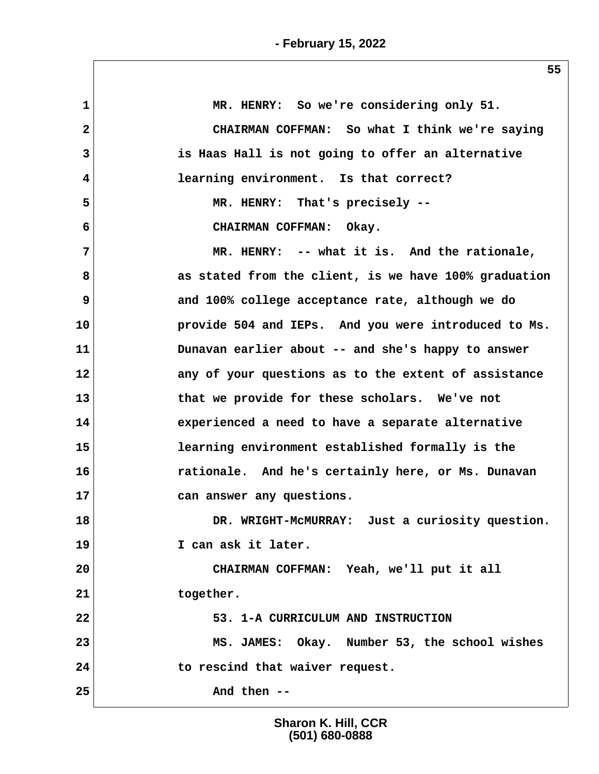| 1            | MR. HENRY: So we're considering only 51.              |
|--------------|-------------------------------------------------------|
| $\mathbf{2}$ | CHAIRMAN COFFMAN: So what I think we're saying        |
| 3            | is Haas Hall is not going to offer an alternative     |
| 4            | learning environment. Is that correct?                |
| 5            | MR. HENRY: That's precisely --                        |
| 6            | CHAIRMAN COFFMAN: Okay.                               |
| 7            | MR. HENRY: -- what it is. And the rationale,          |
| 8            | as stated from the client, is we have 100% graduation |
| 9            | and 100% college acceptance rate, although we do      |
| 10           | provide 504 and IEPs. And you were introduced to Ms.  |
| 11           | Dunavan earlier about -- and she's happy to answer    |
| 12           | any of your questions as to the extent of assistance  |
| 13           | that we provide for these scholars. We've not         |
| 14           | experienced a need to have a separate alternative     |
| 15           | learning environment established formally is the      |
| 16           | rationale. And he's certainly here, or Ms. Dunavan    |
| 17           | can answer any questions.                             |
| 18           | DR. WRIGHT-MCMURRAY: Just a curiosity question.       |
| 19           | I can ask it later.                                   |
| 20           | CHAIRMAN COFFMAN: Yeah, we'll put it all              |
| 21           | together.                                             |
| 22           | 53. 1-A CURRICULUM AND INSTRUCTION                    |
| 23           | MS. JAMES: Okay. Number 53, the school wishes         |
| 24           | to rescind that waiver request.                       |
| 25           | And then --                                           |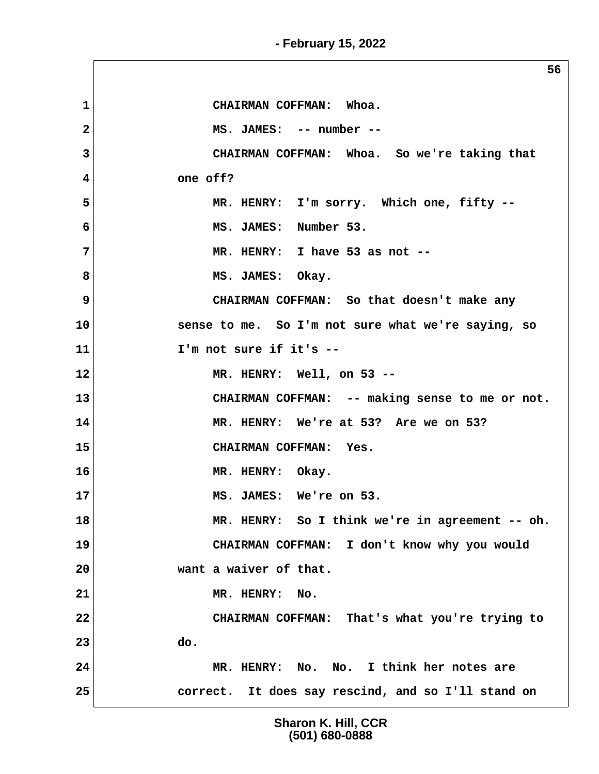**56 1 CHAIRMAN COFFMAN: Whoa. 2 MS. JAMES: -- number -- 3 CHAIRMAN COFFMAN: Whoa. So we're taking that 4 one off? 5 MR. HENRY: I'm sorry. Which one, fifty -- 6 MS. JAMES: Number 53. 7 MR. HENRY: I have 53 as not --** 8 MS. JAMES: Okay.  **9 CHAIRMAN COFFMAN: So that doesn't make any 10 sense to me. So I'm not sure what we're saying, so 11 I'm not sure if it's -- 12 MR. HENRY: Well, on 53 -- 13 CHAIRMAN COFFMAN: -- making sense to me or not. 14 MR. HENRY: We're at 53? Are we on 53? 15 CHAIRMAN COFFMAN: Yes. 16 MR. HENRY: Okay. 17 MS. JAMES: We're on 53. 18 MR. HENRY: So I think we're in agreement -- oh. 19 CHAIRMAN COFFMAN: I don't know why you would 20 want a waiver of that. 21 MR. HENRY: No. 22 CHAIRMAN COFFMAN: That's what you're trying to 23 do. 24 MR. HENRY: No. No. I think her notes are 25 correct. It does say rescind, and so I'll stand on**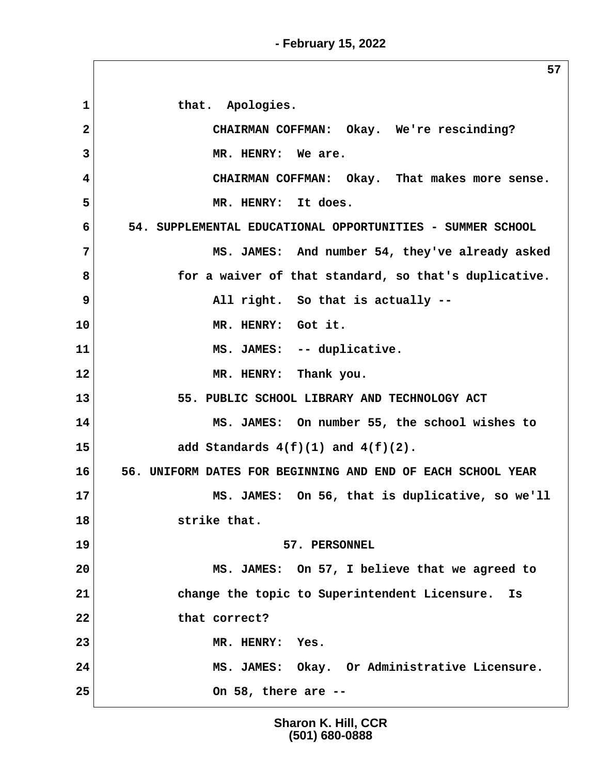1 that. Apologies.  **2 CHAIRMAN COFFMAN: Okay. We're rescinding? 3 MR. HENRY: We are. 4 CHAIRMAN COFFMAN: Okay. That makes more sense. 5 MR. HENRY: It does. 6 54. SUPPLEMENTAL EDUCATIONAL OPPORTUNITIES - SUMMER SCHOOL 7 MS. JAMES: And number 54, they've already asked 8 for a waiver of that standard, so that's duplicative. 9** All right. So that is actually --**10 MR. HENRY: Got it.** 11 MS. JAMES: -- duplicative. **12 MR. HENRY: Thank you.** 13 55. PUBLIC SCHOOL LIBRARY AND TECHNOLOGY ACT **14 MS. JAMES: On number 55, the school wishes to 15 add Standards 4(f)(1) and 4(f)(2). 16 56. UNIFORM DATES FOR BEGINNING AND END OF EACH SCHOOL YEAR 17** MS. JAMES: On 56, that is duplicative, so we'll **18 strike that. 19 57. PERSONNEL 20 MS. JAMES: On 57, I believe that we agreed to 21 change the topic to Superintendent Licensure. Is 22 that correct? 23 MR. HENRY: Yes. 24 MS. JAMES: Okay. Or Administrative Licensure. 25 On 58, there are --**

> **Sharon K. Hill, CCR (501) 680-0888**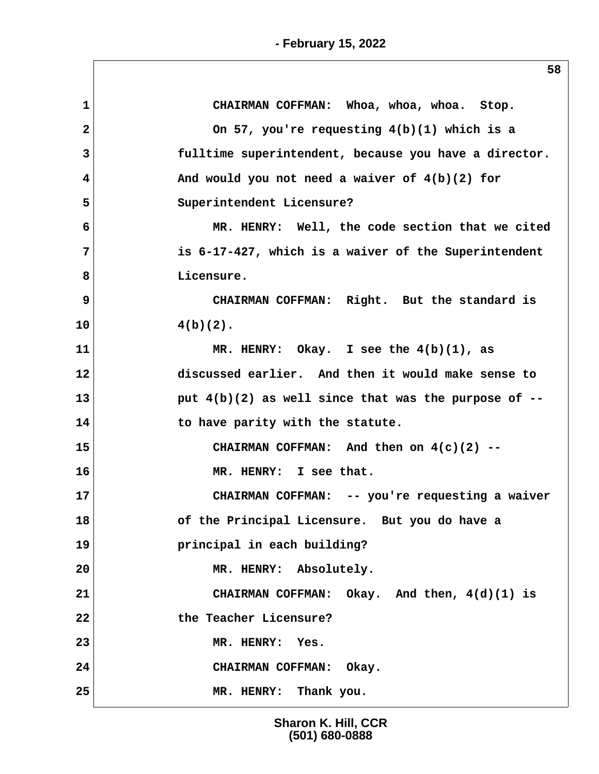$\sqrt{2}$ 

| $\mathbf{1}$            | CHAIRMAN COFFMAN: Whoa, whoa, whoa. Stop.              |
|-------------------------|--------------------------------------------------------|
| $\overline{\mathbf{2}}$ | On 57, you're requesting $4(b)(1)$ which is a          |
| 3                       | fulltime superintendent, because you have a director.  |
| 4                       | And would you not need a waiver of $4(b)(2)$ for       |
| 5                       | Superintendent Licensure?                              |
| 6                       | MR. HENRY: Well, the code section that we cited        |
| 7                       | is 6-17-427, which is a waiver of the Superintendent   |
| 8                       | Licensure.                                             |
| 9                       | CHAIRMAN COFFMAN: Right. But the standard is           |
| 10                      | $4(b)(2)$ .                                            |
| 11                      | MR. HENRY: Okay. I see the $4(b)(1)$ , as              |
| 12                      | discussed earlier. And then it would make sense to     |
| 13                      | put $4(b)(2)$ as well since that was the purpose of -- |
| 14                      | to have parity with the statute.                       |
| 15                      | CHAIRMAN COFFMAN: And then on $4(c)(2)$ --             |
| 16                      | MR. HENRY: I see that.                                 |
| 17                      | CHAIRMAN COFFMAN: -- you're requesting a waiver        |
| 18                      | of the Principal Licensure. But you do have a          |
| 19                      | principal in each building?                            |
| 20                      | MR. HENRY: Absolutely.                                 |
| 21                      | CHAIRMAN COFFMAN: Okay. And then, 4(d)(1) is           |
| 22                      | the Teacher Licensure?                                 |
| 23                      | MR. HENRY:<br>Yes.                                     |
| 24                      | CHAIRMAN COFFMAN: Okay.                                |
| 25                      | MR. HENRY: Thank you.                                  |
|                         |                                                        |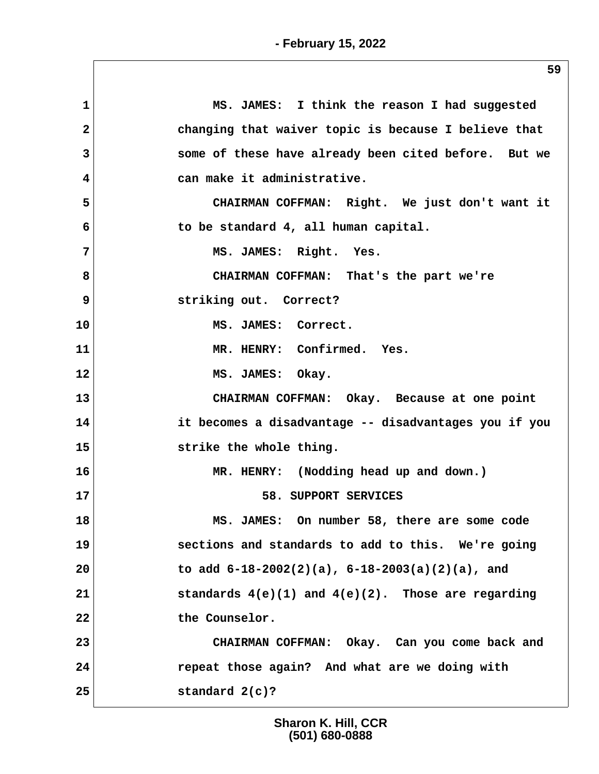| MS. JAMES: I think the reason I had suggested           |
|---------------------------------------------------------|
| changing that waiver topic is because I believe that    |
| some of these have already been cited before. But we    |
| can make it administrative.                             |
| CHAIRMAN COFFMAN: Right. We just don't want it          |
| to be standard 4, all human capital.                    |
| MS. JAMES: Right. Yes.                                  |
| CHAIRMAN COFFMAN: That's the part we're                 |
| striking out. Correct?                                  |
| MS. JAMES: Correct.                                     |
| MR. HENRY: Confirmed. Yes.                              |
| MS. JAMES: Okay.                                        |
| CHAIRMAN COFFMAN: Okay. Because at one point            |
| it becomes a disadvantage -- disadvantages you if you   |
| strike the whole thing.                                 |
| MR. HENRY: (Nodding head up and down.)                  |
| 58. SUPPORT SERVICES                                    |
| MS. JAMES: On number 58, there are some code            |
| sections and standards to add to this. We're going      |
| to add $6-18-2002(2)(a)$ , $6-18-2003(a)(2)(a)$ , and   |
| standards $4(e)(1)$ and $4(e)(2)$ . Those are regarding |
| the Counselor.                                          |
| CHAIRMAN COFFMAN: Okay. Can you come back and           |
| repeat those again? And what are we doing with          |
|                                                         |
|                                                         |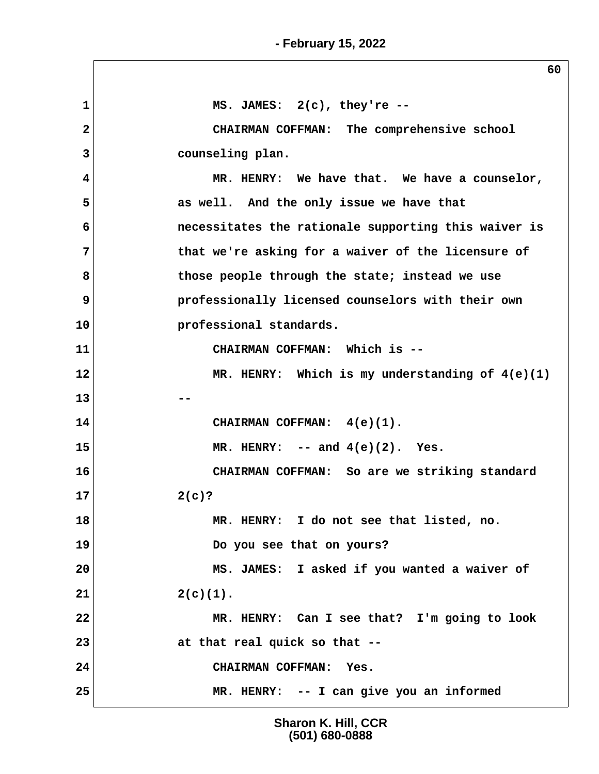**60 1 MS. JAMES: 2(c), they're -- 2 CHAIRMAN COFFMAN: The comprehensive school 3 counseling plan. 4 MR. HENRY: We have that. We have a counselor, 5 as well. And the only issue we have that 6 necessitates the rationale supporting this waiver is 7 that we're asking for a waiver of the licensure of 8 those people through the state; instead we use 9 professionally licensed counselors with their own 10 professional standards. 11 CHAIRMAN COFFMAN: Which is -- 12 MR. HENRY: Which is my understanding of 4(e)(1) 13** --**14 CHAIRMAN COFFMAN: 4(e)(1). 15 MR. HENRY: -- and 4(e)(2). Yes. 16 CHAIRMAN COFFMAN: So are we striking standard 17 2(c)? 18 MR. HENRY: I do not see that listed, no. 19 Do you see that on yours? 20 MS. JAMES: I asked if you wanted a waiver of**  $21$  2(c)(1). **22 MR. HENRY: Can I see that? I'm going to look 23 at that real quick so that -- 24 CHAIRMAN COFFMAN: Yes. 25 MR. HENRY: -- I can give you an informed**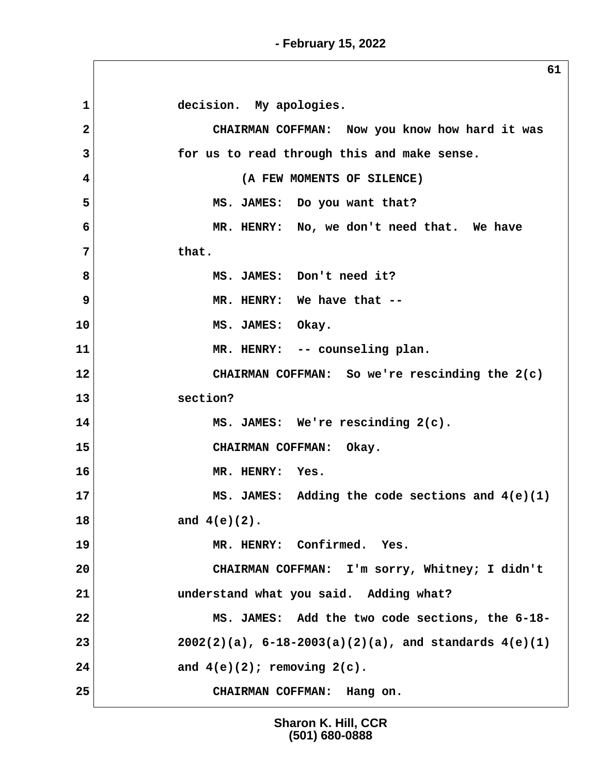1 decision. My apologies.  **2 CHAIRMAN COFFMAN: Now you know how hard it was 3 for us to read through this and make sense. 4 (A FEW MOMENTS OF SILENCE) 5 MS. JAMES: Do you want that? 6 MR. HENRY: No, we don't need that. We have 7 that. 8 MS. JAMES: Don't need it? 9 MR. HENRY: We have that -- 10 MS. JAMES: Okay. 11 MR. HENRY: -- counseling plan. 12 CHAIRMAN COFFMAN: So we're rescinding the 2(c) 13 section?** 14 MS. JAMES: We're rescinding  $2(c)$ . **15 CHAIRMAN COFFMAN: Okay. 16 MR. HENRY: Yes. 17** MS. JAMES: Adding the code sections and  $4(e)(1)$ **18 and 4(e)(2). 19 MR. HENRY: Confirmed. Yes. 20 CHAIRMAN COFFMAN: I'm sorry, Whitney; I didn't 21 understand what you said. Adding what? 22 MS. JAMES: Add the two code sections, the 6-18- 23 2002(2)(a), 6-18-2003(a)(2)(a), and standards 4(e)(1) 24 and 4(e)(2); removing 2(c). 25 CHAIRMAN COFFMAN: Hang on.**

> **Sharon K. Hill, CCR (501) 680-0888**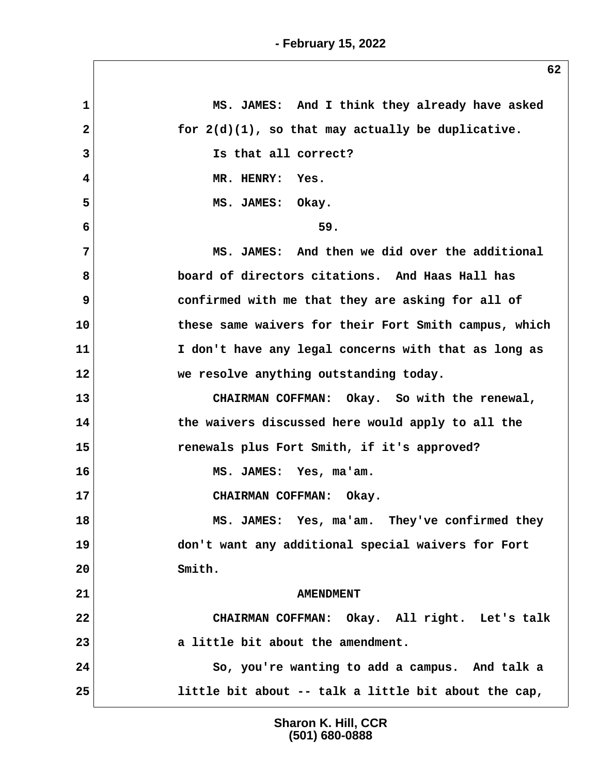**1 MS. JAMES: And I think they already have asked 2 for 2(d)(1), so that may actually be duplicative. 3 Is that all correct? 4 MR. HENRY: Yes.** 5 MS. JAMES: Okay. **6** 59.  **7 MS. JAMES: And then we did over the additional 8 board of directors citations. And Haas Hall has 9 confirmed with me that they are asking for all of 10 these same waivers for their Fort Smith campus, which 11 I don't have any legal concerns with that as long as 12 we resolve anything outstanding today. 13 CHAIRMAN COFFMAN: Okay. So with the renewal, 14 the waivers discussed here would apply to all the 15 renewals plus Fort Smith, if it's approved? 16 MS. JAMES: Yes, ma'am. 17 CHAIRMAN COFFMAN: Okay. 18 MS. JAMES: Yes, ma'am. They've confirmed they 19 don't want any additional special waivers for Fort 20 Smith.** 21 **AMENDMENT 22 CHAIRMAN COFFMAN: Okay. All right. Let's talk 23 a little bit about the amendment. 24 So, you're wanting to add a campus. And talk a 25 little bit about -- talk a little bit about the cap,**

> **Sharon K. Hill, CCR (501) 680-0888**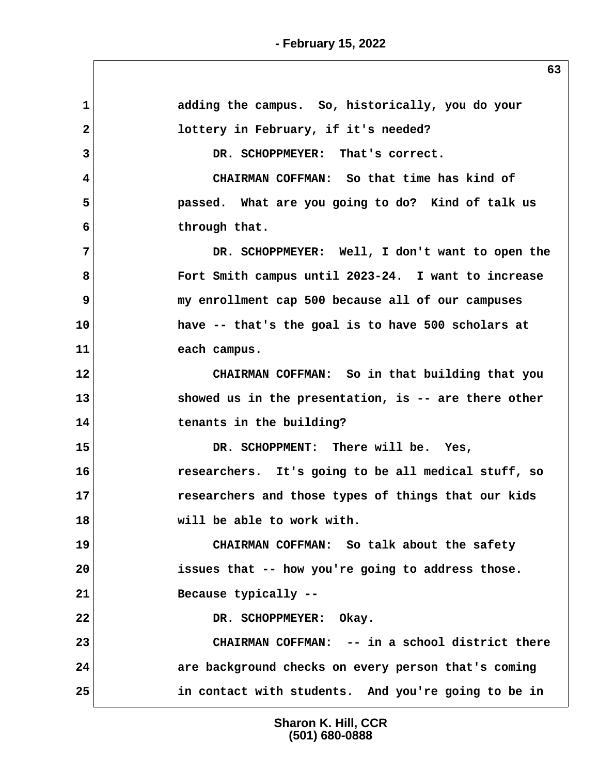**1 adding the campus. So, historically, you do your 2 lottery in February, if it's needed? 3 DR. SCHOPPMEYER: That's correct. 4 CHAIRMAN COFFMAN: So that time has kind of 5 passed. What are you going to do? Kind of talk us 6 through that. 7 DR. SCHOPPMEYER: Well, I don't want to open the 8 Fort Smith campus until 2023-24. I want to increase 9 my enrollment cap 500 because all of our campuses 10 have -- that's the goal is to have 500 scholars at 11 each campus. 12 CHAIRMAN COFFMAN: So in that building that you 13 showed us in the presentation, is -- are there other 14 tenants in the building? 15 DR. SCHOPPMENT: There will be. Yes, 16 researchers. It's going to be all medical stuff, so 17 researchers and those types of things that our kids 18 will be able to work with. 19 CHAIRMAN COFFMAN: So talk about the safety 20 issues that -- how you're going to address those. 21 Because typically --** 22 DR. SCHOPPMEYER: Okay. **23 CHAIRMAN COFFMAN: -- in a school district there 24 are background checks on every person that's coming 25 in contact with students. And you're going to be in**

> **Sharon K. Hill, CCR (501) 680-0888**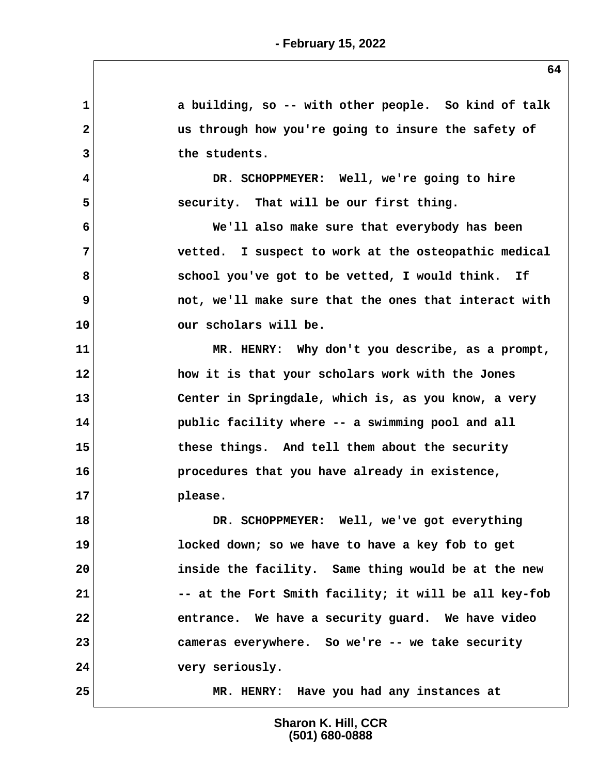**1 a building, so -- with other people. So kind of talk 2 us through how you're going to insure the safety of 3 the students. 4 DR. SCHOPPMEYER: Well, we're going to hire 5 security. That will be our first thing. 6 We'll also make sure that everybody has been 7 vetted. I suspect to work at the osteopathic medical** 8 **8 8 School you've got to be vetted, I would think.** If  **9 not, we'll make sure that the ones that interact with 10 our scholars will be. 11 MR. HENRY: Why don't you describe, as a prompt, 12 how it is that your scholars work with the Jones 13 Center in Springdale, which is, as you know, a very 14 public facility where -- a swimming pool and all 15 these things. And tell them about the security 16 procedures that you have already in existence, 17 please. 18 DR. SCHOPPMEYER: Well, we've got everything 19 locked down; so we have to have a key fob to get 20 inside the facility. Same thing would be at the new** 21 -- at the Fort Smith facility; it will be all key-fob **22 entrance. We have a security guard. We have video 23 cameras everywhere. So we're -- we take security 24 very seriously. 25 MR. HENRY: Have you had any instances at**

> **Sharon K. Hill, CCR (501) 680-0888**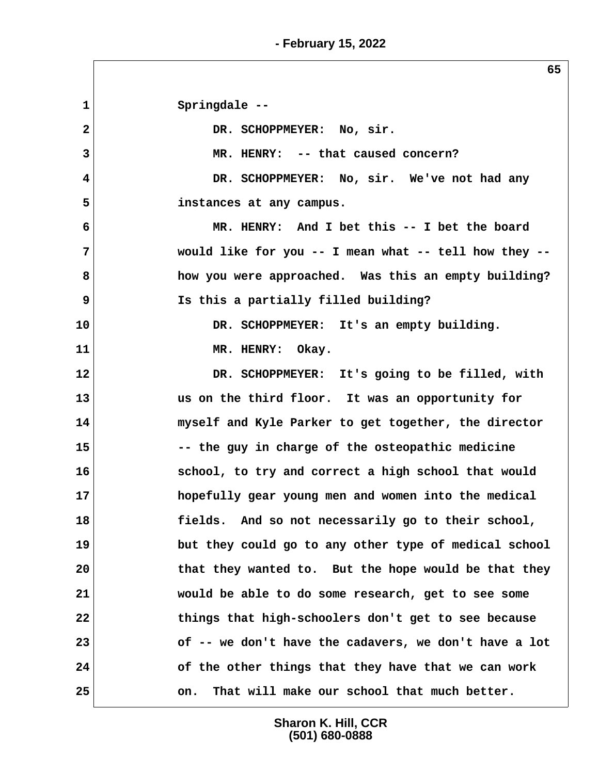**1 Springdale --** 2 DR. SCHOPPMEYER: No, sir.  **3 MR. HENRY: -- that caused concern? 4 DR. SCHOPPMEYER: No, sir. We've not had any 5 instances at any campus. 6 MR. HENRY: And I bet this -- I bet the board 7 would like for you -- I mean what -- tell how they -- 8 how you were approached. Was this an empty building? 9 Is this a partially filled building? 10 DR. SCHOPPMEYER: It's an empty building. 11 MR. HENRY: Okay. 12 DR. SCHOPPMEYER: It's going to be filled, with 13 us on the third floor. It was an opportunity for 14 myself and Kyle Parker to get together, the director 15 -- the guy in charge of the osteopathic medicine 16 school, to try and correct a high school that would 17 hopefully gear young men and women into the medical 18 fields. And so not necessarily go to their school, 19 but they could go to any other type of medical school 20 that they wanted to. But the hope would be that they 21 would be able to do some research, get to see some 22 things that high-schoolers don't get to see because 23 of -- we don't have the cadavers, we don't have a lot 24 of the other things that they have that we can work 25 on. That will make our school that much better.**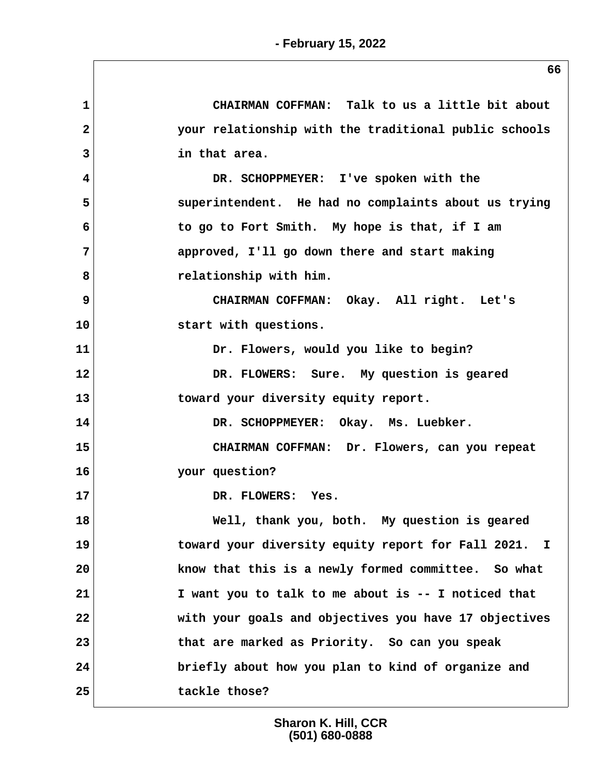| $\mathbf{1}$   | CHAIRMAN COFFMAN: Talk to us a little bit about       |
|----------------|-------------------------------------------------------|
| $\overline{a}$ | your relationship with the traditional public schools |
| 3              | in that area.                                         |
| 4              | DR. SCHOPPMEYER: I've spoken with the                 |
| 5              | superintendent. He had no complaints about us trying  |
| 6              | to go to Fort Smith. My hope is that, if I am         |
| 7              | approved, I'll go down there and start making         |
| 8              | relationship with him.                                |
| 9              | CHAIRMAN COFFMAN: Okay. All right. Let's              |
| 10             | start with questions.                                 |
| 11             | Dr. Flowers, would you like to begin?                 |
| 12             | DR. FLOWERS: Sure. My question is geared              |
| 13             | toward your diversity equity report.                  |
| 14             | DR. SCHOPPMEYER: Okay. Ms. Luebker.                   |
| 15             | CHAIRMAN COFFMAN: Dr. Flowers, can you repeat         |
| 16             | your question?                                        |
| 17             | DR. FLOWERS: Yes.                                     |
| 18             | Well, thank you, both. My question is geared          |
| 19             | toward your diversity equity report for Fall 2021. I  |
| 20             | know that this is a newly formed committee. So what   |
| 21             | I want you to talk to me about is -- I noticed that   |
| 22             | with your goals and objectives you have 17 objectives |
| 23             | that are marked as Priority. So can you speak         |
| 24             | briefly about how you plan to kind of organize and    |
| 25             | tackle those?                                         |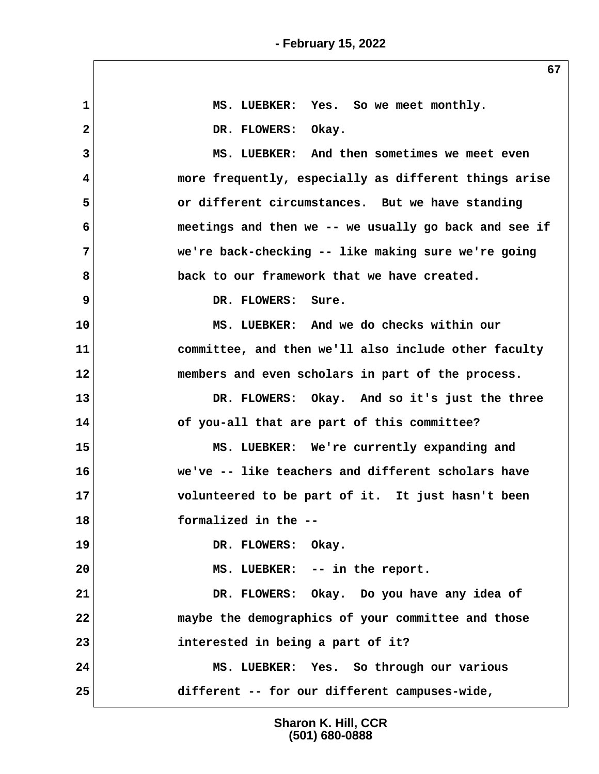| 1            | MS. LUEBKER: Yes. So we meet monthly.                 |
|--------------|-------------------------------------------------------|
| $\mathbf{2}$ | DR. FLOWERS: Okay.                                    |
| 3            | MS. LUEBKER: And then sometimes we meet even          |
| 4            | more frequently, especially as different things arise |
| 5            | or different circumstances. But we have standing      |
| 6            | meetings and then we -- we usually go back and see if |
| 7            | we're back-checking -- like making sure we're going   |
| 8            | back to our framework that we have created.           |
| 9            | DR. FLOWERS: Sure.                                    |
| 10           | MS. LUEBKER: And we do checks within our              |
| 11           | committee, and then we'll also include other faculty  |
| 12           | members and even scholars in part of the process.     |
| 13           | DR. FLOWERS: Okay. And so it's just the three         |
| 14           | of you-all that are part of this committee?           |
| 15           | MS. LUEBKER: We're currently expanding and            |
| 16           | we've -- like teachers and different scholars have    |
| 17           | volunteered to be part of it. It just hasn't been     |
| 18           | formalized in the --                                  |
| 19           | DR. FLOWERS: Okay.                                    |
| 20           | MS. LUEBKER: -- in the report.                        |
| 21           | DR. FLOWERS: Okay. Do you have any idea of            |
| 22           | maybe the demographics of your committee and those    |
| 23           | interested in being a part of it?                     |
| 24           | MS. LUEBKER: Yes. So through our various              |
| 25           | different -- for our different campuses-wide,         |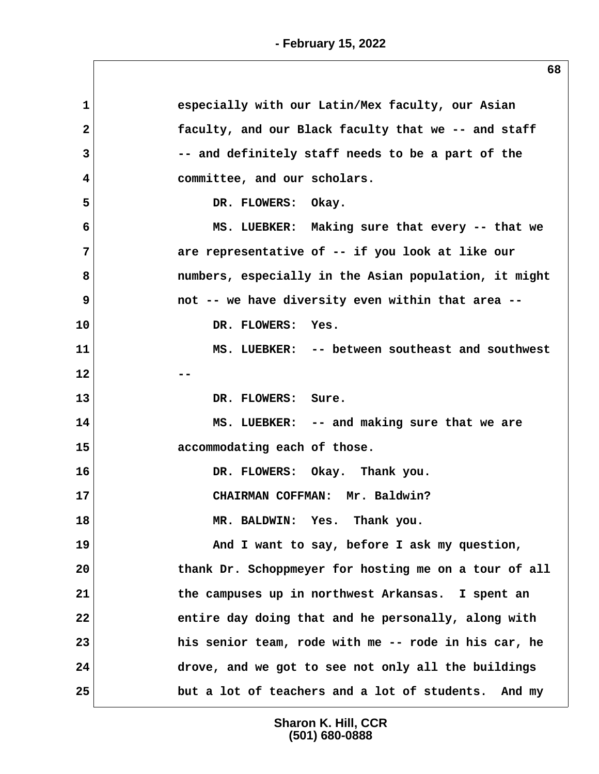| $\mathbf 1$  | especially with our Latin/Mex faculty, our Asian      |
|--------------|-------------------------------------------------------|
| $\mathbf{2}$ | faculty, and our Black faculty that we -- and staff   |
| 3            | -- and definitely staff needs to be a part of the     |
| 4            | committee, and our scholars.                          |
| 5            | DR. FLOWERS: Okay.                                    |
| 6            | MS. LUEBKER: Making sure that every -- that we        |
| 7            | are representative of -- if you look at like our      |
| 8            | numbers, especially in the Asian population, it might |
| 9            | not -- we have diversity even within that area --     |
| 10           | DR. FLOWERS: Yes.                                     |
| 11           | MS. LUEBKER: -- between southeast and southwest       |
| 12           |                                                       |
| 13           | DR. FLOWERS: Sure.                                    |
| 14           | MS. LUEBKER: -- and making sure that we are           |
| 15           | accommodating each of those.                          |
| 16           | DR. FLOWERS: Okay. Thank you.                         |
| 17           | CHAIRMAN COFFMAN: Mr. Baldwin?                        |
| 18           | MR. BALDWIN: Yes. Thank you.                          |
| 19           | And I want to say, before I ask my question,          |
| 20           | thank Dr. Schoppmeyer for hosting me on a tour of all |
| 21           | the campuses up in northwest Arkansas. I spent an     |
| 22           | entire day doing that and he personally, along with   |
| 23           | his senior team, rode with me -- rode in his car, he  |
| 24           | drove, and we got to see not only all the buildings   |
| 25           | but a lot of teachers and a lot of students. And my   |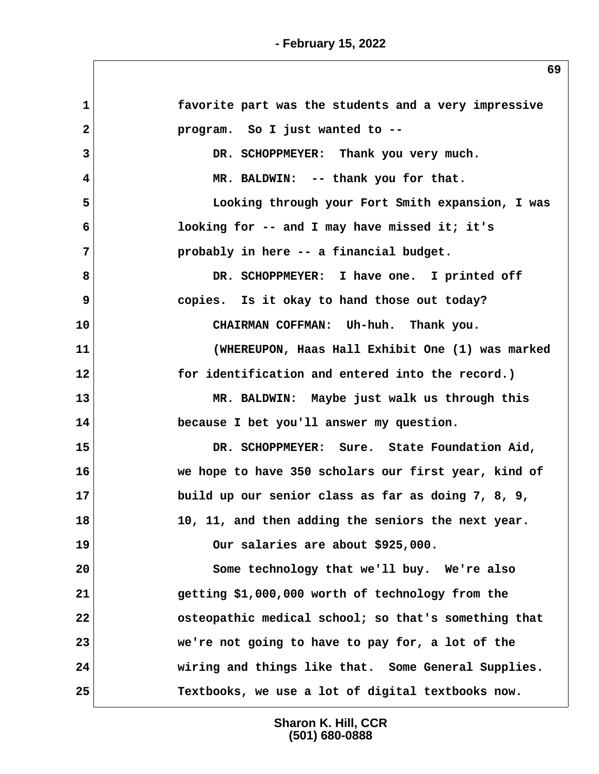| $\mathbf{1}$ | favorite part was the students and a very impressive |
|--------------|------------------------------------------------------|
| $\mathbf{2}$ | program. So I just wanted to --                      |
| 3            | DR. SCHOPPMEYER: Thank you very much.                |
| 4            | MR. BALDWIN: -- thank you for that.                  |
| 5            | Looking through your Fort Smith expansion, I was     |
| 6            | looking for -- and I may have missed it; it's        |
| 7            | probably in here -- a financial budget.              |
| 8            | DR. SCHOPPMEYER: I have one. I printed off           |
| 9            | copies. Is it okay to hand those out today?          |
| 10           | CHAIRMAN COFFMAN: Uh-huh. Thank you.                 |
| 11           | (WHEREUPON, Haas Hall Exhibit One (1) was marked     |
| 12           | for identification and entered into the record.)     |
| 13           | MR. BALDWIN: Maybe just walk us through this         |
| 14           | because I bet you'll answer my question.             |
| 15           | DR. SCHOPPMEYER: Sure. State Foundation Aid,         |
| 16           | we hope to have 350 scholars our first year, kind of |
| 17           | build up our senior class as far as doing 7, 8, 9,   |
| 18           | 10, 11, and then adding the seniors the next year.   |
| 19           | Our salaries are about \$925,000.                    |
| 20           | Some technology that we'll buy. We're also           |
| 21           | getting \$1,000,000 worth of technology from the     |
| 22           | osteopathic medical school; so that's something that |
| 23           | we're not going to have to pay for, a lot of the     |
| 24           | wiring and things like that. Some General Supplies.  |
| 25           | Textbooks, we use a lot of digital textbooks now.    |
|              |                                                      |

**Sharon K. Hill, CCR (501) 680-0888**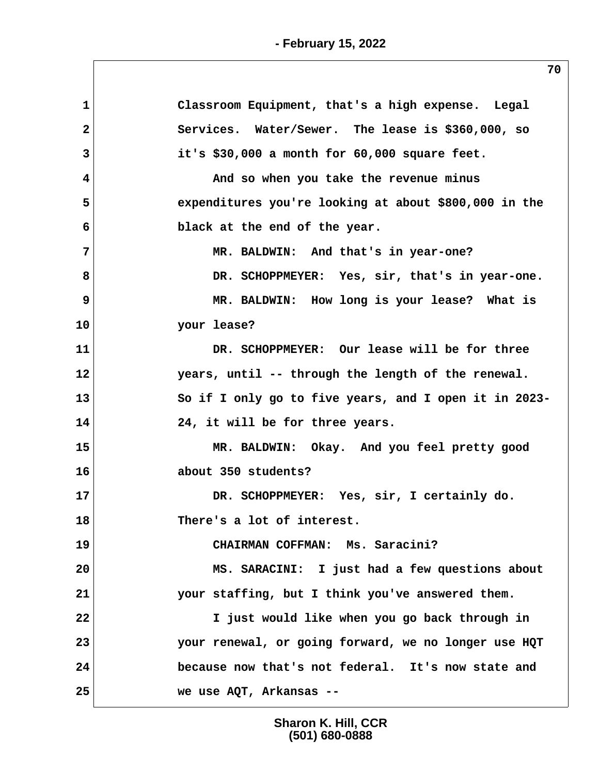**1 Classroom Equipment, that's a high expense. Legal 2 Services. Water/Sewer. The lease is \$360,000, so 3 it's \$30,000 a month for 60,000 square feet. 4 And so when you take the revenue minus 5 expenditures you're looking at about \$800,000 in the 6 black at the end of the year. 7 MR. BALDWIN: And that's in year-one? 8 DR. SCHOPPMEYER: Yes, sir, that's in year-one. 9 MR. BALDWIN: How long is your lease? What is 10 your lease? 11 DR. SCHOPPMEYER: Our lease will be for three 12 years, until -- through the length of the renewal. 13 So if I only go to five years, and I open it in 2023- 14 24, it will be for three years. 15 MR. BALDWIN: Okay. And you feel pretty good 16 about 350 students? 17 DR. SCHOPPMEYER: Yes, sir, I certainly do. 18 There's a lot of interest. 19 CHAIRMAN COFFMAN: Ms. Saracini? 20 MS. SARACINI: I just had a few questions about 21 your staffing, but I think you've answered them. 22 I just would like when you go back through in 23 your renewal, or going forward, we no longer use HQT 24 because now that's not federal. It's now state and 25 we use AQT, Arkansas --**

> **Sharon K. Hill, CCR (501) 680-0888**

**- February 15, 2022**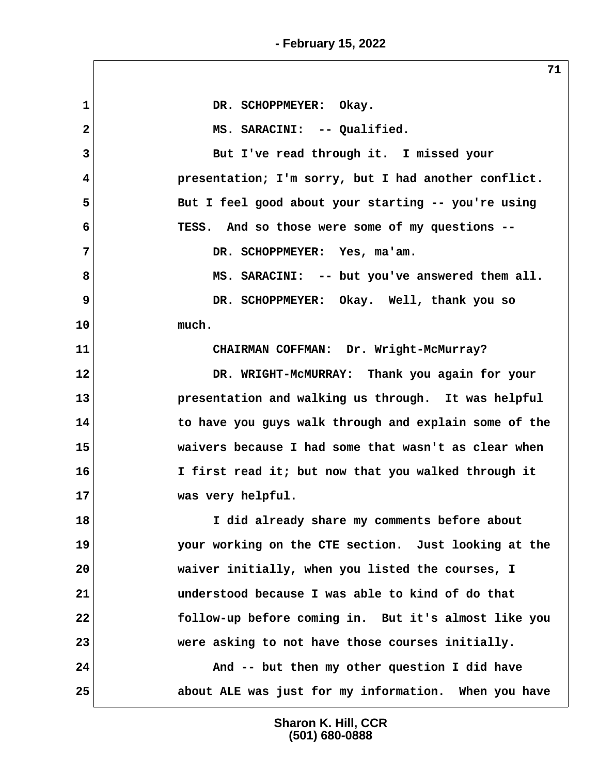1 DR. SCHOPPMEYER: Okay.  **2 MS. SARACINI: -- Qualified. 3 But I've read through it. I missed your 4 presentation; I'm sorry, but I had another conflict. 5 But I feel good about your starting -- you're using 6 TESS. And so those were some of my questions -- 7 DR. SCHOPPMEYER: Yes, ma'am. 8 MS. SARACINI: -- but you've answered them all. 9 DR. SCHOPPMEYER: Okay. Well, thank you so 10 much. 11 CHAIRMAN COFFMAN: Dr. Wright-McMurray? 12 DR. WRIGHT-McMURRAY: Thank you again for your 13 presentation and walking us through. It was helpful 14 to have you guys walk through and explain some of the 15 waivers because I had some that wasn't as clear when 16 I first read it; but now that you walked through it 17 was very helpful. 18 I did already share my comments before about 19 your working on the CTE section. Just looking at the 20 waiver initially, when you listed the courses, I 21 understood because I was able to kind of do that 22 follow-up before coming in. But it's almost like you 23 were asking to not have those courses initially. 24 And -- but then my other question I did have 25 about ALE was just for my information. When you have**

> **Sharon K. Hill, CCR (501) 680-0888**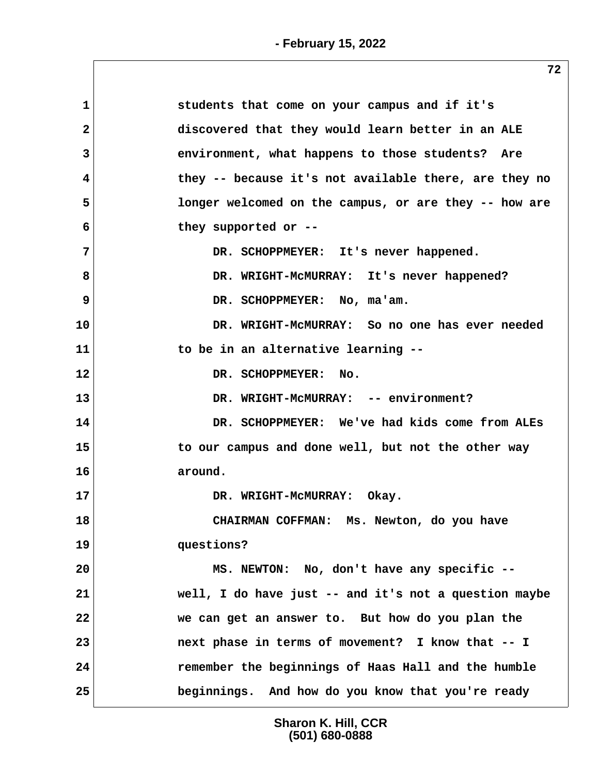| 1<br>students that come on your campus and if it's                |
|-------------------------------------------------------------------|
| $\mathbf{2}$<br>discovered that they would learn better in an ALE |
| 3<br>environment, what happens to those students? Are             |
| they -- because it's not available there, are they no<br>4        |
| 5<br>longer welcomed on the campus, or are they -- how are        |
| 6<br>they supported or --                                         |
| 7<br>DR. SCHOPPMEYER: It's never happened.                        |
| 8<br>DR. WRIGHT-MCMURRAY: It's never happened?                    |
| DR. SCHOPPMEYER: No, ma'am.                                       |
| DR. WRIGHT-MCMURRAY: So no one has ever needed<br>10              |
| 11<br>to be in an alternative learning --                         |
| 12<br>DR. SCHOPPMEYER: No.                                        |
| 13<br>DR. WRIGHT-MCMURRAY: -- environment?                        |
| DR. SCHOPPMEYER: We've had kids come from ALEs<br>14              |
| 15<br>to our campus and done well, but not the other way          |
| 16<br>around.                                                     |
| 17<br>DR. WRIGHT-MCMURRAY: Okay.                                  |
| CHAIRMAN COFFMAN: Ms. Newton, do you have                         |
| questions?                                                        |
| MS. NEWTON: No, don't have any specific --                        |
| well, I do have just -- and it's not a question maybe             |
| we can get an answer to. But how do you plan the                  |
| 23<br>next phase in terms of movement? I know that -- I           |
| remember the beginnings of Haas Hall and the humble<br>24         |
| 25<br>beginnings. And how do you know that you're ready           |
|                                                                   |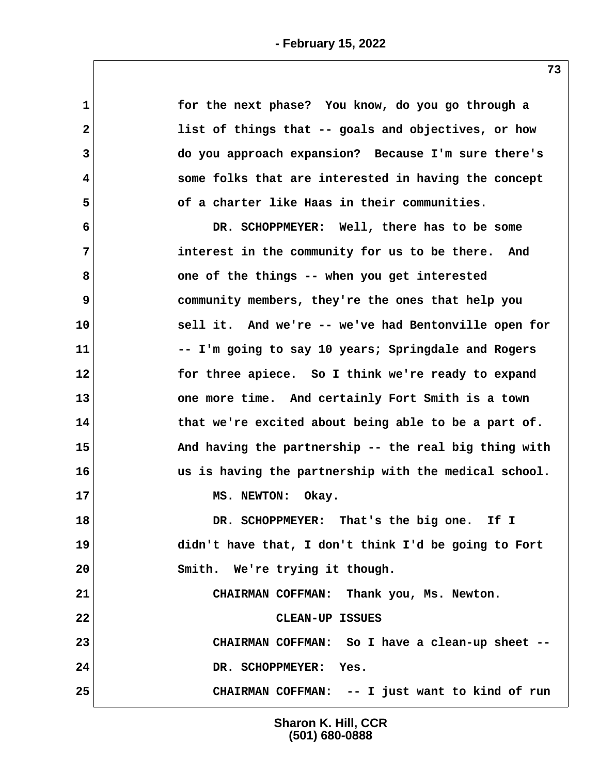| $\mathbf 1$  | for the next phase? You know, do you go through a     |
|--------------|-------------------------------------------------------|
| $\mathbf{2}$ | list of things that -- goals and objectives, or how   |
| 3            | do you approach expansion? Because I'm sure there's   |
| 4            | some folks that are interested in having the concept  |
| 5            | of a charter like Haas in their communities.          |
| 6            | DR. SCHOPPMEYER: Well, there has to be some           |
| 7            | interest in the community for us to be there. And     |
| 8            | one of the things -- when you get interested          |
| 9            | community members, they're the ones that help you     |
| 10           | sell it. And we're -- we've had Bentonville open for  |
| 11           | -- I'm going to say 10 years; Springdale and Rogers   |
| 12           | for three apiece. So I think we're ready to expand    |
| 13           | one more time. And certainly Fort Smith is a town     |
| 14           | that we're excited about being able to be a part of.  |
| 15           | And having the partnership -- the real big thing with |
| 16           | us is having the partnership with the medical school. |
| 17           | MS. NEWTON:<br>Okay.                                  |
| 18           | DR. SCHOPPMEYER: That's the big one. If I             |
| 19           | didn't have that, I don't think I'd be going to Fort  |
| 20           | Smith. We're trying it though.                        |
| 21           | CHAIRMAN COFFMAN: Thank you, Ms. Newton.              |
| 22           | CLEAN-UP ISSUES                                       |
| 23           | CHAIRMAN COFFMAN: So I have a clean-up sheet --       |
| 24           | DR. SCHOPPMEYER: Yes.                                 |
| 25           | CHAIRMAN COFFMAN: -- I just want to kind of run       |
|              |                                                       |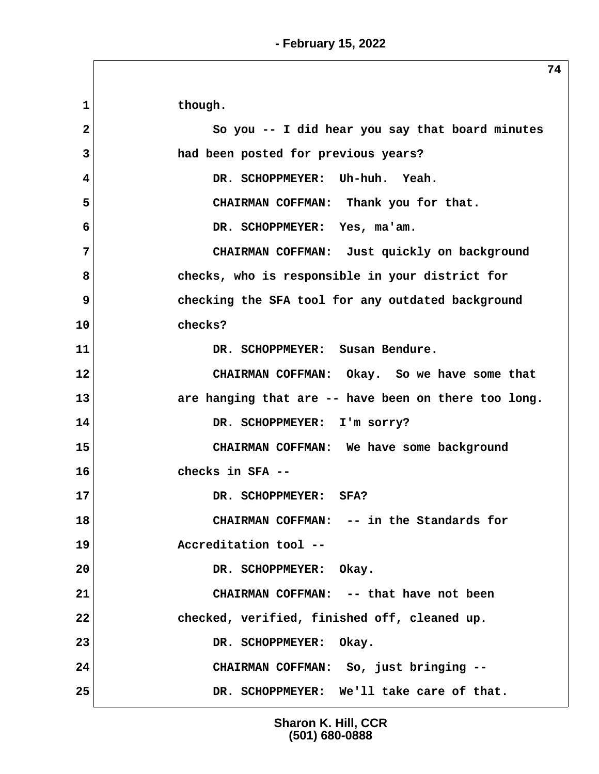1 though.  **2 So you -- I did hear you say that board minutes 3 had been posted for previous years? 4 DR. SCHOPPMEYER: Uh-huh. Yeah. 5 CHAIRMAN COFFMAN: Thank you for that. 6 DR. SCHOPPMEYER: Yes, ma'am. 7 CHAIRMAN COFFMAN: Just quickly on background 8 checks, who is responsible in your district for 9 checking the SFA tool for any outdated background 10 checks? 11 DR. SCHOPPMEYER: Susan Bendure. 12 CHAIRMAN COFFMAN: Okay. So we have some that 13 are hanging that are -- have been on there too long. 14 DR. SCHOPPMEYER: I'm sorry? 15 CHAIRMAN COFFMAN: We have some background 16 checks in SFA --** 17 DR. SCHOPPMEYER: SFA? **18 CHAIRMAN COFFMAN: -- in the Standards for 19 Accreditation tool -- 20 DR. SCHOPPMEYER: Okay. 21 CHAIRMAN COFFMAN: -- that have not been 22 checked, verified, finished off, cleaned up.** 23 DR. SCHOPPMEYER: Okay. **24 CHAIRMAN COFFMAN: So, just bringing -- 25 DR. SCHOPPMEYER: We'll take care of that.**

> **Sharon K. Hill, CCR (501) 680-0888**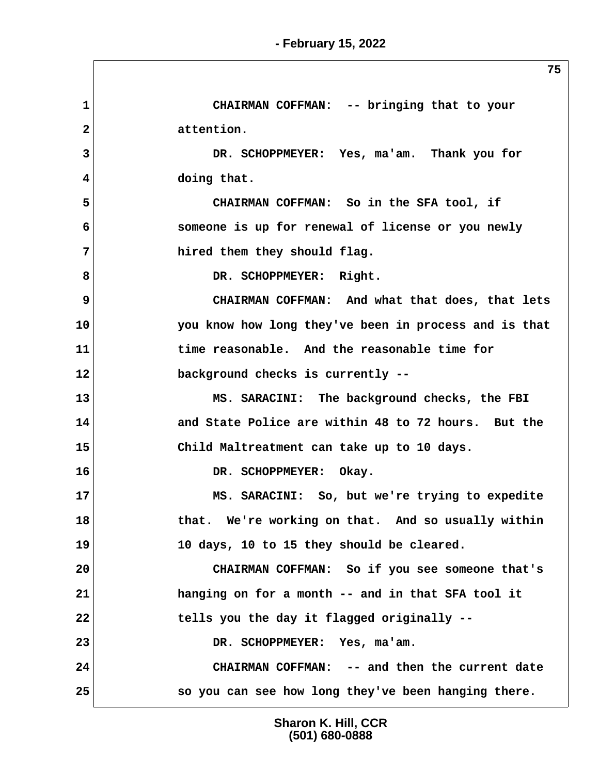**1 CHAIRMAN COFFMAN: -- bringing that to your 2 attention. 3 DR. SCHOPPMEYER: Yes, ma'am. Thank you for 4 doing that. 5 CHAIRMAN COFFMAN: So in the SFA tool, if 6 someone is up for renewal of license or you newly 7 hired them they should flag.** 8 DR. SCHOPPMEYER: Right.  **9 CHAIRMAN COFFMAN: And what that does, that lets 10 you know how long they've been in process and is that 11 time reasonable. And the reasonable time for 12 background checks is currently -- 13 MS. SARACINI: The background checks, the FBI 14 and State Police are within 48 to 72 hours. But the 15 Child Maltreatment can take up to 10 days.** 16 DR. SCHOPPMEYER: Okay. **17 MS. SARACINI: So, but we're trying to expedite 18 that. We're working on that. And so usually within 19 10 days, 10 to 15 they should be cleared. 20 CHAIRMAN COFFMAN: So if you see someone that's 21 hanging on for a month -- and in that SFA tool it 22 tells you the day it flagged originally -- 23 DR. SCHOPPMEYER: Yes, ma'am. 24 CHAIRMAN COFFMAN: -- and then the current date 25 so you can see how long they've been hanging there.**

> **Sharon K. Hill, CCR (501) 680-0888**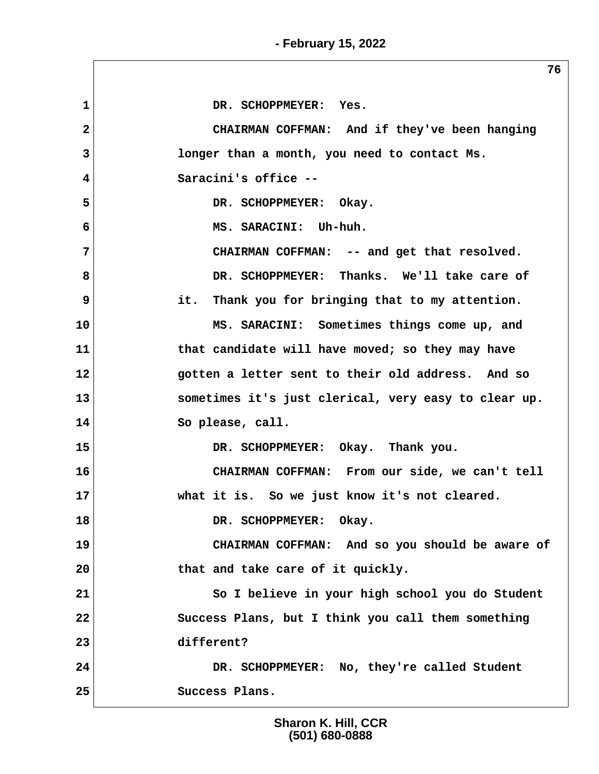1 DR. SCHOPPMEYER: Yes.  **2 CHAIRMAN COFFMAN: And if they've been hanging 3 longer than a month, you need to contact Ms. 4 Saracini's office --** 5 DR. SCHOPPMEYER: Okay.  **6 MS. SARACINI: Uh-huh. 7 CHAIRMAN COFFMAN: -- and get that resolved. 8 DR. SCHOPPMEYER: Thanks. We'll take care of 9 it. Thank you for bringing that to my attention. 10 MS. SARACINI: Sometimes things come up, and 11 that candidate will have moved; so they may have 12 gotten a letter sent to their old address. And so 13 sometimes it's just clerical, very easy to clear up. 14 So please, call. 15 DR. SCHOPPMEYER: Okay. Thank you. 16 CHAIRMAN COFFMAN: From our side, we can't tell 17 what it is. So we just know it's not cleared.** 18 DR. SCHOPPMEYER: Okay. **19 CHAIRMAN COFFMAN: And so you should be aware of 20 that and take care of it quickly. 21 So I believe in your high school you do Student 22 Success Plans, but I think you call them something 23 different? 24 DR. SCHOPPMEYER: No, they're called Student 25 Success Plans.**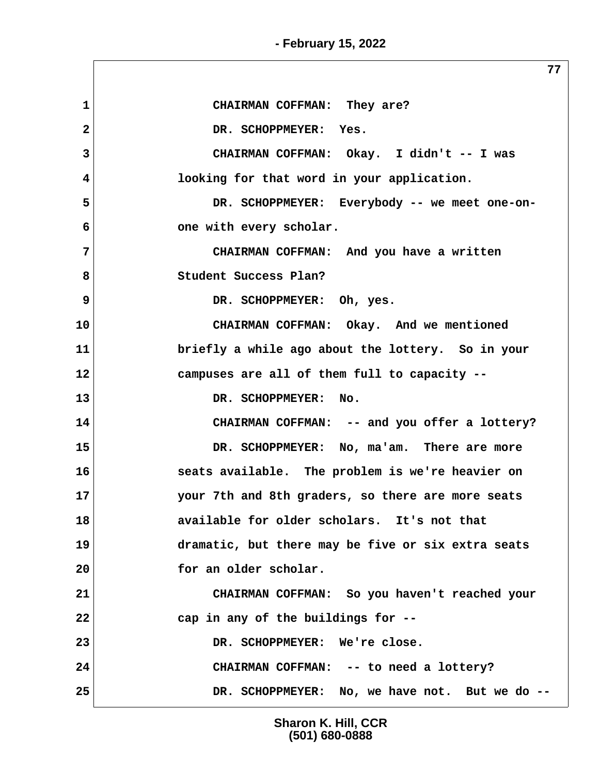**- February 15, 2022**

 **1 CHAIRMAN COFFMAN: They are?** 2 DR. SCHOPPMEYER: Yes.  **3 CHAIRMAN COFFMAN: Okay. I didn't -- I was 4 looking for that word in your application. 5 DR. SCHOPPMEYER: Everybody -- we meet one-on- 6** one with every scholar.  **7 CHAIRMAN COFFMAN: And you have a written 8 Student Success Plan? 9 DR. SCHOPPMEYER: Oh, yes. 10 CHAIRMAN COFFMAN: Okay. And we mentioned 11 briefly a while ago about the lottery. So in your 12 campuses are all of them full to capacity -- 13 DR. SCHOPPMEYER: No. 14 CHAIRMAN COFFMAN: -- and you offer a lottery? 15 DR. SCHOPPMEYER: No, ma'am. There are more 16 seats available. The problem is we're heavier on 17 your 7th and 8th graders, so there are more seats 18 available for older scholars. It's not that 19 dramatic, but there may be five or six extra seats 20 for an older scholar. 21 CHAIRMAN COFFMAN: So you haven't reached your 22 cap in any of the buildings for -- 23 DR. SCHOPPMEYER: We're close. 24 CHAIRMAN COFFMAN: -- to need a lottery? 25 DR. SCHOPPMEYER: No, we have not. But we do --**

> **Sharon K. Hill, CCR (501) 680-0888**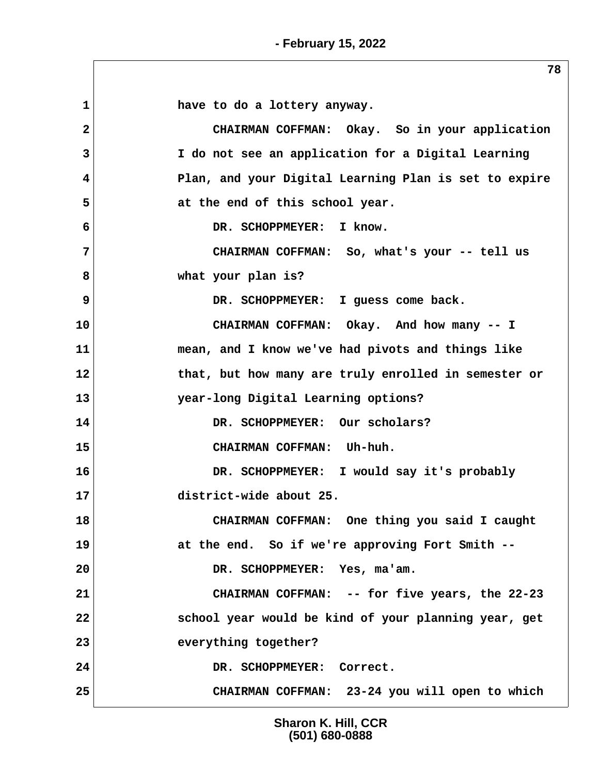**- February 15, 2022**

1 **have to do a lottery anyway. 2 CHAIRMAN COFFMAN: Okay. So in your application 3 I do not see an application for a Digital Learning 4 Plan, and your Digital Learning Plan is set to expire** 5 at the end of this school year.  **6 DR. SCHOPPMEYER: I know. 7 CHAIRMAN COFFMAN: So, what's your -- tell us 8 what your plan is?** 9 DR. SCHOPPMEYER: I guess come back. **10 CHAIRMAN COFFMAN: Okay. And how many -- I 11 mean, and I know we've had pivots and things like 12 that, but how many are truly enrolled in semester or 13 year-long Digital Learning options? 14 DR. SCHOPPMEYER: Our scholars? 15 CHAIRMAN COFFMAN: Uh-huh. 16 DR. SCHOPPMEYER: I would say it's probably 17 district-wide about 25. 18 CHAIRMAN COFFMAN: One thing you said I caught 19 at the end. So if we're approving Fort Smith -- 20 DR. SCHOPPMEYER: Yes, ma'am. 21 CHAIRMAN COFFMAN: -- for five years, the 22-23 22 school year would be kind of your planning year, get 23 everything together?** 24 DR. SCHOPPMEYER: Correct. **25 CHAIRMAN COFFMAN: 23-24 you will open to which**

> **Sharon K. Hill, CCR (501) 680-0888**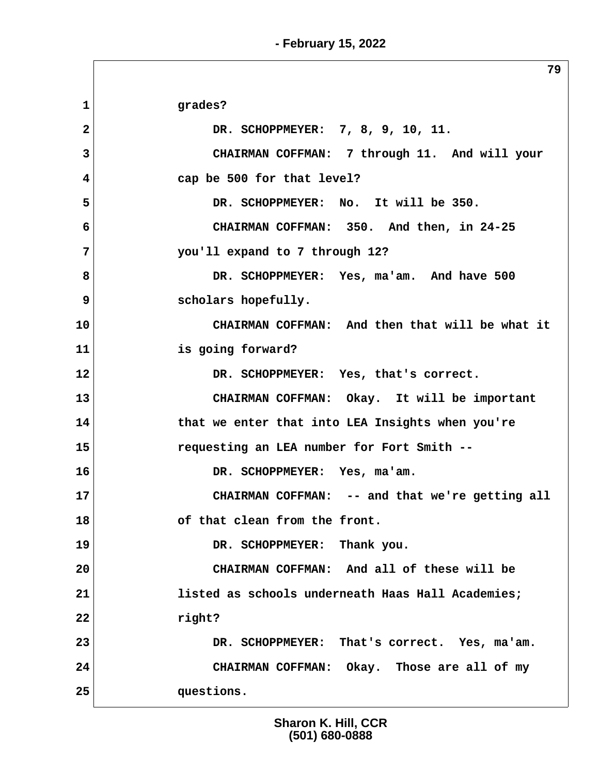**79 1 grades? 2 DR. SCHOPPMEYER: 7, 8, 9, 10, 11. 3 CHAIRMAN COFFMAN: 7 through 11. And will your 4 cap be 500 for that level? 5 DR. SCHOPPMEYER: No. It will be 350. 6 CHAIRMAN COFFMAN: 350. And then, in 24-25 7 you'll expand to 7 through 12? 8 DR. SCHOPPMEYER: Yes, ma'am. And have 500 9** scholars hopefully. **10 CHAIRMAN COFFMAN: And then that will be what it 11 is going forward? 12 DR. SCHOPPMEYER: Yes, that's correct. 13 CHAIRMAN COFFMAN: Okay. It will be important 14 that we enter that into LEA Insights when you're 15 requesting an LEA number for Fort Smith -- 16 DR. SCHOPPMEYER: Yes, ma'am. 17 CHAIRMAN COFFMAN: -- and that we're getting all 18 of that clean from the front. 19 DR. SCHOPPMEYER: Thank you. 20 CHAIRMAN COFFMAN: And all of these will be 21 listed as schools underneath Haas Hall Academies; 22 right? 23 DR. SCHOPPMEYER: That's correct. Yes, ma'am. 24 CHAIRMAN COFFMAN: Okay. Those are all of my 25 questions.**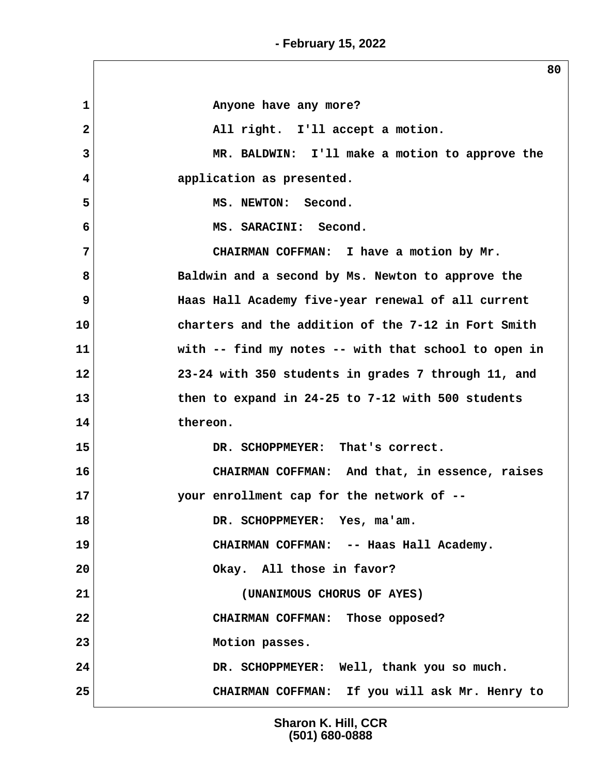**- February 15, 2022**

1 **1** 2 All right. I'll accept a motion.  **3 MR. BALDWIN: I'll make a motion to approve the 4 application as presented. 5 MS. NEWTON: Second. 6 MS. SARACINI: Second. 7 CHAIRMAN COFFMAN: I have a motion by Mr. 8 Baldwin and a second by Ms. Newton to approve the 9 Haas Hall Academy five-year renewal of all current 10 charters and the addition of the 7-12 in Fort Smith 11 with -- find my notes -- with that school to open in 12 23-24 with 350 students in grades 7 through 11, and 13 then to expand in 24-25 to 7-12 with 500 students 14 thereon. 15 DR. SCHOPPMEYER: That's correct. 16 CHAIRMAN COFFMAN: And that, in essence, raises 17 your enrollment cap for the network of -- 18 DR. SCHOPPMEYER: Yes, ma'am. 19 CHAIRMAN COFFMAN: -- Haas Hall Academy. 20 Okay. All those in favor? 21 (UNANIMOUS CHORUS OF AYES) 22 CHAIRMAN COFFMAN: Those opposed? 23 Motion passes. 24 DR. SCHOPPMEYER: Well, thank you so much. 25 CHAIRMAN COFFMAN: If you will ask Mr. Henry to**

> **Sharon K. Hill, CCR (501) 680-0888**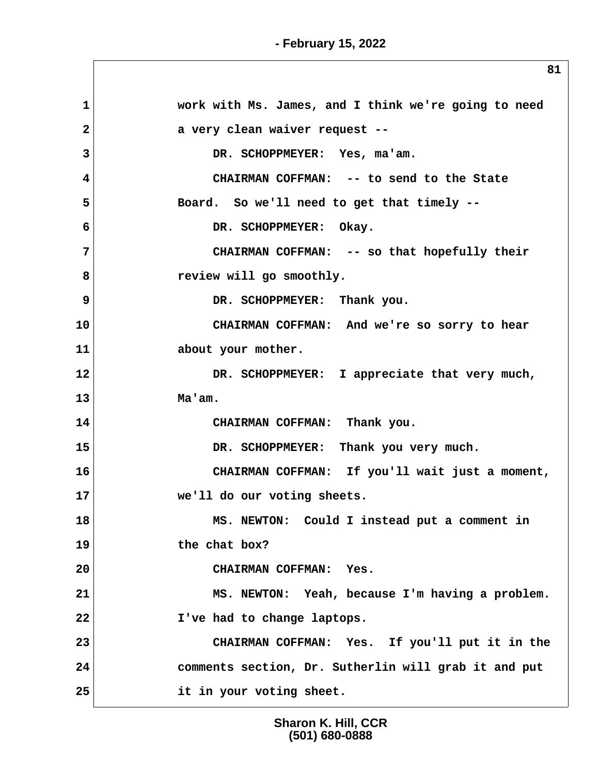$\overline{\phantom{a}}$ 

| 1                                            | work with Ms. James, and I think we're going to need |
|----------------------------------------------|------------------------------------------------------|
| $\mathbf{2}$                                 | a very clean waiver request --                       |
| 3                                            | DR. SCHOPPMEYER: Yes, ma'am.                         |
| 4                                            | CHAIRMAN COFFMAN: -- to send to the State            |
| 5                                            | Board. So we'll need to get that timely --           |
| 6                                            | DR. SCHOPPMEYER: Okay.                               |
| 7                                            | CHAIRMAN COFFMAN: -- so that hopefully their         |
| 8                                            | review will go smoothly.                             |
| 9                                            | DR. SCHOPPMEYER: Thank you.                          |
| 10                                           | CHAIRMAN COFFMAN: And we're so sorry to hear         |
| 11                                           | about your mother.                                   |
| 12                                           | DR. SCHOPPMEYER: I appreciate that very much,        |
| 13                                           | Ma'am.                                               |
| 14                                           | CHAIRMAN COFFMAN: Thank you.                         |
|                                              | DR. SCHOPPMEYER: Thank you very much.                |
|                                              |                                                      |
|                                              | CHAIRMAN COFFMAN: If you'll wait just a moment,      |
|                                              | we'll do our voting sheets.                          |
|                                              | MS. NEWTON: Could I instead put a comment in         |
|                                              | the chat box?                                        |
|                                              | CHAIRMAN COFFMAN: Yes.                               |
|                                              | MS. NEWTON: Yeah, because I'm having a problem.      |
| 15<br>16<br>17<br>18<br>19<br>20<br>21<br>22 | I've had to change laptops.                          |
| 23                                           | CHAIRMAN COFFMAN: Yes. If you'll put it in the       |
| 24                                           | comments section, Dr. Sutherlin will grab it and put |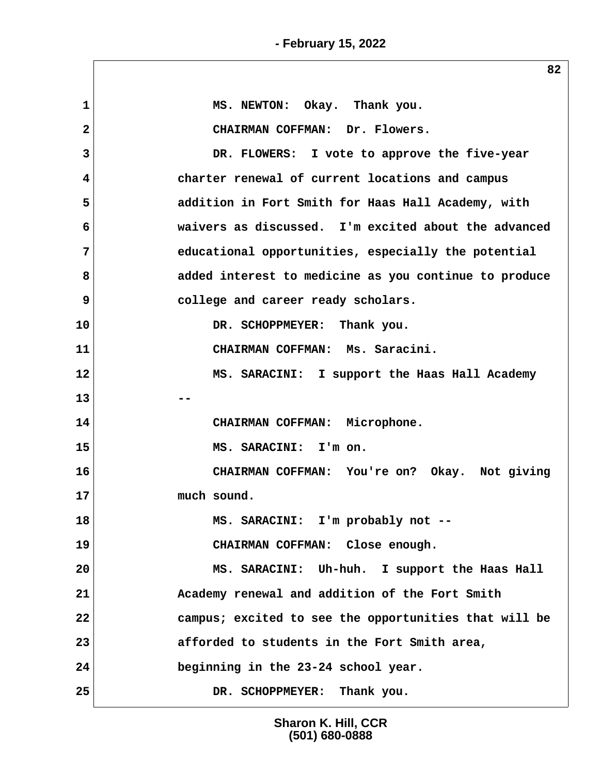**1 MS. NEWTON: Okay. Thank you. 2 CHAIRMAN COFFMAN: Dr. Flowers. 3 DR. FLOWERS: I vote to approve the five-year 4 charter renewal of current locations and campus 5 addition in Fort Smith for Haas Hall Academy, with 6 waivers as discussed. I'm excited about the advanced 7 educational opportunities, especially the potential 8 added interest to medicine as you continue to produce 9 college and career ready scholars. 10 DR. SCHOPPMEYER: Thank you. 11 CHAIRMAN COFFMAN: Ms. Saracini. 12 MS. SARACINI: I support the Haas Hall Academy 13** --**14 CHAIRMAN COFFMAN: Microphone. 15 MS. SARACINI: I'm on. 16 CHAIRMAN COFFMAN: You're on? Okay. Not giving 17 much sound. 18 MS. SARACINI: I'm probably not -- 19 CHAIRMAN COFFMAN: Close enough. 20 MS. SARACINI: Uh-huh. I support the Haas Hall 21 Academy renewal and addition of the Fort Smith 22 campus; excited to see the opportunities that will be 23 afforded to students in the Fort Smith area, 24 beginning in the 23-24 school year. 25 DR. SCHOPPMEYER: Thank you.**

> **Sharon K. Hill, CCR (501) 680-0888**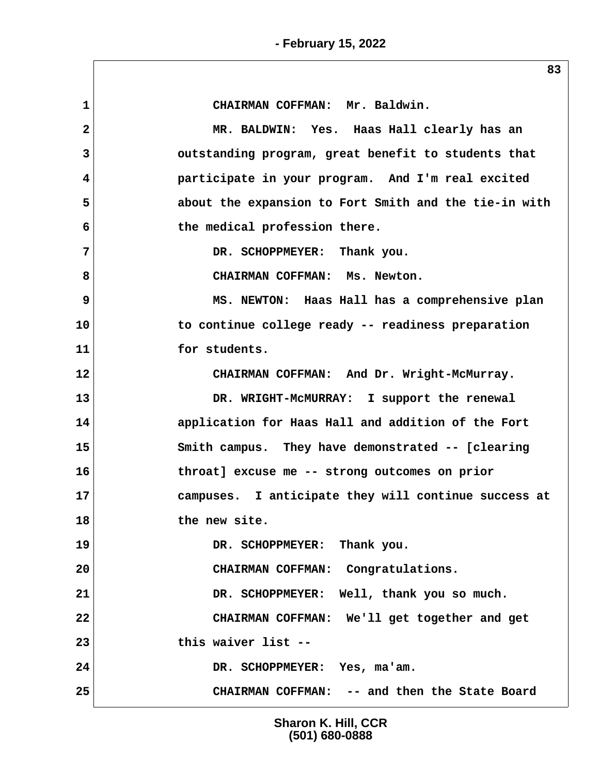**1 CHAIRMAN COFFMAN: Mr. Baldwin. 2 MR. BALDWIN: Yes. Haas Hall clearly has an 3 outstanding program, great benefit to students that 4 participate in your program. And I'm real excited 5 about the expansion to Fort Smith and the tie-in with 6 the medical profession there. 7 DR. SCHOPPMEYER: Thank you. 8 CHAIRMAN COFFMAN: Ms. Newton. 9 MS. NEWTON: Haas Hall has a comprehensive plan 10 to continue college ready -- readiness preparation 11 for students. 12 CHAIRMAN COFFMAN: And Dr. Wright-McMurray. 13 DR. WRIGHT-McMURRAY: I support the renewal 14 application for Haas Hall and addition of the Fort 15 Smith campus. They have demonstrated -- [clearing 16 throat] excuse me -- strong outcomes on prior 17 campuses. I anticipate they will continue success at 18 the new site. 19 DR. SCHOPPMEYER: Thank you. 20 CHAIRMAN COFFMAN: Congratulations. 21 DR. SCHOPPMEYER: Well, thank you so much. 22 CHAIRMAN COFFMAN: We'll get together and get 23 this waiver list -- 24 DR. SCHOPPMEYER: Yes, ma'am. 25 CHAIRMAN COFFMAN: -- and then the State Board**

> **Sharon K. Hill, CCR (501) 680-0888**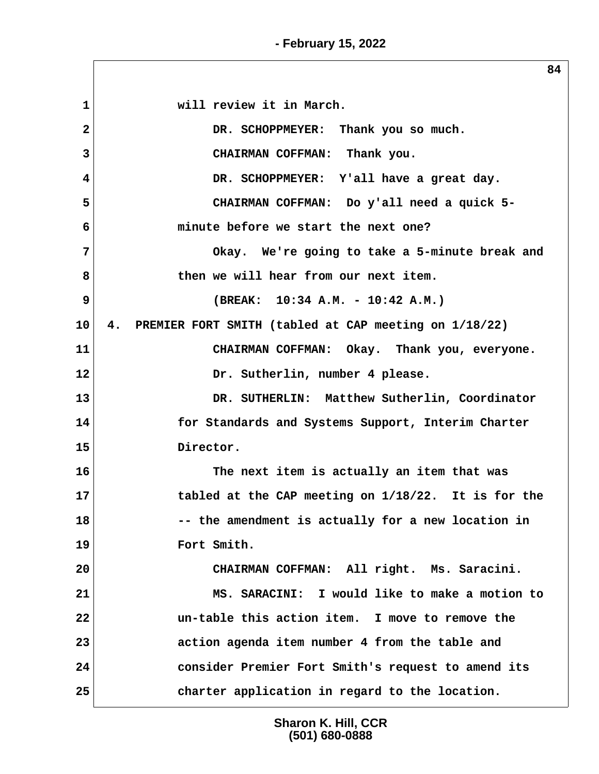**- February 15, 2022**

 **1 will review it in March. 2 DR. SCHOPPMEYER: Thank you so much. 3 CHAIRMAN COFFMAN: Thank you. 4 DR. SCHOPPMEYER: Y'all have a great day. 5 CHAIRMAN COFFMAN: Do y'all need a quick 5- 6 minute before we start the next one? 7 Okay. We're going to take a 5-minute break and 8 then we will hear from our next item. 9 (BREAK: 10:34 A.M. - 10:42 A.M.) 10 4. PREMIER FORT SMITH (tabled at CAP meeting on 1/18/22) 11 CHAIRMAN COFFMAN: Okay. Thank you, everyone. 12 Dr. Sutherlin, number 4 please. 13 DR. SUTHERLIN: Matthew Sutherlin, Coordinator 14 for Standards and Systems Support, Interim Charter 15 Director. 16 The next item is actually an item that was 17 tabled at the CAP meeting on 1/18/22. It is for the 18 -- the amendment is actually for a new location in 19 Fort Smith. 20 CHAIRMAN COFFMAN: All right. Ms. Saracini. 21 MS. SARACINI: I would like to make a motion to 22 un-table this action item. I move to remove the 23 action agenda item number 4 from the table and 24 consider Premier Fort Smith's request to amend its 25 charter application in regard to the location.**

> **Sharon K. Hill, CCR (501) 680-0888**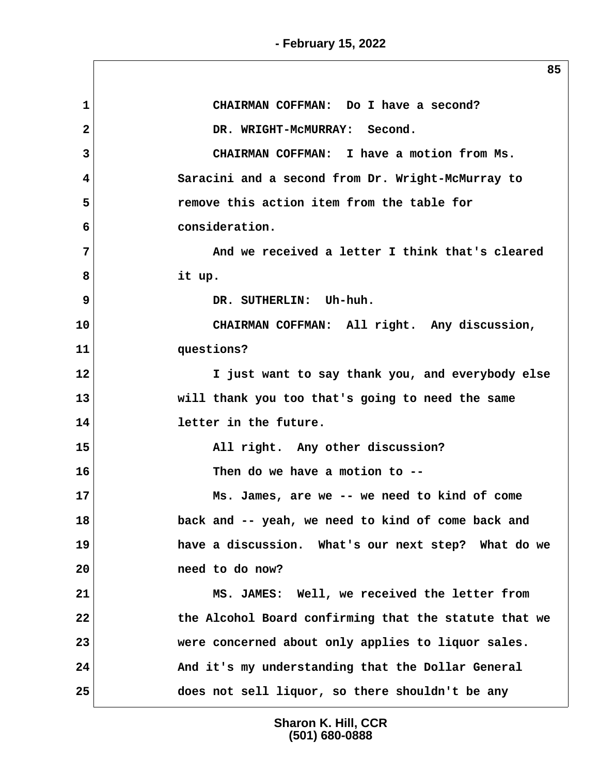**- February 15, 2022**

|              | 85                                                    |
|--------------|-------------------------------------------------------|
| $\mathbf{1}$ | CHAIRMAN COFFMAN: Do I have a second?                 |
| 2            | DR. WRIGHT-MCMURRAY: Second.                          |
| 3            | CHAIRMAN COFFMAN: I have a motion from Ms.            |
| 4            | Saracini and a second from Dr. Wright-McMurray to     |
| 5            | remove this action item from the table for            |
| 6            | consideration.                                        |
| 7            | And we received a letter I think that's cleared       |
| 8            | it up.                                                |
| 9            | DR. SUTHERLIN: Uh-huh.                                |
| 10           | CHAIRMAN COFFMAN: All right. Any discussion,          |
| 11           | questions?                                            |
| 12           | I just want to say thank you, and everybody else      |
| 13           | will thank you too that's going to need the same      |
| 14           | letter in the future.                                 |
| 15           | All right. Any other discussion?                      |
| 16           | Then do we have a motion to --                        |
| 17           | Ms. James, are we -- we need to kind of come          |
| 18           | back and -- yeah, we need to kind of come back and    |
| 19           | have a discussion. What's our next step? What do we   |
| 20           | need to do now?                                       |
| 21           | MS. JAMES: Well, we received the letter from          |
| 22           | the Alcohol Board confirming that the statute that we |
| 23           | were concerned about only applies to liquor sales.    |
| 24           | And it's my understanding that the Dollar General     |
| 25           | does not sell liquor, so there shouldn't be any       |

**Sharon K. Hill, CCR (501) 680-0888**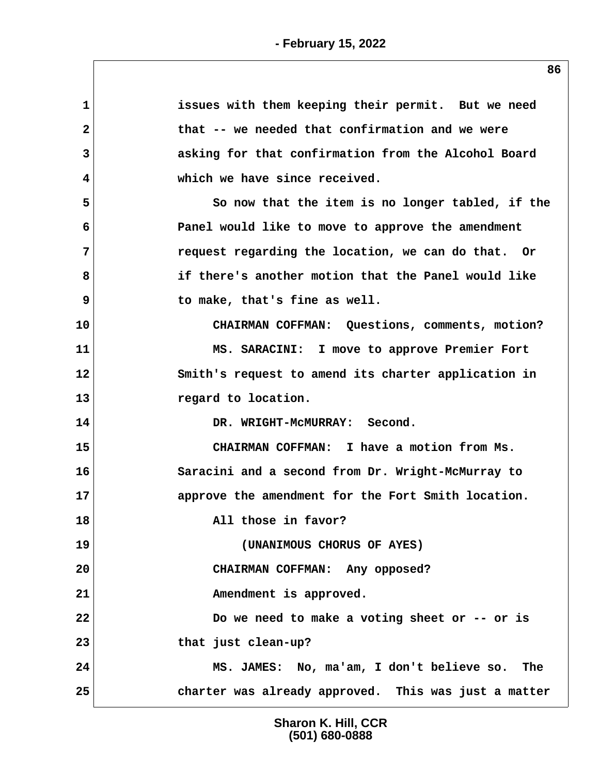| $\mathbf{1}$ | issues with them keeping their permit. But we need   |
|--------------|------------------------------------------------------|
| $\mathbf{2}$ | that -- we needed that confirmation and we were      |
| 3            | asking for that confirmation from the Alcohol Board  |
| 4            | which we have since received.                        |
| 5            | So now that the item is no longer tabled, if the     |
| 6            | Panel would like to move to approve the amendment    |
| 7            | request regarding the location, we can do that. Or   |
| 8            | if there's another motion that the Panel would like  |
| 9            | to make, that's fine as well.                        |
| 10           | CHAIRMAN COFFMAN: Questions, comments, motion?       |
| 11           | MS. SARACINI: I move to approve Premier Fort         |
| 12           | Smith's request to amend its charter application in  |
| 13           | regard to location.                                  |
| 14           | DR. WRIGHT-MCMURRAY: Second.                         |
| 15           | CHAIRMAN COFFMAN: I have a motion from Ms.           |
| 16           | Saracini and a second from Dr. Wright-McMurray to    |
| 17           | approve the amendment for the Fort Smith location.   |
| 18           | All those in favor?                                  |
| 19           | (UNANIMOUS CHORUS OF AYES)                           |
| 20           | CHAIRMAN COFFMAN: Any opposed?                       |
| 21           | Amendment is approved.                               |
| 22           | Do we need to make a voting sheet or $-$ - or is     |
| 23           | that just clean-up?                                  |
| 24           | MS. JAMES: No, ma'am, I don't believe so. The        |
| 25           | charter was already approved. This was just a matter |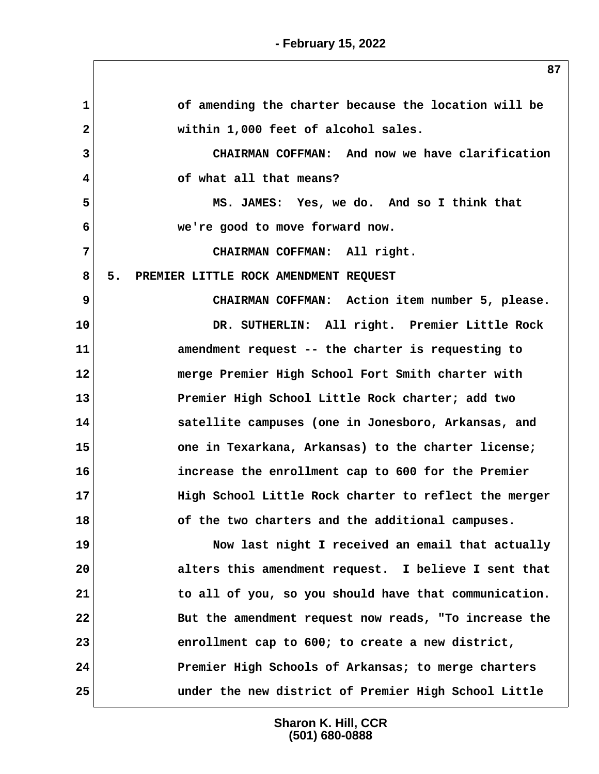**1 of amending the charter because the location will be 2 within 1,000 feet of alcohol sales. 3 CHAIRMAN COFFMAN: And now we have clarification 4 of what all that means? 5 MS. JAMES: Yes, we do. And so I think that 6 we're good to move forward now. 7 CHAIRMAN COFFMAN: All right. 8 5. PREMIER LITTLE ROCK AMENDMENT REQUEST 9 CHAIRMAN COFFMAN: Action item number 5, please. 10 DR. SUTHERLIN: All right. Premier Little Rock 11 amendment request -- the charter is requesting to 12 merge Premier High School Fort Smith charter with 13 Premier High School Little Rock charter; add two 14 satellite campuses (one in Jonesboro, Arkansas, and 15 one in Texarkana, Arkansas) to the charter license; 16 increase the enrollment cap to 600 for the Premier 17 High School Little Rock charter to reflect the merger 18 of the two charters and the additional campuses. 19 Now last night I received an email that actually 20 alters this amendment request. I believe I sent that**

**21 to all of you, so you should have that communication. 22 But the amendment request now reads, "To increase the 23 enrollment cap to 600; to create a new district, 24 Premier High Schools of Arkansas; to merge charters 25 under the new district of Premier High School Little**

> **Sharon K. Hill, CCR (501) 680-0888**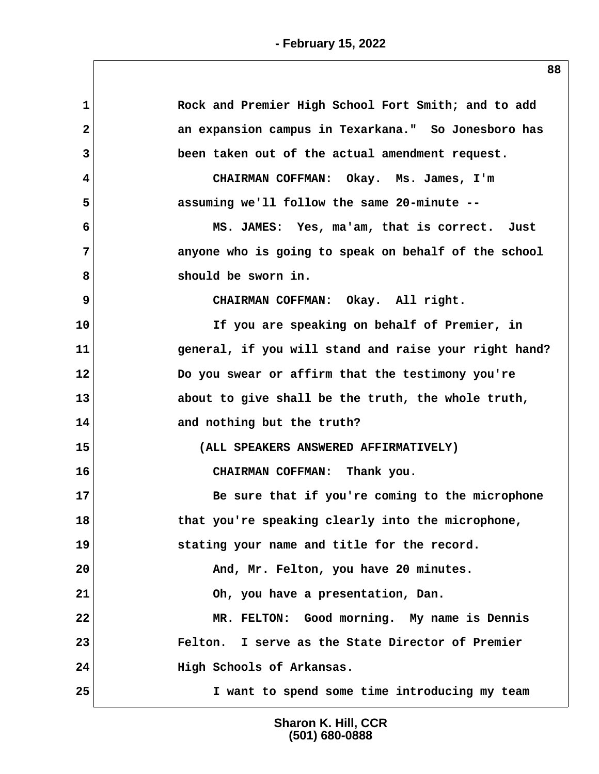| 1            | Rock and Premier High School Fort Smith; and to add   |
|--------------|-------------------------------------------------------|
| $\mathbf{2}$ | an expansion campus in Texarkana." So Jonesboro has   |
| 3            | been taken out of the actual amendment request.       |
| 4            | CHAIRMAN COFFMAN: Okay. Ms. James, I'm                |
| 5            | assuming we'll follow the same 20-minute --           |
| 6            | MS. JAMES: Yes, ma'am, that is correct. Just          |
| 7            | anyone who is going to speak on behalf of the school  |
| 8            | should be sworn in.                                   |
| 9            | CHAIRMAN COFFMAN: Okay. All right.                    |
| 10           | If you are speaking on behalf of Premier, in          |
| 11           | general, if you will stand and raise your right hand? |
| 12           | Do you swear or affirm that the testimony you're      |
| 13           | about to give shall be the truth, the whole truth,    |
| 14           | and nothing but the truth?                            |
| 15           | (ALL SPEAKERS ANSWERED AFFIRMATIVELY)                 |
| 16           | CHAIRMAN COFFMAN: Thank you.                          |
| 17           | Be sure that if you're coming to the microphone       |
| 18           | that you're speaking clearly into the microphone,     |
| 19           | stating your name and title for the record.           |
| 20           | And, Mr. Felton, you have 20 minutes.                 |
| 21           | Oh, you have a presentation, Dan.                     |
| 22           | MR. FELTON: Good morning. My name is Dennis           |
| 23           | I serve as the State Director of Premier<br>Felton.   |
| 24           | High Schools of Arkansas.                             |
| 25           | I want to spend some time introducing my team         |
|              |                                                       |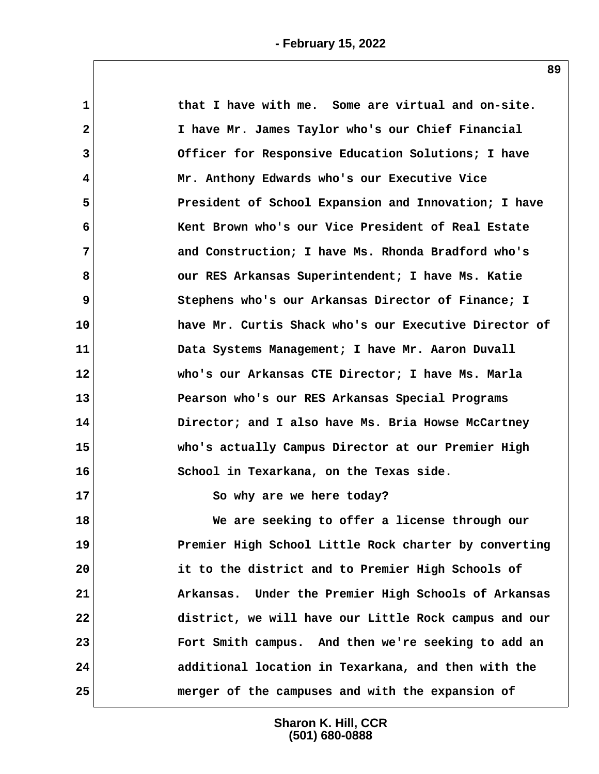| $\mathbf{1}$ | that I have with me. Some are virtual and on-site.    |
|--------------|-------------------------------------------------------|
| $\mathbf{2}$ | I have Mr. James Taylor who's our Chief Financial     |
| 3            | Officer for Responsive Education Solutions; I have    |
| 4            | Mr. Anthony Edwards who's our Executive Vice          |
| 5            | President of School Expansion and Innovation; I have  |
| 6            | Kent Brown who's our Vice President of Real Estate    |
| 7            | and Construction; I have Ms. Rhonda Bradford who's    |
| 8            | our RES Arkansas Superintendent; I have Ms. Katie     |
| 9            | Stephens who's our Arkansas Director of Finance; I    |
| 10           | have Mr. Curtis Shack who's our Executive Director of |
| 11           | Data Systems Management; I have Mr. Aaron Duvall      |
| 12           | who's our Arkansas CTE Director; I have Ms. Marla     |
| 13           | Pearson who's our RES Arkansas Special Programs       |
| 14           | Director; and I also have Ms. Bria Howse McCartney    |
| 15           | who's actually Campus Director at our Premier High    |
| 16           | School in Texarkana, on the Texas side.               |
| 17           | So why are we here today?                             |
| 18           | We are seeking to offer a license through our         |
| 19           | Premier High School Little Rock charter by converting |
| 20           | it to the district and to Premier High Schools of     |
| 21           | Arkansas. Under the Premier High Schools of Arkansas  |
| 22           | district, we will have our Little Rock campus and our |
| 23           | Fort Smith campus. And then we're seeking to add an   |
| 24           | additional location in Texarkana, and then with the   |
| 25           | merger of the campuses and with the expansion of      |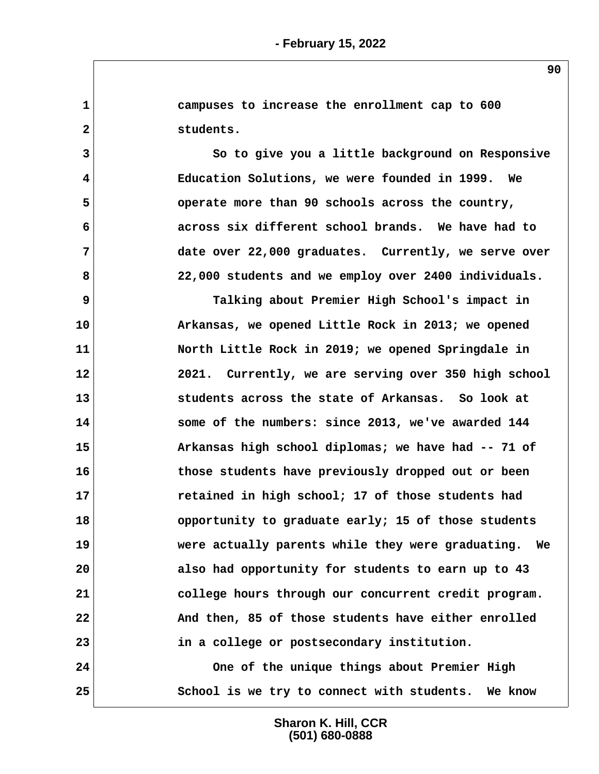**1 campuses to increase the enrollment cap to 600 2 students. 3 So to give you a little background on Responsive 4 Education Solutions, we were founded in 1999. We 5 operate more than 90 schools across the country, 6 across six different school brands. We have had to 7 date over 22,000 graduates. Currently, we serve over 8 22,000 students and we employ over 2400 individuals. 9 Talking about Premier High School's impact in 10 Arkansas, we opened Little Rock in 2013; we opened 11 North Little Rock in 2019; we opened Springdale in 12 2021. Currently, we are serving over 350 high school 13 students across the state of Arkansas. So look at 14 some of the numbers: since 2013, we've awarded 144 15 Arkansas high school diplomas; we have had -- 71 of 16 those students have previously dropped out or been 17 retained in high school; 17 of those students had 18 opportunity to graduate early; 15 of those students 19 were actually parents while they were graduating. We 20 also had opportunity for students to earn up to 43 21 college hours through our concurrent credit program. 22 And then, 85 of those students have either enrolled 23 in a college or postsecondary institution. 24 One of the unique things about Premier High 25 School is we try to connect with students. We know**

> **Sharon K. Hill, CCR (501) 680-0888**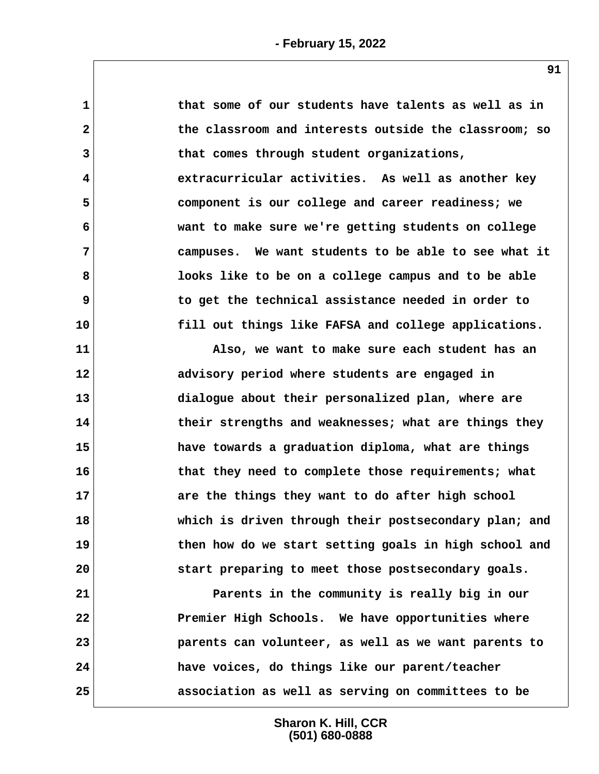| $\mathbf{1}$            | that some of our students have talents as well as in  |
|-------------------------|-------------------------------------------------------|
| $\overline{\mathbf{2}}$ | the classroom and interests outside the classroom; so |
| 3                       | that comes through student organizations,             |
| 4                       | extracurricular activities. As well as another key    |
| 5                       | component is our college and career readiness; we     |
| 6                       | want to make sure we're getting students on college   |
| 7                       | campuses. We want students to be able to see what it  |
| 8                       | looks like to be on a college campus and to be able   |
| 9                       | to get the technical assistance needed in order to    |
| 10                      | fill out things like FAFSA and college applications.  |
| 11                      | Also, we want to make sure each student has an        |
| 12                      | advisory period where students are engaged in         |
| 13                      | dialogue about their personalized plan, where are     |
| 14                      | their strengths and weaknesses; what are things they  |
| 15                      | have towards a graduation diploma, what are things    |
| 16                      | that they need to complete those requirements; what   |
| 17                      | are the things they want to do after high school      |
| 18                      | which is driven through their postsecondary plan; and |
| 19                      | then how do we start setting goals in high school and |
| 20                      | start preparing to meet those postsecondary goals.    |
| 21                      | Parents in the community is really big in our         |
| 22                      | Premier High Schools. We have opportunities where     |
| 23                      | parents can volunteer, as well as we want parents to  |
| 24                      | have voices, do things like our parent/teacher        |
| 25                      | association as well as serving on committees to be    |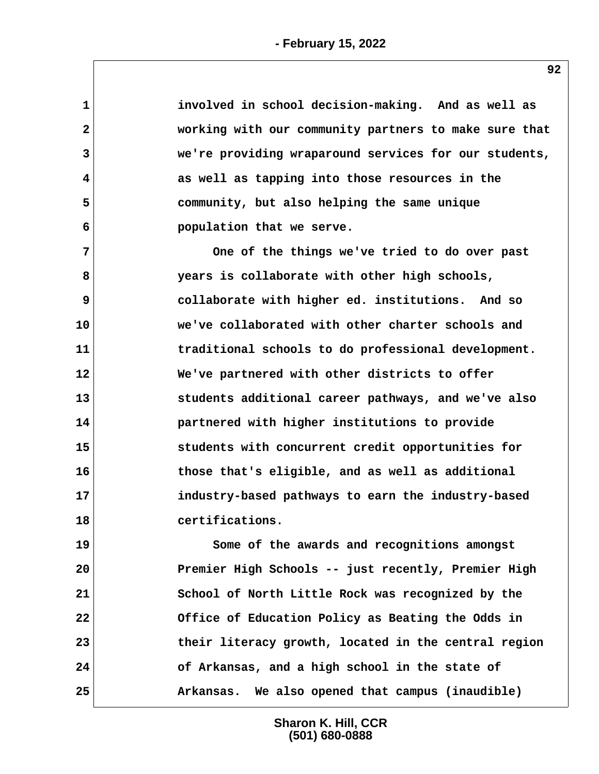| $\mathbf 1$    | involved in school decision-making. And as well as    |
|----------------|-------------------------------------------------------|
| $\overline{2}$ | working with our community partners to make sure that |
| 3              | we're providing wraparound services for our students, |
| 4              | as well as tapping into those resources in the        |
| 5              | community, but also helping the same unique           |
| 6              | population that we serve.                             |
| $\overline{7}$ | One of the things we've tried to do over past         |
| 8              | years is collaborate with other high schools,         |
| 9              | collaborate with higher ed. institutions. And so      |
| 10             | we've collaborated with other charter schools and     |
| 11             | traditional schools to do professional development.   |
| 12             | We've partnered with other districts to offer         |
| 13             | students additional career pathways, and we've also   |
| 14             | partnered with higher institutions to provide         |
| 15             | students with concurrent credit opportunities for     |
| 16             | those that's eligible, and as well as additional      |
| 17             | industry-based pathways to earn the industry-based    |
| 18             | certifications.                                       |
| 19             | Some of the awards and recognitions amongst           |
| 20             | Premier High Schools -- just recently, Premier High   |
| 21             | School of North Little Rock was recognized by the     |
| 22             | Office of Education Policy as Beating the Odds in     |
| 23             | their literacy growth, located in the central region  |
| 24             | of Arkansas, and a high school in the state of        |
| 25             | Arkansas. We also opened that campus (inaudible)      |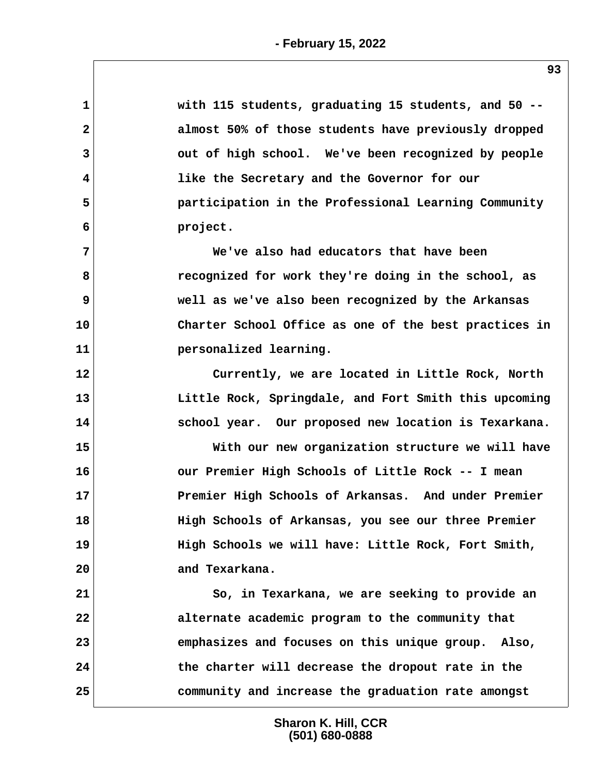| $\mathbf 1$  | with 115 students, graduating 15 students, and 50 --  |
|--------------|-------------------------------------------------------|
| $\mathbf{2}$ | almost 50% of those students have previously dropped  |
| 3            | out of high school. We've been recognized by people   |
| 4            | like the Secretary and the Governor for our           |
| 5            | participation in the Professional Learning Community  |
| 6            | project.                                              |
| 7            | We've also had educators that have been               |
| 8            | recognized for work they're doing in the school, as   |
| 9            | well as we've also been recognized by the Arkansas    |
| 10           | Charter School Office as one of the best practices in |
| 11           | personalized learning.                                |
| 12           | Currently, we are located in Little Rock, North       |
| 13           | Little Rock, Springdale, and Fort Smith this upcoming |
| 14           | school year. Our proposed new location is Texarkana.  |
| 15           | With our new organization structure we will have      |
| 16           | our Premier High Schools of Little Rock -- I mean     |
| 17           | Premier High Schools of Arkansas. And under Premier   |
| 18           | High Schools of Arkansas, you see our three Premier   |
| 19           | High Schools we will have: Little Rock, Fort Smith,   |
| 20           | and Texarkana.                                        |
| 21           | So, in Texarkana, we are seeking to provide an        |
| 22           | alternate academic program to the community that      |
| 23           | emphasizes and focuses on this unique group. Also,    |
|              |                                                       |
| 24           | the charter will decrease the dropout rate in the     |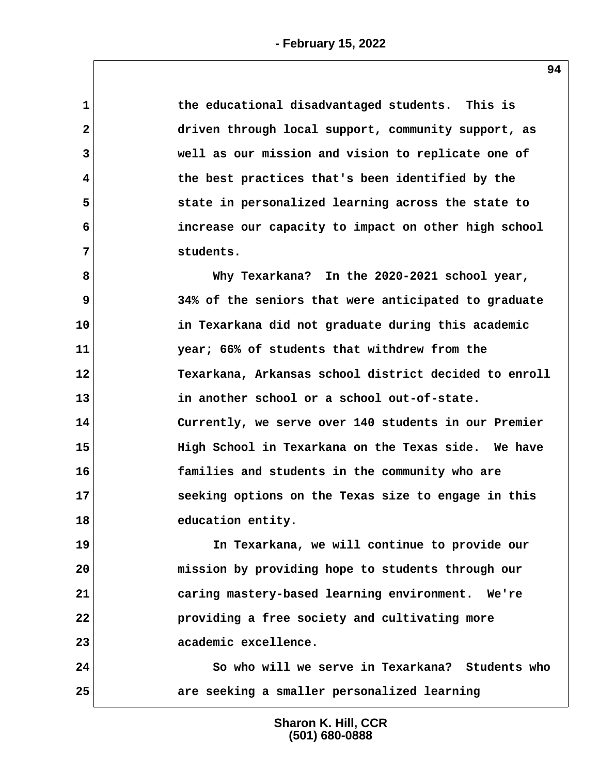**1 the educational disadvantaged students. This is 2 driven through local support, community support, as 3 well as our mission and vision to replicate one of 4 the best practices that's been identified by the 5 state in personalized learning across the state to 6 increase our capacity to impact on other high school 7 students.**

 **8 Why Texarkana? In the 2020-2021 school year, 9 34% of the seniors that were anticipated to graduate 10 in Texarkana did not graduate during this academic 11 year; 66% of students that withdrew from the 12 Texarkana, Arkansas school district decided to enroll 13 in another school or a school out-of-state. 14 Currently, we serve over 140 students in our Premier 15 High School in Texarkana on the Texas side. We have 16 families and students in the community who are 17 seeking options on the Texas size to engage in this 18 education entity.**

**19 In Texarkana, we will continue to provide our 20 mission by providing hope to students through our 21 caring mastery-based learning environment. We're 22 providing a free society and cultivating more 23 academic excellence.**

**24 So who will we serve in Texarkana? Students who 25 are seeking a smaller personalized learning**

> **Sharon K. Hill, CCR (501) 680-0888**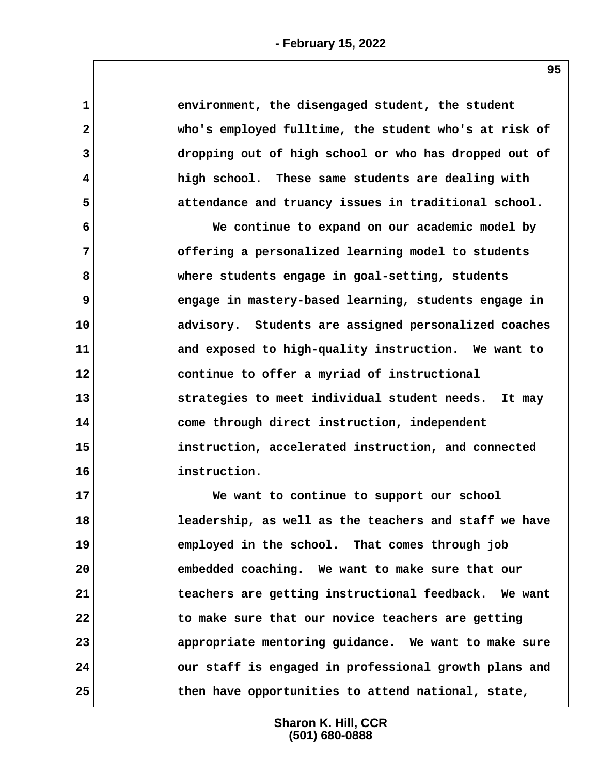| $\mathbf 1$  | environment, the disengaged student, the student      |  |
|--------------|-------------------------------------------------------|--|
| $\mathbf{2}$ | who's employed fulltime, the student who's at risk of |  |
| 3            | dropping out of high school or who has dropped out of |  |
| 4            | high school. These same students are dealing with     |  |
| 5            | attendance and truancy issues in traditional school.  |  |
| 6            | We continue to expand on our academic model by        |  |
| 7            | offering a personalized learning model to students    |  |
| 8            | where students engage in goal-setting, students       |  |
| 9            | engage in mastery-based learning, students engage in  |  |
| 10           | advisory. Students are assigned personalized coaches  |  |
| 11           | and exposed to high-quality instruction. We want to   |  |
| 12           | continue to offer a myriad of instructional           |  |
| 13           | strategies to meet individual student needs. It may   |  |
| 14           | come through direct instruction, independent          |  |
| 15           | instruction, accelerated instruction, and connected   |  |
| 16           | instruction.                                          |  |
| 17           | We want to continue to support our school             |  |
| 18           | leadership, as well as the teachers and staff we have |  |
| 19           | employed in the school. That comes through job        |  |
| 20           | embedded coaching. We want to make sure that our      |  |
| 21           | teachers are getting instructional feedback. We want  |  |
| 22           | to make sure that our novice teachers are getting     |  |
| 23           | appropriate mentoring guidance. We want to make sure  |  |
| 24           | our staff is engaged in professional growth plans and |  |
| 25           | then have opportunities to attend national, state,    |  |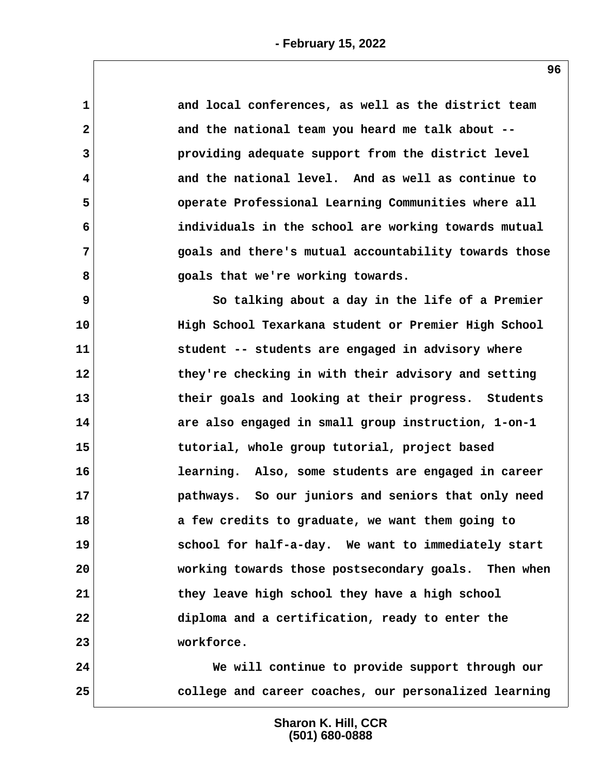| 1            | and local conferences, as well as the district team   |
|--------------|-------------------------------------------------------|
| $\mathbf{2}$ | and the national team you heard me talk about --      |
| 3            | providing adequate support from the district level    |
| 4            | and the national level. And as well as continue to    |
| 5            | operate Professional Learning Communities where all   |
| 6            | individuals in the school are working towards mutual  |
| 7            | goals and there's mutual accountability towards those |
| 8            | goals that we're working towards.                     |
| 9            | So talking about a day in the life of a Premier       |
| 10           | High School Texarkana student or Premier High School  |
| 11           | student -- students are engaged in advisory where     |
| 12           | they're checking in with their advisory and setting   |
| 13           | their goals and looking at their progress. Students   |
| 14           | are also engaged in small group instruction, 1-on-1   |
| 15           | tutorial, whole group tutorial, project based         |
| 16           | learning. Also, some students are engaged in career   |
| 17           | pathways. So our juniors and seniors that only need   |
| 18           | a few credits to graduate, we want them going to      |
| 19           | school for half-a-day. We want to immediately start   |
| 20           | working towards those postsecondary goals. Then when  |
| 21           | they leave high school they have a high school        |
| 22           | diploma and a certification, ready to enter the       |
| 23           | workforce.                                            |
| 24           | We will continue to provide support through our       |
| 25           | college and career coaches, our personalized learning |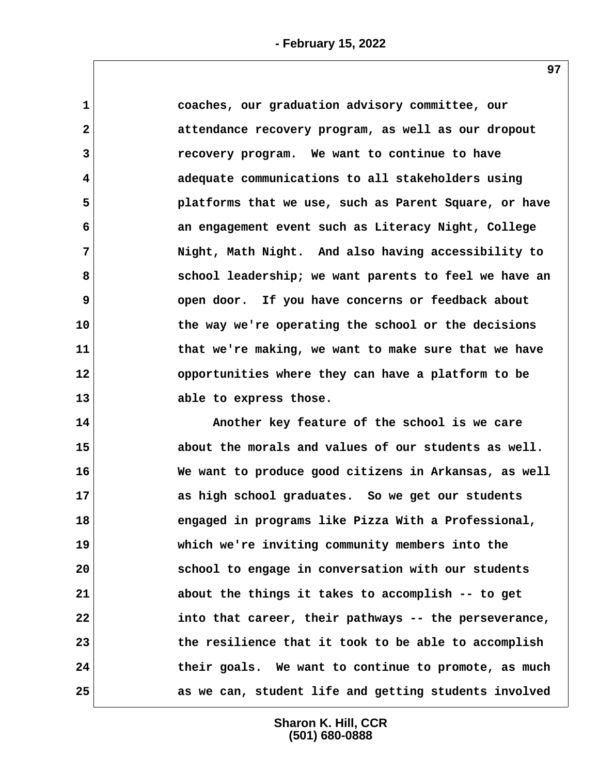**1 coaches, our graduation advisory committee, our 2 attendance recovery program, as well as our dropout 3 recovery program. We want to continue to have 4 adequate communications to all stakeholders using 5 platforms that we use, such as Parent Square, or have 6 an engagement event such as Literacy Night, College 7 Night, Math Night. And also having accessibility to 8 school leadership; we want parents to feel we have an 9 open door. If you have concerns or feedback about 10 the way we're operating the school or the decisions 11 that we're making, we want to make sure that we have 12 opportunities where they can have a platform to be 13 able to express those.**

**14 Another key feature of the school is we care 15 about the morals and values of our students as well. 16 We want to produce good citizens in Arkansas, as well 17 as high school graduates. So we get our students 18 engaged in programs like Pizza With a Professional, 19 which we're inviting community members into the 20 school to engage in conversation with our students 21 about the things it takes to accomplish -- to get 22 into that career, their pathways -- the perseverance, 23 the resilience that it took to be able to accomplish 24 their goals. We want to continue to promote, as much 25 as we can, student life and getting students involved**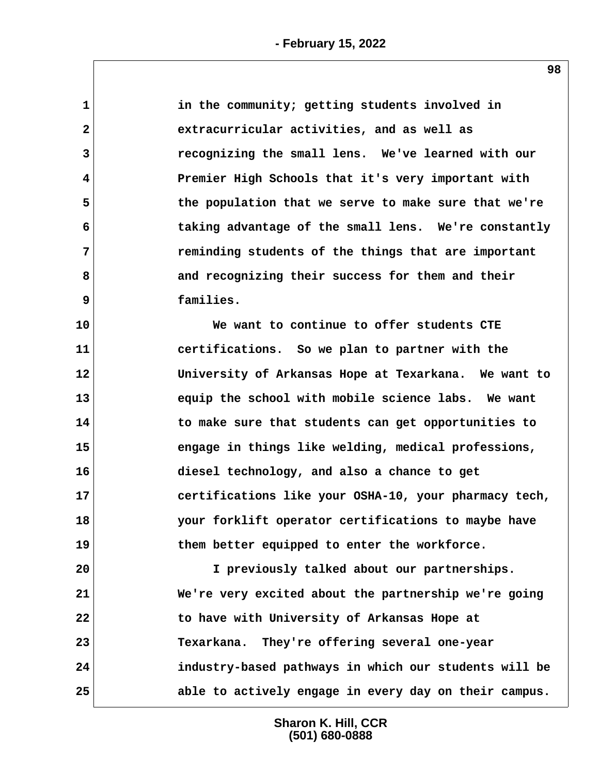| $\mathbf{1}$   | in the community; getting students involved in        |
|----------------|-------------------------------------------------------|
| $\mathbf{2}$   | extracurricular activities, and as well as            |
| 3              | recognizing the small lens. We've learned with our    |
| 4              | Premier High Schools that it's very important with    |
| 5              | the population that we serve to make sure that we're  |
| 6              | taking advantage of the small lens. We're constantly  |
| $7\phantom{.}$ | reminding students of the things that are important   |
| 8              | and recognizing their success for them and their      |
| 9              | families.                                             |
| 10             | We want to continue to offer students CTE             |
| 11             | certifications. So we plan to partner with the        |
| 12             | University of Arkansas Hope at Texarkana. We want to  |
| 13             | equip the school with mobile science labs. We want    |
| 14             | to make sure that students can get opportunities to   |
| 15             | engage in things like welding, medical professions,   |
| 16             | diesel technology, and also a chance to get           |
| 17             | certifications like your OSHA-10, your pharmacy tech, |
| 18             | your forklift operator certifications to maybe have   |
| 19             | them better equipped to enter the workforce.          |
| 20             | I previously talked about our partnerships.           |
| 21             | We're very excited about the partnership we're going  |
| 22             | to have with University of Arkansas Hope at           |
| 23             | Texarkana. They're offering several one-year          |
| 24             | industry-based pathways in which our students will be |
| 25             | able to actively engage in every day on their campus. |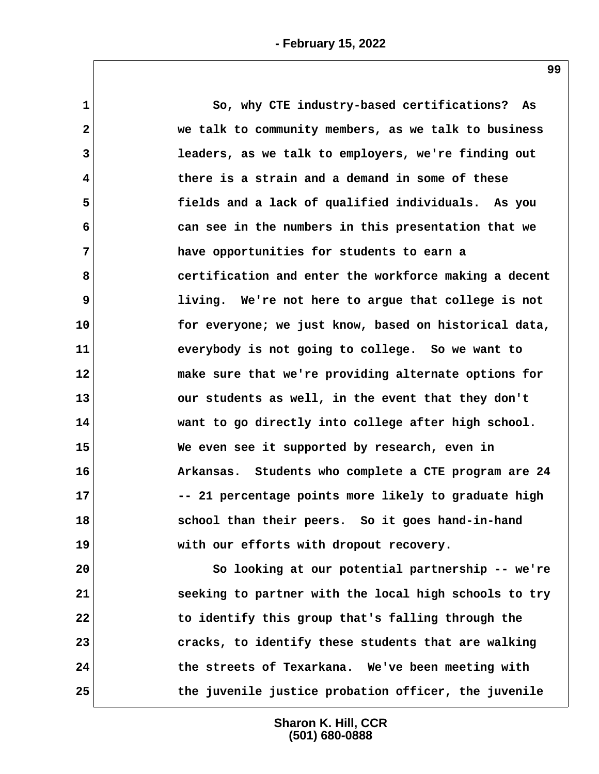**1 So, why CTE industry-based certifications? As 2 we talk to community members, as we talk to business 3 leaders, as we talk to employers, we're finding out 4 there is a strain and a demand in some of these 5 fields and a lack of qualified individuals. As you 6 can see in the numbers in this presentation that we 7 have opportunities for students to earn a 8 certification and enter the workforce making a decent 9 living. We're not here to argue that college is not 10 for everyone; we just know, based on historical data, 11 everybody is not going to college. So we want to 12 make sure that we're providing alternate options for 13 our students as well, in the event that they don't 14 want to go directly into college after high school. 15 We even see it supported by research, even in 16 Arkansas. Students who complete a CTE program are 24 17 -- 21 percentage points more likely to graduate high 18 school than their peers. So it goes hand-in-hand 19 with our efforts with dropout recovery. 20 So looking at our potential partnership -- we're 21 seeking to partner with the local high schools to try 22 to identify this group that's falling through the 23 cracks, to identify these students that are walking 24 the streets of Texarkana. We've been meeting with**

> **Sharon K. Hill, CCR (501) 680-0888**

**25 the juvenile justice probation officer, the juvenile**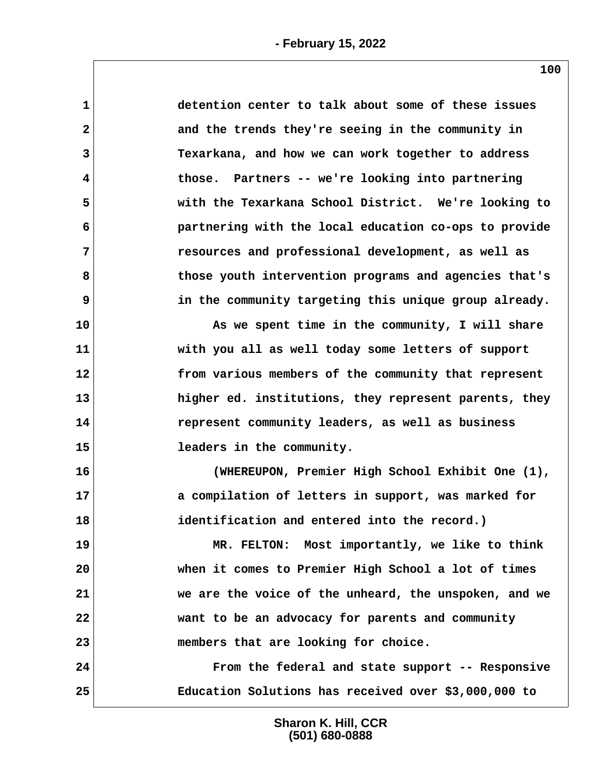| 1            | detention center to talk about some of these issues   |
|--------------|-------------------------------------------------------|
| $\mathbf{2}$ | and the trends they're seeing in the community in     |
| 3            | Texarkana, and how we can work together to address    |
| 4            | those. Partners -- we're looking into partnering      |
| 5            | with the Texarkana School District. We're looking to  |
| 6            | partnering with the local education co-ops to provide |
| 7            | resources and professional development, as well as    |
| 8            | those youth intervention programs and agencies that's |
| 9            | in the community targeting this unique group already. |
| 10           | As we spent time in the community, I will share       |
| 11           | with you all as well today some letters of support    |
| 12           | from various members of the community that represent  |
| 13           | higher ed. institutions, they represent parents, they |
| 14           | represent community leaders, as well as business      |
| 15           | leaders in the community.                             |
| 16           | (WHEREUPON, Premier High School Exhibit One (1),      |
| 17           | a compilation of letters in support, was marked for   |
| 18           | identification and entered into the record.)          |
| 19           | MR. FELTON: Most importantly, we like to think        |
| 20           | when it comes to Premier High School a lot of times   |
| 21           | we are the voice of the unheard, the unspoken, and we |
| 22           | want to be an advocacy for parents and community      |
| 23           | members that are looking for choice.                  |
| 24           | From the federal and state support -- Responsive      |
| 25           | Education Solutions has received over \$3,000,000 to  |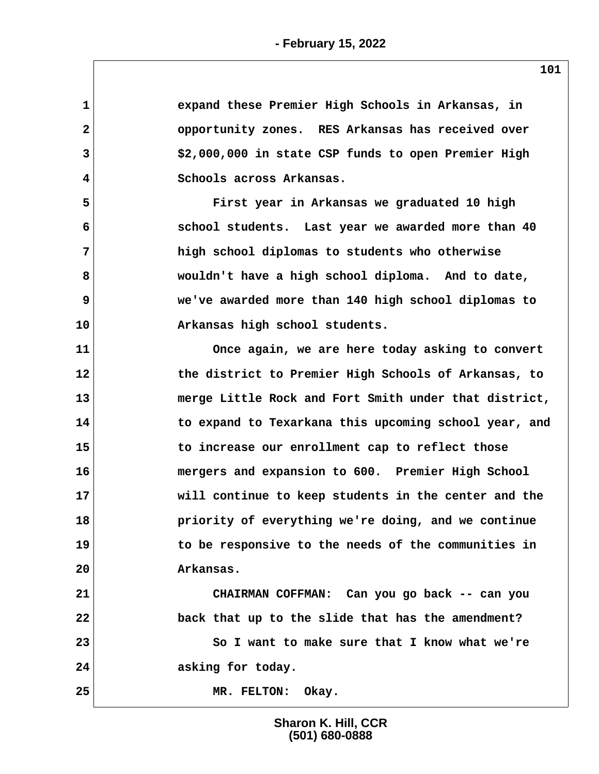| 1  | expand these Premier High Schools in Arkansas, in     |
|----|-------------------------------------------------------|
| 2  | opportunity zones. RES Arkansas has received over     |
| 3  | \$2,000,000 in state CSP funds to open Premier High   |
| 4  | Schools across Arkansas.                              |
| 5  | First year in Arkansas we graduated 10 high           |
| 6  | school students. Last year we awarded more than 40    |
| 7  | high school diplomas to students who otherwise        |
| 8  | wouldn't have a high school diploma. And to date,     |
| 9  | we've awarded more than 140 high school diplomas to   |
| 10 | Arkansas high school students.                        |
| 11 | Once again, we are here today asking to convert       |
| 12 | the district to Premier High Schools of Arkansas, to  |
| 13 | merge Little Rock and Fort Smith under that district, |
| 14 | to expand to Texarkana this upcoming school year, and |
| 15 | to increase our enrollment cap to reflect those       |
| 16 | mergers and expansion to 600. Premier High School     |
| 17 | will continue to keep students in the center and the  |
| 18 | priority of everything we're doing, and we continue   |
| 19 | to be responsive to the needs of the communities in   |
| 20 | Arkansas.                                             |
| 21 | CHAIRMAN COFFMAN: Can you go back -- can you          |
| 22 | back that up to the slide that has the amendment?     |
| 23 | So I want to make sure that I know what we're         |
| 24 | asking for today.                                     |
| 25 | MR. FELTON:<br>Okay.                                  |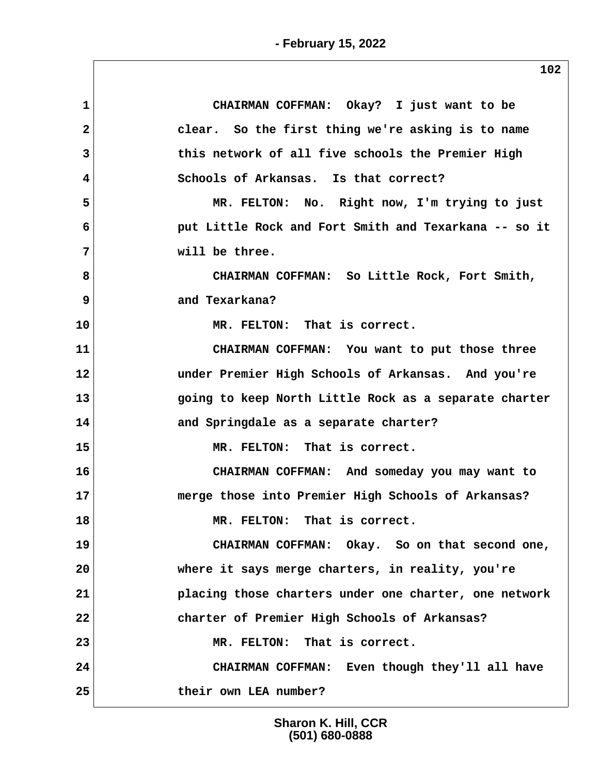| CHAIRMAN COFFMAN: Okay? I just want to be                   |
|-------------------------------------------------------------|
| clear. So the first thing we're asking is to name           |
| this network of all five schools the Premier High           |
| Schools of Arkansas. Is that correct?<br>4                  |
| MR. FELTON: No. Right now, I'm trying to just               |
| 6<br>put Little Rock and Fort Smith and Texarkana -- so it  |
| will be three.                                              |
| 8<br>CHAIRMAN COFFMAN: So Little Rock, Fort Smith,          |
| 9<br>and Texarkana?                                         |
| MR. FELTON: That is correct.                                |
| CHAIRMAN COFFMAN: You want to put those three               |
| 12<br>under Premier High Schools of Arkansas. And you're    |
| 13<br>going to keep North Little Rock as a separate charter |
| 14<br>and Springdale as a separate charter?                 |
| 15<br>MR. FELTON: That is correct.                          |
| CHAIRMAN COFFMAN: And someday you may want to<br>16         |
| merge those into Premier High Schools of Arkansas?          |
| 18<br>MR. FELTON: That is correct.                          |
| 19<br>CHAIRMAN COFFMAN: Okay. So on that second one,        |
| 20<br>where it says merge charters, in reality, you're      |
| 21<br>placing those charters under one charter, one network |
| 22<br>charter of Premier High Schools of Arkansas?          |
| 23<br>MR. FELTON: That is correct.                          |
| 24<br>CHAIRMAN COFFMAN: Even though they'll all have        |
| 25<br>their own LEA number?                                 |
|                                                             |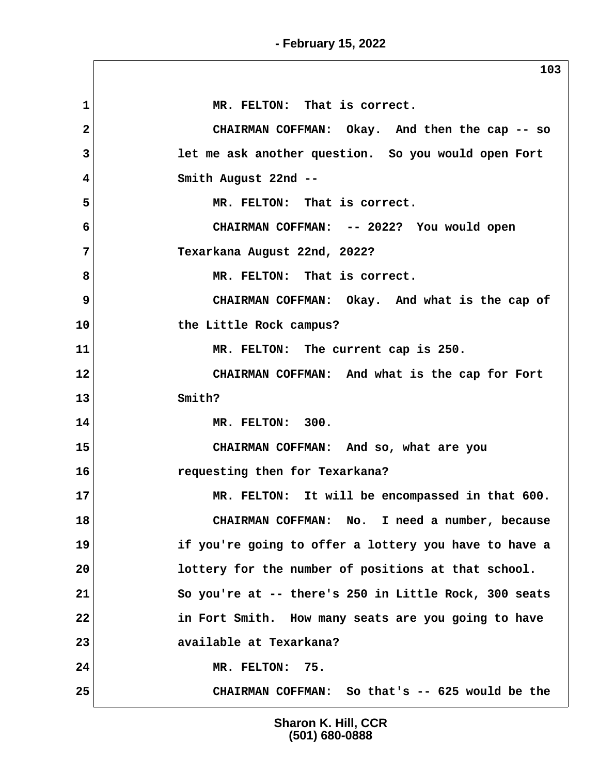|                | 103                                                   |
|----------------|-------------------------------------------------------|
| 1              | MR. FELTON: That is correct.                          |
| $\overline{2}$ | CHAIRMAN COFFMAN: Okay. And then the cap -- so        |
| 3              | let me ask another question. So you would open Fort   |
| 4              | Smith August 22nd --                                  |
| 5              | MR. FELTON: That is correct.                          |
| 6              | CHAIRMAN COFFMAN: -- 2022? You would open             |
| 7              | Texarkana August 22nd, 2022?                          |
| 8              | MR. FELTON: That is correct.                          |
| 9              | CHAIRMAN COFFMAN: Okay. And what is the cap of        |
| 10             | the Little Rock campus?                               |
| 11             | MR. FELTON: The current cap is 250.                   |
| 12             | CHAIRMAN COFFMAN: And what is the cap for Fort        |
| 13             | Smith?                                                |
| 14             | MR. FELTON: 300.                                      |
| 15             | CHAIRMAN COFFMAN: And so, what are you                |
| 16             | requesting then for Texarkana?                        |
| 17             | MR. FELTON: It will be encompassed in that 600.       |
| 18             | CHAIRMAN COFFMAN: No. I need a number, because        |
| 19             | if you're going to offer a lottery you have to have a |
| 20             | lottery for the number of positions at that school.   |
| 21             | So you're at -- there's 250 in Little Rock, 300 seats |
| 22             | in Fort Smith. How many seats are you going to have   |
| 23             | available at Texarkana?                               |
| 24             | MR. FELTON: 75.                                       |
| 25             | CHAIRMAN COFFMAN: So that's -- 625 would be the       |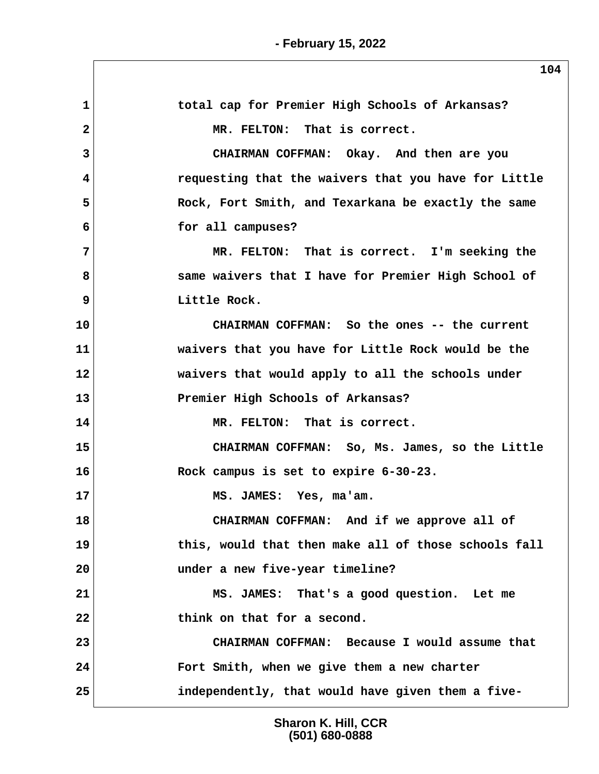$\sqrt{2}$ 

| $\mathbf 1$  | total cap for Premier High Schools of Arkansas?      |
|--------------|------------------------------------------------------|
| $\mathbf{2}$ | MR. FELTON: That is correct.                         |
| 3            | CHAIRMAN COFFMAN: Okay. And then are you             |
| 4            | requesting that the waivers that you have for Little |
| 5            | Rock, Fort Smith, and Texarkana be exactly the same  |
| 6            | for all campuses?                                    |
| 7            | MR. FELTON: That is correct. I'm seeking the         |
| 8            | same waivers that I have for Premier High School of  |
| 9            | Little Rock.                                         |
| 10           | CHAIRMAN COFFMAN: So the ones -- the current         |
| 11           | waivers that you have for Little Rock would be the   |
| 12           | waivers that would apply to all the schools under    |
| 13           | Premier High Schools of Arkansas?                    |
| 14           | MR. FELTON: That is correct.                         |
| 15           | CHAIRMAN COFFMAN: So, Ms. James, so the Little       |
| 16           | Rock campus is set to expire 6-30-23.                |
| 17           | MS. JAMES: Yes, ma'am.                               |
| 18           | CHAIRMAN COFFMAN: And if we approve all of           |
| 19           | this, would that then make all of those schools fall |
| 20           | under a new five-year timeline?                      |
| 21           | MS. JAMES: That's a good question. Let me            |
| 22           | think on that for a second.                          |
| 23           | CHAIRMAN COFFMAN: Because I would assume that        |
| 24           | Fort Smith, when we give them a new charter          |
| 25           | independently, that would have given them a five-    |
|              |                                                      |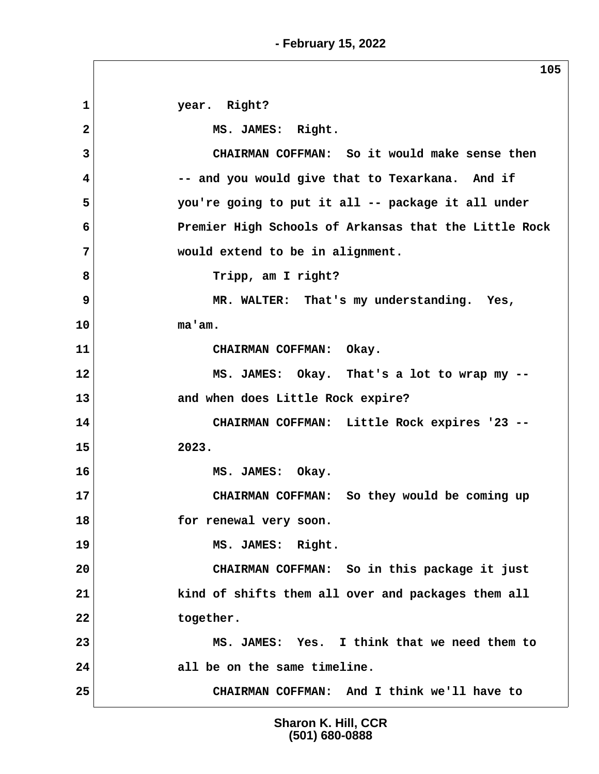**1 year. Right?** 2 MS. JAMES: Right.  **3 CHAIRMAN COFFMAN: So it would make sense then 4 -- and you would give that to Texarkana. And if 5 you're going to put it all -- package it all under 6 Premier High Schools of Arkansas that the Little Rock 7 would extend to be in alignment.** 8 **Tripp, am I right? 9** MR. WALTER: That's my understanding. Yes, **10 ma'am. 11 CHAIRMAN COFFMAN: Okay. 12 MS. JAMES: Okay. That's a lot to wrap my -- 13 and when does Little Rock expire? 14 CHAIRMAN COFFMAN: Little Rock expires '23 -- 15 2023. 16 MS. JAMES: Okay. 17 CHAIRMAN COFFMAN: So they would be coming up 18 for renewal very soon. 19 MS. JAMES: Right. 20 CHAIRMAN COFFMAN: So in this package it just 21 kind of shifts them all over and packages them all 22 together. 23 MS. JAMES: Yes. I think that we need them to 24 all be on the same timeline. 25 CHAIRMAN COFFMAN: And I think we'll have to**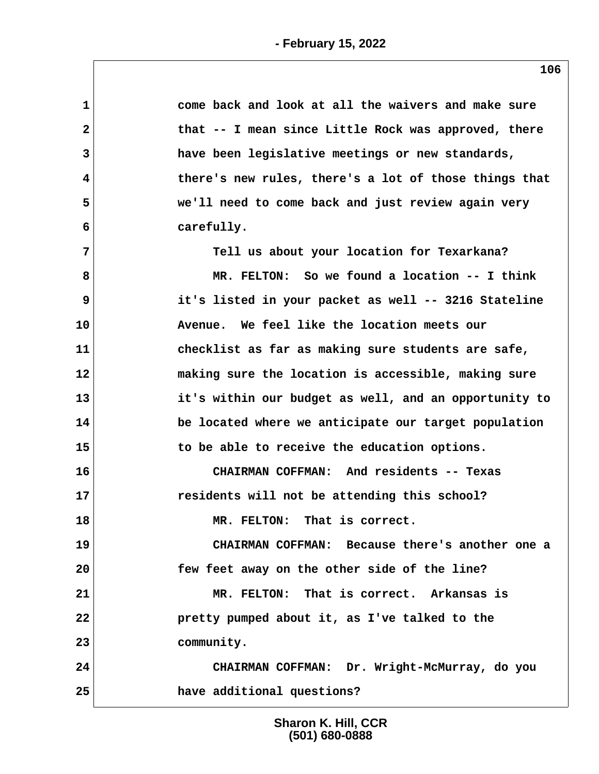| $\mathbf 1$  | come back and look at all the waivers and make sure   |
|--------------|-------------------------------------------------------|
| $\mathbf{2}$ | that -- I mean since Little Rock was approved, there  |
| 3            | have been legislative meetings or new standards,      |
| 4            | there's new rules, there's a lot of those things that |
| 5            | we'll need to come back and just review again very    |
| 6            | carefully.                                            |
| 7            | Tell us about your location for Texarkana?            |
| 8            | MR. FELTON: So we found a location -- I think         |
| 9            | it's listed in your packet as well -- 3216 Stateline  |
| 10           | Avenue. We feel like the location meets our           |
| 11           | checklist as far as making sure students are safe,    |
| 12           | making sure the location is accessible, making sure   |
| 13           | it's within our budget as well, and an opportunity to |
| 14           | be located where we anticipate our target population  |
| 15           | to be able to receive the education options.          |
| 16           | CHAIRMAN COFFMAN: And residents -- Texas              |
| 17           | residents will not be attending this school?          |
| 18           | MR. FELTON: That is correct.                          |
| 19           | CHAIRMAN COFFMAN: Because there's another one a       |
| 20           | few feet away on the other side of the line?          |
| 21           | MR. FELTON: That is correct. Arkansas is              |
| 22           | pretty pumped about it, as I've talked to the         |
| 23           | community.                                            |
| 24           | CHAIRMAN COFFMAN: Dr. Wright-McMurray, do you         |
| 25           | have additional questions?                            |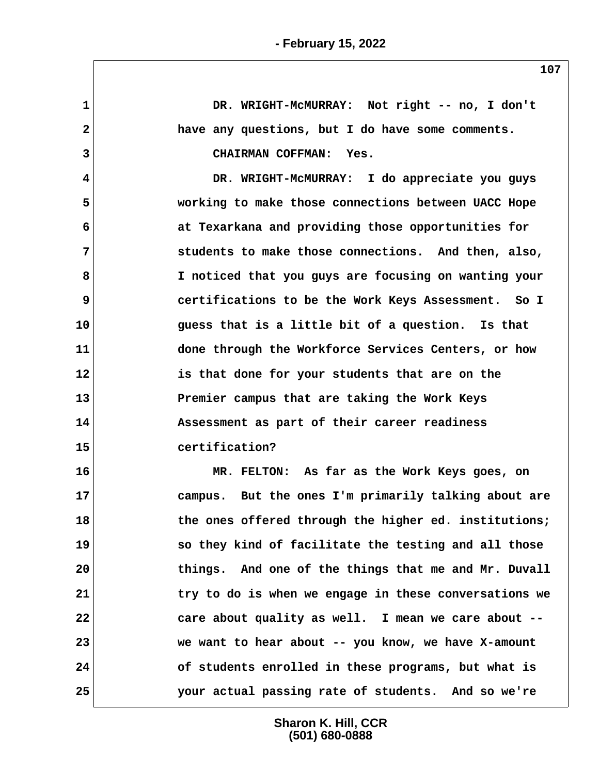**1 DR. WRIGHT-McMURRAY: Not right -- no, I don't 2 have any questions, but I do have some comments. 3 CHAIRMAN COFFMAN: Yes. 4 DR. WRIGHT-McMURRAY: I do appreciate you guys 5 working to make those connections between UACC Hope 6 at Texarkana and providing those opportunities for 7 students to make those connections. And then, also, 8 I noticed that you guys are focusing on wanting your 9 certifications to be the Work Keys Assessment. So I 10 guess that is a little bit of a question. Is that 11 done through the Workforce Services Centers, or how 12 is that done for your students that are on the 13 Premier campus that are taking the Work Keys 14 Assessment as part of their career readiness 15 certification? 16 MR. FELTON: As far as the Work Keys goes, on 17 campus. But the ones I'm primarily talking about are 18 the ones offered through the higher ed. institutions; 19 so they kind of facilitate the testing and all those 20 things. And one of the things that me and Mr. Duvall 21 try to do is when we engage in these conversations we 22 care about quality as well. I mean we care about -- 23 we want to hear about -- you know, we have X-amount 24 of students enrolled in these programs, but what is 25 your actual passing rate of students. And so we're**

> **Sharon K. Hill, CCR (501) 680-0888**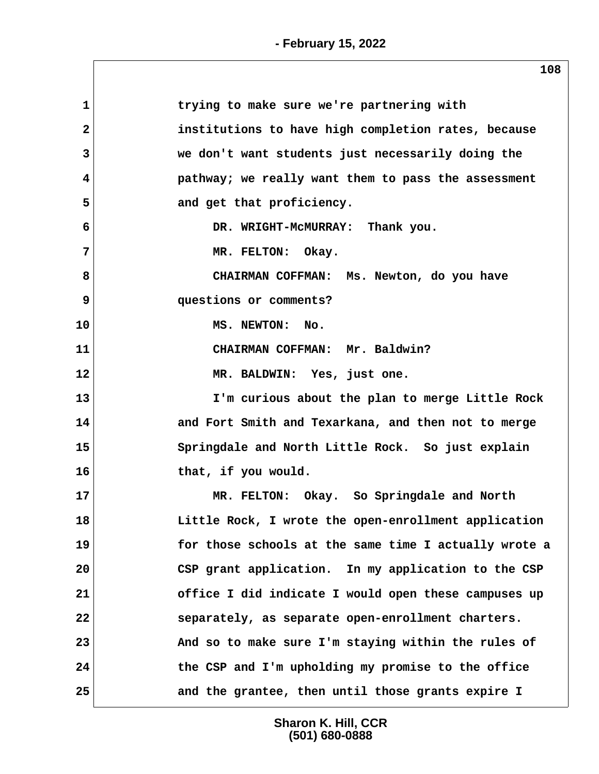| $\mathbf{1}$ | trying to make sure we're partnering with             |  |
|--------------|-------------------------------------------------------|--|
| $\mathbf{2}$ | institutions to have high completion rates, because   |  |
| 3            | we don't want students just necessarily doing the     |  |
| 4            | pathway; we really want them to pass the assessment   |  |
| 5            | and get that proficiency.                             |  |
| 6            | DR. WRIGHT-MCMURRAY: Thank you.                       |  |
| 7            | MR. FELTON: Okay.                                     |  |
| 8            | CHAIRMAN COFFMAN: Ms. Newton, do you have             |  |
| 9            | questions or comments?                                |  |
| 10           | MS. NEWTON: No.                                       |  |
| 11           | CHAIRMAN COFFMAN: Mr. Baldwin?                        |  |
| 12           | MR. BALDWIN: Yes, just one.                           |  |
| 13           | I'm curious about the plan to merge Little Rock       |  |
| 14           | and Fort Smith and Texarkana, and then not to merge   |  |
| 15           | Springdale and North Little Rock. So just explain     |  |
| 16           | that, if you would.                                   |  |
| 17           | MR. FELTON: Okay. So Springdale and North             |  |
| 18           | Little Rock, I wrote the open-enrollment application  |  |
| 19           | for those schools at the same time I actually wrote a |  |
| 20           | CSP grant application. In my application to the CSP   |  |
| 21           | office I did indicate I would open these campuses up  |  |
| 22           | separately, as separate open-enrollment charters.     |  |
| 23           | And so to make sure I'm staying within the rules of   |  |
| 24           | the CSP and I'm upholding my promise to the office    |  |
| 25           | and the grantee, then until those grants expire I     |  |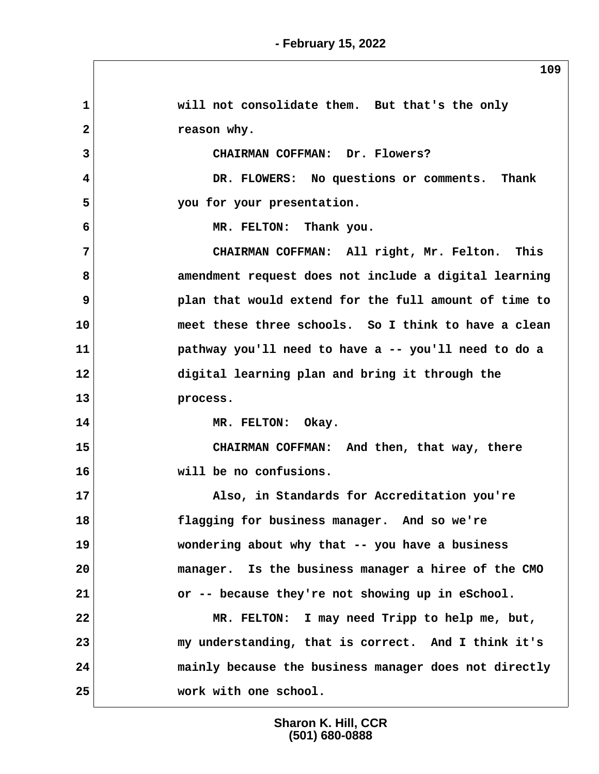| $\mathbf{1}$ | will not consolidate them. But that's the only        |
|--------------|-------------------------------------------------------|
| $\mathbf{2}$ | reason why.                                           |
| 3            | CHAIRMAN COFFMAN: Dr. Flowers?                        |
| 4            | DR. FLOWERS: No questions or comments. Thank          |
| 5            | you for your presentation.                            |
| 6            | MR. FELTON: Thank you.                                |
| 7            | CHAIRMAN COFFMAN: All right, Mr. Felton. This         |
| 8            | amendment request does not include a digital learning |
| 9            | plan that would extend for the full amount of time to |
| 10           | meet these three schools. So I think to have a clean  |
| 11           | pathway you'll need to have a -- you'll need to do a  |
| 12           | digital learning plan and bring it through the        |
| 13           | process.                                              |
| 14           | MR. FELTON: Okay.                                     |
| 15           | CHAIRMAN COFFMAN: And then, that way, there           |
| 16           | will be no confusions.                                |
| 17           | Also, in Standards for Accreditation you're           |
| 18           | flagging for business manager. And so we're           |
| 19           | wondering about why that -- you have a business       |
| 20           | manager. Is the business manager a hiree of the CMO   |
| 21           | or -- because they're not showing up in eSchool.      |
| 22           | MR. FELTON: I may need Tripp to help me, but,         |
| 23           | my understanding, that is correct. And I think it's   |
| 24           | mainly because the business manager does not directly |
| 25           | work with one school.                                 |

**109**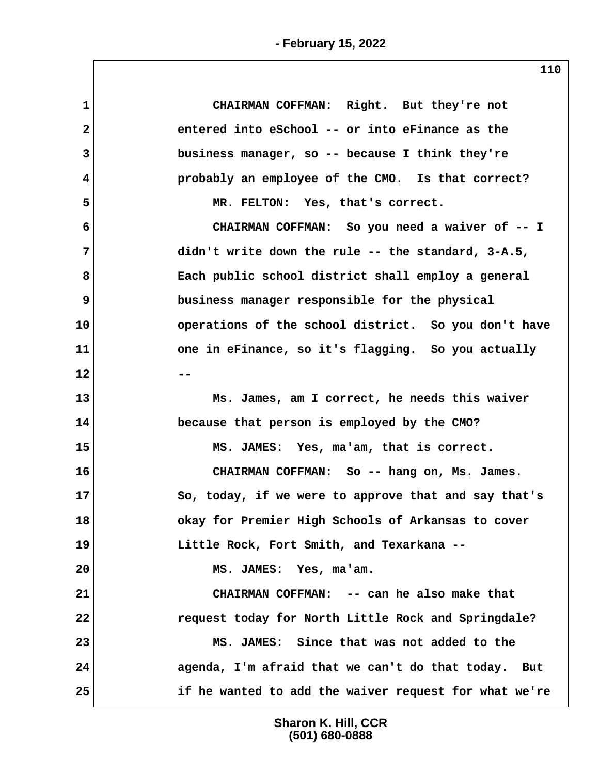| CHAIRMAN COFFMAN: Right. But they're not              |  |
|-------------------------------------------------------|--|
| entered into eSchool -- or into eFinance as the       |  |
| business manager, so -- because I think they're       |  |
| probably an employee of the CMO. Is that correct?     |  |
| MR. FELTON: Yes, that's correct.                      |  |
| CHAIRMAN COFFMAN: So you need a waiver of -- I        |  |
| didn't write down the rule -- the standard, 3-A.5,    |  |
| Each public school district shall employ a general    |  |
| business manager responsible for the physical         |  |
| operations of the school district. So you don't have  |  |
| one in eFinance, so it's flagging. So you actually    |  |
|                                                       |  |
| Ms. James, am I correct, he needs this waiver         |  |
| because that person is employed by the CMO?           |  |
| MS. JAMES: Yes, ma'am, that is correct.               |  |
| CHAIRMAN COFFMAN: So -- hang on, Ms. James.           |  |
| So, today, if we were to approve that and say that's  |  |
| okay for Premier High Schools of Arkansas to cover    |  |
| Little Rock, Fort Smith, and Texarkana --             |  |
| MS. JAMES: Yes, ma'am.                                |  |
| CHAIRMAN COFFMAN: -- can he also make that            |  |
| request today for North Little Rock and Springdale?   |  |
| MS. JAMES: Since that was not added to the            |  |
| agenda, I'm afraid that we can't do that today. But   |  |
| if he wanted to add the waiver request for what we're |  |
|                                                       |  |

**110**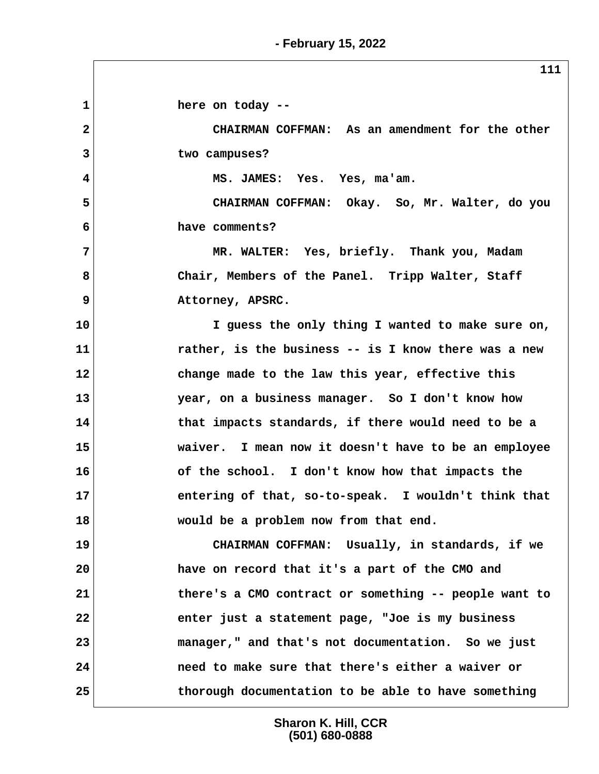**1 here on today -- 2 CHAIRMAN COFFMAN: As an amendment for the other 3 two campuses? 4 MS. JAMES: Yes. Yes, ma'am. 5 CHAIRMAN COFFMAN: Okay. So, Mr. Walter, do you 6 have comments? 7 MR. WALTER: Yes, briefly. Thank you, Madam 8 Chair, Members of the Panel. Tripp Walter, Staff 9** Attorney, APSRC. **10 I guess the only thing I wanted to make sure on, 11 rather, is the business -- is I know there was a new 12 change made to the law this year, effective this 13 year, on a business manager. So I don't know how 14 that impacts standards, if there would need to be a 15 waiver. I mean now it doesn't have to be an employee 16 of the school. I don't know how that impacts the 17 entering of that, so-to-speak. I wouldn't think that 18 would be a problem now from that end. 19 CHAIRMAN COFFMAN: Usually, in standards, if we 20 have on record that it's a part of the CMO and 21 there's a CMO contract or something -- people want to 22 enter just a statement page, "Joe is my business 23 manager," and that's not documentation. So we just 24 need to make sure that there's either a waiver or**

> **Sharon K. Hill, CCR (501) 680-0888**

**25 thorough documentation to be able to have something**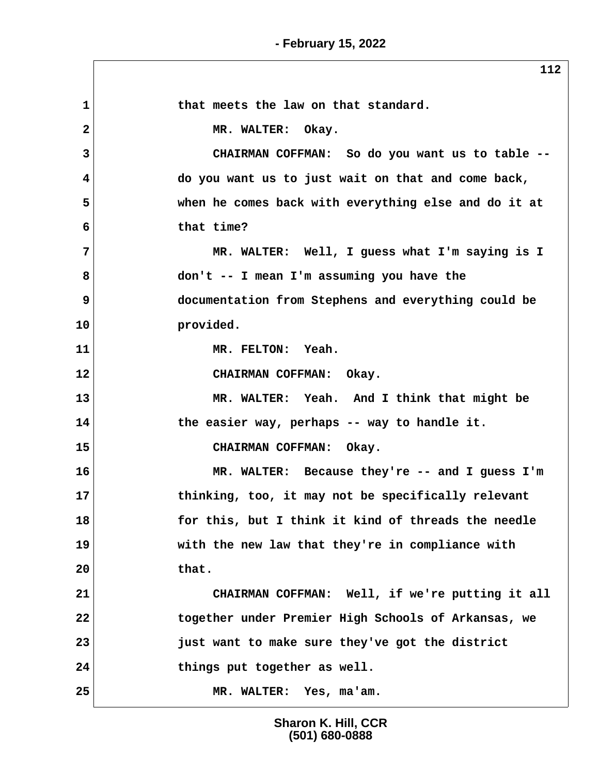|    | 112                                                  |
|----|------------------------------------------------------|
| 1  | that meets the law on that standard.                 |
| 2  | MR. WALTER: Okay.                                    |
| 3  | CHAIRMAN COFFMAN: So do you want us to table --      |
| 4  | do you want us to just wait on that and come back,   |
| 5  | when he comes back with everything else and do it at |
| 6  | that time?                                           |
| 7  | MR. WALTER: Well, I guess what I'm saying is I       |
| 8  | don't -- I mean I'm assuming you have the            |
| 9  | documentation from Stephens and everything could be  |
| 10 | provided.                                            |
| 11 | MR. FELTON: Yeah.                                    |
| 12 | CHAIRMAN COFFMAN: Okay.                              |
| 13 | MR. WALTER: Yeah. And I think that might be          |
| 14 | the easier way, perhaps -- way to handle it.         |
| 15 | CHAIRMAN COFFMAN: Okay.                              |
| 16 | MR. WALTER: Because they're -- and I guess I'm       |
| 17 | thinking, too, it may not be specifically relevant   |
| 18 | for this, but I think it kind of threads the needle  |
| 19 | with the new law that they're in compliance with     |
| 20 | that.                                                |
| 21 | CHAIRMAN COFFMAN: Well, if we're putting it all      |
| 22 | together under Premier High Schools of Arkansas, we  |
| 23 | just want to make sure they've got the district      |
| 24 | things put together as well.                         |
| 25 | MR. WALTER: Yes, ma'am.                              |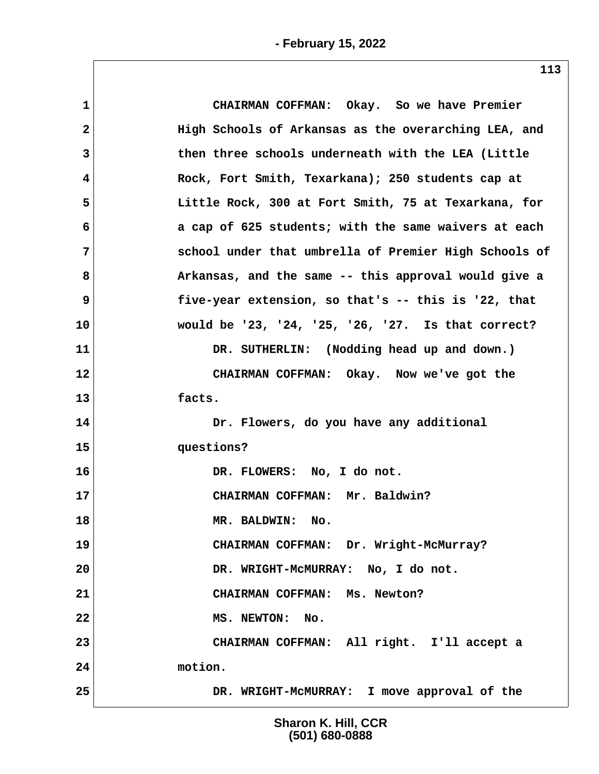| $\mathbf 1$  | CHAIRMAN COFFMAN: Okay. So we have Premier            |  |
|--------------|-------------------------------------------------------|--|
| $\mathbf{2}$ | High Schools of Arkansas as the overarching LEA, and  |  |
| 3            | then three schools underneath with the LEA (Little    |  |
| 4            | Rock, Fort Smith, Texarkana); 250 students cap at     |  |
| 5            | Little Rock, 300 at Fort Smith, 75 at Texarkana, for  |  |
| 6            | a cap of 625 students; with the same waivers at each  |  |
| 7            | school under that umbrella of Premier High Schools of |  |
| 8            | Arkansas, and the same -- this approval would give a  |  |
| 9            | five-year extension, so that's -- this is '22, that   |  |
| 10           | would be '23, '24, '25, '26, '27. Is that correct?    |  |
| 11           | DR. SUTHERLIN: (Nodding head up and down.)            |  |
| 12           | CHAIRMAN COFFMAN: Okay. Now we've got the             |  |
| 13           | facts.                                                |  |
| 14           | Dr. Flowers, do you have any additional               |  |
| 15           | questions?                                            |  |
| 16           | DR. FLOWERS: No, I do not.                            |  |
| 17           | CHAIRMAN COFFMAN: Mr. Baldwin?                        |  |
| 18           | MR. BALDWIN:<br>No.                                   |  |
| 19           | CHAIRMAN COFFMAN: Dr. Wright-McMurray?                |  |
| 20           | DR. WRIGHT-MCMURRAY: No, I do not.                    |  |
| 21           | CHAIRMAN COFFMAN: Ms. Newton?                         |  |
| 22           | MS. NEWTON: No.                                       |  |
| 23           | CHAIRMAN COFFMAN: All right. I'll accept a            |  |
| 24           | motion.                                               |  |
| 25           | DR. WRIGHT-MCMURRAY: I move approval of the           |  |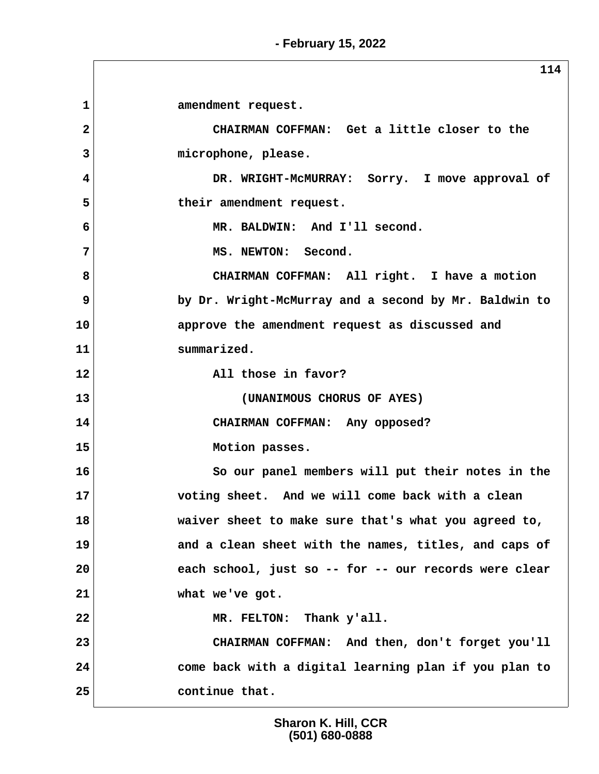**- February 15, 2022**

**114** 1 amendment request.  **2 CHAIRMAN COFFMAN: Get a little closer to the 3 microphone, please. 4 DR. WRIGHT-McMURRAY: Sorry. I move approval of** 5 their amendment request.  **6 MR. BALDWIN: And I'll second.** 7 MS. NEWTON: Second.  **8 CHAIRMAN COFFMAN: All right. I have a motion 9 by Dr. Wright-McMurray and a second by Mr. Baldwin to 10 approve the amendment request as discussed and 11 summarized. 12 All those in favor? 13 (UNANIMOUS CHORUS OF AYES) 14 CHAIRMAN COFFMAN: Any opposed? 15 Motion passes. 16 So our panel members will put their notes in the 17 voting sheet. And we will come back with a clean 18 waiver sheet to make sure that's what you agreed to, 19 and a clean sheet with the names, titles, and caps of 20 each school, just so -- for -- our records were clear 21 what we've got. 22 MR. FELTON: Thank y'all. 23 CHAIRMAN COFFMAN: And then, don't forget you'll 24 come back with a digital learning plan if you plan to 25 continue that.**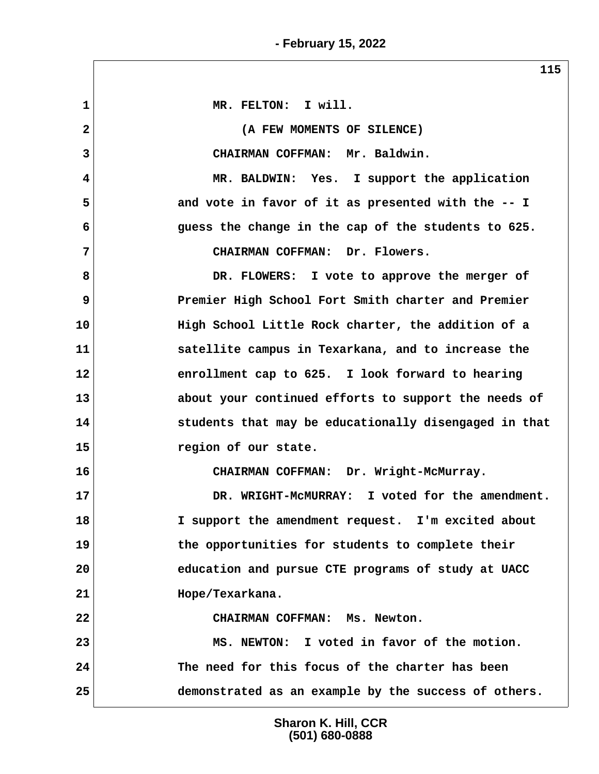$\sqrt{2}$ 

|                | ---                                                   |
|----------------|-------------------------------------------------------|
| $\mathbf 1$    | MR. FELTON: I will.                                   |
| $\overline{2}$ | (A FEW MOMENTS OF SILENCE)                            |
| 3              | CHAIRMAN COFFMAN: Mr. Baldwin.                        |
| 4              | MR. BALDWIN: Yes. I support the application           |
| 5              | and vote in favor of it as presented with the -- I    |
| 6              | guess the change in the cap of the students to 625.   |
| 7              | CHAIRMAN COFFMAN: Dr. Flowers.                        |
| 8              | DR. FLOWERS: I vote to approve the merger of          |
| 9              | Premier High School Fort Smith charter and Premier    |
| 10             | High School Little Rock charter, the addition of a    |
| 11             | satellite campus in Texarkana, and to increase the    |
| 12             | enrollment cap to 625. I look forward to hearing      |
| 13             | about your continued efforts to support the needs of  |
| 14             | students that may be educationally disengaged in that |
| 15             | region of our state.                                  |
| 16             | CHAIRMAN COFFMAN: Dr. Wright-McMurray.                |
| 17             | DR. WRIGHT-MCMURRAY: I voted for the amendment.       |
| 18             | I support the amendment request. I'm excited about    |
| 19             | the opportunities for students to complete their      |
| 20             | education and pursue CTE programs of study at UACC    |
| 21             | Hope/Texarkana.                                       |
| 22             | CHAIRMAN COFFMAN: Ms. Newton.                         |
| 23             | MS. NEWTON: I voted in favor of the motion.           |
| 24             | The need for this focus of the charter has been       |
| 25             | demonstrated as an example by the success of others.  |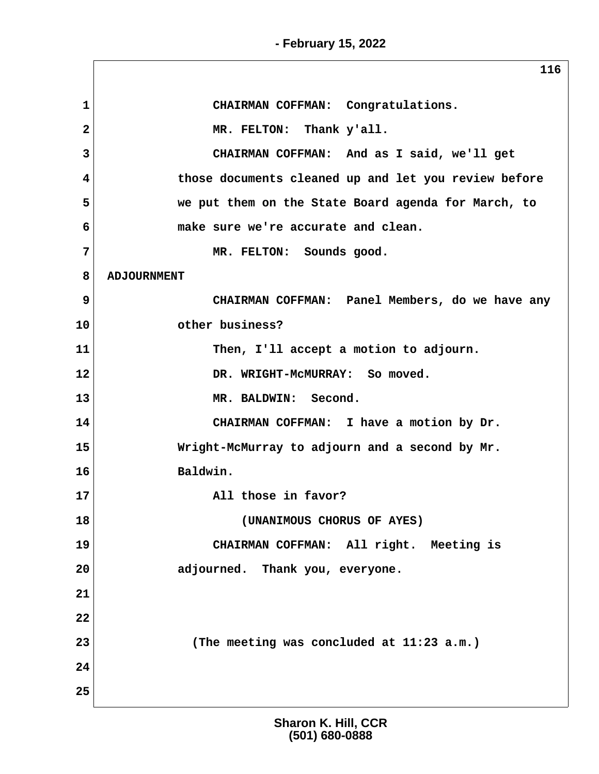**- February 15, 2022**

|                | 116                                                  |
|----------------|------------------------------------------------------|
| 1              | CHAIRMAN COFFMAN: Congratulations.                   |
| $\overline{2}$ | MR. FELTON: Thank y'all.                             |
| 3              | CHAIRMAN COFFMAN: And as I said, we'll get           |
| 4              | those documents cleaned up and let you review before |
| 5              | we put them on the State Board agenda for March, to  |
| 6              | make sure we're accurate and clean.                  |
| 7              | MR. FELTON: Sounds good.                             |
| 8              | <b>ADJOURNMENT</b>                                   |
| 9              | CHAIRMAN COFFMAN: Panel Members, do we have any      |
| 10             | other business?                                      |
| 11             | Then, I'll accept a motion to adjourn.               |
| 12             | DR. WRIGHT-MCMURRAY: So moved.                       |
| 13             | MR. BALDWIN: Second.                                 |
| 14             | CHAIRMAN COFFMAN: I have a motion by Dr.             |
| 15             | Wright-McMurray to adjourn and a second by Mr.       |
| 16             | Baldwin.                                             |
| 17             | All those in favor?                                  |
| 18             | (UNANIMOUS CHORUS OF AYES)                           |
| 19             | CHAIRMAN COFFMAN: All right. Meeting is              |
| 20             | adjourned. Thank you, everyone.                      |
| 21             |                                                      |
| 22             |                                                      |
| 23             | (The meeting was concluded at 11:23 a.m.)            |
| 24             |                                                      |
| 25             |                                                      |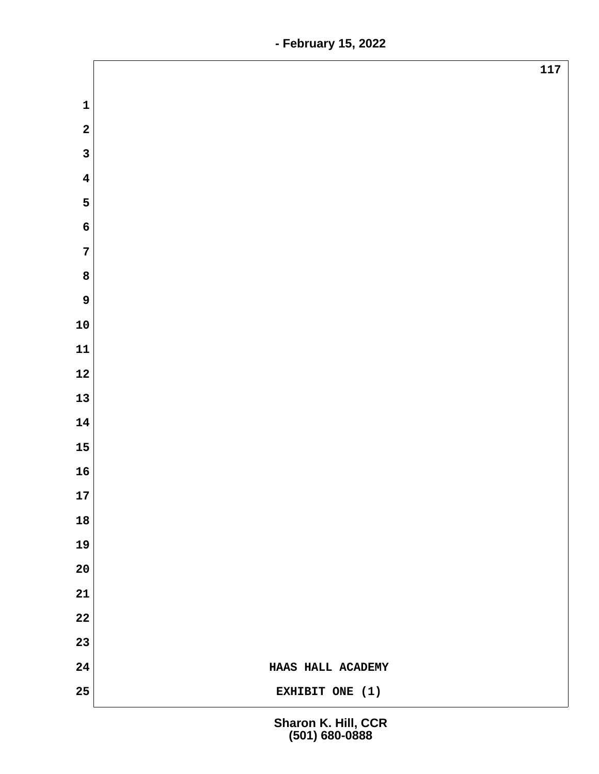| $\mathbf{1}$<br>$\overline{\mathbf{2}}$<br>$\overline{\mathbf{3}}$<br>$\boldsymbol{4}$<br>5<br>$\boldsymbol{6}$<br>$\overline{7}$<br>8<br>9<br>${\bf 10}$<br>11<br>12<br>13<br>14<br>15<br>16<br>17<br>18<br>19<br>20<br>21<br>22<br>23<br>24<br>HAAS HALL ACADEMY<br>25<br>EXHIBIT ONE (1) |     |
|---------------------------------------------------------------------------------------------------------------------------------------------------------------------------------------------------------------------------------------------------------------------------------------------|-----|
|                                                                                                                                                                                                                                                                                             | 117 |
|                                                                                                                                                                                                                                                                                             |     |
|                                                                                                                                                                                                                                                                                             |     |
|                                                                                                                                                                                                                                                                                             |     |
|                                                                                                                                                                                                                                                                                             |     |
|                                                                                                                                                                                                                                                                                             |     |
|                                                                                                                                                                                                                                                                                             |     |
|                                                                                                                                                                                                                                                                                             |     |
|                                                                                                                                                                                                                                                                                             |     |
|                                                                                                                                                                                                                                                                                             |     |
|                                                                                                                                                                                                                                                                                             |     |
|                                                                                                                                                                                                                                                                                             |     |
|                                                                                                                                                                                                                                                                                             |     |
|                                                                                                                                                                                                                                                                                             |     |
|                                                                                                                                                                                                                                                                                             |     |
|                                                                                                                                                                                                                                                                                             |     |
|                                                                                                                                                                                                                                                                                             |     |
|                                                                                                                                                                                                                                                                                             |     |
|                                                                                                                                                                                                                                                                                             |     |
|                                                                                                                                                                                                                                                                                             |     |
|                                                                                                                                                                                                                                                                                             |     |
|                                                                                                                                                                                                                                                                                             |     |
|                                                                                                                                                                                                                                                                                             |     |
|                                                                                                                                                                                                                                                                                             |     |
|                                                                                                                                                                                                                                                                                             |     |
|                                                                                                                                                                                                                                                                                             |     |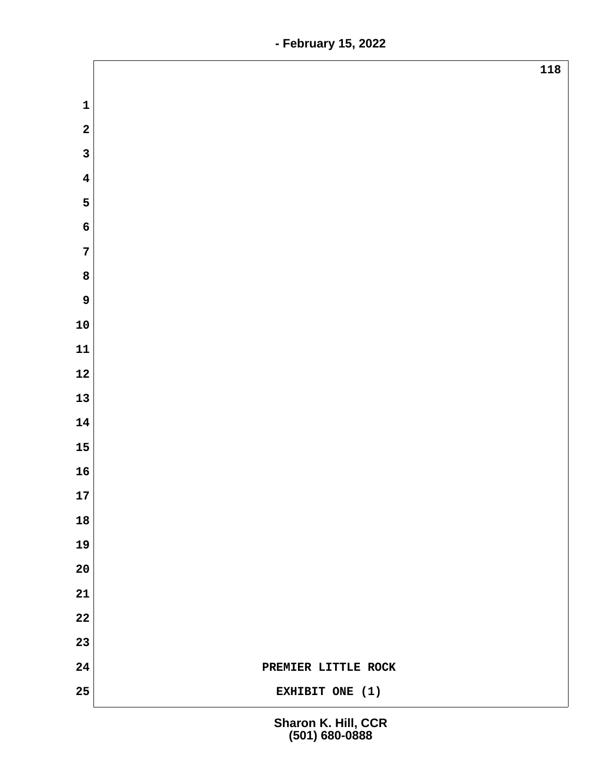|                         | 118                 |
|-------------------------|---------------------|
| $\mathbf 1$             |                     |
| $\overline{\mathbf{2}}$ |                     |
| $\overline{\mathbf{3}}$ |                     |
|                         |                     |
| $\overline{\mathbf{4}}$ |                     |
| 5                       |                     |
| $\boldsymbol{6}$        |                     |
| $\overline{7}$          |                     |
| $\bf{8}$                |                     |
| $\mathbf{9}$            |                     |
| ${\bf 10}$              |                     |
| ${\bf 11}$              |                     |
| ${\bf 12}$              |                     |
| 13                      |                     |
| 14                      |                     |
| 15                      |                     |
| 16                      |                     |
| 17                      |                     |
| 18                      |                     |
| 19                      |                     |
| ${\bf 20}$              |                     |
| 21                      |                     |
| 22                      |                     |
| 23                      |                     |
| ${\bf 24}$              | PREMIER LITTLE ROCK |
| 25                      | EXHIBIT ONE (1)     |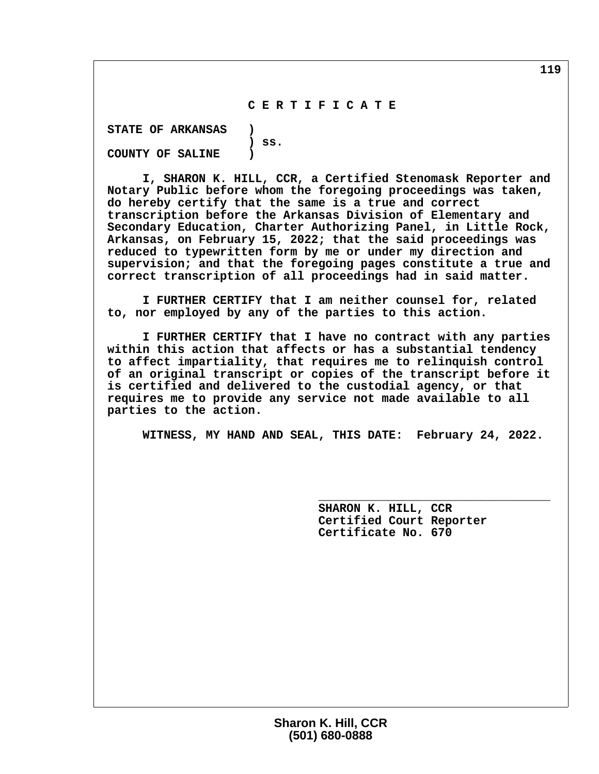# **C E R T I F I C A T E**

 **STATE OF ARKANSAS ) ) ss. COUNTY OF SALINE )**

 **I, SHARON K. HILL, CCR, a Certified Stenomask Reporter and Notary Public before whom the foregoing proceedings was taken, do hereby certify that the same is a true and correct transcription before the Arkansas Division of Elementary and Secondary Education, Charter Authorizing Panel, in Little Rock, Arkansas, on February 15, 2022; that the said proceedings was reduced to typewritten form by me or under my direction and supervision; and that the foregoing pages constitute a true and correct transcription of all proceedings had in said matter.**

 **I FURTHER CERTIFY that I am neither counsel for, related to, nor employed by any of the parties to this action.**

 **I FURTHER CERTIFY that I have no contract with any parties within this action that affects or has a substantial tendency to affect impartiality, that requires me to relinquish control of an original transcript or copies of the transcript before it is certified and delivered to the custodial agency, or that requires me to provide any service not made available to all parties to the action.**

 **WITNESS, MY HAND AND SEAL, THIS DATE: February 24, 2022.**

 **\_\_\_\_\_\_\_\_\_\_\_\_\_\_\_\_\_\_\_\_\_\_\_\_\_\_\_\_\_\_\_\_\_**

 **SHARON K. HILL, CCR Certified Court Reporter Certificate No. 670**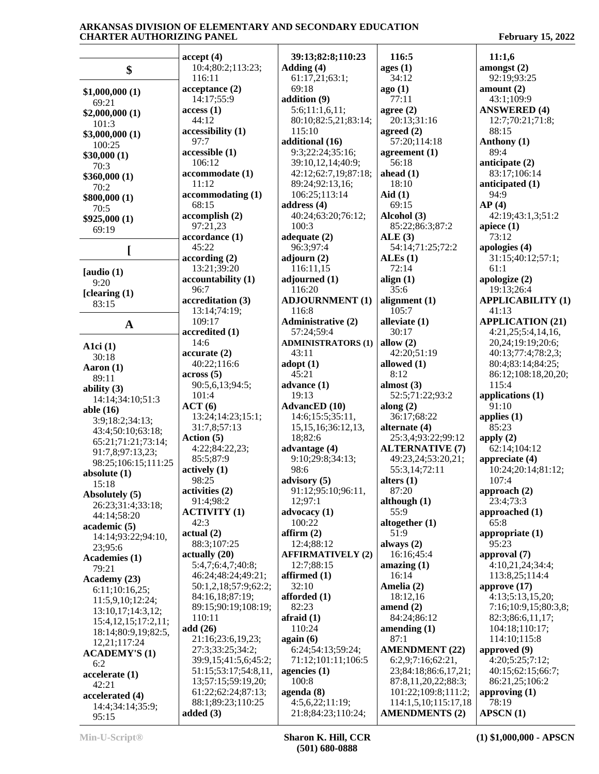|                      | accept(4)            | 39:13;82:8;110:23                 | 116:5                  | 11:1,6                   |
|----------------------|----------------------|-----------------------------------|------------------------|--------------------------|
|                      | 10:4;80:2;113:23;    | Adding (4)                        | ages(1)                | amongst $(2)$            |
| \$                   | 116:11               | 61:17,21;63:1;                    | 34:12                  | 92:19;93:25              |
|                      |                      | 69:18                             |                        |                          |
| \$1,000,000(1)       | acceptance(2)        |                                   | ago(1)                 | amount $(2)$             |
| 69:21                | 14:17;55:9           | addition (9)                      | 77:11                  | 43:1;109:9               |
| \$2,000,000(1)       | access(1)            | 5:6;11:1,6,11;                    | agree $(2)$            | <b>ANSWERED (4)</b>      |
| 101:3                | 44:12                | 80:10;82:5,21;83:14;              | 20:13;31:16            | 12:7;70:21;71:8;         |
| \$3,000,000(1)       | accessibility (1)    | 115:10                            | agreed $(2)$           | 88:15                    |
| 100:25               | 97:7                 | additional (16)                   | 57:20;114:18           | Anthony (1)              |
| \$30,000(1)          | accessible (1)       | 9:3;22:24;35:16;                  | agreement $(1)$        | 89:4                     |
| 70:3                 | 106:12               | 39:10,12,14;40:9;                 | 56:18                  | anticipate (2)           |
| \$360,000(1)         | accommodate (1)      | 42:12;62:7,19;87:18;              | ahead $(1)$            | 83:17;106:14             |
| 70:2                 | 11:12                | 89:24;92:13,16;                   | 18:10                  | anticipated (1)          |
| \$800,000(1)         | accommodating(1)     | 106:25;113:14                     | Aid $(1)$              | 94:9                     |
| 70:5                 | 68:15                | address $(4)$                     | 69:15                  | AP(4)                    |
|                      | accomplish(2)        | 40:24;63:20;76:12;                | Alcohol (3)            | 42:19;43:1,3;51:2        |
| \$925,000(1)         | 97:21,23             | 100:3                             | 85:22;86:3;87:2        | apiece $(1)$             |
| 69:19                | accordance (1)       | adequate $(2)$                    | ALE(3)                 | 73:12                    |
|                      | 45:22                | 96:3;97:4                         | 54:14;71:25;72:2       | apologies (4)            |
|                      | according(2)         | adjourn $(2)$                     | ALEs(1)                | 31:15;40:12;57:1;        |
|                      |                      | 116:11,15                         | 72:14                  | 61:1                     |
| [audio $(1)$         | 13:21;39:20          |                                   |                        |                          |
| 9:20                 | accountability (1)   | adjourned (1)                     | align $(1)$            | apologize (2)            |
| [clearing $(1)$      | 96:7                 | 116:20                            | 35:6                   | 19:13;26:4               |
| 83:15                | accreditation (3)    | <b>ADJOURNMENT (1)</b>            | alignment $(1)$        | <b>APPLICABILITY (1)</b> |
|                      | 13:14;74:19;         | 116:8                             | 105:7                  | 41:13                    |
| $\mathbf A$          | 109:17               | <b>Administrative (2)</b>         | alleviate (1)          | <b>APPLICATION (21)</b>  |
|                      | accredited (1)       | 57:24;59:4                        | 30:17                  | 4:21,25;5:4,14,16,       |
| A1 $ci(1)$           | 14:6                 | <b>ADMINISTRATORS (1)</b>         | allow $(2)$            | 20,24;19:19;20:6;        |
| 30:18                | accurate(2)          | 43:11                             | 42:20;51:19            | 40:13;77:4;78:2,3;       |
| Aaron $(1)$          | 40:22;116:6          | $\text{adopt}(1)$                 | allowed (1)            | 80:4;83:14;84:25;        |
| 89:11                | $\arccos(5)$         | 45:21                             | 8:12                   | 86:12;108:18,20,20;      |
|                      | 90:5,6,13;94:5;      | advance (1)                       | almost $(3)$           | 115:4                    |
| ability $(3)$        | 101:4                | 19:13                             | 52:5;71:22;93:2        | applications (1)         |
| 14:14;34:10;51:3     | ACT(6)               | <b>AdvancED</b> (10)              | along $(2)$            | 91:10                    |
| able (16)            | 13:24;14:23;15:1;    | 14:6;15:5;35:11,                  | 36:17;68:22            | applies $(1)$            |
| 3:9;18:2;34:13;      | 31:7,8;57:13         | 15, 15, 16; 36: 12, 13,           | alternate (4)          | 85:23                    |
| 43:4;50:10;63:18;    | Action $(5)$         | 18;82:6                           | 25:3,4;93:22;99:12     | apply $(2)$              |
| 65:21;71:21;73:14;   | 4:22;84:22,23;       | advantage (4)                     | <b>ALTERNATIVE (7)</b> | 62:14;104:12             |
| 91:7,8;97:13,23;     | 85:5;87:9            | 9:10;29:8;34:13;                  | 49:23,24;53:20,21;     | appreciate (4)           |
| 98:25;106:15;111:25  | actively(1)          | 98:6                              | 55:3,14;72:11          | 10:24;20:14;81:12;       |
| absolute $(1)$       |                      |                                   |                        |                          |
| 15:18                | 98:25                | advisory (5)                      | alters $(1)$           | 107:4                    |
| Absolutely (5)       | activities (2)       | 91:12;95:10;96:11,                | 87:20                  | approach $(2)$           |
| 26:23;31:4;33:18;    | 91:4;98:2            | 12;97:1                           | although $(1)$         | 23:4;73:3                |
| 44:14;58:20          | <b>ACTIVITY (1)</b>  | advocacy (1)                      | 55:9                   | approached (1)           |
| academic (5)         | 42:3                 | 100:22                            | altogether (1)         | 65:8                     |
| 14:14;93:22;94:10,   | actual(2)            | affirm(2)                         | 51:9                   | appropriate (1)          |
| 23;95:6              | 88:3;107:25          | 12:4;88:12                        | always $(2)$           | 95:23                    |
| Academies (1)        | actually(20)         | <b>AFFIRMATIVELY (2)</b>          | 16:16;45:4             | approval (7)             |
| 79:21                | 5:4,7;6:4,7;40:8;    | 12:7;88:15                        | amazing $(1)$          | 4:10,21,24;34:4;         |
| Academy (23)         | 46:24;48:24;49:21;   | affirmed (1)                      | 16:14                  | 113:8,25;114:4           |
|                      | 50:1,2,18;57:9;62:2; | 32:10                             | Amelia (2)             | approve $(17)$           |
| 6:11;10:16,25;       | 84:16,18;87:19;      | afforded (1)                      | 18:12,16               | 4:13;5:13,15,20;         |
| 11:5,9,10;12:24;     | 89:15;90:19;108:19;  | 82:23                             | amend $(2)$            | 7:16;10:9,15;80:3,8;     |
| 13:10,17;14:3,12;    | 110:11               | $\text{affraid} \left( 1 \right)$ | 84:24;86:12            | 82:3;86:6,11,17;         |
| 15:4,12,15;17:2,11;  | add $(26)$           | 110:24                            | amending $(1)$         | 104:18:110:17;           |
| 18:14;80:9,19;82:5,  | 21:16;23:6,19,23;    | again (6)                         | 87:1                   | 114:10;115:8             |
| 12,21;117:24         |                      |                                   |                        |                          |
| <b>ACADEMY'S (1)</b> | 27:3;33:25;34:2;     | 6:24;54:13;59:24;                 | <b>AMENDMENT (22)</b>  | approved (9)             |
| 6:2                  | 39:9,15;41:5,6;45:2; | 71:12;101:11;106:5                | 6:2,9;7:16;62:21,      | 4:20;5:25;7:12;          |
| accelerate (1)       | 51:15;53:17;54:8,11, | agencies $(1)$                    | 23;84:18;86:6,17,21;   | 40:15;62:15;66:7;        |
| 42:21                | 13;57:15;59:19,20;   | 100:8                             | 87:8,11,20,22;88:3;    | 86:21,25;106:2           |
| accelerated (4)      | 61:22;62:24;87:13;   | agenda (8)                        | 101:22;109:8;111:2;    | approving (1)            |
| 14:4;34:14;35:9;     | 88:1;89:23;110:25    | 4:5,6,22;11:19;                   | 114:1,5,10;115:17,18   | 78:19                    |
| 95:15                | added $(3)$          | 21:8;84:23;110:24;                | <b>AMENDMENTS (2)</b>  | APSCN(1)                 |
|                      |                      |                                   |                        |                          |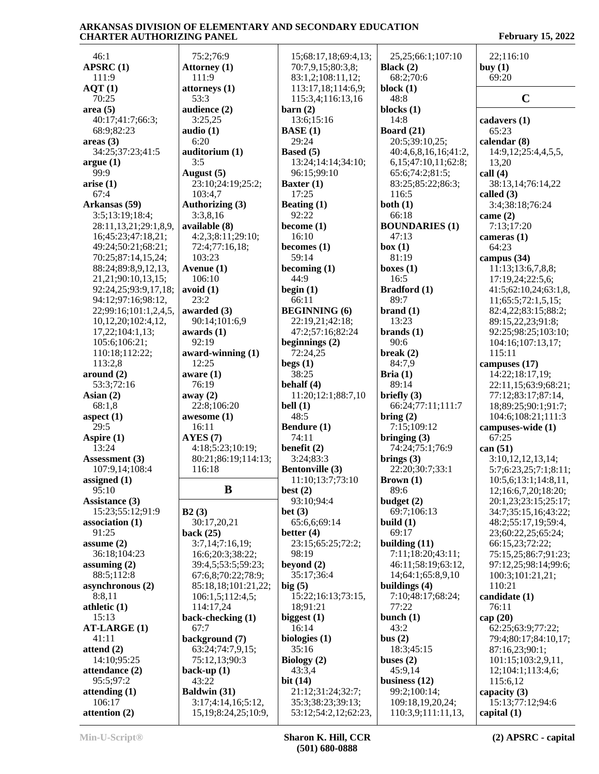| 46:1                    | 75:2;76:9                                       | 15;68:17,18;69:4,13;                      | 25, 25; 66: 1; 107: 10                 | 22;116:10                         |
|-------------------------|-------------------------------------------------|-------------------------------------------|----------------------------------------|-----------------------------------|
| APSRC(1)                | Attorney (1)                                    | 70:7,9,15;80:3,8;                         | Black $(2)$                            | buy $(1)$                         |
| 111:9                   | 111:9                                           | 83:1,2;108:11,12;                         | 68:2;70:6                              | 69:20                             |
| AQT(1)                  | $\left  \right $ attorneys (1)                  | 113:17,18;114:6,9;                        | block $(1)$                            |                                   |
|                         |                                                 |                                           |                                        | $\mathbf C$                       |
| 70:25                   | 53:3                                            | 115:3,4;116:13,16                         | 48:8                                   |                                   |
| area(5)                 | audience (2)                                    | $\rm {barn}$ (2)                          | blocks $(1)$                           |                                   |
| 40:17;41:7;66:3;        | 3:25,25                                         | 13:6;15:16                                | 14:8                                   | cadavers (1)                      |
| 68:9;82:23              | audio $(1)$                                     | <b>BASE</b> (1)                           | Board $(21)$                           | 65:23                             |
| areas(3)                | 6:20                                            | 29:24                                     | 20:5;39:10,25;                         | calendar (8)                      |
| 34:25;37:23;41:5        | auditorium (1)                                  | Based (5)                                 | 40:4,6,8,16,16;41:2,                   | 14:9,12;25:4,4,5,5,               |
| argue(1)                | 3:5                                             | 13:24;14:14;34:10;                        | 6,15;47:10,11;62:8;                    | 13,20                             |
|                         |                                                 |                                           |                                        |                                   |
| 99:9                    | August (5)                                      | 96:15:99:10                               | 65:6;74:2;81:5;                        | call $(4)$                        |
| arise(1)                | 23:10;24:19;25:2;                               | Baxter (1)                                | 83:25;85:22;86:3;                      | 38:13,14;76:14,22                 |
| 67:4                    | 103:4,7                                         | 17:25                                     | 116:5                                  | called (3)                        |
| Arkansas (59)           | Authorizing (3)                                 | Beating $(1)$                             | both $(1)$                             | 3:4;38:18;76:24                   |
| 3:5;13:19;18:4;         | 3:3,8,16                                        | 92:22                                     | 66:18                                  | came $(2)$                        |
| 28:11,13,21;29:1,8,9,   | available (8)                                   | become $(1)$                              | <b>BOUNDARIES (1)</b>                  | 7:13;17:20                        |
| 16;45:23;47:18,21;      | 4:2,3;8:11;29:10;                               | 16:10                                     | 47:13                                  | cameras $(1)$                     |
|                         |                                                 |                                           |                                        |                                   |
| 49:24;50:21;68:21;      | 72:4;77:16,18;                                  | becomes $(1)$                             | box(1)                                 | 64:23                             |
| 70:25;87:14,15,24;      | 103:23                                          | 59:14                                     | 81:19                                  | campus $(34)$                     |
| 88:24;89:8,9,12,13,     | Avenue (1)                                      | becoming $(1)$                            | boxes $(1)$                            | 11:13;13:6,7,8,8;                 |
| 21, 21; 90: 10, 13, 15; | 106:10                                          | 44:9                                      | 16:5                                   | 17:19,24;22:5,6;                  |
| 92:24,25;93:9,17,18;    | avoid(1)                                        | begin $(1)$                               | <b>Bradford</b> (1)                    | 41:5;62:10,24;63:1,8,             |
| 94:12;97:16;98:12,      | 23:2                                            | 66:11                                     | 89:7                                   | 11;65:5;72:1,5,15;                |
| 22;99:16;101:1,2,4,5,   | awarded (3)                                     | <b>BEGINNING</b> (6)                      | brand(1)                               | 82:4,22;83:15;88:2;               |
|                         |                                                 |                                           | 13:23                                  |                                   |
| 10,12,20;102:4,12,      | 90:14;101:6,9                                   | 22:19,21;42:18;                           |                                        | 89:15,22,23;91:8;                 |
| 17,22;104:1,13;         | awards $(1)$                                    | 47:2;57:16;82:24                          | brands(1)                              | 92:25;98:25;103:10;               |
| 105:6;106:21;           | 92:19                                           | beginnings $(2)$                          | 90:6                                   | 104:16;107:13,17;                 |
| 110:18;112:22;          | award-winning (1)                               | 72:24,25                                  | break $(2)$                            | 115:11                            |
| 113:2,8                 | 12:25                                           | begs(1)                                   | 84:7,9                                 | campuses (17)                     |
| around (2)              | aware $(1)$                                     | 38:25                                     | Bria $(1)$                             | 14:22;18:17,19;                   |
| 53:3;72:16              | 76:19                                           | behalf $(4)$                              | 89:14                                  | 22:11,15;63:9;68:21;              |
|                         |                                                 |                                           |                                        |                                   |
| Asian $(2)$             | away (2)                                        | 11:20;12:1;88:7,10                        | briefly $(3)$                          | 77:12;83:17;87:14,                |
| 68:1,8                  | 22:8;106:20                                     | bell $(1)$                                | 66:24;77:11;111:7                      | 18;89:25;90:1;91:7;               |
| aspect $(1)$            | awesome (1)                                     | 48:5                                      | $\text{bring} (2)$                     | 104:6;108:21;111:3                |
| 29:5                    | 16:11                                           | Bendure (1)                               | 7:15;109:12                            | campuses-wide (1)                 |
| Aspire (1)              | AYES(7)                                         | 74:11                                     | bringing $(3)$                         | 67:25                             |
| 13:24                   | 4:18:5:23:10:19:                                | benefit $(2)$                             | 74:24;75:1;76:9                        | can (51)                          |
| Assessment (3)          | 80:21;86:19;114:13;                             | 3:24;83:3                                 | brings $(3)$                           | 3:10,12,12,13,14;                 |
| 107:9,14;108:4          | 116:18                                          | <b>Bentonville (3)</b>                    | 22:20;30:7;33:1                        |                                   |
|                         |                                                 |                                           |                                        | 5:7;6:23,25;7:1;8:11;             |
| assigned $(1)$          |                                                 | 11:10;13:7;73:10                          | <b>Brown</b> $(1)$                     | 10:5,6;13:1;14:8,11,              |
| 95:10                   | B                                               | best $(2)$                                | 89:6                                   | 12;16:6,7,20;18:20;               |
| Assistance (3)          |                                                 | 93:10;94:4                                | budget $(2)$                           | 20:1,23;23:15;25:17;              |
| 15:23;55:12;91:9        | B2(3)                                           | bet $(3)$                                 | 69:7;106:13                            | 34:7;35:15,16;43:22;              |
| association(1)          | 30:17,20,21                                     | 65:6,6;69:14                              | build $(1)$                            | 48:2;55:17,19;59:4,               |
| 91:25                   | back $(25)$                                     | better $(4)$                              | 69:17                                  | 23;60:22,25;65:24;                |
| assume $(2)$            | 3:7,14;7:16,19;                                 | 23:15;65:25;72:2;                         | building $(11)$                        | 66:15,23;72:22;                   |
| 36:18;104:23            |                                                 |                                           | 7:11;18:20;43:11;                      |                                   |
|                         | 16:6;20:3;38:22;                                | 98:19                                     |                                        | 75:15,25;86:7;91:23;              |
| assuming $(2)$          | 39:4,5;53:5;59:23;                              | beyond $(2)$                              | 46:11;58:19;63:12,                     | 97:12,25;98:14;99:6;              |
| 88:5;112:8              | 67:6,8;70:22;78:9;                              | 35:17;36:4                                | 14;64:1;65:8,9,10                      | 100:3;101:21,21;                  |
| asynchronous (2)        | 85:18,18;101:21,22;                             | big(5)                                    | buildings $(4)$                        | 110:21                            |
| 8:8,11                  | 106:1,5;112:4,5;                                | 15:22;16:13;73:15,                        | 7:10;48:17;68:24;                      | candidate (1)                     |
| athletic $(1)$          | 114:17,24                                       | 18;91:21                                  | 77:22                                  | 76:11                             |
| 15:13                   | back-checking (1)                               | biggest $(1)$                             | bunch $(1)$                            | cap $(20)$                        |
|                         |                                                 |                                           |                                        |                                   |
|                         |                                                 |                                           |                                        |                                   |
| <b>AT-LARGE (1)</b>     | 67:7                                            | 16:14                                     | 43:2                                   | 62:25;63:9;77:22;                 |
| 41:11                   | background (7)                                  | biologies $(1)$                           | bus(2)                                 | 79:4;80:17;84:10,17;              |
| attend $(2)$            | 63:24;74:7,9,15;                                | 35:16                                     | 18:3;45:15                             | 87:16,23;90:1;                    |
| 14:10;95:25             | 75:12,13;90:3                                   | Biology (2)                               | buses $(2)$                            | 101:15;103:2,9,11,                |
| attendance (2)          |                                                 | 43:3,4                                    | 45:9,14                                |                                   |
|                         | back-up $(1)$                                   |                                           |                                        | 12;104:1;113:4,6;                 |
| 95:5;97:2               | 43:22                                           | bit $(14)$                                | business $(12)$                        | 115:6,12                          |
| attending $(1)$         | Baldwin (31)                                    | 21:12;31:24;32:7;                         | 99:2;100:14;                           | capacity $(3)$                    |
| 106:17<br>attention (2) | 3:17;4:14,16;5:12,<br>15, 19; 8: 24, 25; 10: 9, | 35:3;38:23;39:13;<br>53:12;54:2,12;62:23, | 109:18,19,20,24;<br>110:3,9;111:11,13, | 15:13;77:12;94:6<br>capital $(1)$ |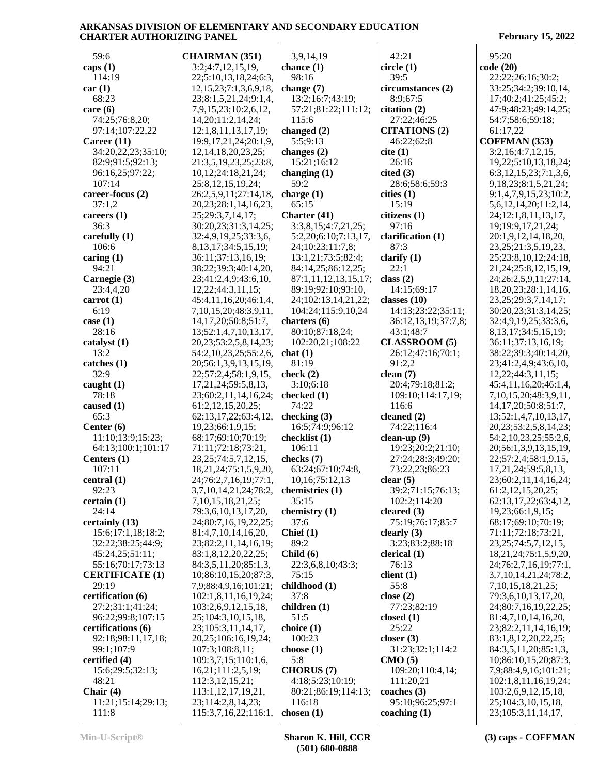59:6 **caps (1)** 114:19 **car (1)** 68:23 **care (6)** 74:25;76:8,20; 97:14;107:22,22 **Career (11)** 34:20,22,23;35:10; 82:9;91:5;92:13; 96:16,25;97:22; 107:14 **career-focus (2)** 37:1,2 **careers (1)** 36:3 **carefully (1)** 106:6 **caring (1)** 94:21 **Carnegie (3)** 23:4,4,20 **carrot (1)** 6:19 **case (1)** 28:16 **catalyst (1)** 13:2 **catches (1)** 32:9 **caught (1)** 78:18 **caused (1)** 65:3 **Center (6)** 11:10;13:9;15:23; 64:13;100:1;101:17 **Centers (1)** 107:11 **central (1)** 92:23 **certain (1)** 24:14 **certainly (13)** 15:6;17:1,18;18:2; 32:22;38:25;44:9; 45:24,25;51:11; 55:16;70:17;73:13 **CERTIFICATE (1)** 29:19 **certification (6)** 27:2;31:1;41:24; 96:22;99:8;107:15 **certifications (6)** 92:18;98:11,17,18; 99:1;107:9 **certified (4)** 15:6;29:5;32:13; 48:21 **Chair (4)** 11:21;15:14;29:13;  $111.8$ **CHAIRMAN (351)** 3:2;4:7,12,15,19, 22;5:10,13,18,24;6:3, 12,15,23;7:1,3,6,9,18, 23;8:1,5,21,24;9:1,4, 7,9,15,23;10:2,6,12, 14,20;11:2,14,24; 12:1,8,11,13,17,19; 19:9,17,21,24;20:1,9, 12,14,18,20,23,25; 21:3,5,19,23,25;23:8, 10,12;24:18,21,24; 25:8,12,15,19,24; 26:2,5,9,11;27:14,18, 20,23;28:1,14,16,23, 25;29:3,7,14,17; 30:20,23;31:3,14,25; 32:4,9,19,25;33:3,6, 8,13,17;34:5,15,19; 36:11;37:13,16,19; 38:22;39:3;40:14,20, 23;41:2,4,9;43:6,10, 12,22;44:3,11,15; 45:4,11,16,20;46:1,4, 7,10,15,20;48:3,9,11, 14,17,20;50:8;51:7, 13;52:1,4,7,10,13,17, 20,23;53:2,5,8,14,23; 54:2,10,23,25;55:2,6, 20;56:1,3,9,13,15,19, 22;57:2,4;58:1,9,15, 17,21,24;59:5,8,13, 23;60:2,11,14,16,24; 61:2,12,15,20,25; 62:13,17,22;63:4,12, 19,23;66:1,9,15; 68:17;69:10;70:19; 71:11;72:18;73:21, 23,25;74:5,7,12,15, 18,21,24;75:1,5,9,20, 24;76:2,7,16,19;77:1, 3,7,10,14,21,24;78:2, 7,10,15,18,21,25; 79:3,6,10,13,17,20, 24;80:7,16,19,22,25; 81:4,7,10,14,16,20, 23;82:2,11,14,16,19; 83:1,8,12,20,22,25; 84:3,5,11,20;85:1,3, 10;86:10,15,20;87:3, 7,9;88:4,9,16;101:21; 102:1,8,11,16,19,24; 103:2,6,9,12,15,18, 25;104:3,10,15,18, 23;105:3,11,14,17, 20,25;106:16,19,24; 107:3;108:8,11; 109:3,7,15;110:1,6, 16,21;111:2,5,19; 112:3,12,15,21; 113:1,12,17,19,21, 23;114:2,8,14,23; 115:3,7,16,22;116:1, 3,9,14,19 **chance (1)** 98:16 **change (7)** 13:2;16:7;43:19; 57:21;81:22;111:12; 115:6 **changed (2)** 5:5;9:13 **changes (2)** 15:21;16:12 **changing (1)** 59:2 **charge (1)** 65:15 **Charter (41)** 3:3,8,15;4:7,21,25; 5:2,20;6:10;7:13,17, 24;10:23;11:7,8; 13:1,21;73:5;82:4; 84:14,25;86:12,25; 87:1,11,12,13,15,17; 89:19;92:10;93:10, 24;102:13,14,21,22; 104:24;115:9,10,24 **charters (6)** 80:10;87:18,24; 102:20,21;108:22 **chat (1)** 81:19 **check (2)** 3:10;6:18 **checked (1)** 74:22 **checking (3)** 16:5;74:9;96:12 **checklist (1)** 106:11 **checks (7)** 63:24;67:10;74:8, 10,16;75:12,13 **chemistries (1)** 35:15 **chemistry (1)** 37:6 **Chief (1)** 89:2 **Child (6)** 22:3,6,8,10;43:3; 75:15 **childhood (1)** 37:8 **children (1)** 51:5 **choice (1)** 100:23 **choose (1)** 5:8 **CHORUS (7)** 4:18;5:23;10:19; 80:21;86:19;114:13; 116:18 **chosen (1)** 42:21 **circle (1)** 39:5 **circumstances (2)** 8:9;67:5 **citation (2)** 27:22;46:25 **CITATIONS (2)** 46:22;62:8 **cite (1)** 26:16 **cited (3)** 28:6;58:6;59:3 **cities (1)** 15:19 **citizens (1)** 97:16 **clarification (1)** 87:3 **clarify (1)** 22:1 **class (2)** 14:15;69:17 **classes (10)** 14:13;23:22;35:11; 36:12,13,19;37:7,8; 43:1;48:7 **CLASSROOM (5)** 26:12;47:16;70:1; 91:2,2 **clean (7)** 20:4;79:18;81:2; 109:10;114:17,19; 116:6 **cleaned (2)** 74:22;116:4 **clean-up (9)** 19:23;20:2;21:10; 27:24;28:3;49:20; 73:22,23;86:23 **clear (5)** 39:2;71:15;76:13; 102:2;114:20 **cleared (3)** 75:19;76:17;85:7 **clearly (3)** 3:23;83:2;88:18 **clerical (1)** 76:13 **client (1)** 55:8 **close (2)** 77:23;82:19 **closed (1)** 25:22 **closer (3)** 31:23;32:1;114:2 **CMO (5)** 109:20;110:4,14; 111:20,21 **coaches (3)** 95:10;96:25;97:1 **coaching (1)** 95:20 **code (20)** 22:22;26:16;30:2; 33:25;34:2;39:10,14, 17;40:2;41:25;45:2; 47:9;48:23;49:14,25; 54:7;58:6;59:18; 61:17,22 **COFFMAN (353)** 3:2,16;4:7,12,15, 19,22;5:10,13,18,24; 6:3,12,15,23;7:1,3,6, 9,18,23;8:1,5,21,24; 9:1,4,7,9,15,23;10:2, 5,6,12,14,20;11:2,14, 24;12:1,8,11,13,17, 19;19:9,17,21,24; 20:1,9,12,14,18,20, 23,25;21:3,5,19,23, 25;23:8,10,12;24:18, 21,24;25:8,12,15,19, 24;26:2,5,9,11;27:14, 18,20,23;28:1,14,16, 23,25;29:3,7,14,17; 30:20,23;31:3,14,25; 32:4,9,19,25;33:3,6, 8,13,17;34:5,15,19; 36:11;37:13,16,19; 38:22;39:3;40:14,20, 23;41:2,4,9;43:6,10, 12,22;44:3,11,15; 45:4,11,16,20;46:1,4, 7,10,15,20;48:3,9,11, 14,17,20;50:8;51:7, 13;52:1,4,7,10,13,17, 20,23;53:2,5,8,14,23; 54:2,10,23,25;55:2,6, 20;56:1,3,9,13,15,19, 22;57:2,4;58:1,9,15, 17,21,24;59:5,8,13, 23;60:2,11,14,16,24; 61:2,12,15,20,25; 62:13,17,22;63:4,12, 19,23;66:1,9,15; 68:17;69:10;70:19; 71:11;72:18;73:21, 23,25;74:5,7,12,15, 18,21,24;75:1,5,9,20, 24;76:2,7,16,19;77:1, 3,7,10,14,21,24;78:2, 7,10,15,18,21,25; 79:3,6,10,13,17,20, 24;80:7,16,19,22,25; 81:4,7,10,14,16,20, 23;82:2,11,14,16,19; 83:1,8,12,20,22,25; 84:3,5,11,20;85:1,3, 10;86:10,15,20;87:3, 7,9;88:4,9,16;101:21; 102:1,8,11,16,19,24; 103:2,6,9,12,15,18, 25;104:3,10,15,18, 23;105:3,11,14,17,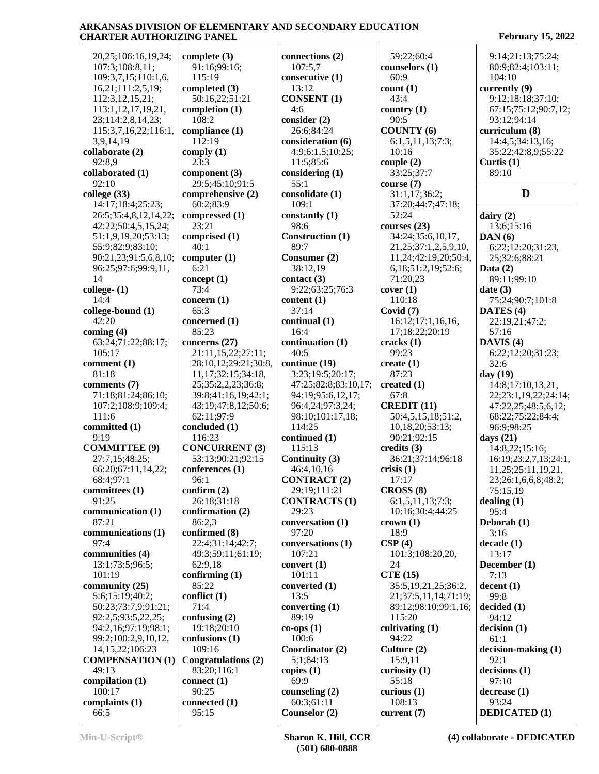20,25;106:16,19,24; 107:3;108:8,11; 109:3,7,15;110:1,6, 16,21;111:2,5,19; 112:3,12,15,21; 113:1,12,17,19,21, 23;114:2,8,14,23; 115:3,7,16,22;116:1, 3,9,14,19 **collaborate (2)** 92:8,9 **collaborated (1)** 92:10 **college (33)** 14:17;18:4;25:23; 26:5;35:4,8,12,14,22; 42:22;50:4,5,15,24; 51:1,9,19,20;53:13; 55:9;82:9;83:10; 90:21,23;91:5,6,8,10; 96:25;97:6;99:9,11, 14 **college- (1)** 14:4 **college-bound (1)** 42:20 **coming (4)** 63:24;71:22;88:17; 105:17 **comment (1)** 81:18 **comments (7)** 71:18;81:24;86:10; 107:2;108:9;109:4;  $111.6$ **committed (1)**  $9.19$ **COMMITTEE (9)** 27:7,15;48:25; 66:20;67:11,14,22; 68:4;97:1 **committees (1)** 91:25 **communication (1)** 87:21 **communications (1)** 97:4 **communities (4)** 13:1;73:5;96:5; 101:19 **community (25)** 5:6;15:19;40:2; 50:23;73:7,9;91:21; 92:2,5;93:5,22,25; 94:2,16;97:19;98:1; 99:2;100:2,9,10,12, 14,15,22;106:23 **COMPENSATION (1)** 49:13 **compilation (1)** 100:17 **complaints (1)** 66:5

**complete (3)** 91:16;99:16; 115:19 **completed (3)** 50:16,22;51:21 **completion (1)** 108:2 **compliance (1)** 112:19 **comply (1)** 23:3 **component (3)** 29:5;45:10;91:5 **comprehensive (2)** 60:2;83:9 **compressed (1)** 23:21 **comprised (1)** 40:1 **computer (1)** 6:21 **concept (1)** 73:4 **concern (1)** 65:3 **concerned (1)** 85:23 **concerns (27)** 21:11,15,22;27:11; 28:10,12;29:21;30:8, 11,17;32:15;34:18, 25;35:2,2,23;36:8; 39:8;41:16,19;42:1; 43:19;47:8,12;50:6; 62:11;97:9 **concluded (1)** 116:23 **CONCURRENT (3)** 53:13;90:21;92:15 **conferences (1)** 96:1 **confirm (2)** 26:18;31:18 **confirmation (2)** 86:2,3 **confirmed (8)** 22:4;31:14;42:7; 49:3;59:11;61:19; 62:9,18 **confirming (1)** 85:22 **conflict (1)** 71:4 **confusing (2)** 19:18;20:10 **confusions (1)** 109:16 **Congratulations (2)** 83:20;116:1 **connect (1)** 90:25 **connected (1)** 95:15

**connections (2)** 107:5,7 **consecutive (1)** 13:12 **CONSENT (1)** 4:6 **consider (2)** 26:6;84:24 **consideration (6)** 4:9;6:1,5;10:25; 11:5;85:6 **considering (1)** 55:1 **consolidate (1)** 109:1 **constantly (1)** 98:6 **Construction (1)** 89:7 **Consumer (2)** 38:12,19 **contact (3)** 9:22;63:25;76:3 **content (1)** 37:14 **continual (1)** 16:4 **continuation (1)** 40:5 **continue (19)** 3:23;19:5;20:17; 47:25;82:8;83:10,17; 94:19;95:6,12,17; 96:4,24;97:3,24; 98:10;101:17,18; 114:25 **continued (1)** 115:13 **Continuity (3)** 46:4,10,16 **CONTRACT (2)** 29:19;111:21 **CONTRACTS (1)** 29:23 **conversation (1)** 97:20 **conversations (1)** 107:21 **convert (1)** 101:11 **converted (1)** 13:5 **converting (1)** 89:19 **co-ops (1)** 100:6 **Coordinator (2)** 5:1;84:13 **copies (1)** 69:9 **counseling (2)** 60:3;61:11 **Counselor (2)**

 59:22;60:4 **counselors (1)** 60:9 **count (1)** 43:4 **country (1)** 90:5 **COUNTY (6)** 6:1,5,11,13;7:3; 10:16 **couple (2)** 33:25;37:7 **course (7)** 31:1,17;36:2; 37:20;44:7;47:18; 52:24 **courses (23)** 34:24;35:6,10,17, 21,25;37:1,2,5,9,10, 11,24;42:19,20;50:4, 6,18;51:2,19;52:6; 71:20,23 **cover (1)** 110:18 **Covid (7)** 16:12;17:1,16,16, 17;18:22;20:19 **cracks (1)** 99:23 **create (1)** 87:23 **created (1)** 67:8 **CREDIT (11)** 50:4,5,15,18;51:2, 10,18,20;53:13; 90:21;92:15 **credits (3)** 36:21;37:14;96:18 **crisis (1)** 17:17 **CROSS (8)** 6:1,5,11,13;7:3; 10:16;30:4;44:25 **crown (1)** 18:9 **CSP (4)** 101:3;108:20,20, 24 **CTE (15)** 35:5,19,21,25;36:2, 21;37:5,11,14;71:19; 89:12;98:10;99:1,16; 115:20 **cultivating (1)** 94:22 **Culture (2)** 15:9,11 **curiosity (1)** 55:18 **curious (1)** 108:13 **current (7)**

 9:14;21:13;75:24; 80:9;82:4;103:11; 104:10 **currently (9)** 9:12;18:18;37:10; 67:15;75:12;90:7,12; 93:12;94:14 **curriculum (8)** 14:4,5;34:13,16; 35:22;42:8,9;55:22 **Curtis (1)** 89:10 **D dairy (2)** 13:6;15:16 **DAN (6)** 6:22;12:20;31:23, 25;32:6;88:21 **Data (2)** 89:11;99:10 **date (3)** 75:24;90:7;101:8 **DATES (4)** 22:19,21;47:2; 57:16 **DAVIS (4)** 6:22;12:20;31:23; 32:6 **day (19)** 14:8;17:10,13,21, 22;23:1,19,22;24:14; 47:22,25;48:5,6,12; 68:22;75:22;84:4; 96:9;98:25 **days (21)** 14:8,22;15:16; 16:19;23:2,7,13;24:1, 11,25;25:11,19,21, 23;26:1,6,6,8;48:2; 75:15,19 **dealing (1)** 95:4 **Deborah (1)** 3:16 **decade (1)** 13:17 **December (1)** 7:13 **decent (1)** 99:8 **decided (1)** 94:12 **decision (1)** 61:1 **decision-making (1)** 92:1 **decisions (1)** 97:10 **decrease (1)**

 93:24 **DEDICATED (1)**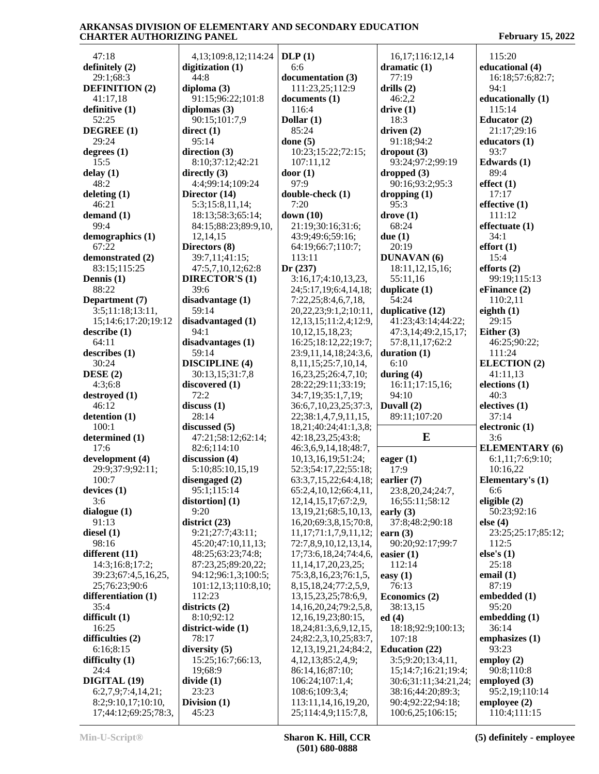| 47:18                            | 4, 13; 109: 8, 12; 114: 24          | DLP(1)                                                  | 16,17;116:12,14                 | 115:20                   |
|----------------------------------|-------------------------------------|---------------------------------------------------------|---------------------------------|--------------------------|
| definitely (2)                   | digitization $(1)$                  | 6:6                                                     | dramatic $(1)$                  | educational (4)          |
| 29:1;68:3                        | 44:8                                | documentation (3)                                       | 77:19                           | 16:18;57:6;82:7;         |
| <b>DEFINITION (2)</b>            | diploma $(3)$                       | 111:23,25;112:9                                         | drills $(2)$                    | 94:1                     |
| 41:17,18                         | 91:15;96:22;101:8                   | documents (1)                                           | 46:2,2                          | educationally (1)        |
| definitive (1)                   | diplomas $(3)$                      | 116:4                                                   | drive $(1)$                     | 115:14                   |
| 52:25                            | 90:15;101:7,9                       | Dollar $(1)$                                            | 18:3                            | Educator $(2)$           |
| DEGREE (1)                       | direct $(1)$                        | 85:24                                                   | driven $(2)$                    | 21:17;29:16              |
| 29:24                            | 95:14                               | done $(5)$                                              | 91:18;94:2                      | educators $(1)$          |
| degrees $(1)$                    | direction $(3)$                     | 10:23;15:22;72:15;                                      | $\text{dropout} (3)$            | 93:7                     |
| 15:5                             | 8:10;37:12;42:21                    | 107:11,12                                               | 93:24;97:2;99:19                | Edwards $(1)$            |
| delay(1)                         | directly $(3)$                      | door(1)                                                 | dropped(3)                      | 89:4                     |
| 48:2                             | 4:4:99:14:109:24                    | 97:9                                                    | 90:16;93:2;95:3                 | effect $(1)$             |
| deleting $(1)$                   | Director (14)                       | double-check (1)                                        | dropping $(1)$                  | 17:17                    |
| 46:21                            | 5:3;15:8,11,14;                     | 7:20                                                    | 95:3                            | effective $(1)$          |
| demand $(1)$                     | 18:13;58:3;65:14;                   | down $(10)$                                             | $\bf{drive}$ $(1)$              | 111:12                   |
| 99:4                             | 84:15;88:23;89:9,10,                | 21:19;30:16;31:6;                                       | 68:24                           | effectuate (1)           |
| demographics (1)                 | 12,14,15                            | 43:9;49:6;59:16;                                        | due $(1)$                       | 34:1                     |
| 67:22                            | Directors (8)                       | 64:19;66:7;110:7;                                       | 20:19                           | effort(1)                |
| demonstrated (2)<br>83:15;115:25 | 39:7,11;41:15;<br>47:5,7,10,12;62:8 | 113:11<br>Dr(237)                                       | <b>DUNAVAN</b> (6)              | 15:4<br>efforts $(2)$    |
| Dennis (1)                       | <b>DIRECTOR'S (1)</b>               | 3:16,17;4:10,13,23,                                     | 18:11,12,15,16;<br>55:11,16     | 99:19:115:13             |
| 88:22                            | 39:6                                | 24;5:17,19;6:4,14,18;                                   | duplicate $(1)$                 | eFinance (2)             |
| Department (7)                   | disadvantage (1)                    | 7:22,25;8:4,6,7,18,                                     | 54:24                           | 110:2,11                 |
| 3:5;11:18;13:11,                 | 59:14                               | 20, 22, 23, 9: 1, 2, 10: 11,                            | duplicative (12)                | eighth $(1)$             |
| 15;14:6;17:20;19:12              | disadvantaged (1)                   | 12, 13, 15; 11: 2, 4; 12: 9,                            | 41:23;43:14;44:22;              | 29:15                    |
| describe(1)                      | 94:1                                | 10, 12, 15, 18, 23;                                     | 47:3,14;49:2,15,17;             | Either $(3)$             |
| 64:11                            | disadvantages (1)                   | 16:25;18:12,22;19:7;                                    | 57:8,11,17;62:2                 | 46:25;90:22;             |
| describes (1)                    | 59:14                               | 23:9,11,14,18;24:3,6,                                   | duration $(1)$                  | 111:24                   |
| 30:24                            | <b>DISCIPLINE</b> (4)               | 8, 11, 15; 25: 7, 10, 14,                               | 6:10                            | <b>ELECTION</b> (2)      |
| DESE $(2)$                       | 30:13,15;31:7,8                     | 16,23,25;26:4,7,10;                                     | during $(4)$                    | 41:11,13                 |
| 4:3;6:8                          | discovered (1)                      | 28:22;29:11;33:19;                                      | 16:11;17:15,16;                 | elections <sub>(1)</sub> |
| destroyed (1)                    | 72:2                                | 34:7,19;35:1,7,19;                                      | 94:10                           | 40:3                     |
| 46:12                            | discuss(1)                          | 36:6,7,10,23,25;37:3,                                   | Duvall (2)                      | electives (1)            |
| detention (1)<br>100:1           | 28:14                               | 22;38:1,4,7,9,11,15,                                    | 89:11;107:20                    | 37:14                    |
| determined (1)                   | discussed (5)<br>47:21;58:12;62:14; | 18,21;40:24;41:1,3,8;<br>42:18,23,25;43:8;              | E                               | electronic (1)<br>3:6    |
| 17:6                             | 82:6;114:10                         | 46:3,6,9,14,18;48:7,                                    |                                 | <b>ELEMENTARY (6)</b>    |
| development (4)                  | discussion (4)                      | 10,13,16,19;51:24;                                      | eager $(1)$                     | 6:1,11;7:6;9:10;         |
| 29:9;37:9;92:11;                 | 5:10;85:10,15,19                    | 52:3;54:17,22;55:18;                                    | 17:9                            | 10:16,22                 |
| 100:7                            | disengaged (2)                      | 63:3,7,15,22;64:4,18;                                   | earlier $(7)$                   | Elementary's (1)         |
| devices $(1)$                    | 95:1;115:14                         | 65:2,4,10,12;66:4,11,                                   | 23:8,20,24;24:7,                | 6:6                      |
| 3:6                              | distortion] $(1)$                   | 12, 14, 15, 17; 67: 2, 9,                               | 16;55:11;58:12                  | eligible $(2)$           |
| dialogue $(1)$                   | 9:20                                | 13, 19, 21; 68: 5, 10, 13,                              | early $(3)$                     | 50:23;92:16              |
| 91:13                            | district $(23)$                     | 16,20;69:3,8,15;70:8,                                   | 37:8;48:2;90:18                 | else $(4)$               |
| diesel $(1)$                     | 9:21;27:7;43:11;                    | 11, 17; 71; 1, 7, 9, 11, 12;                            | earn $(3)$                      | 23:25:25:17;85:12;       |
| 98:16                            | 45:20;47:10,11,13;                  | 72:7,8,9,10,12,13,14,                                   | 90:20;92:17;99:7                | 112:5                    |
| different (11)                   | 48:25;63:23;74:8;                   | 17;73:6,18,24;74:4,6,                                   | easier $(1)$                    | else's $(1)$             |
| 14:3;16:8;17:2;                  | 87:23,25;89:20,22;                  | 11, 14, 17, 20, 23, 25;                                 | 112:14                          | 25:18                    |
| 39:23;67:4,5,16,25,              | 94:12;96:1,3;100:5;                 | 75:3,8,16,23;76:1,5,                                    | easy $(1)$                      | email $(1)$              |
| 25;76:23;90:6                    | 101:12,13;110:8,10;                 | 8, 15, 18, 24; 77: 2, 5, 9,                             | 76:13                           | 87:19                    |
| differentiation (1)              | 112:23                              | 13, 15, 23, 25; 78: 6, 9,                               | Economics (2)                   | embedded (1)             |
| 35:4                             | districts $(2)$                     | 14, 16, 20, 24; 79: 2, 5, 8,                            | 38:13,15                        | 95:20                    |
| difficult (1)<br>16:25           | 8:10;92:12<br>district-wide (1)     | 12, 16, 19, 23; 80: 15,<br>18, 24; 81: 3, 6, 9, 12, 15, | ed(4)<br>18:18;92:9;100:13;     | embedding $(1)$<br>36:14 |
|                                  |                                     |                                                         |                                 | emphasizes $(1)$         |
| difficulties $(2)$<br>6:16;8:15  | 78:17<br>diversity $(5)$            | 24;82:2,3,10,25;83:7,<br>12, 13, 19, 21, 24; 84: 2,     | 107:18<br><b>Education (22)</b> | 93:23                    |
| difficulty $(1)$                 | 15:25;16:7;66:13,                   | 4, 12, 13; 85: 2, 4, 9;                                 | 3:5;9:20;13:4,11,               | employ $(2)$             |
| 24:4                             | 19;68:9                             | 86:14,16;87:10;                                         | 15;14:7;16:21;19:4;             | 90:8;110:8               |
| DIGITAL (19)                     | divide(1)                           | 106:24;107:1,4;                                         | 30:6;31:11;34:21,24;            | employed $(3)$           |
| 6:2,7,9;7:4,14,21;               | 23:23                               | 108:6;109:3,4;                                          | 38:16;44:20;89:3;               | 95:2,19;110:14           |
| 8:2;9:10,17;10:10,               | Division $(1)$                      | 113:11,14,16,19,20,                                     | 90:4;92:22;94:18;               | employee $(2)$           |
| 17;44:12;69:25;78:3,             | 45:23                               | 25;114:4,9;115:7,8,                                     | 100:6,25;106:15;                | 110:4;111:15             |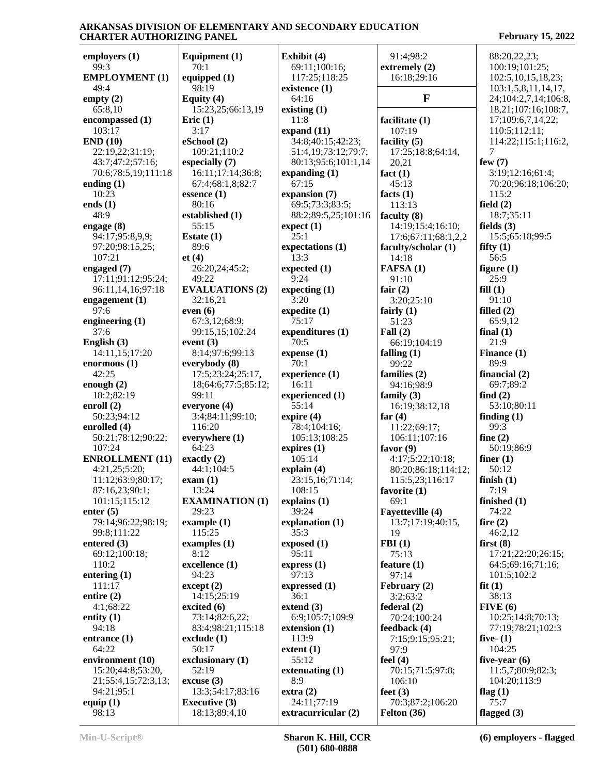| employers (1)                           | Equipment (1)                    | Exhibit (4)             | 91:4;98:2           | 88:20,22,23;           |
|-----------------------------------------|----------------------------------|-------------------------|---------------------|------------------------|
| 99:3                                    | 70:1                             | 69:11;100:16;           | extremely (2)       | 100:19;101:25;         |
| <b>EMPLOYMENT (1)</b>                   | equipped $(1)$                   | 117:25;118:25           | 16:18:29:16         | 102:5, 10, 15, 18, 23; |
| 49:4                                    | 98:19                            | existence (1)           |                     | 103:1,5,8,11,14,17,    |
| empty $(2)$                             | Equity (4)                       | 64:16                   | $\mathbf{F}$        | 24;104:2,7,14;106:8,   |
| 65:8,10                                 | 15:23,25;66:13,19                | existing $(1)$          |                     | 18,21;107:16;108:7,    |
| encompassed (1)                         | Eric $(1)$                       | 11:8                    | facilitate (1)      | 17;109:6,7,14,22;      |
| 103:17                                  | 3:17                             | expand $(11)$           | 107:19              | 110:5;112:11;          |
| END(10)                                 | eSchool (2)                      | 34:8;40:15;42:23;       | facility $(5)$      | 114:22;115:1;116:2,    |
| 22:19,22;31:19;                         | 109:21;110:2                     | 51:4,19;73:12;79:7;     | 17:25;18:8;64:14,   | 7                      |
| 43:7;47:2;57:16;                        | especially (7)                   | 80:13;95:6;101:1,14     | 20,21               | few $(7)$              |
| 70:6;78:5,19;111:18                     | 16:11;17:14;36:8;                | expanding $(1)$         | fact $(1)$          | 3:19;12:16;61:4;       |
| ending $(1)$                            | 67:4;68:1,8;82:7                 | 67:15                   | 45:13               | 70:20;96:18;106:20;    |
| 10:23                                   | essence $(1)$                    | expansion (7)           | facts $(1)$         | 115:2                  |
| ends $(1)$                              | 80:16                            | 69:5;73:3;83:5;         | 113:13              | field $(2)$            |
| 48:9                                    | established (1)                  | 88:2;89:5,25;101:16     | faculty (8)         | 18:7;35:11             |
| engage (8)                              | 55:15                            | expect(1)               | 14:19;15:4;16:10;   | fields $(3)$           |
| 94:17;95:8,9,9;                         | Estate $(1)$                     | 25:1                    | 17:6;67:11;68:1,2,2 | 15:5;65:18;99:5        |
| 97:20;98:15,25;                         | 89:6                             | expectations (1)        | faculty/scholar (1) | fifty $(1)$            |
| 107:21                                  | et(4)                            | 13:3                    | 14:18               | 56:5                   |
| engaged $(7)$                           | 26:20,24;45:2;                   | expected $(1)$          | FAFSA (1)           | figure $(1)$           |
| 17:11;91:12;95:24;                      | 49:22                            | 9:24                    | 91:10               | 25:9                   |
| 96:11,14,16;97:18                       | <b>EVALUATIONS (2)</b>           | expecting (1)           | fair $(2)$          | fill(1)                |
| engagement $(1)$                        | 32:16,21                         | 3:20                    | 3:20;25:10          | 91:10                  |
| 97:6                                    | even $(6)$                       | expedite (1)            | fairly $(1)$        | filled $(2)$           |
| engineering $(1)$                       | 67:3,12;68:9;                    | 75:17                   | 51:23               | 65:9,12                |
| 37:6                                    | 99:15,15;102:24                  | expenditures (1)        | Fall $(2)$          | final $(1)$            |
| English (3)                             | event $(3)$                      | 70:5                    | 66:19;104:19        | 21:9                   |
| 14:11,15;17:20                          | 8:14;97:6;99:13                  | expense(1)              | falling $(1)$       | Finance (1)            |
| enormous $(1)$                          | everybody (8)                    | 70:1                    | 99:22               | 89:9                   |
| 42:25                                   | 17:5;23:24;25:17,                | experience (1)          | families (2)        | financial $(2)$        |
| enough $(2)$                            | 18;64:6;77:5;85:12;              | 16:11                   | 94:16;98:9          | 69:7;89:2              |
| 18:2;82:19                              | 99:11                            | experienced (1)         | family $(3)$        | find $(2)$             |
| enroll $(2)$                            | everyone (4)                     | 55:14                   | 16:19;38:12,18      | 53:10;80:11            |
| 50:23;94:12                             | 3:4;84:11;99:10;                 | expire $(4)$            | far $(4)$           | finding $(1)$          |
| enrolled (4)                            | 116:20                           | 78:4;104:16;            | 11:22;69:17;        | 99:3                   |
| 50:21;78:12;90:22;                      | everywhere (1)                   | 105:13;108:25           | 106:11;107:16       | fine $(2)$             |
| 107:24                                  | 64:23                            |                         | favor $(9)$         | 50:19;86:9             |
|                                         | exactly $(2)$                    | expires $(1)$<br>105:14 |                     | finer $(1)$            |
| <b>ENROLLMENT</b> (11)<br>4:21,25;5:20; | 44:1:104:5                       |                         | 4:17;5:22;10:18;    |                        |
|                                         |                                  | explain $(4)$           | 80:20;86:18;114:12; | 50:12                  |
| 11:12;63:9;80:17;                       | exam(1)                          | 23:15,16;71:14;         | 115:5,23;116:17     | finish $(1)$           |
| 87:16,23;90:1;                          | 13:24                            | 108:15                  | favorite (1)        | 7:19                   |
| 101:15;115:12                           | <b>EXAMINATION (1)</b>           | explains $(1)$          | 69:1                | finished $(1)$         |
| enter $(5)$                             | 29:23                            | 39:24                   | Fayetteville (4)    | 74:22                  |
| 79:14;96:22;98:19;                      | example $(1)$                    | explanation (1)         | 13:7;17:19;40:15,   | fire $(2)$             |
| 99:8;111:22                             | 115:25                           | 35:3                    | 19                  | 46:2,12                |
| entered $(3)$                           | examples $(1)$                   | exposed(1)              | FBI(1)              | first $(8)$            |
| 69:12;100:18;                           | 8:12                             | 95:11                   | 75:13               | 17:21;22:20;26:15;     |
| 110:2                                   | excellence (1)                   | express $(1)$           | feature $(1)$       | 64:5;69:16;71:16;      |
| entering (1)                            | 94:23                            | 97:13                   | 97:14               | 101:5:102:2            |
| 111:17                                  | $\text{except} \left( 2 \right)$ | expressed (1)           | February (2)        | fit(1)                 |
| entire $(2)$                            | 14:15:25:19                      | 36:1                    | 3:2;63:2            | 38:13                  |
| 4:1;68:22                               | excited $(6)$                    | extend $(3)$            | federal (2)         | FIVE(6)                |
| entity $(1)$                            | 73:14;82:6,22;                   | 6:9;105:7;109:9         | 70:24;100:24        | 10:25;14:8;70:13;      |
| 94:18                                   | 83:4;98:21;115:18                | extension $(1)$         | feedback (4)        | 77:19;78:21;102:3      |
| entrance $(1)$                          | exclude $(1)$                    | 113:9                   | 7:15;9:15;95:21;    | five- $(1)$            |
| 64:22                                   | 50:17                            | extent(1)               | 97:9                | 104:25                 |
| environment (10)                        | exclusionary (1)                 | 55:12                   | feel $(4)$          | five-year $(6)$        |
| 15:20;44:8;53:20,                       | 52:19                            | extenuating $(1)$       | 70:15;71:5;97:8;    | 11:5,7;80:9;82:3;      |
| 21;55:4,15;72:3,13;                     | $\csc{usc}$ (3)                  | 8:9                     | 106:10              | 104:20;113:9           |
| 94:21;95:1                              | 13:3;54:17;83:16                 | extra(2)                | feet $(3)$          | flag $(1)$             |
| equip $(1)$                             | <b>Executive (3)</b>             | 24:11;77:19             | 70:3;87:2;106:20    | 75:7                   |
| 98:13                                   | 18:13;89:4,10                    | extracurricular (2)     | Felton $(36)$       | flagged $(3)$          |
|                                         |                                  |                         |                     |                        |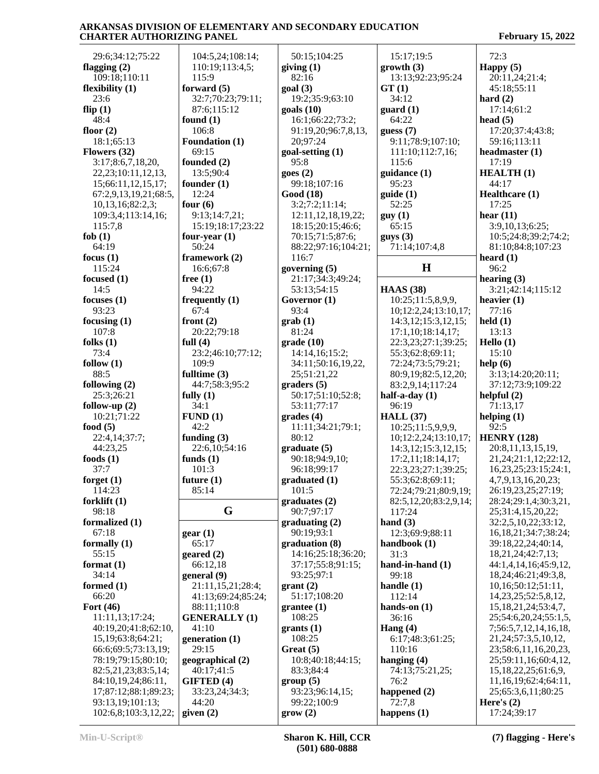| 29:6;34:12;75:22                          | 104:5,24;108:14;                 | 50:15;104:25                            | 15:17;19:5                       | 72:3                                             |
|-------------------------------------------|----------------------------------|-----------------------------------------|----------------------------------|--------------------------------------------------|
| flagging $(2)$                            | 110:19;113:4,5;                  | giving $(1)$                            | growth(3)                        | Happy $(5)$                                      |
| 109:18;110:11                             | 115:9                            | 82:16                                   | 13:13;92:23;95:24                | 20:11,24;21:4;                                   |
| flexibility $(1)$<br>23:6                 | forward $(5)$                    | goal(3)                                 | GT(1)<br>34:12                   | 45:18;55:11                                      |
|                                           | 32:7;70:23;79:11;<br>87:6;115:12 | 19:2;35:9;63:10                         |                                  | hard $(2)$                                       |
| flip $(1)$<br>48:4                        |                                  | $\text{goals}$ (10)<br>16:1;66:22;73:2; | guard(1)<br>64:22                | 17:14;61:2<br>head $(5)$                         |
| floor $(2)$                               | found $(1)$<br>106:8             | 91:19,20;96:7,8,13,                     | guess $(7)$                      | 17:20;37:4;43:8;                                 |
| 18:1;65:13                                | Foundation (1)                   | 20;97:24                                | 9:11;78:9;107:10;                | 59:16;113:11                                     |
| Flowers (32)                              | 69:15                            | goal-setting (1)                        | 111:10;112:7,16;                 | headmaster (1)                                   |
| 3:17;8:6,7,18,20,                         | founded (2)                      | 95:8                                    | 115:6                            | 17:19                                            |
| 22, 23; 10:11, 12, 13,                    | 13:5;90:4                        | goes(2)                                 | guidance (1)                     | <b>HEALTH(1)</b>                                 |
| 15;66:11,12,15,17;                        | founder $(1)$                    | 99:18;107:16                            | 95:23                            | 44:17                                            |
| 67:2,9,13,19,21;68:5,                     | 12:24                            | Good (18)                               | guide(1)                         | Healthcare (1)                                   |
| 10,13,16;82:2,3;                          | four $(6)$                       | 3:2;7:2;11:14;                          | 52:25                            | 17:25                                            |
| 109:3,4;113:14,16;                        | 9:13;14:7,21;                    | 12:11, 12, 18, 19, 22;                  | guy(1)                           | hear $(11)$                                      |
| 115:7,8                                   | 15:19;18:17;23:22                | 18:15;20:15;46:6;                       | 65:15                            | 3:9,10,13;6:25;                                  |
| fob $(1)$                                 | four-year $(1)$                  | 70:15;71:5;87:6;                        | gays(3)                          | 10:5;24:8;39:2;74:2;                             |
| 64:19                                     | 50:24                            | 88:22;97:16;104:21;                     | 71:14;107:4,8                    | 81:10;84:8;107:23                                |
| focus $(1)$                               | framework (2)                    | 116:7                                   |                                  | heard $(1)$                                      |
| 115:24                                    | 16:6:67:8                        | governing (5)                           | $\mathbf H$                      | 96:2                                             |
| focused $(1)$                             | free $(1)$                       | 21:17;34:3;49:24;                       |                                  | hearing $(3)$                                    |
| 14:5                                      | 94:22                            | 53:13;54:15                             | <b>HAAS</b> (38)                 | 3:21;42:14;115:12                                |
| focuses $(1)$                             | frequently $(1)$                 | Governor (1)                            | 10:25;11:5,8,9,9,                | heavier $(1)$                                    |
| 93:23                                     | 67:4                             | 93:4                                    | 10;12:2,24;13:10,17;             | 77:16                                            |
| focusing $(1)$                            | front $(2)$                      | $grab(1)$                               | 14:3,12;15:3,12,15;              | $\text{held}(1)$                                 |
| 107:8                                     | 20:22;79:18                      | 81:24                                   | 17:1,10;18:14,17;                | 13:13                                            |
| folks $(1)$                               | full $(4)$                       | grade(10)                               | 22:3,23;27:1;39:25;              | Hello $(1)$                                      |
| 73:4                                      | 23:2;46:10;77:12;                | 14:14,16;15:2;                          | 55:3;62:8;69:11;                 | 15:10                                            |
| follow $(1)$                              | 109:9                            | 34:11;50:16,19,22,                      | 72:24;73:5;79:21;                | help (6)                                         |
| 88:5                                      | fulltime $(3)$                   | 25;51:21,22                             | 80:9,19;82:5,12,20;              | 3:13;14:20;20:11;                                |
| following $(2)$                           | 44:7;58:3;95:2                   | graders(5)                              | 83:2,9,14;117:24                 | 37:12;73:9;109:22                                |
| 25:3;26:21                                | fully $(1)$                      | 50:17;51:10;52:8;                       | half-a-day (1)                   | helpful $(2)$                                    |
| follow-up $(2)$                           | 34:1                             | 53:11;77:17                             | 96:19                            | 71:13,17                                         |
| 10:21;71:22                               | FUND(1)                          | grades(4)                               | <b>HALL</b> (37)                 | helping $(1)$                                    |
| food $(5)$                                | 42:2                             | 11:11;34:21;79:1;                       | 10:25;11:5,9,9,9,                | 92:5                                             |
| 22:4,14;37:7;                             | funding $(3)$                    | 80:12                                   | 10;12:2,24;13:10,17;             | <b>HENRY</b> (128)                               |
| 44:23,25                                  | 22:6,10;54:16                    | graduate (5)                            | 14:3,12;15:3,12,15;              | 20:8,11,13,15,19,                                |
| foods $(1)$                               | funds $(1)$                      | 90:18;94:9,10;                          | 17:2,11;18:14,17;                | 21, 24; 21: 1, 12; 22: 12,                       |
| 37:7                                      | 101:3                            | 96:18;99:17                             | 22:3,23;27:1;39:25;              | 16, 23, 25; 23: 15; 24: 1,                       |
| forget $(1)$                              | future $(1)$                     | graduated (1)                           | 55:3:62:8:69:11:                 | 4,7,9,13,16,20,23;                               |
| 114:23                                    | 85:14                            | 101:5                                   | 72:24;79:21;80:9,19;             | 26:19,23,25;27:19;                               |
| forklift $(1)$                            | G                                | graduates(2)                            | 82:5,12,20;83:2,9,14;            | 28:24;29:1,4;30:3,21,                            |
| 98:18                                     |                                  | 90:7;97:17                              | 117:24                           | 25;31:4,15,20,22;                                |
| formalized (1)                            |                                  | graduating (2)                          | hand $(3)$                       | 32:2,5,10,22;33:12,                              |
| 67:18<br>formally $(1)$                   | gear(1)<br>65:17                 | 90:19;93:1<br>graduation (8)            | 12:3;69:9;88:11<br>handbook (1)  | 16, 18, 21; 34: 7; 38: 24;<br>39:18,22,24;40:14, |
| 55:15                                     | $\text{generated}$ (2)           | 14:16;25:18;36:20;                      | 31:3                             | 18,21,24;42:7,13;                                |
| format $(1)$                              | 66:12,18                         | 37:17:55:8:91:15;                       | hand-in-hand $(1)$               | 44:1,4,14,16;45:9,12,                            |
| 34:14                                     | general (9)                      | 93:25;97:1                              | 99:18                            | 18,24;46:21;49:3,8,                              |
| formed $(1)$                              | 21:11,15,21;28:4;                | grant(2)                                | handle $(1)$                     | 10,16;50:12;51:11,                               |
| 66:20                                     |                                  |                                         |                                  |                                                  |
| Fort $(46)$                               |                                  |                                         |                                  |                                                  |
|                                           | 41:13;69:24;85:24;               | 51:17;108:20                            | 112:14                           | 14, 23, 25; 52: 5, 8, 12,                        |
|                                           | 88:11;110:8                      | grantee(1)                              | hands-on $(1)$                   | 15, 18, 21, 24; 53: 4, 7,                        |
| 11:11,13;17:24;                           | <b>GENERALLY (1)</b>             | 108:25                                  | 36:16                            | 25;54:6,20,24;55:1,5,                            |
| 40:19,20;41:8;62:10,                      | 41:10                            | grants(1)                               | Hang $(4)$                       | 7;56:5,7,12,14,16,18,                            |
| 15,19;63:8;64:21;                         | generation (1)                   | 108:25                                  | 6:17;48:3;61:25;                 | 21, 24; 57: 3, 5, 10, 12,                        |
| 66:6;69:5;73:13,19;<br>78:19;79:15;80:10; | 29:15                            | Great $(5)$<br>10:8;40:18;44:15;        | 110:16                           | 23;58:6,11,16,20,23,<br>25;59:11,16;60:4,12,     |
| 82:5,21,23;83:5,14;                       | geographical (2)                 | 83:3;84:4                               | hanging $(4)$<br>74:13;75:21,25; | 15, 18, 22, 25; 61: 6, 9,                        |
| 84:10,19,24;86:11,                        | 40:17;41:5<br><b>GIFTED</b> (4)  | group(5)                                | 76:2                             | 11, 16, 19; 62: 4; 64: 11,                       |
| 17;87:12;88:1;89:23;                      | 33:23,24;34:3;                   | 93:23;96:14,15;                         | happened $(2)$                   | 25;65:3,6,11;80:25                               |
| 93:13,19;101:13;                          | 44:20                            | 99:22;100:9                             | 72:7,8                           | Here's $(2)$                                     |

**Min-U-Script® Sharon K. Hill, CCR (501) 680-0888**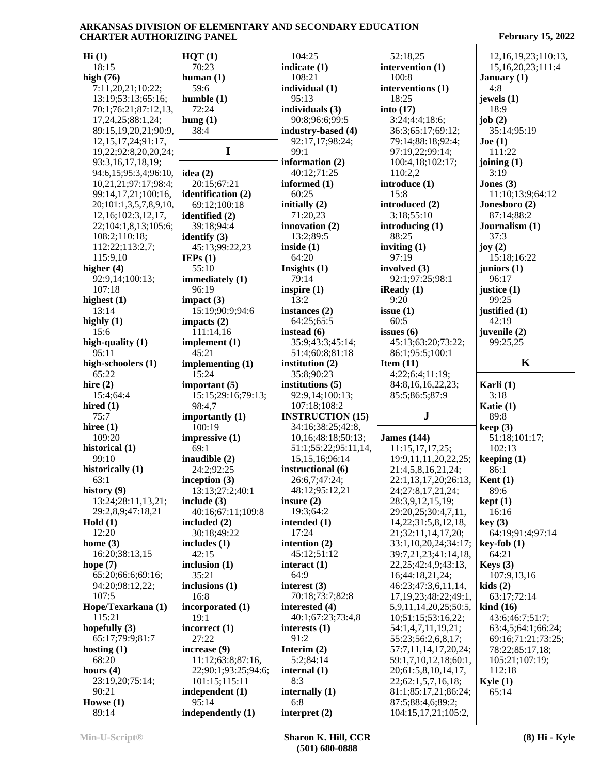**Hi (1)** 18:15 **high (76)** 7:11,20,21;10:22; 13:19;53:13;65:16; 70:1;76:21;87:12,13, 17,24,25;88:1,24; 89:15,19,20,21;90:9, 12,15,17,24;91:17, 19,22;92:8,20,20,24; 93:3,16,17,18,19; 94:6,15;95:3,4;96:10, 10,21,21;97:17;98:4; 99:14,17,21;100:16, 20;101:1,3,5,7,8,9,10, 12,16;102:3,12,17, 22;104:1,8,13;105:6; 108:2;110:18; 112:22;113:2,7; 115:9,10 **higher (4)** 92:9,14;100:13; 107:18 **highest (1)** 13:14 **highly (1)** 15:6 **high-quality (1)** 95:11 **high-schoolers (1)** 65:22 **hire (2)** 15:4;64:4 **hired (1)** 75:7 **hiree (1)** 109:20 **historical (1)** 99:10 **historically (1)** 63:1 **history (9)** 13:24;28:11,13,21; 29:2,8,9;47:18,21 **Hold (1)** 12:20 **home (3)** 16:20;38:13,15 **hope (7)** 65:20;66:6;69:16; 94:20;98:12,22; 107:5 **Hope/Texarkana (1)** 115:21 **hopefully (3)** 65:17;79:9;81:7 **hosting (1)** 68:20 **hours (4)** 23:19,20;75:14; 90:21 **Howse (1)** 89:14 **HQT (1)** 70:23 **human (1)** 59:6 **humble (1)** 72:24 **hung (1)** 38:4 **I idea (2)** 20:15;67:21 **identification (2)** 69:12;100:18 **identified (2)** 39:18;94:4 **identify (3)** 45:13;99:22,23 **IEPs (1)** 55:10 **immediately (1)** 96:19 **impact (3)** 15:19;90:9;94:6 **impacts (2)** 111:14,16 **implement (1)** 45:21 **implementing (1)** 15:24 **important (5)** 15:15;29:16;79:13; 98:4,7 **importantly (1)** 100:19 **impressive (1)** 69:1 **inaudible (2)** 24:2;92:25 **inception (3)** 13:13;27:2;40:1 **include (3)** 40:16;67:11;109:8 **included (2)** 30:18;49:22 **includes (1)** 42:15 **inclusion (1)** 35:21 **inclusions (1)** 16:8 **incorporated (1)** 19:1 **incorrect (1)** 27:22 **increase (9)** 11:12;63:8;87:16, 22;90:1;93:25;94:6; 101:15;115:11 **independent (1)** 95:14 104:25 **indicate (1)** 108:21 **individual (1)** 95:13 **individuals (3)** 90:8;96:6;99:5 **industry-based (4)** 92:17,17;98:24; 99:1 **information (2)** 40:12;71:25 **informed (1)** 60:25 **initially (2)** 71:20,23 **innovation (2)** 13:2;89:5 **inside (1)** 64:20 **Insights (1)** 79:14 **inspire (1)** 13:2 **instances (2)** 64:25;65:5 **instead (6)** 35:9;43:3;45:14; 51:4;60:8;81:18 **institution (2)** 35:8;90:23 **institutions (5)** 92:9,14;100:13; 107:18;108:2 **INSTRUCTION (15)** 34:16;38:25;42:8, 10,16;48:18;50:13; 51:1;55:22;95:11,14, 15,15,16;96:14 **instructional (6)** 26:6,7;47:24; 48:12;95:12,21 **insure (2)** 19:3;64:2 **intended (1)** 17:24 **intention (2)** 45:12;51:12 **interact (1)** 64:9 **interest (3)** 70:18;73:7;82:8 **interested (4)** 40:1;67:23;73:4,8 **interests (1)** 91:2 **Interim (2)** 5:2;84:14 **internal (1)** 8:3 **internally (1)** 6:8 52:18,25 **intervention (1)** 100:8 **interventions (1)** 18:25 **into (17)** 3:24;4:4;18:6; 36:3;65:17;69:12; 79:14;88:18;92:4; 97:19,22;99:14; 100:4,18;102:17; 110:2,2 **introduce (1)** 15:8 **introduced (2)** 3:18;55:10 **introducing (1)** 88:25 **inviting (1)** 97:19 **involved (3)** 92:1;97:25;98:1 **iReady (1)** 9:20 **issue (1)** 60:5 **issues (6)** 45:13;63:20;73:22; 86:1;95:5;100:1 **Item (11)** 4:22;6:4;11:19; 84:8,16,16,22,23; 85:5;86:5;87:9 **J James (144)** 11:15,17,17,25; 19:9,11,11,20,22,25; 21:4,5,8,16,21,24; 22:1,13,17,20;26:13, 24;27:8,17,21,24; 28:3,9,12,15,19; 29:20,25;30:4,7,11, 14,22;31:5,8,12,18, 21;32:11,14,17,20; 33:1,10,20,24;34:17; 39:7,21,23;41:14,18, 22,25;42:4,9;43:13, 16;44:18,21,24; 46:23;47:3,6,11,14, 17,19,23;48:22;49:1, 5,9,11,14,20,25;50:5, 10;51:15;53:16,22; 54:1,4,7,11,19,21; 55:23;56:2,6,8,17; 57:7,11,14,17,20,24; 59:1,7,10,12,18;60:1, 20;61:5,8,10,14,17, 22;62:1,5,7,16,18; 81:1;85:17,21;86:24; 87:5;88:4,6;89:2; 104:15,17,21;105:2, 12,16,19,23;110:13, 15,16,20,23;111:4 **January (1)** 4:8 **jewels (1)** 18:9 **job (2)** 35:14;95:19 **Joe (1)** 111:22 **joining (1)** 3:19 **Jones (3)** 11:10;13:9;64:12 **Jonesboro (2)** 87:14;88:2 **Journalism (1)** 37:3 **joy (2)** 15:18;16:22 **juniors (1)** 96:17 **justice (1)** 99:25 **justified (1)** 42:19 **juvenile (2)** 99:25,25 **K Karli (1)** 3:18 **Katie (1)** 89:8 **keep (3)** 51:18;101:17; 102:13 **keeping (1)** 86:1 **Kent (1)** 89:6 **kept (1)** 16:16 **key (3)** 64:19;91:4;97:14 **key-fob (1)** 64:21 **Keys (3)** 107:9,13,16 **kids (2)** 63:17;72:14 **kind (16)** 43:6;46:7;51:7; 63:4,5;64:1;66:24; 69:16;71:21;73:25; 78:22;85:17,18; 105:21;107:19; 112:18 **Kyle (1)** 65:14

**independently (1)**

**interpret (2)**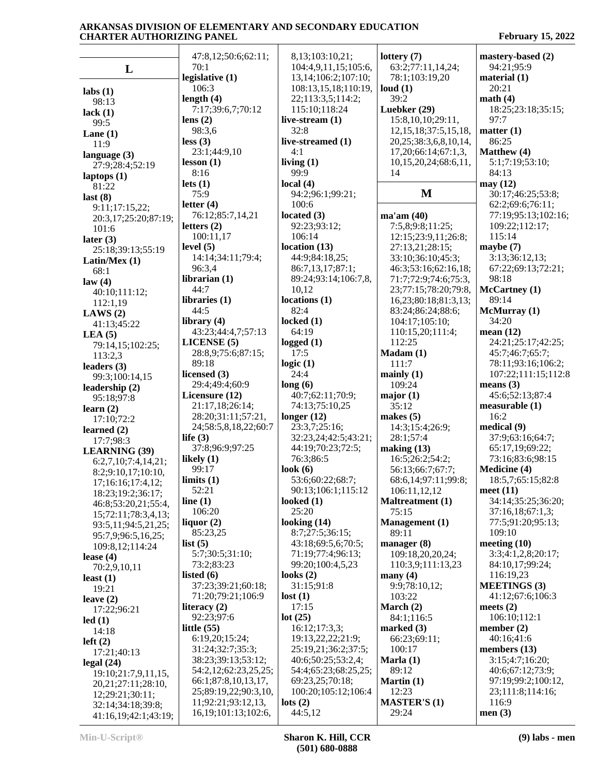**L labs (1)** 98:13 **lack (1)** 99:5 **Lane (1)** 11:9 **language (3)** 27:9;28:4;52:19 **laptops (1)** 81:22 **last (8)** 9:11;17:15,22; 20:3,17;25:20;87:19; 101:6 **later (3)** 25:18;39:13;55:19 **Latin/Mex (1)** 68:1 **law (4)** 40:10;111:12; 112:1,19 **LAWS (2)** 41:13;45:22 **LEA (5)** 79:14,15;102:25; 113:2,3 **leaders (3)** 99:3;100:14,15 **leadership (2)** 95:18;97:8 **learn (2)** 17:10;72:2 **learned (2)** 17:7;98:3 **LEARNING (39)** 6:2,7,10;7:4,14,21; 8:2;9:10,17;10:10, 17;16:16;17:4,12; 18:23;19:2;36:17; 46:8;53:20,21;55:4, 15;72:11;78:3,4,13; 93:5,11;94:5,21,25; 95:7,9;96:5,16,25; 109:8,12;114:24 **lease (4)** 70:2,9,10,11 **least (1)** 19:21 **leave (2)** 17:22;96:21 **led (1)** 14:18 **left (2)** 17:21;40:13 **legal (24)** 19:10;21:7,9,11,15, 20,21;27:11;28:10, 12;29:21;30:11; 47:8,12;50:6;62:11; 70:1 **legislative (1)** 106:3 **length (4)** 7:17;39:6,7;70:12 **lens (2)** 98:3,6 **less (3)** 23:1;44:9,10 **lesson (1)** 8:16 **lets (1)** 75:9 **letter (4)** 76:12;85:7,14,21 **letters (2)** 100:11,17 **level (5)** 14:14;34:11;79:4; 96:3,4 **librarian (1)** 44:7 **libraries (1)** 44:5 **library (4)** 43:23;44:4,7;57:13 **LICENSE (5)** 28:8,9;75:6;87:15; 89:18 **licensed (3)** 29:4;49:4;60:9 **Licensure (12)** 21:17,18;26:14; 28:20;31:11;57:21, 24;58:5,8,18,22;60:7 **life (3)** 37:8;96:9;97:25 **likely (1)** 99:17 **limits (1)** 52:21 **line (1)** 106:20 **liquor (2)** 85:23,25 **list (5)** 5:7;30:5;31:10; 73:2;83:23 **listed (6)** 37:23;39:21;60:18; 71:20;79:21;106:9 **literacy (2)** 92:23;97:6 **little (55)** 6:19,20;15:24; 31:24;32:7;35:3; 38:23;39:13;53:12; 54:2,12;62:23,25,25; 66:1;87:8,10,13,17, 25;89:19,22;90:3,10, 11;92:21;93:12,13, 8,13;103:10,21; 104:4,9,11,15;105:6, 13,14;106:2;107:10; 108:13,15,18;110:19, 22;113:3,5;114:2; 115:10;118:24 **live-stream (1)** 32:8 **live-streamed (1)** 4:1 **living (1)** 99:9 **local (4)** 94:2;96:1;99:21; 100:6 **located (3)** 92:23;93:12; 106:14 **location (13)** 44:9;84:18,25; 86:7,13,17;87:1; 89:24;93:14;106:7,8, 10,12 **locations (1)** 82:4 **locked (1)** 64:19 **logged (1)** 17:5 **logic (1)** 24:4 **long (6)** 40:7;62:11;70:9; 74:13;75:10,25 **longer (12)** 23:3,7;25:16; 32:23,24;42:5;43:21; 44:19;70:23;72:5; 76:3;86:5 **look (6)** 53:6;60:22;68:7; 90:13;106:1;115:12 **looked (1)** 25:20 **looking (14)** 8:7;27:5;36:15; 43:18;69:5,6;70:5; 71:19;77:4;96:13; 99:20;100:4,5,23 **looks (2)** 31:15;91:8 **lost (1)** 17:15 **lot (25)** 16:12;17:3,3; 19:13,22,22;21:9; 25:19,21;36:2;37:5; 40:6;50:25;53:2,4; 54:4;65:23;68:25,25; 69:23,25;70:18; 100:20;105:12;106:4 **lots (2) lottery (7)** 63:2;77:11,14,24; 78:1;103:19,20 **loud (1)** 39:2 **Luebker (29)** 15:8,10,10;29:11, 12,15,18;37:5,15,18, 20,25;38:3,6,8,10,14, 17,20;66:14;67:1,3, 10,15,20,24;68:6,11, 14 **M** 30:17;46:25;53:8; **ma'am (40)** 7:5,8;9:8;11:25; 12:15;23:9,11;26:8; 27:13,21;28:15; 33:10;36:10;45:3; 46:3;53:16;62:16,18; 71:7;72:9;74:6;75:3, 23;77:15;78:20;79:8, 16,23;80:18;81:3,13; 83:24;86:24;88:6; 104:17;105:10; 110:15,20;111:4; 112:25 **Madam (1)** 111:7 **mainly (1)** 109:24 **major (1)** 35:12 **makes (5)** 14:3;15:4;26:9; 28:1;57:4 **making (13)** 16:5;26:2;54:2; 56:13;66:7;67:7; 68:6,14;97:11;99:8; 106:11,12,12 **Maltreatment (1)** 75:15 **Management (1)** 89:11 **manager (8)** 109:18,20,20,24; 110:3,9;111:13,23 **many (4)** 9:9;78:10,12; 103:22 **March (2)** 84:1;116:5 **marked (3)** 66:23;69:11; 100:17 **Marla (1)** 89:12 **Martin (1)** 12:23 **MASTER'S (1) mastery-based (2)** 94:21;95:9 **material (1)** 20:21 **math (4)** 18:25;23:18;35:15; 97:7 **matter (1)** 86:25 **Matthew (4)** 5:1;7:19;53:10; 84:13 **may (12)** 62:2;69:6;76:11; 77:19;95:13;102:16; 109:22;112:17; 115:14 **maybe (7)** 3:13;36:12,13; 67:22;69:13;72:21; 98:18 **McCartney (1)** 89:14 **McMurray (1)** 34:20 **mean (12)** 24:21;25:17;42:25; 45:7;46:7;65:7; 78:11;93:16;106:2; 107:22;111:15;112:8 **means (3)** 45:6;52:13;87:4 **measurable (1)** 16:2 **medical (9)** 37:9;63:16;64:7; 65:17,19;69:22; 73:16;83:6;98:15 **Medicine (4)** 18:5,7;65:15;82:8 **meet (11)** 34:14;35:25;36:20; 37:16,18;67:1,3; 77:5;91:20;95:13; 109:10 **meeting (10)** 3:3;4:1,2,8;20:17; 84:10,17;99:24; 116:19,23 **MEETINGS (3)** 41:12;67:6;106:3 **meets (2)** 106:10;112:1 **member (2)** 40:16;41:6 **members (13)** 3:15;4:7;16:20; 40:6;67:12;73:9; 97:19;99:2;100:12, 23;111:8;114:16; 116:9

 32:14;34:18;39:8; 41:16,19;42:1;43:19;

29:24

44:5,12

16,19;101:13;102:6,

**men (3)**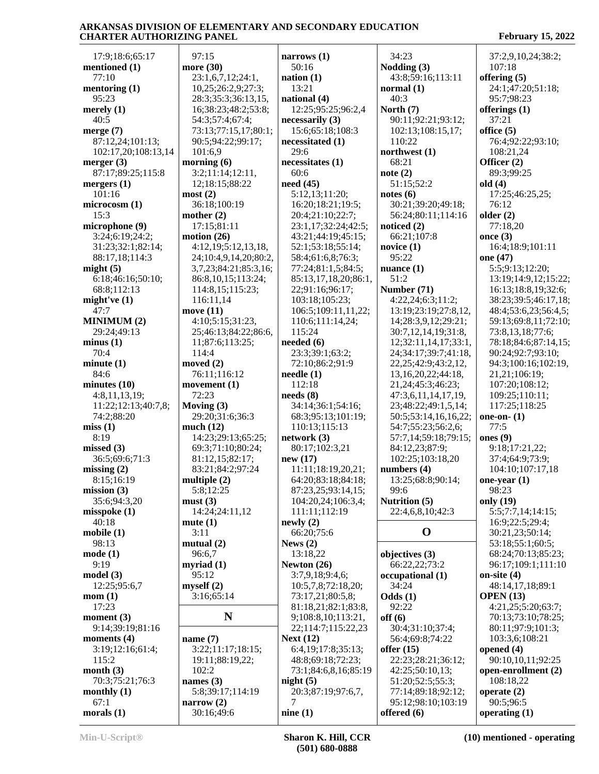17:9;18:6;65:17 **mentioned (1)** 77:10 **mentoring (1)** 95:23 **merely (1)** 40:5 **merge (7)** 87:12,24;101:13; 102:17,20;108:13,14 **merger (3)** 87:17;89:25;115:8 **mergers (1)** 101:16 **microcosm (1)** 15:3 **microphone (9)** 3:24;6:19;24:2; 31:23;32:1;82:14; 88:17,18;114:3 **might (5)** 6:18;46:16;50:10; 68:8;112:13 **might've (1)** 47:7 **MINIMUM (2)** 29:24;49:13 **minus (1)** 70:4 **minute (1)** 84:6 **minutes (10)** 4:8,11,13,19; 11:22;12:13;40:7,8; 74:2;88:20 **miss (1)** 8:19 **missed (3)** 36:5;69:6;71:3 **missing (2)** 8:15;16:19 **mission (3)** 35:6;94:3,20 **misspoke (1)** 40:18 **mobile (1)** 98:13 **mode (1)** 9:19 **model (3)** 12:25;95:6,7 **mom (1)** 17:23 **moment (3)** 9:14;39:19;81:16 **moments (4)** 3:19;12:16;61:4; 115:2 **month (3)** 70:3;75:21;76:3 **monthly (1)** 67:1 **morals (1)**

 97:15 **more (30)** 23:1,6,7,12;24:1, 10,25;26:2,9;27:3; 28:3;35:3;36:13,15, 16;38:23;48:2;53:8; 54:3;57:4;67:4; 73:13;77:15,17;80:1; 90:5;94:22;99:17; 101:6,9 **morning (6)** 3:2;11:14;12:11, 12;18:15;88:22 **most (2)** 36:18;100:19 **mother (2)** 17:15;81:11 **motion (26)** 4:12,19;5:12,13,18, 24;10:4,9,14,20;80:2, 3,7,23;84:21;85:3,16; 86:8,10,15;113:24; 114:8,15;115:23; 116:11,14 **move (11)** 4:10;5:15;31:23, 25;46:13;84:22;86:6, 11;87:6;113:25; 114:4 **moved (2)** 76:11;116:12 **movement (1)** 72:23 **Moving (3)** 29:20;31:6;36:3 **much (12)** 14:23;29:13;65:25; 69:3;71:10;80:24; 81:12,15;82:17; 83:21;84:2;97:24 **multiple (2)** 5:8;12:25 **must (3)** 14:24;24:11,12 **mute (1)** 3:11 **mutual (2)** 96:6,7 **myriad (1)** 95:12 **myself (2)** 3:16;65:14 **N name (7)** 3:22;11:17;18:15; 19:11;88:19,22; 102:2 **names (3)**  $5:8;39:17;114:19$  2<br> **Prove** (2) **narrow (2)** 30:16;49:6

**narrows (1)** 50:16 **nation (1)** 13:21 **national (4)** 12:25;95:25;96:2,4 **necessarily (3)** 15:6;65:18;108:3 **necessitated (1)** 29:6 **necessitates (1)** 60:6 **need (45)** 5:12,13;11:20; 16:20;18:21;19:5; 20:4;21:10;22:7; 23:1,17;32:24;42:5; 43:21;44:19;45:15; 52:1;53:18;55:14; 58:4;61:6,8;76:3; 77:24;81:1,5;84:5; 85:13,17,18,20;86:1, 22;91:16;96:17; 103:18;105:23; 106:5;109:11,11,22; 110:6;111:14,24; 115:24 **needed (6)** 23:3;39:1;63:2; 72:10;86:2;91:9 **needle (1)** 112:18 **needs (8)** 34:14;36:1;54:16; 68:3;95:13;101:19; 110:13;115:13 **network (3)** 80:17;102:3,21 **new (17)** 11:11;18:19,20,21; 64:20;83:18;84:18; 87:23,25;93:14,15; 104:20,24;106:3,4; 111:11;112:19 **newly (2)** 66:20;75:6 **News (2)** 13:18,22 **Newton (26)** 3:7,9,18;9:4,6; 10:5,7,8;72:18,20; 73:17,21;80:5,8; 81:18,21;82:1;83:8, 9;108:8,10;113:21, 22;114:7;115:22,23 **Next (12)** 6:4,19;17:8;35:13; 48:8;69:18;72:23; 73:1;84:6,8,16;85:19 **night (5)** 20:3;87:19;97:6,7, 7 **nine (1)** 95:12;98:10;103:19 **offered (6)**

 34:23 **Nodding (3)** 43:8;59:16;113:11 **normal (1)** 40:3 **North (7)** 90:11;92:21;93:12; 102:13;108:15,17; 110:22 **northwest (1)** 68:21 **note (2)** 51:15;52:2 **notes (6)** 30:21;39:20;49:18; 56:24;80:11;114:16 **noticed (2)** 66:21;107:8 **novice (1)** 95:22 **nuance (1)** 51:2 **Number (71)** 4:22,24;6:3;11:2; 13:19;23:19;27:8,12, 14;28:3,9,12;29:21; 30:7,12,14,19;31:8, 12;32:11,14,17;33:1, 24;34:17;39:7;41:18, 22,25;42:9;43:2,12, 13,16,20,22;44:18, 21,24;45:3;46:23; 47:3,6,11,14,17,19, 23;48:22;49:1,5,14; 50:5;53:14,16,16,22; 54:7;55:23;56:2,6; 57:7,14;59:18;79:15; 84:12,23;87:9; 102:25;103:18,20 **numbers (4)** 13:25;68:8;90:14; 99:6 **Nutrition (5)** 22:4,6,8,10;42:3 **objectives (3)** 66:22,22;73:2 **occupational (1)** 34:24 **Odds (1)** 92:22 **off (6)** 30:4;31:10;37:4; 56:4;69:8;74:22 **offer (15)** 22:23;28:21;36:12; 42:25;50:10,13; 51:20;52:5;55:3; 77:14;89:18;92:12;

**O** 30:21,23;50:14; 37:2,9,10,24;38:2; 107:18 **offering (5)** 24:1;47:20;51:18; 95:7;98:23 **offerings (1)** 37:21 **office (5)** 76:4;92:22;93:10; 108:21,24 **Officer (2)** 89:3;99:25 **old (4)** 17:25;46:25,25; 76:12 **older (2)** 77:18,20 **once (3)** 16:4;18:9;101:11 **one (47)** 5:5;9:13;12:20; 13:19;14:9,12;15:22; 16:13;18:8,19;32:6; 38:23;39:5;46:17,18; 48:4;53:6,23;56:4,5; 59:13;69:8,11;72:10; 73:8,13,18;77:6; 78:18;84:6;87:14,15; 90:24;92:7;93:10; 94:3;100:16;102:19, 21,21;106:19; 107:20;108:12; 109:25;110:11; 117:25;118:25 **one-on- (1)** 77:5 **ones (9)** 9:18;17:21,22; 37:4;64:9;73:9; 104:10;107:17,18 **one-year (1)** 98:23 **only (19)** 5:5;7:7,14;14:15; 16:9;22:5;29:4; 53:18;55:1;60:5; 68:24;70:13;85:23; 96:17;109:1;111:10 **on-site (4)** 48:14,17,18;89:1 **OPEN (13)** 4:21,25;5:20;63:7; 70:13;73:10;78:25; 80:11;97:9;101:3; 103:3,6;108:21 **opened (4)** 90:10,10,11;92:25 **open-enrollment (2)** 108:18,22 **operate (2)** 90:5;96:5

**operating (1)**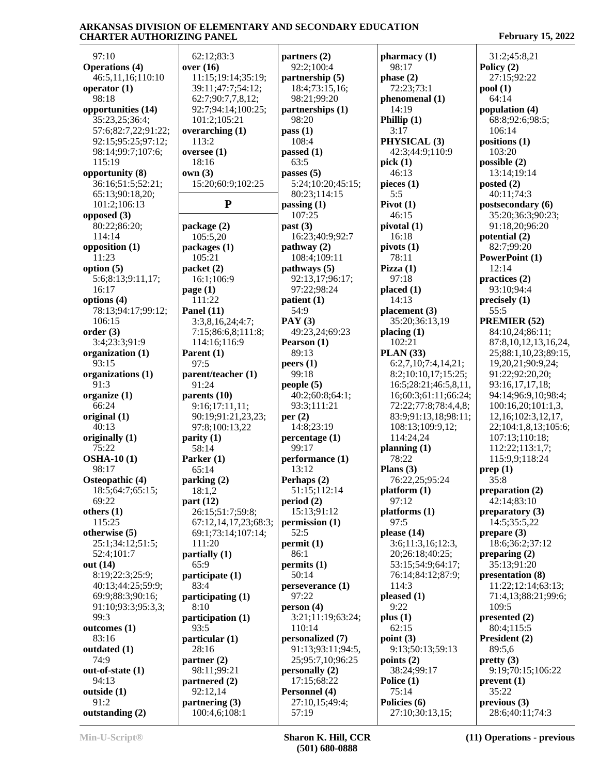97:10 **Operations (4)** 46:5,11,16;110:10 **operator (1)** 98:18 **opportunities (14)** 35:23,25;36:4; 57:6;82:7,22;91:22; 92:15;95:25;97:12; 98:14;99:7;107:6; 115:19 **opportunity (8)** 36:16;51:5;52:21; 65:13;90:18,20; 101:2;106:13 **opposed (3)** 80:22;86:20; 114:14 **opposition (1)** 11:23 **option (5)** 5:6;8:13;9:11,17; 16:17 **options (4)** 78:13;94:17;99:12; 106:15 **order (3)** 3:4;23:3;91:9 **organization (1)** 93:15 **organizations (1)** 91:3 **organize (1)** 66:24 **original (1)** 40:13 **originally (1)** 75:22 **OSHA-10 (1)** 98:17 **Osteopathic (4)** 18:5;64:7;65:15; 69:22 **others (1)** 115:25 **otherwise (5)** 25:1;34:12;51:5; 52:4;101:7 **out (14)** 8:19;22:3;25:9; 40:13;44:25;59:9; 69:9;88:3;90:16; 91:10;93:3;95:3,3; 99:3 **outcomes (1)** 83:16 **outdated (1)** 74:9 **out-of-state (1)** 94:13 **outside (1)** 91:2 **outstanding (2)**

| 62:12;83:3                  | partners $(2)$                  | pharmacy(1)                     |
|-----------------------------|---------------------------------|---------------------------------|
| over $(16)$                 | 92:2;100:4                      | 98:17                           |
| 11:15;19:14;35:19;          | partnership (5)                 | phase $(2)$                     |
| 39:11;47:7;54:12;           | 18:4;73:15,16;                  | 72:23;73:1                      |
| 62:7;90:7,7,8,12;           | 98:21;99:20                     | phenomenal (1)                  |
| 92:7;94:14;100:25;          | partnerships (1)                | 14:19                           |
| 101:2;105:21                | 98:20                           | Phillip $(1)$                   |
| overarching $(1)$           | pass(1)                         | 3:17                            |
| 113:2                       | 108:4                           | PHYSICAL <sup>(3)</sup>         |
| oversee $(1)$               | passed $(1)$                    | 42:3;44:9;110                   |
| 18:16                       | 63:5                            | pick(1)                         |
| own(3)                      | passes $(5)$                    | 46:13                           |
| 15:20;60:9;102:25           | 5:24;10:20;45:15;               | pieces (1)                      |
|                             | 80:23;114:15                    | 5:5                             |
| ${\bf P}$                   | passing(1)                      | Pivot $(1)$                     |
|                             | 107:25                          | 46:15                           |
| package (2)                 | past (3)                        | pivotal (1)                     |
| 105:5,20                    | 16:23;40:9;92:7                 | 16:18                           |
| packages (1)                | pathway (2)                     | pivots(1)                       |
| 105:21                      | 108:4;109:11                    | 78:11                           |
| packet (2)                  | pathways (5)                    | Pizza $(1)$                     |
| 16:1;106:9                  | 92:13,17;96:17;                 | 97:18                           |
| page $(1)$                  | 97:22;98:24                     | placed(1)                       |
| 111:22                      | patient (1)                     | 14:13                           |
| Panel $(11)$                | 54:9                            | placement(3)                    |
| 3:3,8,16,24;4:7;            | PAY(3)                          | 35:20;36:13,1                   |
| 7:15;86:6,8;111:8;          | 49:23,24;69:23                  | placing $(1)$                   |
| 114:16;116:9                | Pearson (1)                     | 102:21                          |
| Parent $(1)$<br>97:5        | 89:13                           | <b>PLAN</b> (33)                |
|                             | peers(1)<br>99:18               | 6:2,7,10;7:4,1<br>8:2;10:10,17; |
| parent/teacher (1)<br>91:24 | people(5)                       | 16:5;28:21;46                   |
| parents (10)                | 40:2;60:8;64:1;                 | 16;60:3;61:11                   |
| 9:16;17:11,11;              | 93:3;111:21                     | 72:22;77:8;78                   |
| 90:19;91:21,23,23;          | per(2)                          | 83:9;91:13,18                   |
| 97:8;100:13,22              | 14:8;23:19                      | 108:13;109:9.                   |
| parity (1)                  | percentage (1)                  | 114:24,24                       |
| 58:14                       | 99:17                           | planning $(1)$                  |
| Parker (1)                  | performance (1)                 | 78:22                           |
| 65:14                       | 13:12                           | Plans $(3)$                     |
| parking (2)                 | Perhaps (2)                     | 76:22,25;95:2                   |
| 18:1,2                      | 51:15;112:14                    | platform (1)                    |
| part(12)                    | period(2)                       | 97:12                           |
| 26:15;51:7;59:8;            | 15:13;91:12                     | platforms (1)                   |
| 67:12,14,17,23;68:3;        | permission (1)                  | 97:5                            |
| 69:1;73:14;107:14;          | 52:5                            | please (14)                     |
| 111:20                      | permit(1)                       | 3:6;11:3,16;1                   |
| partially (1)               | 86:1                            | 20;26:18;40:2                   |
| 65:9                        | permits (1)                     | 53:15;54:9;64                   |
| participate (1)             | 50:14                           | 76:14;84:12;8                   |
| 83:4                        | perseverance (1)                | 114:3                           |
| participating (1)           | 97:22                           | pleased (1)                     |
| 8:10                        | person(4)                       | 9:22                            |
| participation (1)           | 3:21;11:19;63:24;               | plus(1)                         |
| 93:5                        | 110:14                          | 62:15                           |
| particular (1)              | personalized (7)                | point(3)                        |
| 28:16                       | 91:13;93:11;94:5,               | 9:13;50:13;59                   |
| partner $(2)$               | 25;95:7,10;96:25                | points (2)                      |
| 98:11;99:21                 | personally (2)                  | 38:24;99:17                     |
| partnered (2)               | 17:15;68:22                     | Police (1)<br>75:14             |
| 92:12,14<br>partnering (3)  | Personnel (4)<br>27:10,15;49:4; | Policies (6)                    |
| 100:4,6;108:1               | 57:19                           | 27:10;30:13,1                   |
|                             |                                 |                                 |

**pharmacy (1)** 98:17 **phase (2)** 72:23;73:1 **phenomenal (1)** 14:19 **Phillip (1)** 3:17 **PHYSICAL (3)** 42:3;44:9;110:9 **pick (1)** 46:13 **pieces (1)** 5:5 **Pivot (1)** 46:15 **pivotal (1)** 16:18 **pivots (1)** 78:11 **Pizza (1)** 97:18 **placed (1)** 14:13 **placement (3)** 35:20;36:13,19 **placing (1)** 102:21 **PLAN (33)** 6:2,7,10;7:4,14,21; 8:2;10:10,17;15:25; 16:5;28:21;46:5,8,11, 16;60:3;61:11;66:24; 72:22;77:8;78:4,4,8; 83:9;91:13,18;98:11; 108:13;109:9,12; 114:24,24 **planning (1)** 78:22 **Plans (3)** 76:22,25;95:24 **platform (1)** 97:12 **platforms (1)** 97:5 **please (14)** 3:6;11:3,16;12:3, 20;26:18;40:25; 53:15;54:9;64:17; 76:14;84:12;87:9; 114:3 **pleased (1)** 9:22 **plus (1)** 62:15 **point (3)** 9:13;50:13;59:13 38:24;99:17 **Police (1)** 75:14 **Policies (6)** 27:10;30:13,15;

 31:2;45:8,21 **Policy (2)** 27:15;92:22 **pool (1)** 64:14 **population (4)** 68:8;92:6;98:5; 106:14 **positions (1)** 103:20 **possible (2)** 13:14;19:14 **posted (2)** 40:11;74:3 **postsecondary (6)** 35:20;36:3;90:23; 91:18,20;96:20 **potential (2)** 82:7;99:20 **PowerPoint (1)** 12:14 **practices (2)** 93:10;94:4 **precisely (1)** 55:5 **PREMIER (52)** 84:10,24;86:11; 87:8,10,12,13,16,24, 25;88:1,10,23;89:15, 19,20,21;90:9,24; 91:22;92:20,20; 93:16,17,17,18; 94:14;96:9,10;98:4; 100:16,20;101:1,3, 12,16;102:3,12,17, 22;104:1,8,13;105:6; 107:13;110:18; 112:22;113:1,7; 115:9,9;118:24 **prep (1)** 35:8 **preparation (2)** 42:14;83:10 **preparatory (3)** 14:5;35:5,22 **prepare (3)** 18:6;36:2;37:12 **preparing (2)** 35:13;91:20 **presentation (8)** 11:22;12:14;63:13; 71:4,13;88:21;99:6; 109:5 **presented (2)** 80:4;115:5 **President (2)** 89:5,6 **pretty (3)** 9:19;70:15;106:22 **prevent (1)** 35:22 **previous (3)** 28:6;40:11;74:3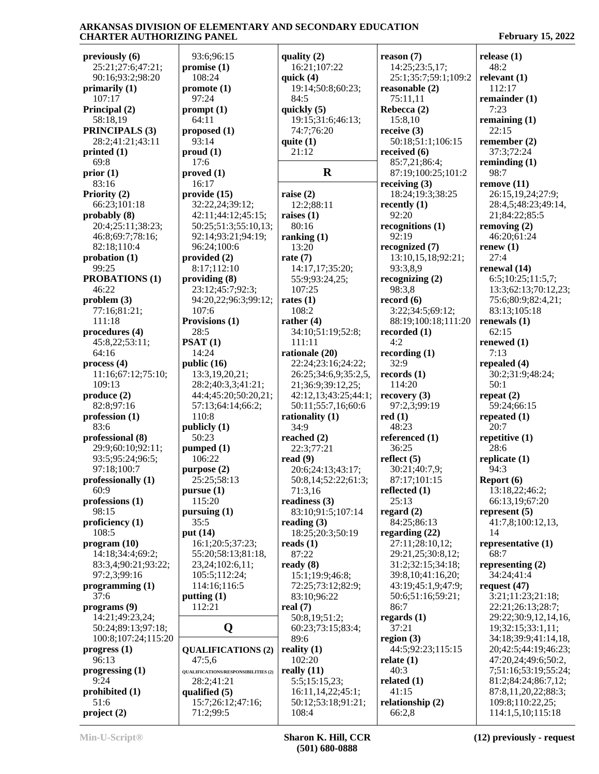**previously (6)** 25:21;27:6;47:21; 90:16;93:2;98:20 **primarily (1)** 107:17 **Principal (2)** 58:18,19 **PRINCIPALS (3)** 28:2;41:21;43:11 **printed (1)** 69:8 **prior (1)** 83:16 **Priority (2)** 66:23;101:18 **probably (8)** 20:4;25:11;38:23; 46:8;69:7;78:16; 82:18;110:4 **probation (1)**  $99.25$ **PROBATIONS (1)** 46:22 **problem (3)** 77:16;81:21; 111:18 **procedures (4)** 45:8,22;53:11; 64:16 **process (4)** 11:16;67:12;75:10; 109:13 **produce (2)** 82:8;97:16 **profession (1)** 83:6 **professional (8)** 29:9;60:10;92:11; 93:5;95:24;96:5; 97:18;100:7 **professionally (1)** 60:9 **professions (1)** 98:15 **proficiency (1)** 108:5 **program (10)** 14:18;34:4;69:2; 83:3,4;90:21;93:22; 97:2,3;99:16 **programming (1)** 37:6 **programs (9)** 14:21;49:23,24; 50:24;89:13;97:18; 100:8;107:24;115:20 **progress (1)** 96:13 **progressing (1)** 9:24 **prohibited (1)** 51:6 **project (2)**

| 93:6;96:15                          | quality (2)          | reason (7)         |
|-------------------------------------|----------------------|--------------------|
|                                     |                      |                    |
| promise(1)                          | 16:21;107:22         | 14:25;23:5,17;     |
| 108:24                              | quick $(4)$          | 25:1;35:7;59:1;109 |
| promote(1)                          | 19:14;50:8;60:23;    | reasonable (2)     |
| 97:24                               | 84:5                 | 75:11,11           |
|                                     |                      |                    |
| prompt(1)                           | quickly (5)          | Rebecca (2)        |
| 64:11                               | 19:15;31:6;46:13;    | 15:8,10            |
| proposed $(1)$                      | 74:7;76:20           | receive $(3)$      |
|                                     |                      |                    |
| 93:14                               | quite $(1)$          | 50:18;51:1;106:15  |
| prod(1)                             | 21:12                | received (6)       |
| 17:6                                |                      | 85:7,21;86:4;      |
|                                     | $\bf R$              |                    |
| proved(1)                           |                      | 87:19;100:25;101:2 |
| 16:17                               |                      | receiving $(3)$    |
| provide (15)                        | raise $(2)$          | 18:24;19:3;38:25   |
| 32:22,24;39:12;                     | 12:2;88:11           |                    |
|                                     |                      | recently $(1)$     |
| 42:11;44:12;45:15;                  | raises $(1)$         | 92:20              |
| 50:25;51:3;55:10,13;                | 80:16                | recognitions (1)   |
| 92:14;93:21;94:19;                  | ranking $(1)$        | 92:19              |
|                                     |                      |                    |
| 96:24;100:6                         | 13:20                | recognized (7)     |
| provided $(2)$                      | rate $(7)$           | 13:10,15,18;92:21; |
| 8:17;112:10                         | 14:17,17;35:20;      | 93:3,8,9           |
|                                     |                      |                    |
| providing (8)                       | 55:9;93:24,25;       | recognizing (2)    |
| 23:12;45:7;92:3;                    | 107:25               | 98:3,8             |
| 94:20,22;96:3;99:12;                | rates $(1)$          | record $(6)$       |
| 107:6                               | 108:2                | 3:22;34:5;69:12;   |
|                                     |                      |                    |
| Provisions (1)                      | rather $(4)$         | 88:19;100:18;111:2 |
| 28:5                                | 34:10;51:19;52:8;    | recorded $(1)$     |
| PSAT(1)                             | 111:11               | 4:2                |
|                                     |                      |                    |
| 14:24                               | rationale (20)       | recording $(1)$    |
| public (16)                         | 22:24;23:16;24:22;   | 32:9               |
| 13:3,19,20,21;                      | 26:25;34:6,9;35:2,5, | records (1)        |
|                                     |                      |                    |
| 28:2;40:3,3;41:21;                  | 21;36:9;39:12,25;    | 114:20             |
| 44:4;45:20;50:20,21;                | 42:12,13;43:25;44:1; | recovery $(3)$     |
| 57:13;64:14;66:2;                   | 50:11;55:7,16;60:6   | 97:2,3;99:19       |
| 110:8                               |                      |                    |
|                                     | rationality (1)      | red(1)             |
| publicly (1)                        | 34:9                 | 48:23              |
| 50:23                               | reached (2)          | referenced (1)     |
| pumped(1)                           | 22:3;77:21           | 36:25              |
|                                     |                      |                    |
| 106:22                              | read $(9)$           | reflect $(5)$      |
| purpose (2)                         | 20:6;24:13;43:17;    | 30:21;40:7,9;      |
| 25:25;58:13                         | 50:8,14;52:22;61:3;  | 87:17;101:15       |
| pursue(1)                           | 71:3,16              | reflected (1)      |
|                                     |                      |                    |
| 115:20                              | readiness (3)        | 25:13              |
| pursuing $(1)$                      | 83:10;91:5;107:14    | regard $(2)$       |
| 35:5                                | reading $(3)$        | 84:25;86:13        |
|                                     |                      |                    |
| put (14)                            | 18:25;20:3;50:19     | regarding $(22)$   |
| 16:1;20:5;37:23;                    | reads $(1)$          | 27:11;28:10,12;    |
| 55:20;58:13;81:18,                  | 87:22                | 29:21,25;30:8,12;  |
| 23, 24; 102: 6, 11;                 | ready $(8)$          | 31:2;32:15;34:18;  |
|                                     |                      |                    |
| 105:5;112:24;                       | 15:1;19:9;46:8;      | 39:8,10;41:16,20;  |
| 114:16;116:5                        | 72:25;73:12;82:9;    | 43:19;45:1,9;47:9; |
| putting (1)                         | 83:10;96:22          | 50:6;51:16;59:21;  |
|                                     |                      |                    |
| 112:21                              | real $(7)$           | 86:7               |
|                                     | 50:8,19;51:2;        | regards $(1)$      |
| Q                                   | 60:23;73:15;83:4;    | 37:21              |
|                                     | 89:6                 | region $(3)$       |
|                                     |                      |                    |
| <b>QUALIFICATIONS (2)</b>           | reality $(1)$        | 44:5;92:23;115:15  |
| 47:5,6                              | 102:20               | relate $(1)$       |
| QUALIFICATIONS/RESPONSIBILITIES (2) | really $(11)$        | 40:3               |
| 28:2;41:21                          | 5:5;15:15,23;        | related $(1)$      |
|                                     |                      |                    |
| qualified $(5)$                     | 16:11,14,22;45:1;    | 41:15              |
| 15:7;26:12;47:16;                   | 50:12;53:18;91:21;   | relationship (2)   |
| 71:2;99:5                           | 108:4                | 66:2,8             |
|                                     |                      |                    |

**reason (7)** 14:25;23:5,17; 25:1;35:7;59:1;109:2 **reasonable (2)** 75:11,11 **Rebecca (2)** 15:8,10 **receive (3)** 50:18;51:1;106:15 **received (6)** 85:7,21;86:4; 87:19;100:25;101:2 **receiving (3)** 18:24;19:3;38:25 **recently (1)** 92:20 **recognitions (1)** 92:19 **recognized (7)** 13:10,15,18;92:21; 93:3,8,9 **recognizing (2)** 98:3,8 **record (6)** 3:22;34:5;69:12; 88:19;100:18;111:20 **recorded (1)** 4:2 **recording (1)** 32:9 **records (1)** 114:20 97:2,3;99:19 **red (1)** 48:23 **referenced (1)** 36:25 **reflect (5)** 30:21;40:7,9; 87:17;101:15 **reflected (1)** 25:13 84:25;86:13 27:11;28:10,12; 29:21,25;30:8,12; 31:2;32:15;34:18; 39:8,10;41:16,20; 43:19;45:1,9;47:9; 50:6;51:16;59:21; 86:7 **regards (1)** 37:21 **region (3)** 44:5;92:23;115:15 **relate (1)** 40:3 **related (1)** 41:15 **relationship (2)** 66:2,8

**release (1)** 48:2 **relevant (1)** 112:17 **remainder (1)** 7:23 **remaining (1)** 22:15 **remember (2)** 37:3;72:24 **reminding (1)** 98:7 **remove (11)** 26:15,19,24;27:9; 28:4,5;48:23;49:14, 21;84:22;85:5 **removing (2)** 46:20;61:24 **renew (1)** 27:4 **renewal (14)** 6:5;10:25;11:5,7; 13:3;62:13;70:12,23; 75:6;80:9;82:4,21; 83:13;105:18 **renewals (1)** 62:15 **renewed (1)** 7:13 **repealed (4)** 30:2;31:9;48:24; 50:1 **repeat (2)** 59:24;66:15 **repeated (1)** 20:7 **repetitive (1)** 28:6 **replicate (1)** 94:3 **Report (6)** 13:18,22;46:2; 66:13,19;67:20 **represent (5)** 41:7,8;100:12,13, 14 **representative (1)** 68:7 **representing (2)** 34:24;41:4 **request (47)** 3:21;11:23;21:18; 22:21;26:13;28:7; 29:22;30:9,12,14,16, 19;32:15;33:1,11; 34:18;39:9;41:14,18, 20;42:5;44:19;46:23; 47:20,24;49:6;50:2, 7;51:16;53:19;55:24; 81:2;84:24;86:7,12; 87:8,11,20,22;88:3; 109:8;110:22,25; 114:1,5,10;115:18

**Min-U-Script® Sharon K. Hill, CCR (501) 680-0888**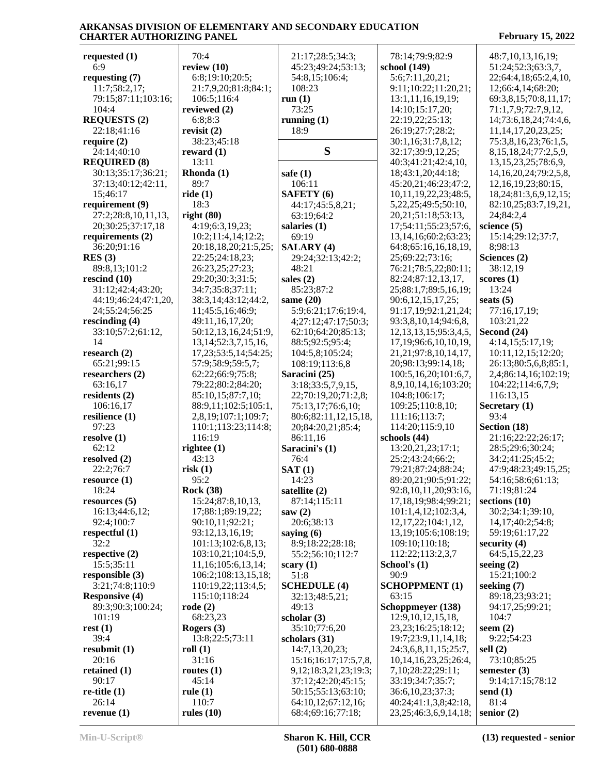| requested $(1)$       | 70:4                       | 21:17;28:5;34:3;             | 78:14;79:9;82:9              | 48:7,10,13,16,19;            |
|-----------------------|----------------------------|------------------------------|------------------------------|------------------------------|
| 6:9                   | review $(10)$              | 45:23;49:24;53:13;           | school (149)                 | 51:24;52:3;63:3,7,           |
| requesting $(7)$      | 6:8;19:10;20:5;            | 54:8,15;106:4;               | 5:6;7:11,20,21;              | 22;64:4,18;65:2,4,10,        |
| 11:7;58:2,17;         | 21:7,9,20;81:8;84:1;       | 108:23                       | 9:11;10:22;11:20,21;         | 12;66:4,14;68:20;            |
| 79:15;87:11;103:16;   | 106:5;116:4                | run $(1)$                    | 13:1,11,16,19,19;            | 69:3,8,15;70:8,11,17;        |
| 104:4                 | reviewed (2)               | 73:25                        | 14:10;15:17,20;              | 71:1,7,9;72:7,9,12,          |
| <b>REQUESTS (2)</b>   | 6:8:8:3                    | running $(1)$                | 22:19,22;25:13;              | 14;73:6,18,24;74:4,6,        |
| 22:18;41:16           | revisit $(2)$              | 18:9                         | 26:19;27:7;28:2;             | 11, 14, 17, 20, 23, 25;      |
| require $(2)$         | 38:23;45:18                |                              | 30:1,16;31:7,8,12;           | 75:3,8,16,23;76:1,5,         |
|                       | reward $(1)$               | S                            | 32:17;39:9,12,25;            |                              |
| 24:14;40:10           |                            |                              |                              | 8, 15, 18, 24; 77: 2, 5, 9,  |
| <b>REQUIRED (8)</b>   | 13:11                      |                              | 40:3;41:21;42:4,10,          | 13, 15, 23, 25; 78: 6, 9,    |
| 30:13;35:17;36:21;    | Rhonda (1)                 | safe $(1)$                   | 18;43:1,20;44:18;            | 14, 16, 20, 24; 79: 2, 5, 8, |
| 37:13;40:12;42:11,    | 89:7                       | 106:11                       | 45:20,21;46:23;47:2,         | 12,16,19,23;80:15,           |
| 15;46:17              | ride $(1)$                 | <b>SAFETY</b> (6)            | 10,11,19,22,23;48:5,         | 18,24;81:3,6,9,12,15;        |
| requirement (9)       | 18:3                       | 44:17;45:5,8,21;             | 5,22,25;49:5;50:10,          | 82:10,25;83:7,19,21,         |
| 27:2;28:8,10,11,13,   | right $(80)$               | 63:19;64:2                   | 20, 21; 51: 18; 53: 13,      | 24;84:2,4                    |
| 20;30:25;37:17,18     | 4:19;6:3,19,23;            | salaries (1)                 | 17;54:11;55:23;57:6,         | science $(5)$                |
| requirements $(2)$    | 10:2;11:4,14;12:2;         | 69:19                        | 13, 14, 16; 60: 2; 63: 23;   | 15:14;29:12;37:7,            |
| 36:20;91:16           | 20:18,18,20;21:5,25;       | <b>SALARY (4)</b>            | 64:8;65:16,16,18,19,         | 8;98:13                      |
| RES(3)                | 22:25;24:18,23;            | 29:24;32:13;42:2;            | 25;69:22;73:16;              | Sciences (2)                 |
| 89:8,13;101:2         | 26:23,25;27:23;            | 48:21                        | 76:21;78:5,22;80:11;         | 38:12,19                     |
| rescind $(10)$        | 29:20;30:3;31:5;           | sales $(2)$                  | 82:24;87:12,13,17,           | scores(1)                    |
| 31:12;42:4;43:20;     | 34:7;35:8;37:11;           | 85:23:87:2                   | 25;88:1,7;89:5,16,19;        | 13:24                        |
|                       | 38:3,14;43:12;44:2,        |                              | 90:6,12,15,17,25;            |                              |
| 44:19;46:24;47:1,20,  |                            | same $(20)$                  |                              | seats $(5)$                  |
| 24;55:24;56:25        | 11;45:5,16;46:9;           | 5:9;6:21;17:6;19:4,          | 91:17,19;92:1,21,24;         | 77:16,17,19;                 |
| rescinding $(4)$      | 49:11,16,17,20;            | 4;27:12;47:17;50:3;          | 93:3,8,10,14;94:6,8,         | 103:21,22                    |
| 33:10;57:2;61:12,     | 50:12,13,16,24;51:9,       | 62:10;64:20;85:13;           | 12, 13, 13, 15; 95: 3, 4, 5, | Second (24)                  |
| 14                    | 13, 14; 52: 3, 7, 15, 16,  | 88:5;92:5;95:4;              | 17, 19; 96: 6, 10, 10, 19,   | 4:14,15;5:17,19;             |
| research $(2)$        | 17, 23; 53: 5, 14; 54: 25; | 104:5,8;105:24;              | 21, 21, 97: 8, 10, 14, 17,   | 10:11,12,15;12:20;           |
| 65:21;99:15           | 57:9;58:9;59:5,7;          | 108:19;113:6,8               | 20;98:13;99:14,18;           | 26:13;80:5,6,8;85:1,         |
| researchers (2)       | 62:22;66:9;75:8;           | Saracini (25)                | 100:5,16,20;101:6,7,         | 2,4;86:14,16;102:19;         |
| 63:16,17              | 79:22;80:2;84:20;          | 3:18;33:5,7,9,15,            | 8,9,10,14,16;103:20;         | 104:22;114:6,7,9;            |
| residents (2)         | 85:10,15;87:7,10;          | 22;70:19,20;71:2,8;          | 104:8;106:17;                | 116:13,15                    |
| 106:16,17             | 88:9,11;102:5;105:1,       | 75:13,17;76:6,10;            | 109:25;110:8,10;             | Secretary (1)                |
| resilience (1)        | 2,8,19;107:1;109:7;        | 80:6;82:11,12,15,18,         | 111:16;113:7;                | 93:4                         |
| 97:23                 | 110:1;113:23;114:8;        | 20;84:20,21;85:4;            | 114:20;115:9,10              | Section (18)                 |
| resolve(1)            | 116:19                     | 86:11,16                     | schools (44)                 | 21:16;22:22;26:17;           |
| 62:12                 | rightee $(1)$              | Saracini's (1)               | 13:20,21,23;17:1;            | 28:5;29:6;30:24;             |
| resolved (2)          | 43:13                      | 76:4                         | 25:2;43:24;66:2;             | 34:2;41:25;45:2;             |
| 22:2;76:7             | risk(1)                    | SAT(1)                       | 79:21;87:24;88:24;           | 47:9;48:23;49:15,25;         |
| resource(1)           | 95:2                       | 14:23                        | 89:20,21;90:5;91:22;         | 54:16;58:6;61:13;            |
|                       |                            |                              |                              |                              |
| 18:24                 | <b>Rock (38)</b>           | satellite (2)                | 92:8,10,11,20;93:16,         | 71:19;81:24                  |
| resources $(5)$       | 15:24;87:8,10,13,          | 87:14;115:11                 | 17, 18, 19; 98: 4; 99: 21;   | sections $(10)$              |
| 16:13;44:6,12;        | 17;88:1;89:19,22;          | saw $(2)$                    | 101:1,4,12;102:3,4,          | 30:2;34:1;39:10,             |
| 92:4;100:7            | 90:10,11;92:21;            | 20:6;38:13                   | 12, 17, 22; 104: 1, 12,      | 14, 17; 40: 2; 54: 8;        |
| respectful (1)        | 93:12,13,16,19;            | saying $(6)$                 | 13, 19; 105: 6; 108: 19;     | 59:19;61:17,22               |
| 32:2                  | 101:13;102:6,8,13;         | 8:9;18:22;28:18;             | 109:10;110:18;               | security $(4)$               |
| respective (2)        | 103:10,21;104:5,9,         | 55:2;56:10;112:7             | 112:22;113:2,3,7             | 64:5,15,22,23                |
| 15:5;35:11            | 11,16;105:6,13,14;         | scary $(1)$                  | School's (1)                 | seeing $(2)$                 |
| responsible $(3)$     | 106:2;108:13,15,18;        | 51:8                         | 90:9                         | 15:21;100:2                  |
| 3:21;74:8;110:9       | 110:19,22;113:4,5;         | <b>SCHEDULE</b> (4)          | <b>SCHOPPMENT (1)</b>        | seeking $(7)$                |
| <b>Responsive (4)</b> | 115:10;118:24              | 32:13;48:5,21;               | 63:15                        | 89:18,23;93:21;              |
| 89:3;90:3;100:24;     | $\text{rode}(2)$           | 49:13                        | Schoppmeyer (138)            | 94:17,25;99:21;              |
| 101:19                | 68:23,23                   | scholar $(3)$                | 12:9, 10, 12, 15, 18,        | 104:7                        |
| rest(1)               | Rogers (3)                 | 35:10;77:6,20                | 23, 23; 16: 25; 18: 12;      | seem $(2)$                   |
| 39:4                  |                            |                              |                              |                              |
|                       | 13:8;22:5;73:11            | scholars (31)                | 19:7;23:9,11,14,18;          | 9:22;54:23                   |
| resubmit $(1)$        | roll $(1)$                 | 14:7,13,20,23;               | 24:3,6,8,11,15;25:7,         | sell $(2)$                   |
| 20:16                 | 31:16                      | 15:16:16:17:17:5,7,8,        | 10, 14, 16, 23, 25; 26: 4,   | 73:10;85:25                  |
| retained $(1)$        | routes $(1)$               | 9, 12; 18: 3, 21, 23; 19: 3; | 7,10;28:22;29:11;            | semester $(3)$               |
| 90:17                 | 45:14                      | 37:12;42:20;45:15;           | 33:19;34:7;35:7;             | 9:14;17:15;78:12             |
| $re$ -title $(1)$     | rule $(1)$                 | 50:15;55:13;63:10;           | 36:6,10,23;37:3;             | send $(1)$                   |
| 26:14                 | 110:7                      | 64:10,12;67:12,16;           | 40:24;41:1,3,8;42:18,        | 81:4                         |
| revenue $(1)$         | rules $(10)$               | 68:4;69:16;77:18;            | 23, 25; 46: 3, 6, 9, 14, 18; | senior $(2)$                 |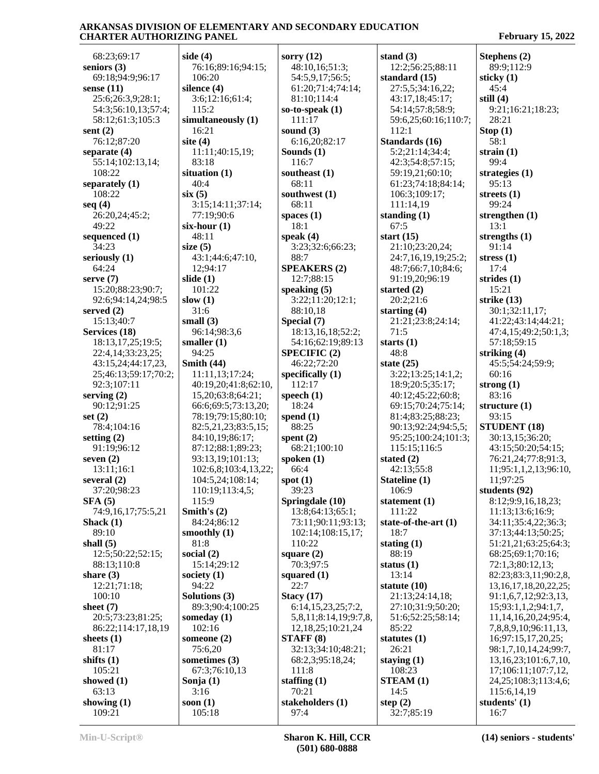68:23;69:17 **seniors (3)** 69:18;94:9;96:17 **sense (11)** 25:6;26:3,9;28:1; 54:3;56:10,13;57:4; 58:12;61:3;105:3 **sent (2)** 76:12;87:20 **separate (4)** 55:14;102:13,14;  $108.22$ **separately (1)** 108:22 **seq (4)** 26:20,24;45:2; 49:22 **sequenced (1)** 34:23 **seriously (1)** 64:24 **serve (7)** 15:20;88:23;90:7; 92:6;94:14,24;98:5 **served (2)** 15:13;40:7 **Services (18)** 18:13,17,25;19:5; 22:4,14;33:23,25; 43:15,24;44:17,23, 25;46:13;59:17;70:2; 92:3;107:11 **serving (2)** 90:12;91:25 **set (2)** 78:4;104:16 **setting (2)** 91:19;96:12 **seven (2)** 13:11;16:1 **several (2)** 37:20;98:23 **SFA (5)** 74:9,16,17;75:5,21 **Shack (1)** 89:10 **shall (5)** 12:5;50:22;52:15; 88:13;110:8 **share (3)** 12:21;71:18; 100:10 **sheet (7)** 20:5;73:23;81:25; 86:22;114:17,18,19 **sheets (1)** 81:17 **shifts (1)** 105:21 **showed (1)** 63:13 **showing (1)** 109:21

**side (4)** 76:16;89:16;94:15; 106:20 **silence (4)** 3:6;12:16;61:4; 115:2 **simultaneously (1)** 16:21 **site (4)** 11:11;40:15,19; 83:18 **situation (1)** 40:4 **six (5)** 3:15;14:11;37:14; 77:19;90:6 **six-hour (1)** 48:11 **size (5)** 43:1;44:6;47:10, 12;94:17 **slide (1)** 101:22 **slow (1)** 31:6 **small (3)** 96:14;98:3,6 **smaller (1)** 94:25 **Smith (44)** 11:11,13;17:24; 40:19,20;41:8;62:10, 15,20;63:8;64:21; 66:6;69:5;73:13,20; 78:19;79:15;80:10; 82:5,21,23;83:5,15; 84:10,19;86:17; 87:12;88:1;89:23; 93:13,19;101:13; 102:6,8;103:4,13,22; 104:5,24;108:14; 110:19;113:4,5; 115:9 **Smith's (2)** 84:24;86:12 **smoothly (1)** 81:8 **social (2)** 15:14;29:12 **society (1)** 94:22 **Solutions (3)** 89:3;90:4;100:25 **someday (1)** 102:16 **someone (2)** 75:6,20 **sometimes (3)** 67:3;76:10,13 **Sonja (1)** 3:16 **soon (1)** 105:18

**sorry (12)** 48:10,16;51:3; 54:5,9,17;56:5; 61:20;71:4;74:14; 81:10;114:4 **so-to-speak (1)** 111:17 **sound (3)** 6:16,20;82:17 **Sounds (1)** 116:7 **southeast (1)** 68:11 **southwest (1)** 68:11 **spaces (1)** 18:1 **speak (4)** 3:23;32:6;66:23; 88:7 **SPEAKERS (2)** 12:7;88:15 **speaking (5)** 3:22;11:20;12:1; 88:10,18 **Special (7)** 18:13,16,18;52:2; 54:16;62:19;89:13 **SPECIFIC (2)** 46:22;72:20 **specifically (1)** 112:17 **speech (1)** 18:24 **spend (1)** 88:25 **spent (2)** 68:21;100:10 **spoken (1)** 66:4 **spot (1)** 39:23 **Springdale (10)** 13:8;64:13;65:1; 73:11;90:11;93:13; 102:14;108:15,17; 110:22 **square (2)** 70:3;97:5 **squared (1)** 22:7 **Stacy (17)** 6:14,15,23,25;7:2, 5,8,11;8:14,19;9:7,8, 12,18,25;10:21,24 **STAFF (8)** 32:13;34:10;48:21; 68:2,3;95:18,24; 111:8 **staffing (1)** 70:21 **stakeholders (1)**  $97·4$ 

**stand (3)** 12:2;56:25;88:11 **standard (15)** 27:5,5;34:16,22; 43:17,18;45:17; 54:14;57:8;58:9; 59:6,25;60:16;110:7; 112:1 **Standards (16)** 5:2;21:14;34:4; 42:3;54:8;57:15; 59:19,21;60:10; 61:23;74:18;84:14; 106:3;109:17; 111:14,19 **standing (1)** 67:5 **start (15)** 21:10;23:20,24; 24:7,16,19,19;25:2; 48:7;66:7,10;84:6; 91:19,20;96:19 **started (2)** 20:2;21:6 **starting (4)** 21:21;23:8;24:14; 71:5 **starts (1)** 48:8 **state (25)** 3:22;13:25;14:1,2; 18:9;20:5;35:17; 40:12;45:22;60:8; 69:15;70:24;75:14; 81:4;83:25;88:23; 90:13;92:24;94:5,5; 95:25;100:24;101:3; 115:15;116:5 **stated (2)** 42:13;55:8 **Stateline (1)** 106:9 **statement (1)** 111:22 **state-of-the-art (1)** 18:7 **stating (1)** 88:19 **status (1)** 13:14 **statute (10)** 21:13;24:14,18; 27:10;31:9;50:20; 51:6;52:25;58:14; 85:22 **statutes (1)** 26:21 **staying (1)** 108:23 **STEAM (1)** 14:5 **step (2)** 32:7;85:19

**Stephens (2)** 89:9;112:9 **sticky (1)** 45:4 **still (4)** 9:21;16:21;18:23; 28:21 **Stop (1)** 58:1 **strain (1)** 99:4 **strategies (1)** 95:13 **streets (1)** 99:24 **strengthen (1)** 13:1 **strengths (1)** 91:14 **stress (1)** 17:4 **strides (1)** 15:21 **strike (13)** 30:1;32:11,17; 41:22;43:14;44:21; 47:4,15;49:2;50:1,3; 57:18;59:15 **striking (4)** 45:5;54:24;59:9; 60:16 **strong (1)** 83:16 **structure (1)** 93:15 **STUDENT (18)** 30:13,15;36:20; 43:15;50:20;54:15; 76:21,24;77:8;91:3, 11;95:1,1,2,13;96:10, 11;97:25 **students (92)** 8:12;9:9,16,18,23; 11:13;13:6;16:9; 34:11;35:4,22;36:3; 37:13;44:13;50:25; 51:21,21;63:25;64:3; 68:25;69:1;70:16; 72:1,3;80:12,13; 82:23;83:3,11;90:2,8, 13,16,17,18,20,22,25; 91:1,6,7,12;92:3,13, 15;93:1,1,2;94:1,7, 11,14,16,20,24;95:4, 7,8,8,9,10;96:11,13, 16;97:15,17,20,25; 98:1,7,10,14,24;99:7, 13,16,23;101:6,7,10, 17;106:11;107:7,12, 24,25;108:3;113:4,6; 115:6,14,19

**students' (1)**  $16.7$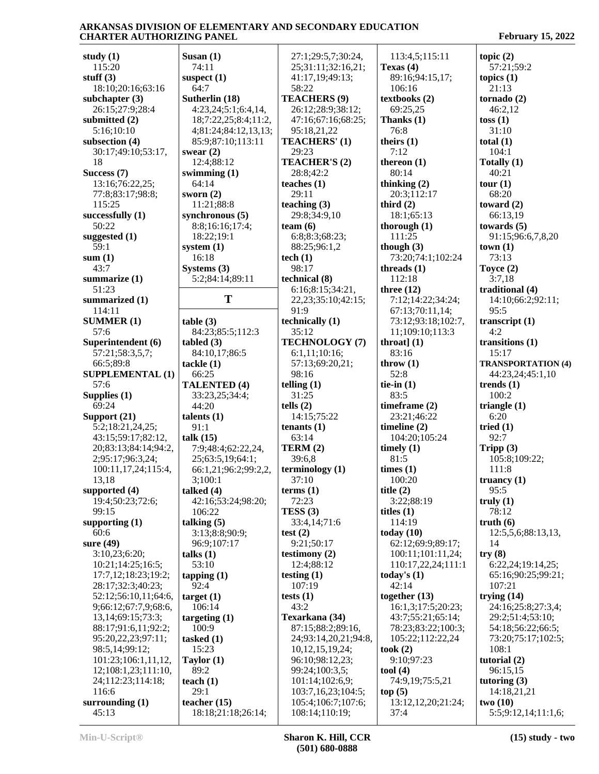| study $(1)$                | Susan $(1)$                          | 27:1;29:5,7;30:24,                   | 113:4,5;115:11                | topic $(2)$                    |
|----------------------------|--------------------------------------|--------------------------------------|-------------------------------|--------------------------------|
| 115:20                     | 74:11                                | 25;31:11;32:16,21;                   | Texas $(4)$                   | 57:21;59:2                     |
| stuff $(3)$                | suspect $(1)$                        | 41:17,19;49:13;                      | 89:16;94:15,17;               | topics $(1)$                   |
| 18:10;20:16;63:16          | 64:7                                 | 58:22                                | 106:16                        | 21:13                          |
| subchapter $(3)$           | Sutherlin (18)                       | <b>TEACHERS (9)</b>                  | textbooks (2)                 | tornado $(2)$                  |
| 26:15;27:9;28:4            | 4:23,24;5:1;6:4,14,                  | 26:12;28:9;38:12;                    | 69:25,25                      | 46:2,12                        |
| submitted (2)              | 18;7:22,25;8:4;11:2,                 | 47:16;67:16;68:25;                   | Thanks (1)                    | toss(1)                        |
| 5:16;10:10                 |                                      |                                      | 76:8                          | 31:10                          |
|                            | 4;81:24;84:12,13,13;                 | 95:18,21,22                          |                               |                                |
| subsection (4)             | 85:9;87:10;113:11                    | TEACHERS' (1)                        | theirs $(1)$                  | total $(1)$                    |
| 30:17;49:10;53:17,         | swear $(2)$                          | 29:23                                | 7:12                          | 104:1                          |
| 18                         | 12:4;88:12                           | TEACHER'S (2)                        | thereon $(1)$                 | Totally (1)                    |
| Success (7)                | swimming $(1)$                       | 28:8;42:2                            | 80:14                         | 40:21                          |
| 13:16;76:22,25;            | 64:14                                | teaches $(1)$                        | thinking $(2)$                | tour (1)                       |
| 77:8;83:17;98:8;           | sworn $(2)$                          | 29:11                                | 20:3;112:17                   | 68:20                          |
| 115:25                     | 11:21;88:8                           | teaching $(3)$                       | third $(2)$                   | toward $(2)$                   |
| successfully $(1)$         | synchronous $(5)$                    | 29:8;34:9,10                         | 18:1;65:13                    | 66:13,19                       |
| 50:22                      | 8:8;16:16;17:4;                      | team $(6)$                           | thorough $(1)$                | towards $(5)$                  |
| suggested (1)              | 18:22;19:1                           | 6:8:8:3;68:23;                       | 111:25                        | 91:15:96:6,7,8,20              |
| 59:1                       | system $(1)$                         | 88:25;96:1,2                         | though $(3)$                  | town(1)                        |
| sum(1)                     | 16:18                                | tech(1)                              | 73:20;74:1;102:24             | 73:13                          |
| 43:7                       | Systems $(3)$                        | 98:17                                | threads $(1)$                 | Toyce $(2)$                    |
| summarize (1)              | 5:2;84:14;89:11                      | technical (8)                        | 112:18                        | 3:7,18                         |
| 51:23                      |                                      | 6:16;8:15;34:21,                     | three $(12)$                  | traditional (4)                |
| summarized (1)             | T                                    | 22, 23; 35: 10; 42: 15;              | 7:12;14:22;34:24;             | 14:10;66:2;92:11;              |
| 114:11                     |                                      | 91:9                                 | 67:13;70:11,14;               | 95:5                           |
| <b>SUMMER (1)</b>          | table(3)                             | technically (1)                      | 73:12;93:18;102:7,            | transcript $(1)$               |
| 57:6                       | 84:23;85:5;112:3                     | 35:12                                | 11;109:10;113:3               | 4:2                            |
|                            |                                      | TECHNOLOGY (7)                       | throat] $(1)$                 |                                |
| Superintendent (6)         | tabeled(3)                           |                                      |                               | transitions $(1)$              |
| 57:21;58:3,5,7;            | 84:10,17;86:5                        | 6:1,11;10:16;                        | 83:16                         | 15:17                          |
| 66:5;89:8                  | tackle(1)                            | 57:13;69:20,21;                      | throw $(1)$                   | <b>TRANSPORTATION (4)</b>      |
| <b>SUPPLEMENTAL (1)</b>    | 66:25                                | 98:16                                | 52:8                          | 44:23,24;45:1,10               |
| 57:6                       | <b>TALENTED (4)</b>                  | telling $(1)$                        |                               | trends $(1)$                   |
|                            |                                      |                                      | tie-in $(1)$                  |                                |
| Supplies $(1)$             | 33:23,25;34:4;                       | 31:25                                | 83:5                          | 100:2                          |
| 69:24                      | 44:20                                | tells $(2)$                          | timeframe (2)                 | triangle $(1)$                 |
| Support (21)               | talents $(1)$                        | 14:15:75:22                          | 23:21;46:22                   | 6:20                           |
| 5:2;18:21,24,25;           | 91:1                                 | tenants $(1)$                        | timeline $(2)$                | tried $(1)$                    |
| 43:15;59:17;82:12,         | talk (15)                            | 63:14                                | 104:20;105:24                 | 92:7                           |
| 20;83:13;84:14;94:2,       | 7:9;48:4;62:22,24,                   | TERM(2)                              | timely $(1)$                  | Tripp $(3)$                    |
| 2;95:17;96:3,24;           | 25;63:5,19;64:1;                     | 39:6,8                               | 81:5                          | 105:8;109:22;                  |
| 100:11,17,24;115:4,        | 66:1,21;96:2;99:2,2,                 | terminology <sub>(1)</sub>           | times (1)                     | 111:8                          |
| 13,18                      | 3;100:1                              | 37:10                                | 100:20                        | truancy $(1)$                  |
| supported $(4)$            | talked $(4)$                         | terms <sub>(1)</sub>                 | title $(2)$                   | 95:5                           |
| 19:4;50:23;72:6;           | 42:16;53:24;98:20;                   | 72:23                                | 3:22;88:19                    | truly(1)                       |
| 99:15                      | 106:22                               |                                      |                               | 78:12                          |
|                            |                                      | TESS(3)                              | titles $(1)$                  |                                |
| supporting $(1)$           | talking $(5)$                        | 33:4,14;71:6                         | 114:19                        | truth(6)                       |
| 60:6                       | 3:13;8:8;90:9;                       | test $(2)$                           | today $(10)$                  | 12:5,5,6;88:13,13,             |
| sure $(49)$                | 96:9;107:17                          | 9:21;50:17                           | 62:12;69:9;89:17;             | 14                             |
| 3:10,23;6:20;              | talks $(1)$                          | testimony $(2)$                      | 100:11;101:11,24;             | try(8)                         |
| 10:21;14:25;16:5;          | 53:10                                | 12:4;88:12                           | 110:17,22,24;111:1            | 6:22,24;19:14,25;              |
| 17:7,12;18:23;19:2;        | tapping $(1)$                        | testing $(1)$                        | today's $(1)$                 | 65:16;90:25;99:21;             |
| 28:17;32:3;40:23;          | 92:4                                 | 107:19                               | 42:14                         | 107:21                         |
| 52:12;56:10,11;64:6,       | target(1)                            | tests $(1)$                          | together $(13)$               | trying $(14)$                  |
| 9;66:12;67:7,9;68:6,       | 106:14                               | 43:2                                 | 16:1,3;17:5;20:23;            | 24:16;25:8;27:3,4;             |
| 13,14;69:15;73:3;          | targeting $(1)$                      | Texarkana (34)                       | 43:7;55:21;65:14;             | 29:2;51:4;53:10;               |
| 88:17;91:6,11;92:2;        | 100:9                                | 87:15;88:2;89:16,                    | 78:23;83:22;100:3;            | 54:18;56:22;66:5;              |
| 95:20,22,23;97:11;         | tasked $(1)$                         | 24;93:14,20,21;94:8,                 | 105:22;112:22,24              | 73:20;75:17;102:5;             |
| 98:5,14;99:12;             | 15:23                                | 10,12,15,19,24;                      | took(2)                       | 108:1                          |
| 101:23;106:1,11,12,        | Taylor $(1)$                         | 96:10;98:12,23;                      | 9:10;97:23                    | tutorial (2)                   |
| 12;108:1,23;111:10,        | 89:2                                 | 99:24;100:3,5;                       | tool $(4)$                    | 96:15,15                       |
| 24;112:23;114:18;          | teach $(1)$                          | 101:14;102:6,9;                      | 74:9,19;75:5,21               | tutoring $(3)$                 |
| 116:6                      | 29:1                                 | 103:7,16,23;104:5;                   | top(5)                        | 14:18,21,21                    |
| surrounding $(1)$<br>45:13 | teacher $(15)$<br>18:18;21:18;26:14; | 105:4;106:7;107:6;<br>108:14;110:19; | 13:12, 12, 20; 21:24;<br>37:4 | two(10)<br>5:5;9:12,14;11:1,6; |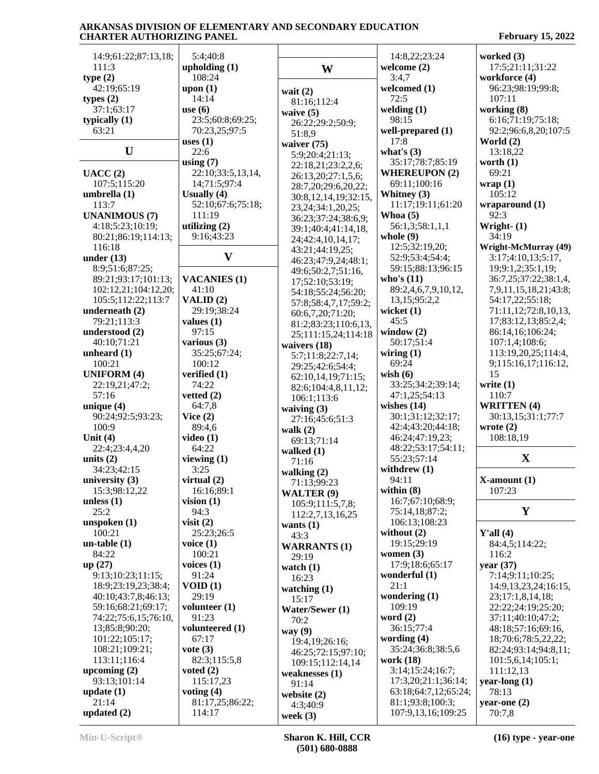| 14:9;61:22;87:13,18; | 5:4;40:8            |                        | 14:8,22;23:24        | worked (3)                  |
|----------------------|---------------------|------------------------|----------------------|-----------------------------|
| 111:3                | upholding $(1)$     | W                      | welcome $(2)$        | 17:5;21:11;31:22            |
| type(2)              | 108:24              |                        | 3:4,7                | workforce (4)               |
| 42:19;65:19          | upon (1)            | wait $(2)$             | welcomed (1)         | 96:23;98:19;99:8;           |
| types $(2)$          | 14:14               | 81:16;112:4            | 72:5                 | 107:11                      |
| 37:1;63:17           | use $(6)$           | waive $(5)$            | welding $(1)$        | working (8)                 |
| typically $(1)$      | 23:5;60:8;69:25;    | 26:22;29:2;50:9;       | 98:15                | 6:16;71:19;75:18;           |
| 63:21                | 70:23,25;97:5       | 51:8,9                 | well-prepared (1)    | 92:2;96:6,8,20;107:5        |
|                      | uses $(1)$          | waiver $(75)$          | 17:8                 | World $(2)$                 |
| $\mathbf U$          | 22:6                | 5:9;20:4;21:13;        | what's $(3)$         | 13:18,22                    |
|                      | using $(7)$         | 22:18,21;23:2,2,6;     | 35:17;78:7;85:19     | worth $(1)$                 |
| UACC(2)              | 22:10;33:5,13,14,   | 26:13,20;27:1,5,6;     | <b>WHEREUPON (2)</b> | 69:21                       |
| 107:5;115:20         | 14;71:5;97:4        | 28:7,20;29:6,20,22;    | 69:11;100:16         | wrap(1)                     |
| umbrella $(1)$       | Usually $(4)$       | 30:8,12,14,19;32:15,   | Whitney (3)          | 105:12                      |
| 113:7                | 52:10;67:6;75:18;   | 23, 24; 34: 1, 20, 25; | 11:17;19:11;61:20    | wraparound(1)               |
| <b>UNANIMOUS (7)</b> | 111:19              | 36:23;37:24;38:6,9;    | Whoa $(5)$           | 92:3                        |
| 4:18;5:23;10:19;     | utilizing $(2)$     | 39:1;40:4;41:14,18,    | 56:1,3;58:1,1,1      | Wright- $(1)$               |
| 80:21;86:19;114:13;  | 9:16;43:23          | 24;42:4,10,14,17;      | whole $(9)$          | 34:19                       |
| 116:18               |                     | 43:21;44:19,25;        | 12:5;32:19,20;       | <b>Wright-McMurray (49)</b> |
| under $(13)$         | $\mathbf{V}$        | 46:23;47:9,24;48:1;    | 52:9;53:4;54:4;      | 3:17;4:10,13;5:17,          |
| 8:9;51:6;87:25;      |                     | 49:6;50:2,7;51:16,     | 59:15;88:13;96:15    | 19;9:1,2;35:1,19;           |
| 89:21;93:17;101:13;  | <b>VACANIES (1)</b> | 17;52:10;53:19;        | who's $(11)$         | 36:7,25;37:22;38:1,4,       |
| 102:12,21;104:12,20; | 41:10               | 54:18;55:24;56:20;     | 89:2,4,6,7,9,10,12,  | 7,9,11,15,18,21;43:8;       |
| 105:5;112:22;113:7   | VALID $(2)$         | 57:8;58:4,7,17;59:2;   | 13, 15; 95: 2, 2     | 54:17,22:55:18:             |
| underneath (2)       | 29:19:38:24         | 60:6,7,20;71:20;       | wicket $(1)$         | 71:11,12;72:8,10,13,        |
| 79:21;113:3          | values $(1)$        | 81:2;83:23;110:6,13,   | 45:5                 | 17;83:12,13;85:2,4;         |
| understood (2)       | 97:15               | 25;111:15,24;114:18    | window $(2)$         | 86:14,16;106:24;            |
| 40:10;71:21          | various $(3)$       | waivers (18)           | 50:17;51:4           | 107:1,4;108:6;              |
| unheard $(1)$        | 35:25;67:24;        | 5:7;11:8;22:7,14;      | wiring $(1)$         | 113:19,20,25;114:4,         |
| 100:21               | 100:12              | 29:25;42:6;54:4;       | 69:24                | 9;115:16,17;116:12,         |
| <b>UNIFORM (4)</b>   | verified (1)        | 62:10,14,19;71:15;     | wish $(6)$           | 15                          |
| 22:19,21;47:2;       | 74:22               | 82:6;104:4,8,11,12;    | 33:25;34:2;39:14;    | write $(1)$                 |
| 57:16                | vetted $(2)$        | 106:1;113:6            | 47:1,25;54:13        | 110:7                       |
| unique $(4)$         | 64:7,8              | waiving $(3)$          | wishes $(14)$        | <b>WRITTEN (4)</b>          |
| 90:24;92:5;93:23;    | Vice $(2)$          | 27:16;45:6;51:3        | 30:1;31:12;32:17;    | 30:13,15;31:1;77:7          |
| 100:9                | 89:4,6              | walk $(2)$             | 42:4;43:20;44:18;    | wrote $(2)$                 |
| Unit $(4)$           | video $(1)$         | 69:13;71:14            | 46:24;47:19,23;      | 108:18,19                   |
| 22:4;23:4,4,20       | 64:22               | walked $(1)$           | 48:22;53:17;54:11;   |                             |
| units $(2)$          | viewing $(1)$       | 71:16                  | 55:23;57:14          | X                           |
| 34:23;42:15          | 3:25                | walking $(2)$          | withdrew $(1)$       |                             |
| university $(3)$     | virtual $(2)$       | 71:13;99:23            | 94:11                | $X$ -amount $(1)$           |
| 15:3;98:12,22        | 16:16;89:1          | WALTER (9)             | within $(8)$         | 107:23                      |
| unless $(1)$         | vision $(1)$        | 105:9;111:5,7,8;       | 16:7;67:10;68:9;     |                             |
| 25:2                 | 94:3                | 112:2,7,13,16,25       | 75:14,18;87:2;       | Y                           |
| unspoken(1)          | visit $(2)$         | wants $(1)$            | 106:13;108:23        |                             |
| 100:21               | 25:23;26:5          | 43:3                   | without $(2)$        | Y'all $(4)$                 |
| $un-table(1)$        | voice $(1)$         | <b>WARRANTS (1)</b>    | 19:15;29:19          | 84:4,5;114:22;              |
| 84:22                | 100:21              | 29:19                  | women $(3)$          | 116:2                       |
| up(27)               | voices $(1)$        | watch $(1)$            | 17:9;18:6;65:17      | year $(37)$                 |
| 9:13;10:23;11:15;    | 91:24               | 16:23                  | wonderful (1)        | 7:14;9:11;10:25;            |
| 18:9;23:19,23;38:4;  | VOID(1)             | watching $(1)$         | 21:1                 | 14:9,13,23,24;16:15,        |
| 40:10;43:7,8;46:13;  | 29:19               | 15:17                  | wondering $(1)$      | 23;17:1,8,14,18;            |
| 59:16;68:21;69:17;   | volunteer $(1)$     | Water/Sewer (1)        | 109:19               | 22:22;24:19;25:20;          |
| 74:22;75:6,15;76:10, | 91:23               | 70:2                   | word $(2)$           | 37:11;40:10;47:2;           |
| 13;85:8;90:20;       | volunteered (1)     | way $(9)$              | 36:15;77:4           | 48:18:57:16:69:16,          |
| 101:22;105:17;       | 67:17               | 19:4, 19:26:16;        | wording $(4)$        | 18;70:6;78:5,22,22;         |
| 108:21;109:21;       | vote $(3)$          | 46:25;72:15;97:10;     | 35:24;36:8;38:5,6    | 82:24;93:14;94:8,11;        |
| 113:11;116:4         | 82:3;115:5,8        | 109:15;112:14,14       | work (18)            | 101:5,6,14;105:1;           |
| upcoming $(2)$       | voted $(2)$         | weaknesses $(1)$       | 3:14;15:24;16:7;     | 111:12,13                   |
| 93:13;101:14         | 115:17,23           | 91:14                  | 17:3,20;21:1;36:14;  | year-long (1)               |
| update $(1)$         | voting $(4)$        | website $(2)$          | 63:18;64:7,12;65:24; | 78:13                       |
| 21:14                | 81:17,25;86:22;     | 4:3;40:9               | 81:1;93:8;100:3;     | year-one $(2)$              |
| updated $(2)$        | 114:17              | week $(3)$             | 107:9,13,16;109:25   | 70:7,8                      |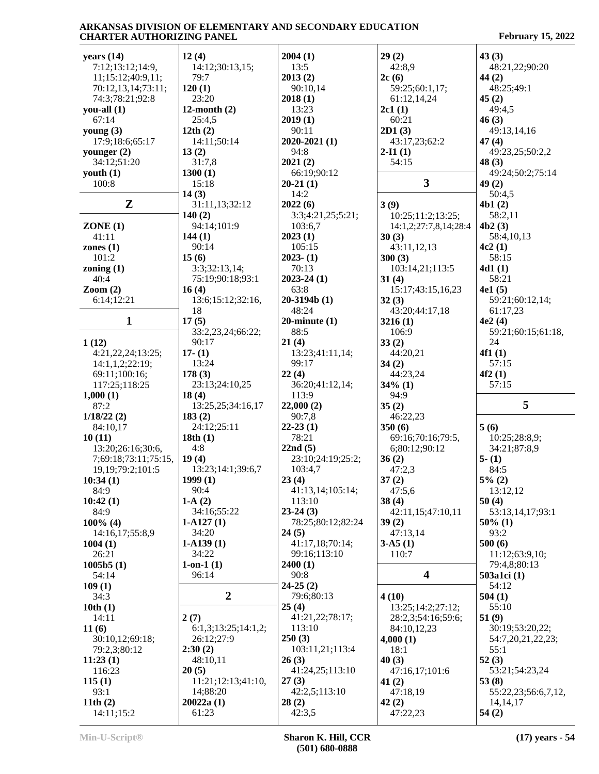| years $(14)$                   | 12(4)               | 2004(1)            | 29(2)                 | 43(3)               |
|--------------------------------|---------------------|--------------------|-----------------------|---------------------|
|                                |                     |                    |                       |                     |
| 7:12;13:12;14:9,               | 14:12;30:13,15;     | 13:5               | 42:8,9                | 48:21,22;90:20      |
| 11;15:12;40:9,11;              | 79:7                | 2013(2)            | 2c(6)                 | 44 $(2)$            |
| 70:12,13,14;73:11;             | 120(1)              | 90:10,14           | 59:25;60:1,17;        | 48:25;49:1          |
| 74:3;78:21;92:8                | 23:20               | 2018(1)            | 61:12,14,24           | 45(2)               |
|                                |                     |                    |                       |                     |
| you-all $(1)$                  | 12-month $(2)$      | 13:23              | 2c1(1)                | 49:4,5              |
| 67:14                          | 25:4,5              | 2019(1)            | 60:21                 | 46(3)               |
| young $(3)$                    | 12th(2)             | 90:11              | 2D1(3)                | 49:13,14,16         |
| 17:9;18:6;65:17                | 14:11;50:14         | $2020 - 2021(1)$   | 43:17,23;62:2         | 47(4)               |
| younger $(2)$                  | 13(2)               | 94:8               | $2-I1(1)$             |                     |
|                                |                     |                    |                       | 49:23,25;50:2,2     |
| 34:12;51:20                    | 31:7,8              | 2021(2)            | 54:15                 | 48(3)               |
| youth $(1)$                    | 1300(1)             | 66:19;90:12        |                       | 49:24;50:2;75:14    |
| 100:8                          | 15:18               | $20-21(1)$         | $\mathbf{3}$          | 49(2)               |
|                                | 14(3)               | 14:2               |                       | 50:4,5              |
|                                |                     |                    |                       |                     |
| Z                              | 31:11,13;32:12      | 2022(6)            | 3(9)                  | 4b1(2)              |
|                                | 140(2)              | 3:3;4:21,25;5:21;  | 10:25;11:2;13:25;     | 58:2,11             |
| ZONE(1)                        | 94:14;101:9         | 103:6,7            | 14:1,2;27:7,8,14;28:4 | 4b2(3)              |
| 41:11                          | 144(1)              | 2023(1)            | 30(3)                 | 58:4,10,13          |
|                                | 90:14               |                    |                       | 4c2(1)              |
| zones $(1)$                    |                     | 105:15             | 43:11,12,13           |                     |
| 101:2                          | 15(6)               | $2023 - (1)$       | 300(3)                | 58:15               |
| zoning $(1)$                   | 3:3;32:13,14;       | 70:13              | 103:14,21;113:5       | 4d1(1)              |
| 40:4                           | 75:19;90:18;93:1    | $2023 - 24(1)$     | 31(4)                 | 58:21               |
|                                |                     | 63:8               |                       | 4e1(5)              |
| $\mathrm{Zoom}\left( 2\right)$ | 16(4)               |                    | 15:17;43:15,16,23     |                     |
| 6:14;12:21                     | 13:6;15:12;32:16,   | $20-3194b(1)$      | 32(3)                 | 59:21;60:12,14;     |
|                                | 18                  | 48:24              | 43:20;44:17,18        | 61:17,23            |
| 1                              | 17(5)               | $20$ -minute $(1)$ | 3216(1)               | 4e2(4)              |
|                                | 33:2,23,24;66:22;   | 88:5               |                       | 59:21;60:15;61:18,  |
|                                |                     |                    | 106:9                 |                     |
| 1(12)                          | 90:17               | 21(4)              | 33(2)                 | 24                  |
| 4:21,22,24;13:25;              | $17-(1)$            | 13:23;41:11,14;    | 44:20,21              | 4f1(1)              |
| 14:1,1,2;22:19;                | 13:24               | 99:17              | 34(2)                 | 57:15               |
| 69:11;100:16;                  | 178(3)              | 22(4)              | 44:23,24              | 4f2(1)              |
|                                |                     |                    |                       |                     |
| 117:25;118:25                  | 23:13;24:10,25      | 36:20;41:12,14;    | $34\%$ (1)            | 57:15               |
| 1,000(1)                       | 18(4)               | 113:9              | 94:9                  |                     |
| 87:2                           | 13:25,25;34:16,17   | 22,000(2)          | 35(2)                 | 5                   |
| 1/18/22(2)                     | 183(2)              | 90:7,8             | 46:22,23              |                     |
| 84:10,17                       | 24:12;25:11         | $22-23(1)$         | 350(6)                | 5(6)                |
|                                |                     |                    |                       |                     |
|                                |                     |                    |                       |                     |
| 10(11)                         | 18th $(1)$          | 78:21              | 69:16;70:16;79:5,     | 10:25;28:8,9;       |
| 13:20;26:16;30:6,              | 4:8                 | 22nd(5)            | 6;80:12;90:12         | 34:21;87:8,9        |
|                                |                     |                    |                       |                     |
| 7;69:18;73:11;75:15,           | 19(4)               | 23:10;24:19;25:2;  | 36(2)                 | $5-(1)$             |
| 19, 19; 79: 2; 101: 5          | 13:23;14:1;39:6,7   | 103:4,7            | 47:2,3                | 84:5                |
|                                | 1999(1)             | 23(4)              | 37(2)                 | 5% (2)              |
| 10:34(1)<br>84:9               | 90:4                | 41:13,14;105:14;   | 47:5,6                | 13:12,12            |
|                                |                     | 113:10             |                       |                     |
| 10:42(1)                       | $1-A(2)$            |                    | 38(4)                 | 50(4)               |
| 84:9                           | 34:16;55:22         | $23-24(3)$         | 42:11,15;47:10,11     | 53:13,14,17;93:1    |
| $100\%$ (4)                    | $1-A127(1)$         | 78:25;80:12;82:24  | 39(2)                 | $50\%$ (1)          |
| 14:16,17;55:8,9                | 34:20               | 24(5)              | 47:13,14              | 93:2                |
| 1004(1)                        | $1-A139(1)$         | 41:17,18;70:14;    | $3-A5(1)$             | 500(6)              |
|                                |                     |                    |                       |                     |
| 26:21                          | 34:22               | 99:16;113:10       | 110:7                 | 11:12;63:9,10;      |
| 1005b5(1)                      | $1-on-1(1)$         | 2400(1)            |                       | 79:4,8;80:13        |
| 54:14                          | 96:14               | 90:8               | 4                     | 503a1ci (1)         |
| 109(1)                         |                     | $24-25(2)$         |                       | 54:12               |
| 34:3                           | $\boldsymbol{2}$    | 79:6;80:13         | 4(10)                 | 504(1)              |
|                                |                     |                    |                       |                     |
| 10th(1)                        |                     | 25(4)              | 13:25;14:2;27:12;     | 55:10               |
| 14:11                          | 2(7)                | 41:21,22;78:17;    | 28:2,3;54:16;59:6;    | 51(9)               |
| 11(6)                          | 6:1,3;13:25;14:1,2; | 113:10             | 84:10,12,23           | 30:19;53:20,22;     |
|                                |                     | 250(3)             |                       |                     |
| 30:10,12;69:18;                | 26:12;27:9          |                    | 4,000(1)              | 54:7,20,21,22,23;   |
| 79:2,3;80:12                   | 2:30(2)             | 103:11,21;113:4    | 18:1                  | 55:1                |
| 11:23(1)                       | 48:10,11            | 26(3)              | 40(3)                 | 52(3)               |
| 116:23                         | 20(5)               | 41:24,25;113:10    | 47:16,17;101:6        | 53:21;54:23,24      |
|                                |                     |                    |                       |                     |
| 115(1)                         | 11:21;12:13;41:10,  | 27(3)              | 41(2)                 | 53(8)               |
| 93:1                           | 14;88:20            | 42:2,5;113:10      | 47:18,19              | 55:22,23;56:6,7,12, |
| 11th $(2)$<br>14:11;15:2       | 20022a(1)<br>61:23  | 28(2)<br>42:3,5    | 42(2)<br>47:22,23     | 14, 14, 17<br>54(2) |